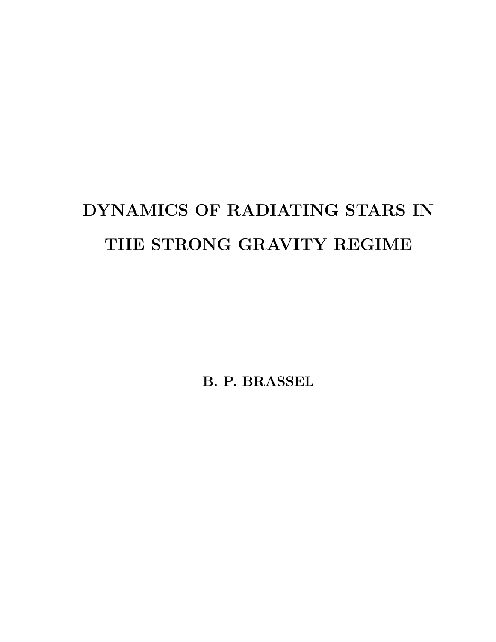# DYNAMICS OF RADIATING STARS IN THE STRONG GRAVITY REGIME

B. P. BRASSEL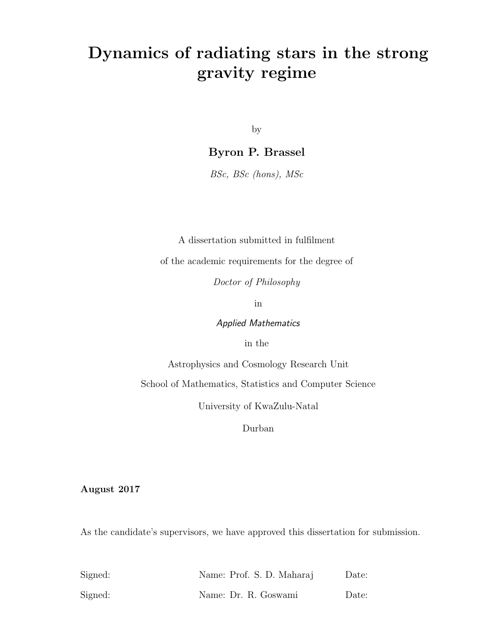# Dynamics of radiating stars in the strong gravity regime

by

Byron P. Brassel

BSc, BSc (hons), MSc

A dissertation submitted in fulfilment

of the academic requirements for the degree of

Doctor of Philosophy

in

Applied Mathematics

in the

Astrophysics and Cosmology Research Unit

School of Mathematics, Statistics and Computer Science

University of KwaZulu-Natal

Durban

August 2017

As the candidate's supervisors, we have approved this dissertation for submission.

| Signed: | Name: Prof. S. D. Maharaj | Date: |
|---------|---------------------------|-------|
| Signed: | Name: Dr. R. Goswami      | Date: |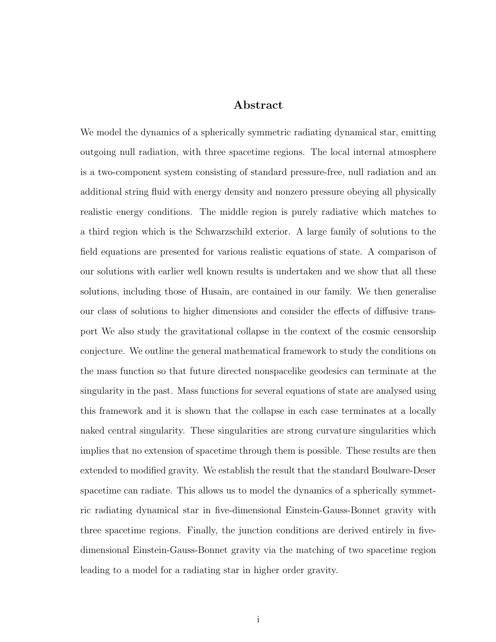### Abstract

We model the dynamics of a spherically symmetric radiating dynamical star, emitting outgoing null radiation, with three spacetime regions. The local internal atmosphere is a two-component system consisting of standard pressure-free, null radiation and an additional string fluid with energy density and nonzero pressure obeying all physically realistic energy conditions. The middle region is purely radiative which matches to a third region which is the Schwarzschild exterior. A large family of solutions to the field equations are presented for various realistic equations of state. A comparison of our solutions with earlier well known results is undertaken and we show that all these solutions, including those of Husain, are contained in our family. We then generalise our class of solutions to higher dimensions and consider the effects of diffusive transport We also study the gravitational collapse in the context of the cosmic censorship conjecture. We outline the general mathematical framework to study the conditions on the mass function so that future directed nonspacelike geodesics can terminate at the singularity in the past. Mass functions for several equations of state are analysed using this framework and it is shown that the collapse in each case terminates at a locally naked central singularity. These singularities are strong curvature singularities which implies that no extension of spacetime through them is possible. These results are then extended to modified gravity. We establish the result that the standard Boulware-Deser spacetime can radiate. This allows us to model the dynamics of a spherically symmetric radiating dynamical star in five-dimensional Einstein-Gauss-Bonnet gravity with three spacetime regions. Finally, the junction conditions are derived entirely in fivedimensional Einstein-Gauss-Bonnet gravity via the matching of two spacetime region leading to a model for a radiating star in higher order gravity.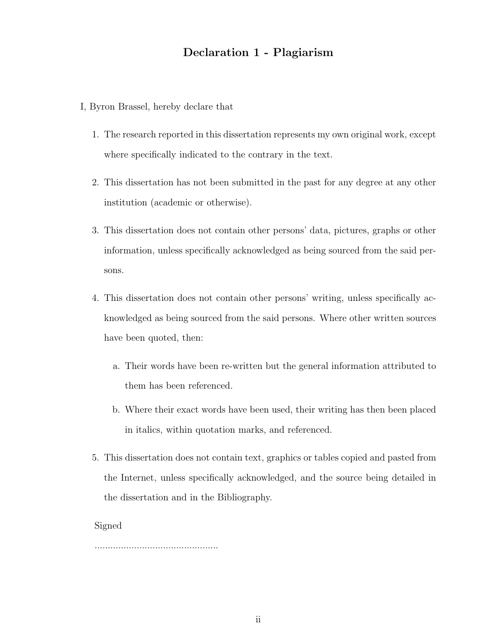### Declaration 1 - Plagiarism

- I, Byron Brassel, hereby declare that
	- 1. The research reported in this dissertation represents my own original work, except where specifically indicated to the contrary in the text.
	- 2. This dissertation has not been submitted in the past for any degree at any other institution (academic or otherwise).
	- 3. This dissertation does not contain other persons' data, pictures, graphs or other information, unless specifically acknowledged as being sourced from the said persons.
	- 4. This dissertation does not contain other persons' writing, unless specifically acknowledged as being sourced from the said persons. Where other written sources have been quoted, then:
		- a. Their words have been re-written but the general information attributed to them has been referenced.
		- b. Where their exact words have been used, their writing has then been placed in italics, within quotation marks, and referenced.
	- 5. This dissertation does not contain text, graphics or tables copied and pasted from the Internet, unless specifically acknowledged, and the source being detailed in the dissertation and in the Bibliography.

Signed

...............................................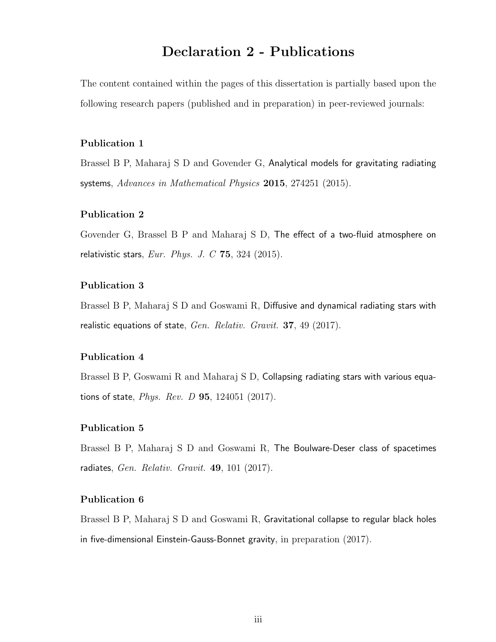### Declaration 2 - Publications

The content contained within the pages of this dissertation is partially based upon the following research papers (published and in preparation) in peer-reviewed journals:

#### Publication 1

Brassel B P, Maharaj S D and Govender G, Analytical models for gravitating radiating systems, Advances in Mathematical Physics 2015, 274251 (2015).

#### Publication 2

Govender G, Brassel B P and Maharaj S D, The effect of a two-fluid atmosphere on relativistic stars,  $Eur. Phys. J. C$  75, 324 (2015).

#### Publication 3

Brassel B P, Maharaj S D and Goswami R, Diffusive and dynamical radiating stars with realistic equations of state, Gen. Relativ. Gravit. 37, 49 (2017).

#### Publication 4

Brassel B P, Goswami R and Maharaj S D, Collapsing radiating stars with various equations of state, Phys. Rev. D 95, 124051 (2017).

#### Publication 5

Brassel B P, Maharaj S D and Goswami R, The Boulware-Deser class of spacetimes radiates, Gen. Relativ. Gravit. 49, 101 (2017).

#### Publication 6

Brassel B P, Maharaj S D and Goswami R, Gravitational collapse to regular black holes in five-dimensional Einstein-Gauss-Bonnet gravity, in preparation (2017).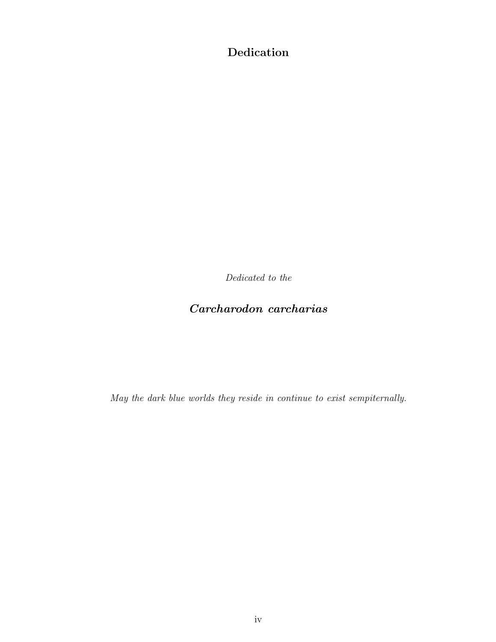Dedication

Dedicated to the

### Carcharodon carcharias

May the dark blue worlds they reside in continue to exist sempiternally.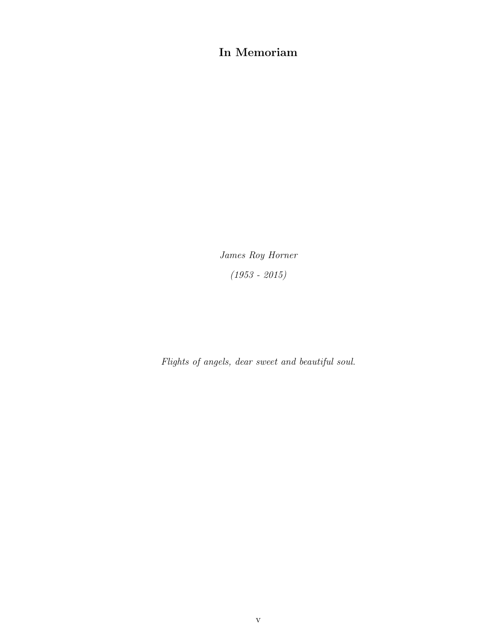### In Memoriam

James Roy Horner (1953 - 2015)

Flights of angels, dear sweet and beautiful soul.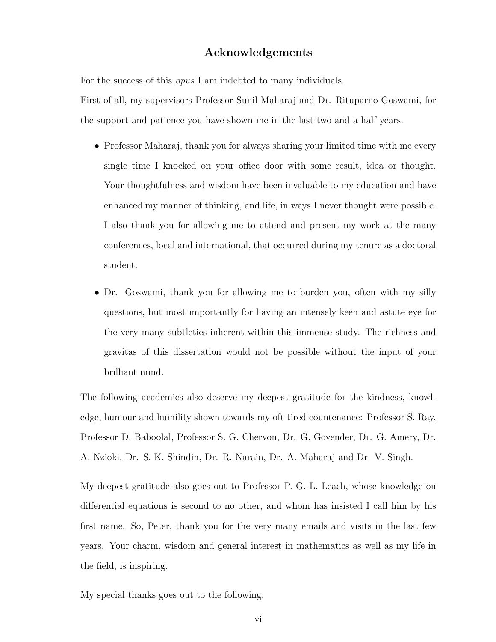### Acknowledgements

For the success of this opus I am indebted to many individuals.

First of all, my supervisors Professor Sunil Maharaj and Dr. Rituparno Goswami, for the support and patience you have shown me in the last two and a half years.

- Professor Maharaj, thank you for always sharing your limited time with me every single time I knocked on your office door with some result, idea or thought. Your thoughtfulness and wisdom have been invaluable to my education and have enhanced my manner of thinking, and life, in ways I never thought were possible. I also thank you for allowing me to attend and present my work at the many conferences, local and international, that occurred during my tenure as a doctoral student.
- Dr. Goswami, thank you for allowing me to burden you, often with my silly questions, but most importantly for having an intensely keen and astute eye for the very many subtleties inherent within this immense study. The richness and gravitas of this dissertation would not be possible without the input of your brilliant mind.

The following academics also deserve my deepest gratitude for the kindness, knowledge, humour and humility shown towards my oft tired countenance: Professor S. Ray, Professor D. Baboolal, Professor S. G. Chervon, Dr. G. Govender, Dr. G. Amery, Dr. A. Nzioki, Dr. S. K. Shindin, Dr. R. Narain, Dr. A. Maharaj and Dr. V. Singh.

My deepest gratitude also goes out to Professor P. G. L. Leach, whose knowledge on differential equations is second to no other, and whom has insisted I call him by his first name. So, Peter, thank you for the very many emails and visits in the last few years. Your charm, wisdom and general interest in mathematics as well as my life in the field, is inspiring.

My special thanks goes out to the following: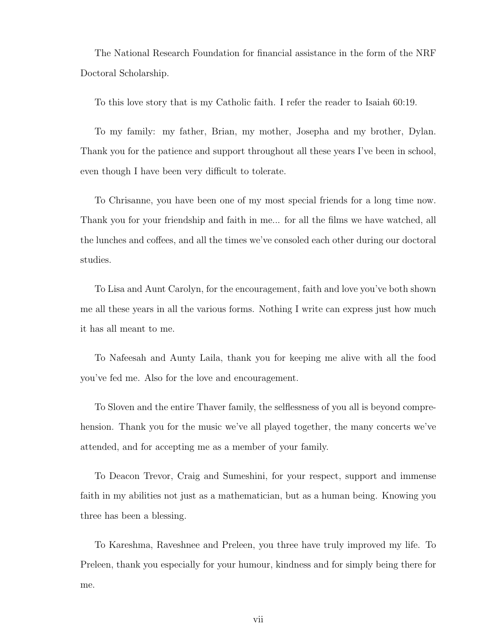The National Research Foundation for financial assistance in the form of the NRF Doctoral Scholarship.

To this love story that is my Catholic faith. I refer the reader to Isaiah 60:19.

To my family: my father, Brian, my mother, Josepha and my brother, Dylan. Thank you for the patience and support throughout all these years I've been in school, even though I have been very difficult to tolerate.

To Chrisanne, you have been one of my most special friends for a long time now. Thank you for your friendship and faith in me... for all the films we have watched, all the lunches and coffees, and all the times we've consoled each other during our doctoral studies.

To Lisa and Aunt Carolyn, for the encouragement, faith and love you've both shown me all these years in all the various forms. Nothing I write can express just how much it has all meant to me.

To Nafeesah and Aunty Laila, thank you for keeping me alive with all the food you've fed me. Also for the love and encouragement.

To Sloven and the entire Thaver family, the selflessness of you all is beyond comprehension. Thank you for the music we've all played together, the many concerts we've attended, and for accepting me as a member of your family.

To Deacon Trevor, Craig and Sumeshini, for your respect, support and immense faith in my abilities not just as a mathematician, but as a human being. Knowing you three has been a blessing.

To Kareshma, Raveshnee and Preleen, you three have truly improved my life. To Preleen, thank you especially for your humour, kindness and for simply being there for me.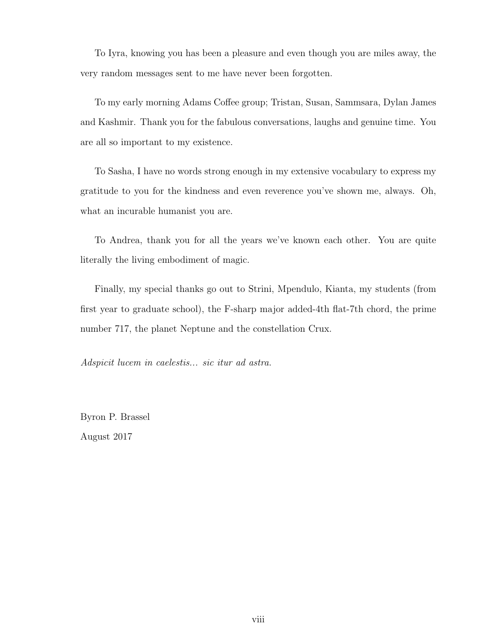To Iyra, knowing you has been a pleasure and even though you are miles away, the very random messages sent to me have never been forgotten.

To my early morning Adams Coffee group; Tristan, Susan, Sammsara, Dylan James and Kashmir. Thank you for the fabulous conversations, laughs and genuine time. You are all so important to my existence.

To Sasha, I have no words strong enough in my extensive vocabulary to express my gratitude to you for the kindness and even reverence you've shown me, always. Oh, what an incurable humanist you are.

To Andrea, thank you for all the years we've known each other. You are quite literally the living embodiment of magic.

Finally, my special thanks go out to Strini, Mpendulo, Kianta, my students (from first year to graduate school), the F-sharp major added-4th flat-7th chord, the prime number 717, the planet Neptune and the constellation Crux.

Adspicit lucem in caelestis... sic itur ad astra.

Byron P. Brassel August 2017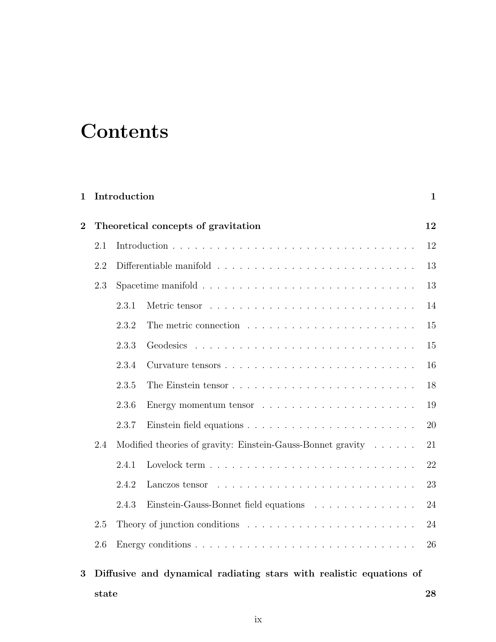# **Contents**

| $\mathbf{1}$                                          |     | Introduction                                                |                                       | $\mathbf{1}$ |  |
|-------------------------------------------------------|-----|-------------------------------------------------------------|---------------------------------------|--------------|--|
| Theoretical concepts of gravitation<br>$\overline{2}$ |     |                                                             |                                       | 12           |  |
|                                                       | 2.1 |                                                             |                                       |              |  |
|                                                       | 2.2 |                                                             |                                       |              |  |
|                                                       | 2.3 |                                                             |                                       | 13           |  |
|                                                       |     | 2.3.1                                                       |                                       | 14           |  |
|                                                       |     | 2.3.2                                                       |                                       | 15           |  |
|                                                       |     | 2.3.3                                                       |                                       | 15           |  |
|                                                       |     | 2.3.4                                                       |                                       | 16           |  |
|                                                       |     | 2.3.5                                                       |                                       | 18           |  |
|                                                       |     | 2.3.6                                                       |                                       | 19           |  |
|                                                       |     | 2.3.7                                                       |                                       | 20           |  |
|                                                       | 2.4 | Modified theories of gravity: Einstein-Gauss-Bonnet gravity |                                       |              |  |
|                                                       |     | 2.4.1                                                       |                                       | 22           |  |
|                                                       |     | 2.4.2                                                       | Lanczos tensor                        | 23           |  |
|                                                       |     | 2.4.3                                                       | Einstein-Gauss-Bonnet field equations | 24           |  |
|                                                       | 2.5 |                                                             |                                       |              |  |
|                                                       | 2.6 |                                                             |                                       | 26           |  |
|                                                       |     |                                                             |                                       |              |  |

3 Diffusive and dynamical radiating stars with realistic equations of  $\frac{1}{28}$  state 28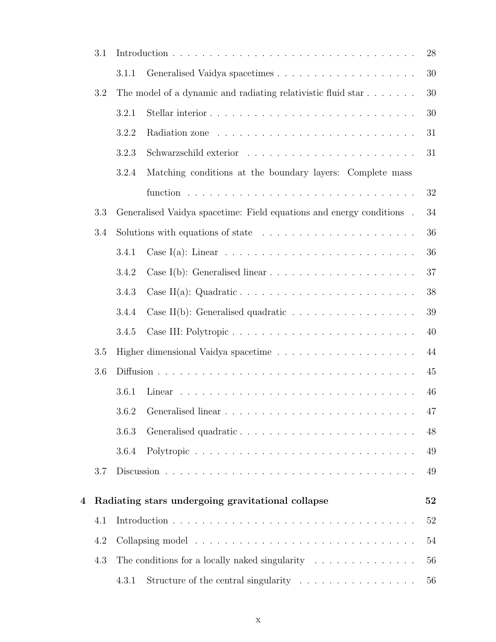|     | 3.1     |                                                                              |                                                                               | 28 |
|-----|---------|------------------------------------------------------------------------------|-------------------------------------------------------------------------------|----|
|     |         | 3.1.1                                                                        |                                                                               | 30 |
|     | 3.2     |                                                                              | The model of a dynamic and radiating relativistic fluid star                  | 30 |
|     |         | 3.2.1                                                                        |                                                                               | 30 |
|     |         | 3.2.2                                                                        |                                                                               | 31 |
|     |         | 3.2.3                                                                        |                                                                               | 31 |
|     |         | 3.2.4                                                                        | Matching conditions at the boundary layers: Complete mass                     |    |
|     |         |                                                                              |                                                                               | 32 |
|     | 3.3     |                                                                              | Generalised Vaidya spacetime: Field equations and energy conditions.          | 34 |
|     | 3.4     |                                                                              | Solutions with equations of state $\ldots \ldots \ldots \ldots \ldots \ldots$ | 36 |
|     |         | 3.4.1                                                                        |                                                                               | 36 |
|     |         | 3.4.2                                                                        |                                                                               | 37 |
|     |         | 3.4.3                                                                        |                                                                               | 38 |
|     |         | 3.4.4                                                                        | Case II(b): Generalised quadratic $\ldots \ldots \ldots \ldots \ldots \ldots$ | 39 |
|     |         | 3.4.5                                                                        | Case III: Polytropic                                                          | 40 |
|     | $3.5\,$ |                                                                              |                                                                               | 44 |
| 3.6 |         |                                                                              | 45                                                                            |    |
|     |         | 3.6.1                                                                        |                                                                               | 46 |
|     |         |                                                                              |                                                                               | 47 |
|     |         | 3.6.3                                                                        |                                                                               | 48 |
|     |         | 3.6.4                                                                        | Polytropic                                                                    | 49 |
|     | 3.7     |                                                                              |                                                                               | 49 |
| 4   |         |                                                                              | Radiating stars undergoing gravitational collapse                             | 52 |
|     | 4.1     |                                                                              |                                                                               | 52 |
|     | 4.2     | The conditions for a locally naked singularity $\ldots \ldots \ldots \ldots$ |                                                                               | 54 |
|     | 4.3     |                                                                              |                                                                               | 56 |
|     |         | 4.3.1                                                                        | Structure of the central singularity $\dots \dots \dots \dots \dots$          | 56 |
|     |         |                                                                              |                                                                               |    |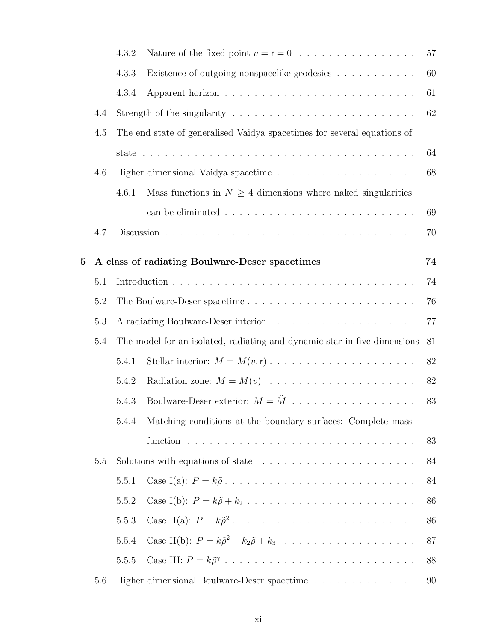|   |     | 4.3.2                                                                         |                                                                                     | 57 |
|---|-----|-------------------------------------------------------------------------------|-------------------------------------------------------------------------------------|----|
|   |     | 4.3.3                                                                         | Existence of outgoing nonspacelike geodesics                                        | 60 |
|   |     | 4.3.4                                                                         |                                                                                     | 61 |
|   | 4.4 |                                                                               | Strength of the singularity $\dots \dots \dots \dots \dots \dots \dots \dots \dots$ | 62 |
|   | 4.5 |                                                                               | The end state of generalised Vaidya spacetimes for several equations of             |    |
|   |     |                                                                               |                                                                                     | 64 |
|   | 4.6 |                                                                               |                                                                                     | 68 |
|   |     | 4.6.1                                                                         | Mass functions in $N \geq 4$ dimensions where naked singularities                   |    |
|   |     |                                                                               |                                                                                     | 69 |
|   | 4.7 |                                                                               |                                                                                     | 70 |
| 5 |     |                                                                               | A class of radiating Boulware-Deser spacetimes                                      | 74 |
|   | 5.1 |                                                                               |                                                                                     | 74 |
|   | 5.2 |                                                                               |                                                                                     | 76 |
|   | 5.3 |                                                                               |                                                                                     | 77 |
|   | 5.4 | The model for an isolated, radiating and dynamic star in five dimensions      |                                                                                     | 81 |
|   |     | 5.4.1                                                                         |                                                                                     | 82 |
|   |     | 5.4.2                                                                         |                                                                                     | 82 |
|   |     | 5.4.3                                                                         |                                                                                     | 83 |
|   |     | 5.4.4                                                                         | Matching conditions at the boundary surfaces: Complete mass                         |    |
|   |     |                                                                               |                                                                                     | 83 |
|   | 5.5 | Solutions with equations of state $\ldots \ldots \ldots \ldots \ldots \ldots$ |                                                                                     | 84 |
|   |     | 5.5.1                                                                         |                                                                                     | 84 |
|   |     | 5.5.2                                                                         |                                                                                     | 86 |
|   |     | 5.5.3                                                                         |                                                                                     | 86 |
|   |     | 5.5.4                                                                         |                                                                                     | 87 |
|   |     | 5.5.5                                                                         |                                                                                     | 88 |
|   | 5.6 |                                                                               | Higher dimensional Boulware-Deser spacetime                                         | 90 |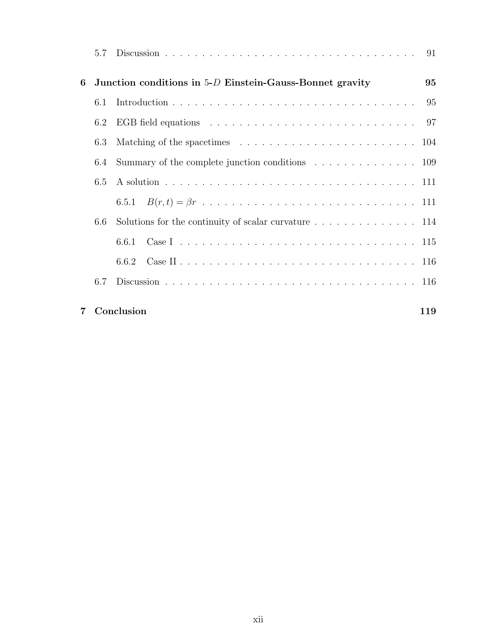|   | 5.7 |                                                            |    |
|---|-----|------------------------------------------------------------|----|
| 6 |     | Junction conditions in $5-D$ Einstein-Gauss-Bonnet gravity | 95 |
|   | 6.1 |                                                            |    |
|   | 6.2 |                                                            |    |
|   | 6.3 |                                                            |    |
|   | 6.4 |                                                            |    |
|   | 6.5 |                                                            |    |
|   |     |                                                            |    |
|   | 6.6 |                                                            |    |
|   |     | 6.6.1                                                      |    |
|   |     |                                                            |    |
|   | 6.7 |                                                            |    |
|   |     |                                                            |    |

### 7 Conclusion 119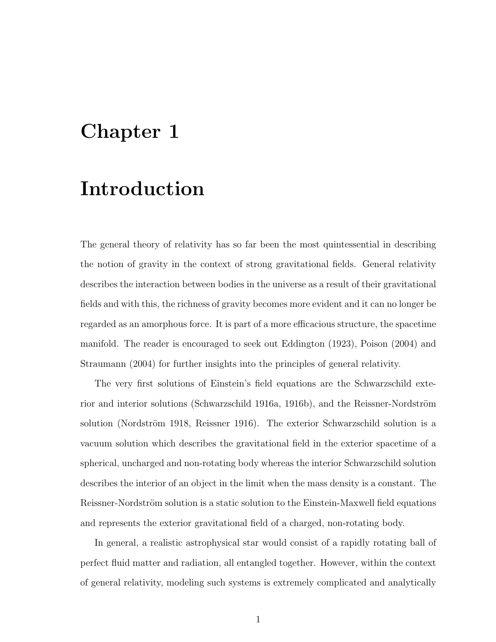# Chapter 1

# Introduction

The general theory of relativity has so far been the most quintessential in describing the notion of gravity in the context of strong gravitational fields. General relativity describes the interaction between bodies in the universe as a result of their gravitational fields and with this, the richness of gravity becomes more evident and it can no longer be regarded as an amorphous force. It is part of a more efficacious structure, the spacetime manifold. The reader is encouraged to seek out Eddington (1923), Poison (2004) and Straumann (2004) for further insights into the principles of general relativity.

The very first solutions of Einstein's field equations are the Schwarzschild exterior and interior solutions (Schwarzschild 1916a, 1916b), and the Reissner-Nordström solution (Nordström 1918, Reissner 1916). The exterior Schwarzschild solution is a vacuum solution which describes the gravitational field in the exterior spacetime of a spherical, uncharged and non-rotating body whereas the interior Schwarzschild solution describes the interior of an object in the limit when the mass density is a constant. The Reissner-Nordström solution is a static solution to the Einstein-Maxwell field equations and represents the exterior gravitational field of a charged, non-rotating body.

In general, a realistic astrophysical star would consist of a rapidly rotating ball of perfect fluid matter and radiation, all entangled together. However, within the context of general relativity, modeling such systems is extremely complicated and analytically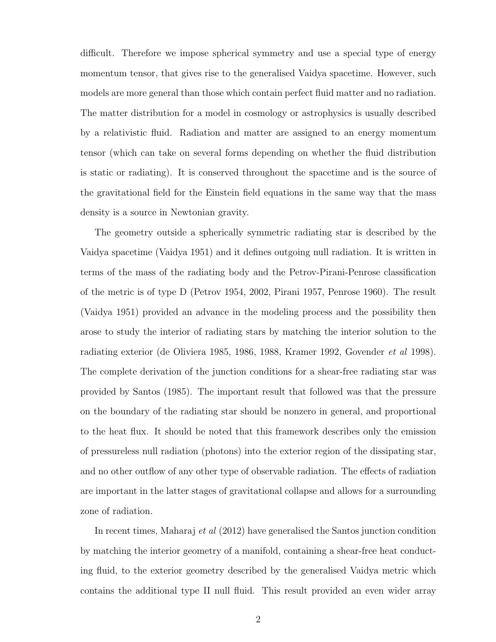difficult. Therefore we impose spherical symmetry and use a special type of energy momentum tensor, that gives rise to the generalised Vaidya spacetime. However, such models are more general than those which contain perfect fluid matter and no radiation. The matter distribution for a model in cosmology or astrophysics is usually described by a relativistic fluid. Radiation and matter are assigned to an energy momentum tensor (which can take on several forms depending on whether the fluid distribution is static or radiating). It is conserved throughout the spacetime and is the source of the gravitational field for the Einstein field equations in the same way that the mass density is a source in Newtonian gravity.

The geometry outside a spherically symmetric radiating star is described by the Vaidya spacetime (Vaidya 1951) and it defines outgoing null radiation. It is written in terms of the mass of the radiating body and the Petrov-Pirani-Penrose classification of the metric is of type D (Petrov 1954, 2002, Pirani 1957, Penrose 1960). The result (Vaidya 1951) provided an advance in the modeling process and the possibility then arose to study the interior of radiating stars by matching the interior solution to the radiating exterior (de Oliviera 1985, 1986, 1988, Kramer 1992, Govender et al 1998). The complete derivation of the junction conditions for a shear-free radiating star was provided by Santos (1985). The important result that followed was that the pressure on the boundary of the radiating star should be nonzero in general, and proportional to the heat flux. It should be noted that this framework describes only the emission of pressureless null radiation (photons) into the exterior region of the dissipating star, and no other outflow of any other type of observable radiation. The effects of radiation are important in the latter stages of gravitational collapse and allows for a surrounding zone of radiation.

In recent times, Maharaj et al (2012) have generalised the Santos junction condition by matching the interior geometry of a manifold, containing a shear-free heat conducting fluid, to the exterior geometry described by the generalised Vaidya metric which contains the additional type II null fluid. This result provided an even wider array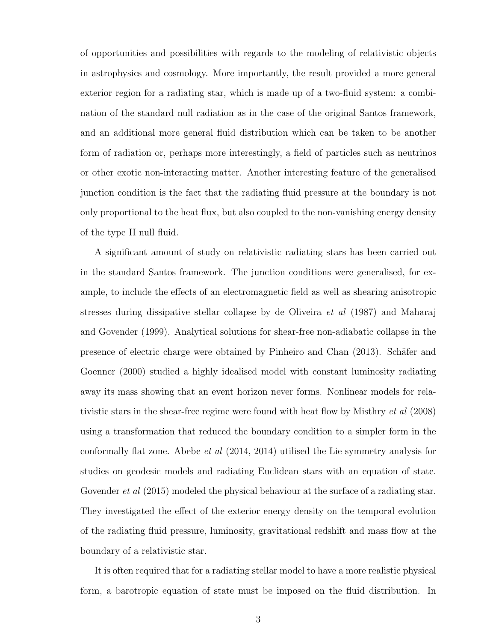of opportunities and possibilities with regards to the modeling of relativistic objects in astrophysics and cosmology. More importantly, the result provided a more general exterior region for a radiating star, which is made up of a two-fluid system: a combination of the standard null radiation as in the case of the original Santos framework, and an additional more general fluid distribution which can be taken to be another form of radiation or, perhaps more interestingly, a field of particles such as neutrinos or other exotic non-interacting matter. Another interesting feature of the generalised junction condition is the fact that the radiating fluid pressure at the boundary is not only proportional to the heat flux, but also coupled to the non-vanishing energy density of the type II null fluid.

A significant amount of study on relativistic radiating stars has been carried out in the standard Santos framework. The junction conditions were generalised, for example, to include the effects of an electromagnetic field as well as shearing anisotropic stresses during dissipative stellar collapse by de Oliveira et al (1987) and Maharaj and Govender (1999). Analytical solutions for shear-free non-adiabatic collapse in the presence of electric charge were obtained by Pinheiro and Chan (2013). Schäfer and Goenner (2000) studied a highly idealised model with constant luminosity radiating away its mass showing that an event horizon never forms. Nonlinear models for relativistic stars in the shear-free regime were found with heat flow by Misthry et al (2008) using a transformation that reduced the boundary condition to a simpler form in the conformally flat zone. Abebe et al (2014, 2014) utilised the Lie symmetry analysis for studies on geodesic models and radiating Euclidean stars with an equation of state. Govender *et al* (2015) modeled the physical behaviour at the surface of a radiating star. They investigated the effect of the exterior energy density on the temporal evolution of the radiating fluid pressure, luminosity, gravitational redshift and mass flow at the boundary of a relativistic star.

It is often required that for a radiating stellar model to have a more realistic physical form, a barotropic equation of state must be imposed on the fluid distribution. In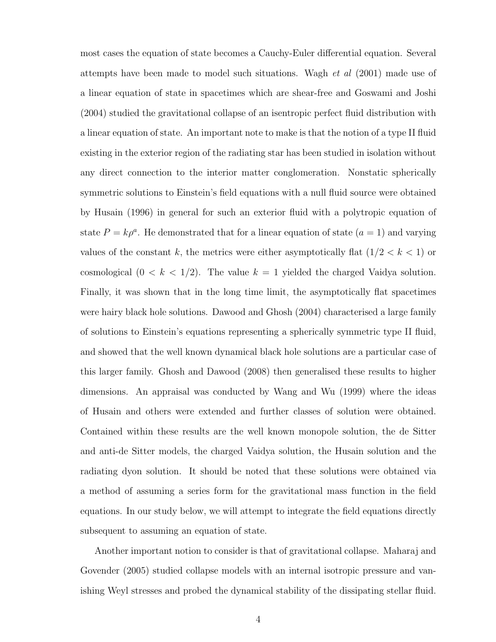most cases the equation of state becomes a Cauchy-Euler differential equation. Several attempts have been made to model such situations. Wagh et al (2001) made use of a linear equation of state in spacetimes which are shear-free and Goswami and Joshi (2004) studied the gravitational collapse of an isentropic perfect fluid distribution with a linear equation of state. An important note to make is that the notion of a type II fluid existing in the exterior region of the radiating star has been studied in isolation without any direct connection to the interior matter conglomeration. Nonstatic spherically symmetric solutions to Einstein's field equations with a null fluid source were obtained by Husain (1996) in general for such an exterior fluid with a polytropic equation of state  $P = k\rho^a$ . He demonstrated that for a linear equation of state  $(a = 1)$  and varying values of the constant  $k$ , the metrics were either asymptotically flat  $(1/2 < k < 1)$  or cosmological  $(0 \lt k \lt 1/2)$ . The value  $k = 1$  yielded the charged Vaidya solution. Finally, it was shown that in the long time limit, the asymptotically flat spacetimes were hairy black hole solutions. Dawood and Ghosh (2004) characterised a large family of solutions to Einstein's equations representing a spherically symmetric type II fluid, and showed that the well known dynamical black hole solutions are a particular case of this larger family. Ghosh and Dawood (2008) then generalised these results to higher dimensions. An appraisal was conducted by Wang and Wu (1999) where the ideas of Husain and others were extended and further classes of solution were obtained. Contained within these results are the well known monopole solution, the de Sitter and anti-de Sitter models, the charged Vaidya solution, the Husain solution and the radiating dyon solution. It should be noted that these solutions were obtained via a method of assuming a series form for the gravitational mass function in the field equations. In our study below, we will attempt to integrate the field equations directly subsequent to assuming an equation of state.

Another important notion to consider is that of gravitational collapse. Maharaj and Govender (2005) studied collapse models with an internal isotropic pressure and vanishing Weyl stresses and probed the dynamical stability of the dissipating stellar fluid.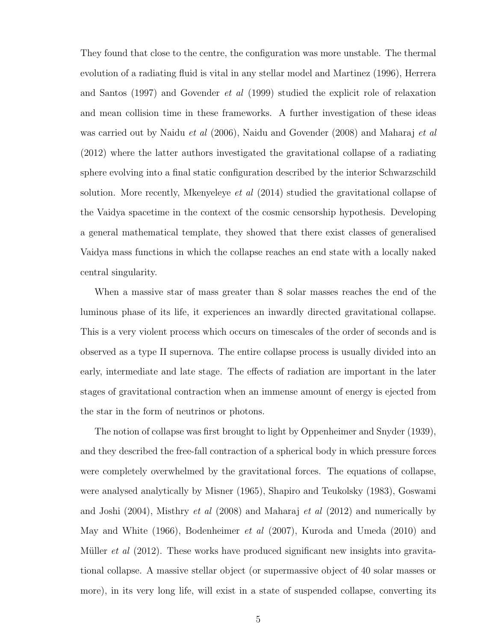They found that close to the centre, the configuration was more unstable. The thermal evolution of a radiating fluid is vital in any stellar model and Martinez (1996), Herrera and Santos (1997) and Govender et al (1999) studied the explicit role of relaxation and mean collision time in these frameworks. A further investigation of these ideas was carried out by Naidu *et al* (2006), Naidu and Govender (2008) and Maharaj *et al* (2012) where the latter authors investigated the gravitational collapse of a radiating sphere evolving into a final static configuration described by the interior Schwarzschild solution. More recently, Mkenyeleye et al (2014) studied the gravitational collapse of the Vaidya spacetime in the context of the cosmic censorship hypothesis. Developing a general mathematical template, they showed that there exist classes of generalised Vaidya mass functions in which the collapse reaches an end state with a locally naked central singularity.

When a massive star of mass greater than 8 solar masses reaches the end of the luminous phase of its life, it experiences an inwardly directed gravitational collapse. This is a very violent process which occurs on timescales of the order of seconds and is observed as a type II supernova. The entire collapse process is usually divided into an early, intermediate and late stage. The effects of radiation are important in the later stages of gravitational contraction when an immense amount of energy is ejected from the star in the form of neutrinos or photons.

The notion of collapse was first brought to light by Oppenheimer and Snyder (1939), and they described the free-fall contraction of a spherical body in which pressure forces were completely overwhelmed by the gravitational forces. The equations of collapse, were analysed analytically by Misner (1965), Shapiro and Teukolsky (1983), Goswami and Joshi (2004), Misthry et al (2008) and Maharaj et al (2012) and numerically by May and White (1966), Bodenheimer et al (2007), Kuroda and Umeda (2010) and Müller *et al*  $(2012)$ . These works have produced significant new insights into gravitational collapse. A massive stellar object (or supermassive object of 40 solar masses or more), in its very long life, will exist in a state of suspended collapse, converting its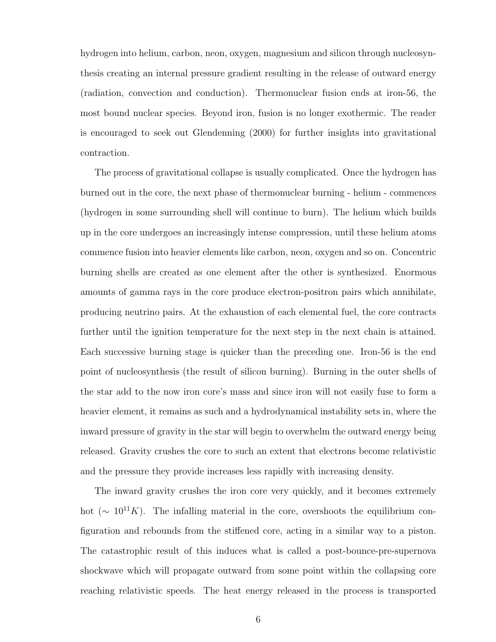hydrogen into helium, carbon, neon, oxygen, magnesium and silicon through nucleosynthesis creating an internal pressure gradient resulting in the release of outward energy (radiation, convection and conduction). Thermonuclear fusion ends at iron-56, the most bound nuclear species. Beyond iron, fusion is no longer exothermic. The reader is encouraged to seek out Glendenning (2000) for further insights into gravitational contraction.

The process of gravitational collapse is usually complicated. Once the hydrogen has burned out in the core, the next phase of thermonuclear burning - helium - commences (hydrogen in some surrounding shell will continue to burn). The helium which builds up in the core undergoes an increasingly intense compression, until these helium atoms commence fusion into heavier elements like carbon, neon, oxygen and so on. Concentric burning shells are created as one element after the other is synthesized. Enormous amounts of gamma rays in the core produce electron-positron pairs which annihilate, producing neutrino pairs. At the exhaustion of each elemental fuel, the core contracts further until the ignition temperature for the next step in the next chain is attained. Each successive burning stage is quicker than the preceding one. Iron-56 is the end point of nucleosynthesis (the result of silicon burning). Burning in the outer shells of the star add to the now iron core's mass and since iron will not easily fuse to form a heavier element, it remains as such and a hydrodynamical instability sets in, where the inward pressure of gravity in the star will begin to overwhelm the outward energy being released. Gravity crushes the core to such an extent that electrons become relativistic and the pressure they provide increases less rapidly with increasing density.

The inward gravity crushes the iron core very quickly, and it becomes extremely hot ( $\sim 10^{11} K$ ). The infalling material in the core, overshoots the equilibrium configuration and rebounds from the stiffened core, acting in a similar way to a piston. The catastrophic result of this induces what is called a post-bounce-pre-supernova shockwave which will propagate outward from some point within the collapsing core reaching relativistic speeds. The heat energy released in the process is transported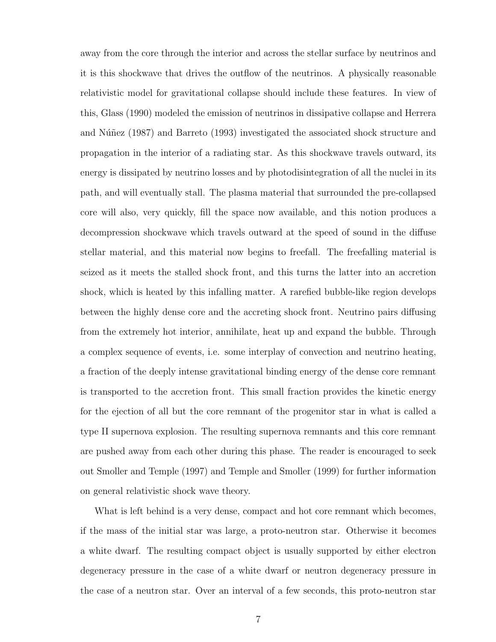away from the core through the interior and across the stellar surface by neutrinos and it is this shockwave that drives the outflow of the neutrinos. A physically reasonable relativistic model for gravitational collapse should include these features. In view of this, Glass (1990) modeled the emission of neutrinos in dissipative collapse and Herrera and Núñez (1987) and Barreto (1993) investigated the associated shock structure and propagation in the interior of a radiating star. As this shockwave travels outward, its energy is dissipated by neutrino losses and by photodisintegration of all the nuclei in its path, and will eventually stall. The plasma material that surrounded the pre-collapsed core will also, very quickly, fill the space now available, and this notion produces a decompression shockwave which travels outward at the speed of sound in the diffuse stellar material, and this material now begins to freefall. The freefalling material is seized as it meets the stalled shock front, and this turns the latter into an accretion shock, which is heated by this infalling matter. A rarefied bubble-like region develops between the highly dense core and the accreting shock front. Neutrino pairs diffusing from the extremely hot interior, annihilate, heat up and expand the bubble. Through a complex sequence of events, i.e. some interplay of convection and neutrino heating, a fraction of the deeply intense gravitational binding energy of the dense core remnant is transported to the accretion front. This small fraction provides the kinetic energy for the ejection of all but the core remnant of the progenitor star in what is called a type II supernova explosion. The resulting supernova remnants and this core remnant are pushed away from each other during this phase. The reader is encouraged to seek out Smoller and Temple (1997) and Temple and Smoller (1999) for further information on general relativistic shock wave theory.

What is left behind is a very dense, compact and hot core remnant which becomes, if the mass of the initial star was large, a proto-neutron star. Otherwise it becomes a white dwarf. The resulting compact object is usually supported by either electron degeneracy pressure in the case of a white dwarf or neutron degeneracy pressure in the case of a neutron star. Over an interval of a few seconds, this proto-neutron star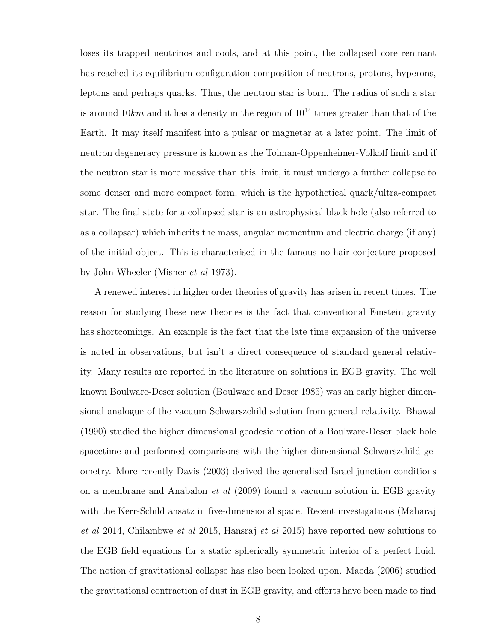loses its trapped neutrinos and cools, and at this point, the collapsed core remnant has reached its equilibrium configuration composition of neutrons, protons, hyperons, leptons and perhaps quarks. Thus, the neutron star is born. The radius of such a star is around  $10km$  and it has a density in the region of  $10^{14}$  times greater than that of the Earth. It may itself manifest into a pulsar or magnetar at a later point. The limit of neutron degeneracy pressure is known as the Tolman-Oppenheimer-Volkoff limit and if the neutron star is more massive than this limit, it must undergo a further collapse to some denser and more compact form, which is the hypothetical quark/ultra-compact star. The final state for a collapsed star is an astrophysical black hole (also referred to as a collapsar) which inherits the mass, angular momentum and electric charge (if any) of the initial object. This is characterised in the famous no-hair conjecture proposed by John Wheeler (Misner et al 1973).

A renewed interest in higher order theories of gravity has arisen in recent times. The reason for studying these new theories is the fact that conventional Einstein gravity has shortcomings. An example is the fact that the late time expansion of the universe is noted in observations, but isn't a direct consequence of standard general relativity. Many results are reported in the literature on solutions in EGB gravity. The well known Boulware-Deser solution (Boulware and Deser 1985) was an early higher dimensional analogue of the vacuum Schwarszchild solution from general relativity. Bhawal (1990) studied the higher dimensional geodesic motion of a Boulware-Deser black hole spacetime and performed comparisons with the higher dimensional Schwarszchild geometry. More recently Davis (2003) derived the generalised Israel junction conditions on a membrane and Anabalon et al (2009) found a vacuum solution in EGB gravity with the Kerr-Schild ansatz in five-dimensional space. Recent investigations (Maharaj et al 2014, Chilambwe et al 2015, Hansraj et al 2015) have reported new solutions to the EGB field equations for a static spherically symmetric interior of a perfect fluid. The notion of gravitational collapse has also been looked upon. Maeda (2006) studied the gravitational contraction of dust in EGB gravity, and efforts have been made to find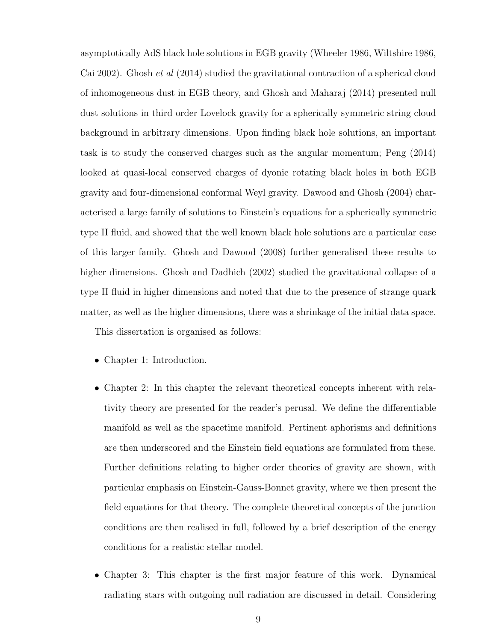asymptotically AdS black hole solutions in EGB gravity (Wheeler 1986, Wiltshire 1986, Cai 2002). Ghosh et al (2014) studied the gravitational contraction of a spherical cloud of inhomogeneous dust in EGB theory, and Ghosh and Maharaj (2014) presented null dust solutions in third order Lovelock gravity for a spherically symmetric string cloud background in arbitrary dimensions. Upon finding black hole solutions, an important task is to study the conserved charges such as the angular momentum; Peng (2014) looked at quasi-local conserved charges of dyonic rotating black holes in both EGB gravity and four-dimensional conformal Weyl gravity. Dawood and Ghosh (2004) characterised a large family of solutions to Einstein's equations for a spherically symmetric type II fluid, and showed that the well known black hole solutions are a particular case of this larger family. Ghosh and Dawood (2008) further generalised these results to higher dimensions. Ghosh and Dadhich (2002) studied the gravitational collapse of a type II fluid in higher dimensions and noted that due to the presence of strange quark matter, as well as the higher dimensions, there was a shrinkage of the initial data space.

This dissertation is organised as follows:

- Chapter 1: Introduction.
- Chapter 2: In this chapter the relevant theoretical concepts inherent with relativity theory are presented for the reader's perusal. We define the differentiable manifold as well as the spacetime manifold. Pertinent aphorisms and definitions are then underscored and the Einstein field equations are formulated from these. Further definitions relating to higher order theories of gravity are shown, with particular emphasis on Einstein-Gauss-Bonnet gravity, where we then present the field equations for that theory. The complete theoretical concepts of the junction conditions are then realised in full, followed by a brief description of the energy conditions for a realistic stellar model.
- Chapter 3: This chapter is the first major feature of this work. Dynamical radiating stars with outgoing null radiation are discussed in detail. Considering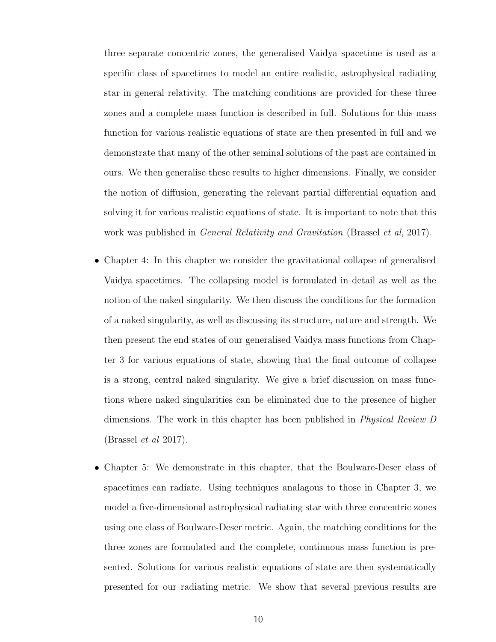three separate concentric zones, the generalised Vaidya spacetime is used as a specific class of spacetimes to model an entire realistic, astrophysical radiating star in general relativity. The matching conditions are provided for these three zones and a complete mass function is described in full. Solutions for this mass function for various realistic equations of state are then presented in full and we demonstrate that many of the other seminal solutions of the past are contained in ours. We then generalise these results to higher dimensions. Finally, we consider the notion of diffusion, generating the relevant partial differential equation and solving it for various realistic equations of state. It is important to note that this work was published in *General Relativity and Gravitation* (Brassel *et al.* 2017).

- Chapter 4: In this chapter we consider the gravitational collapse of generalised Vaidya spacetimes. The collapsing model is formulated in detail as well as the notion of the naked singularity. We then discuss the conditions for the formation of a naked singularity, as well as discussing its structure, nature and strength. We then present the end states of our generalised Vaidya mass functions from Chapter 3 for various equations of state, showing that the final outcome of collapse is a strong, central naked singularity. We give a brief discussion on mass functions where naked singularities can be eliminated due to the presence of higher dimensions. The work in this chapter has been published in *Physical Review D* (Brassel et al 2017).
- Chapter 5: We demonstrate in this chapter, that the Boulware-Deser class of spacetimes can radiate. Using techniques analagous to those in Chapter 3, we model a five-dimensional astrophysical radiating star with three concentric zones using one class of Boulware-Deser metric. Again, the matching conditions for the three zones are formulated and the complete, continuous mass function is presented. Solutions for various realistic equations of state are then systematically presented for our radiating metric. We show that several previous results are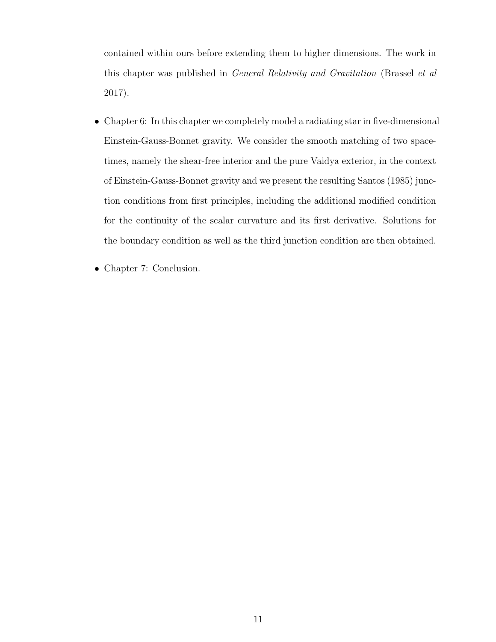contained within ours before extending them to higher dimensions. The work in this chapter was published in General Relativity and Gravitation (Brassel et al 2017).

- Chapter 6: In this chapter we completely model a radiating star in five-dimensional Einstein-Gauss-Bonnet gravity. We consider the smooth matching of two spacetimes, namely the shear-free interior and the pure Vaidya exterior, in the context of Einstein-Gauss-Bonnet gravity and we present the resulting Santos (1985) junction conditions from first principles, including the additional modified condition for the continuity of the scalar curvature and its first derivative. Solutions for the boundary condition as well as the third junction condition are then obtained.
- Chapter 7: Conclusion.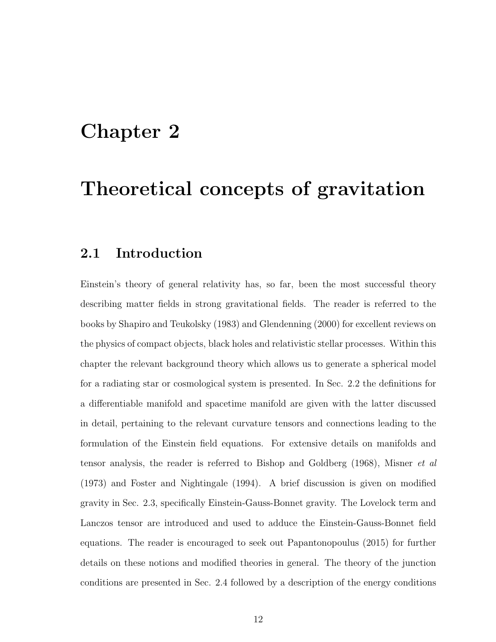# Chapter 2

# Theoretical concepts of gravitation

### 2.1 Introduction

Einstein's theory of general relativity has, so far, been the most successful theory describing matter fields in strong gravitational fields. The reader is referred to the books by Shapiro and Teukolsky (1983) and Glendenning (2000) for excellent reviews on the physics of compact objects, black holes and relativistic stellar processes. Within this chapter the relevant background theory which allows us to generate a spherical model for a radiating star or cosmological system is presented. In Sec. 2.2 the definitions for a differentiable manifold and spacetime manifold are given with the latter discussed in detail, pertaining to the relevant curvature tensors and connections leading to the formulation of the Einstein field equations. For extensive details on manifolds and tensor analysis, the reader is referred to Bishop and Goldberg (1968), Misner et al (1973) and Foster and Nightingale (1994). A brief discussion is given on modified gravity in Sec. 2.3, specifically Einstein-Gauss-Bonnet gravity. The Lovelock term and Lanczos tensor are introduced and used to adduce the Einstein-Gauss-Bonnet field equations. The reader is encouraged to seek out Papantonopoulus (2015) for further details on these notions and modified theories in general. The theory of the junction conditions are presented in Sec. 2.4 followed by a description of the energy conditions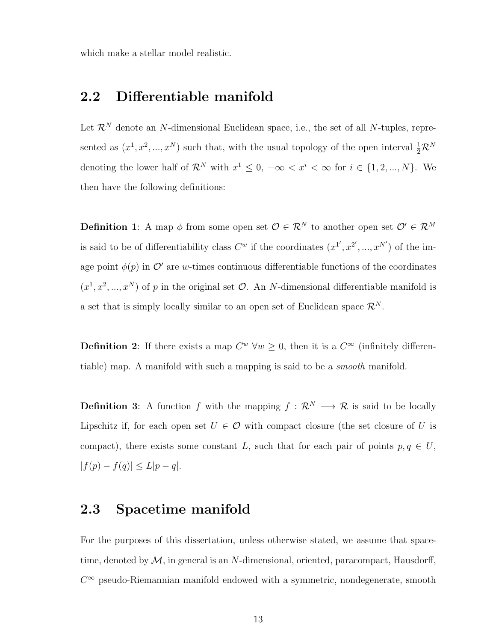which make a stellar model realistic.

### 2.2 Differentiable manifold

Let  $\mathcal{R}^N$  denote an N-dimensional Euclidean space, i.e., the set of all N-tuples, represented as  $(x^1, x^2, ..., x^N)$  such that, with the usual topology of the open interval  $\frac{1}{2} \mathcal{R}^N$ denoting the lower half of  $\mathcal{R}^N$  with  $x^1 \leq 0, -\infty < x^i < \infty$  for  $i \in \{1, 2, ..., N\}$ . We then have the following definitions:

**Definition 1:** A map  $\phi$  from some open set  $\mathcal{O} \in \mathcal{R}^N$  to another open set  $\mathcal{O}' \in \mathcal{R}^M$ is said to be of differentiability class  $C^w$  if the coordinates  $(x^{1'}, x^{2'}, ..., x^{N'})$  of the image point  $\phi(p)$  in  $\mathcal{O}'$  are w-times continuous differentiable functions of the coordinates  $(x^1, x^2, ..., x^N)$  of p in the original set  $\mathcal{O}$ . An N-dimensional differentiable manifold is a set that is simply locally similar to an open set of Euclidean space  $\mathcal{R}^N$ .

**Definition 2:** If there exists a map  $C^w$   $\forall w \geq 0$ , then it is a  $C^{\infty}$  (infinitely differentiable) map. A manifold with such a mapping is said to be a smooth manifold.

**Definition 3:** A function f with the mapping  $f : \mathbb{R}^N \longrightarrow \mathbb{R}$  is said to be locally Lipschitz if, for each open set  $U \in \mathcal{O}$  with compact closure (the set closure of U is compact), there exists some constant L, such that for each pair of points  $p, q \in U$ ,  $|f(p) - f(q)| \le L|p - q|.$ 

### 2.3 Spacetime manifold

For the purposes of this dissertation, unless otherwise stated, we assume that spacetime, denoted by  $M$ , in general is an N-dimensional, oriented, paracompact, Hausdorff,  $C^{\infty}$  pseudo-Riemannian manifold endowed with a symmetric, nondegenerate, smooth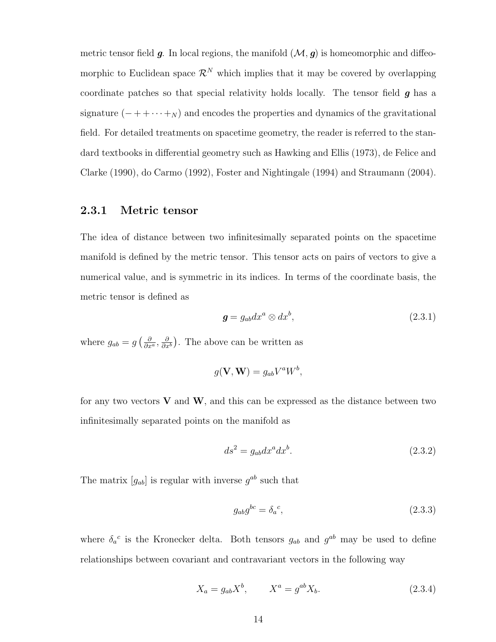metric tensor field  $g$ . In local regions, the manifold  $(\mathcal{M}, g)$  is homeomorphic and diffeomorphic to Euclidean space  $\mathcal{R}^N$  which implies that it may be covered by overlapping coordinate patches so that special relativity holds locally. The tensor field  $g$  has a signature  $(- + + \cdots + N)$  and encodes the properties and dynamics of the gravitational field. For detailed treatments on spacetime geometry, the reader is referred to the standard textbooks in differential geometry such as Hawking and Ellis (1973), de Felice and Clarke (1990), do Carmo (1992), Foster and Nightingale (1994) and Straumann (2004).

### 2.3.1 Metric tensor

The idea of distance between two infinitesimally separated points on the spacetime manifold is defined by the metric tensor. This tensor acts on pairs of vectors to give a numerical value, and is symmetric in its indices. In terms of the coordinate basis, the metric tensor is defined as

$$
\mathbf{g} = g_{ab} dx^a \otimes dx^b, \tag{2.3.1}
$$

where  $g_{ab} = g\left(\frac{\partial}{\partial x^a}, \frac{\partial}{\partial x^a}\right)$  $\frac{\partial}{\partial x^b}$ ). The above can be written as

$$
g(\mathbf{V}, \mathbf{W}) = g_{ab} V^a W^b,
$$

for any two vectors  $V$  and  $W$ , and this can be expressed as the distance between two infinitesimally separated points on the manifold as

$$
ds^2 = g_{ab}dx^a dx^b. \tag{2.3.2}
$$

The matrix  $[g_{ab}]$  is regular with inverse  $g^{ab}$  such that

$$
g_{ab}g^{bc} = \delta_a{}^c,\tag{2.3.3}
$$

where  $\delta_a^c$  is the Kronecker delta. Both tensors  $g_{ab}$  and  $g^{ab}$  may be used to define relationships between covariant and contravariant vectors in the following way

$$
X_a = g_{ab} X^b, \qquad X^a = g^{ab} X_b. \tag{2.3.4}
$$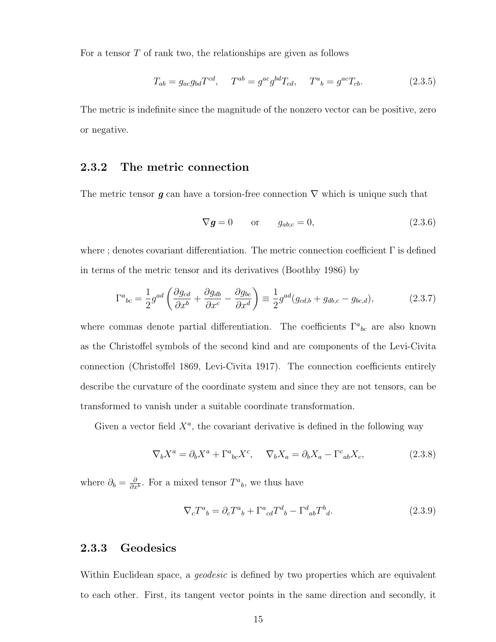For a tensor  $T$  of rank two, the relationships are given as follows

$$
T_{ab} = g_{ac}g_{bd}T^{cd}, \quad T^{ab} = g^{ac}g^{bd}T_{cd}, \quad T^{a}{}_{b} = g^{ac}T_{cb}.
$$
 (2.3.5)

The metric is indefinite since the magnitude of the nonzero vector can be positive, zero or negative.

### 2.3.2 The metric connection

The metric tensor g can have a torsion-free connection  $\nabla$  which is unique such that

$$
\nabla \mathbf{g} = 0 \qquad \text{or} \qquad g_{ab;c} = 0, \tag{2.3.6}
$$

where ; denotes covariant differentiation. The metric connection coefficient  $\Gamma$  is defined in terms of the metric tensor and its derivatives (Boothby 1986) by

$$
\Gamma^{a}{}_{bc} = \frac{1}{2}g^{ad} \left( \frac{\partial g_{cd}}{\partial x^{b}} + \frac{\partial g_{db}}{\partial x^{c}} - \frac{\partial g_{bc}}{\partial x^{d}} \right) \equiv \frac{1}{2}g^{ad} (g_{cd,b} + g_{db,c} - g_{bc,d}), \tag{2.3.7}
$$

where commas denote partial differentiation. The coefficients  $\Gamma^a{}_{bc}$  are also known as the Christoffel symbols of the second kind and are components of the Levi-Civita connection (Christoffel 1869, Levi-Civita 1917). The connection coefficients entirely describe the curvature of the coordinate system and since they are not tensors, can be transformed to vanish under a suitable coordinate transformation.

Given a vector field  $X^a$ , the covariant derivative is defined in the following way

$$
\nabla_b X^a = \partial_b X^a + \Gamma^a{}_{bc} X^c, \quad \nabla_b X_a = \partial_b X_a - \Gamma^c{}_{ab} X_c,\tag{2.3.8}
$$

where  $\partial_b = \frac{\partial}{\partial x}$  $\frac{\partial}{\partial x^b}$ . For a mixed tensor  $T^a{}_b$ , we thus have

$$
\nabla_c T^a{}_b = \partial_c T^a{}_b + \Gamma^a{}_{cd} T^d{}_b - \Gamma^d{}_{ab} T^b{}_d. \tag{2.3.9}
$$

### 2.3.3 Geodesics

Within Euclidean space, a *geodesic* is defined by two properties which are equivalent to each other. First, its tangent vector points in the same direction and secondly, it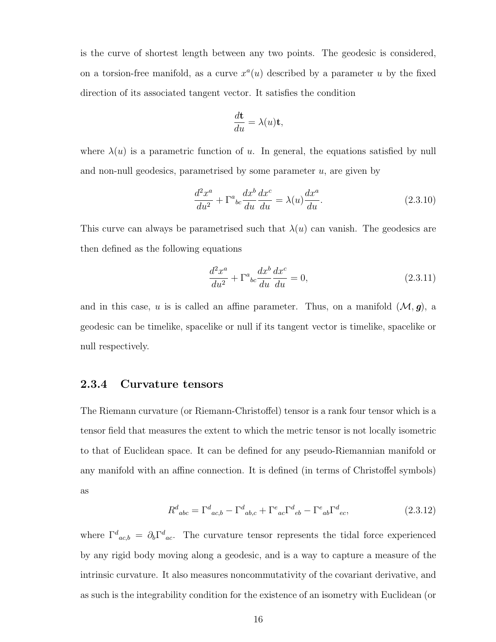is the curve of shortest length between any two points. The geodesic is considered, on a torsion-free manifold, as a curve  $x^a(u)$  described by a parameter u by the fixed direction of its associated tangent vector. It satisfies the condition

$$
\frac{d\mathbf{t}}{du} = \lambda(u)\mathbf{t},
$$

where  $\lambda(u)$  is a parametric function of u. In general, the equations satisfied by null and non-null geodesics, parametrised by some parameter  $u$ , are given by

$$
\frac{d^2x^a}{du^2} + \Gamma^a{}_{bc} \frac{dx^b}{du} \frac{dx^c}{du} = \lambda(u) \frac{dx^a}{du}.
$$
\n(2.3.10)

This curve can always be parametrised such that  $\lambda(u)$  can vanish. The geodesics are then defined as the following equations

$$
\frac{d^2x^a}{du^2} + \Gamma^a{}_{bc} \frac{dx^b}{du} \frac{dx^c}{du} = 0,
$$
\n(2.3.11)

and in this case, u is is called an affine parameter. Thus, on a manifold  $(\mathcal{M}, g)$ , a geodesic can be timelike, spacelike or null if its tangent vector is timelike, spacelike or null respectively.

### 2.3.4 Curvature tensors

The Riemann curvature (or Riemann-Christoffel) tensor is a rank four tensor which is a tensor field that measures the extent to which the metric tensor is not locally isometric to that of Euclidean space. It can be defined for any pseudo-Riemannian manifold or any manifold with an affine connection. It is defined (in terms of Christoffel symbols) as

$$
R^{d}_{abc} = \Gamma^{d}_{ac,b} - \Gamma^{d}_{ab,c} + \Gamma^{e}_{ac} \Gamma^{d}_{eb} - \Gamma^{e}_{ab} \Gamma^{d}_{ec},
$$
\n(2.3.12)

where  $\Gamma^d{}_{ac,b} = \partial_b \Gamma^d{}_{ac}$ . The curvature tensor represents the tidal force experienced by any rigid body moving along a geodesic, and is a way to capture a measure of the intrinsic curvature. It also measures noncommutativity of the covariant derivative, and as such is the integrability condition for the existence of an isometry with Euclidean (or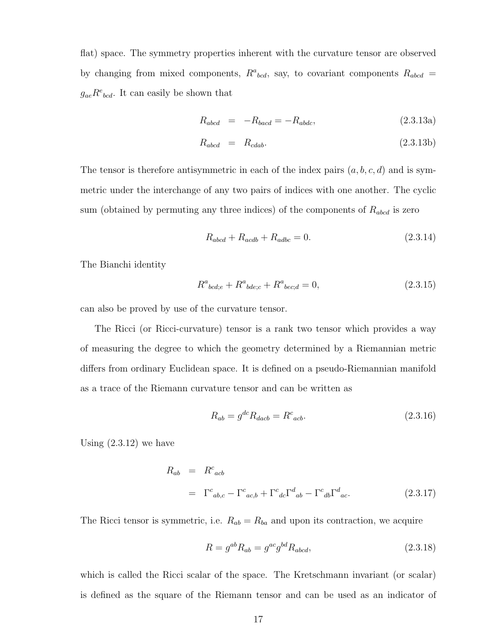flat) space. The symmetry properties inherent with the curvature tensor are observed by changing from mixed components,  $R^a{}_{bcd}$ , say, to covariant components  $R_{abcd}$  =  $g_{ae}R^{e}_{bcd}$ . It can easily be shown that

$$
R_{abcd} = -R_{bacd} = -R_{abdc}, \qquad (2.3.13a)
$$

$$
R_{abcd} = R_{cdab}.
$$
\n
$$
(2.3.13b)
$$

The tensor is therefore antisymmetric in each of the index pairs  $(a, b, c, d)$  and is symmetric under the interchange of any two pairs of indices with one another. The cyclic sum (obtained by permuting any three indices) of the components of  $R_{abcd}$  is zero

$$
R_{abcd} + R_{acdb} + R_{adbc} = 0.
$$
 (2.3.14)

The Bianchi identity

$$
R^{a}_{\; bcd; e} + R^{a}_{\; bde; c} + R^{a}_{\; bec; d} = 0,\tag{2.3.15}
$$

can also be proved by use of the curvature tensor.

The Ricci (or Ricci-curvature) tensor is a rank two tensor which provides a way of measuring the degree to which the geometry determined by a Riemannian metric differs from ordinary Euclidean space. It is defined on a pseudo-Riemannian manifold as a trace of the Riemann curvature tensor and can be written as

$$
R_{ab} = g^{dc} R_{dacb} = R^c_{acb}.
$$
\n
$$
(2.3.16)
$$

Using  $(2.3.12)$  we have

$$
R_{ab} = R^{c}_{acb}
$$
  
=  $\Gamma^{c}_{ab,c} - \Gamma^{c}_{ac,b} + \Gamma^{c}_{dc} \Gamma^{d}_{ab} - \Gamma^{c}_{db} \Gamma^{d}_{ac}.$  (2.3.17)

The Ricci tensor is symmetric, i.e.  $R_{ab} = R_{ba}$  and upon its contraction, we acquire

$$
R = g^{ab}R_{ab} = g^{ac}g^{bd}R_{abcd},\tag{2.3.18}
$$

which is called the Ricci scalar of the space. The Kretschmann invariant (or scalar) is defined as the square of the Riemann tensor and can be used as an indicator of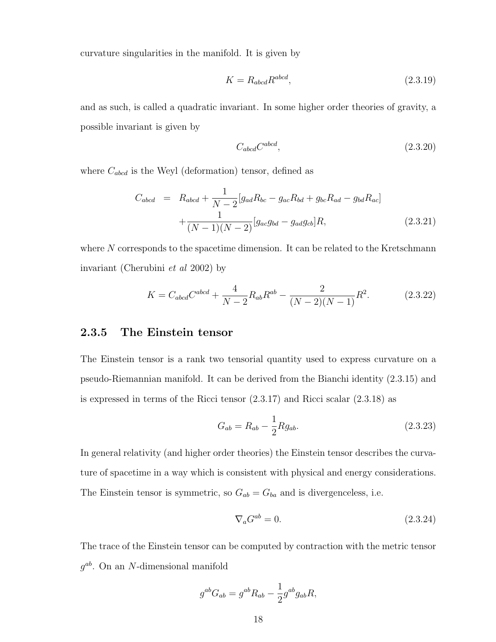curvature singularities in the manifold. It is given by

$$
K = R_{abcd} R^{abcd},\tag{2.3.19}
$$

and as such, is called a quadratic invariant. In some higher order theories of gravity, a possible invariant is given by

$$
C_{abcd}C^{abcd},\t\t(2.3.20)
$$

where  $C_{abcd}$  is the Weyl (deformation) tensor, defined as

$$
C_{abcd} = R_{abcd} + \frac{1}{N-2} [g_{ad}R_{bc} - g_{ac}R_{bd} + g_{bc}R_{ad} - g_{bd}R_{ac}] + \frac{1}{(N-1)(N-2)} [g_{ac}g_{bd} - g_{ad}g_{cb}]R,
$$
\n(2.3.21)

where  $N$  corresponds to the spacetime dimension. It can be related to the Kretschmann invariant (Cherubini et al 2002) by

$$
K = C_{abcd}C^{abcd} + \frac{4}{N-2}R_{ab}R^{ab} - \frac{2}{(N-2)(N-1)}R^2.
$$
 (2.3.22)

### 2.3.5 The Einstein tensor

The Einstein tensor is a rank two tensorial quantity used to express curvature on a pseudo-Riemannian manifold. It can be derived from the Bianchi identity (2.3.15) and is expressed in terms of the Ricci tensor (2.3.17) and Ricci scalar (2.3.18) as

$$
G_{ab} = R_{ab} - \frac{1}{2} R g_{ab}.
$$
 (2.3.23)

In general relativity (and higher order theories) the Einstein tensor describes the curvature of spacetime in a way which is consistent with physical and energy considerations. The Einstein tensor is symmetric, so  $G_{ab} = G_{ba}$  and is divergenceless, i.e.

$$
\nabla_a G^{ab} = 0. \tag{2.3.24}
$$

The trace of the Einstein tensor can be computed by contraction with the metric tensor  $g^{ab}$ . On an N-dimensional manifold

$$
g^{ab}G_{ab} = g^{ab}R_{ab} - \frac{1}{2}g^{ab}g_{ab}R,
$$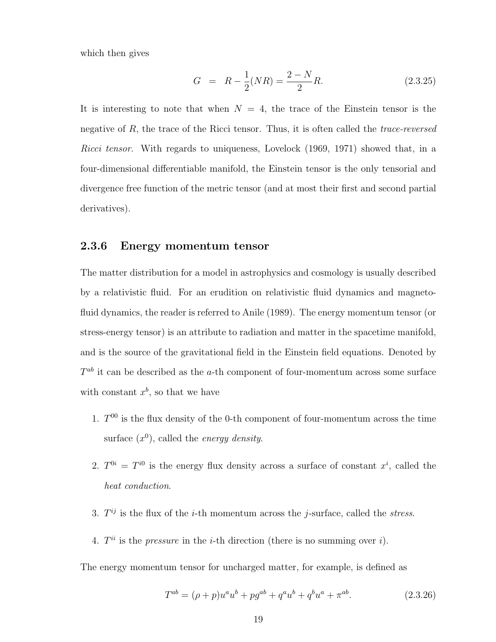which then gives

$$
G = R - \frac{1}{2}(NR) = \frac{2 - N}{2}R.
$$
 (2.3.25)

It is interesting to note that when  $N = 4$ , the trace of the Einstein tensor is the negative of  $R$ , the trace of the Ricci tensor. Thus, it is often called the *trace-reversed* Ricci tensor. With regards to uniqueness, Lovelock (1969, 1971) showed that, in a four-dimensional differentiable manifold, the Einstein tensor is the only tensorial and divergence free function of the metric tensor (and at most their first and second partial derivatives).

### 2.3.6 Energy momentum tensor

The matter distribution for a model in astrophysics and cosmology is usually described by a relativistic fluid. For an erudition on relativistic fluid dynamics and magnetofluid dynamics, the reader is referred to Anile (1989). The energy momentum tensor (or stress-energy tensor) is an attribute to radiation and matter in the spacetime manifold, and is the source of the gravitational field in the Einstein field equations. Denoted by  $T^{ab}$  it can be described as the a-th component of four-momentum across some surface with constant  $x^b$ , so that we have

- 1.  $T^{00}$  is the flux density of the 0-th component of four-momentum across the time surface  $(x^0)$ , called the *energy density*.
- 2.  $T^{0i} = T^{i0}$  is the energy flux density across a surface of constant  $x^i$ , called the heat conduction.
- 3.  $T^{ij}$  is the flux of the *i*-th momentum across the *j*-surface, called the *stress*.
- 4.  $T^{ii}$  is the *pressure* in the *i*-th direction (there is no summing over *i*).

The energy momentum tensor for uncharged matter, for example, is defined as

$$
T^{ab} = (\rho + p)u^{a}u^{b} + pg^{ab} + q^{a}u^{b} + q^{b}u^{a} + \pi^{ab}.
$$
 (2.3.26)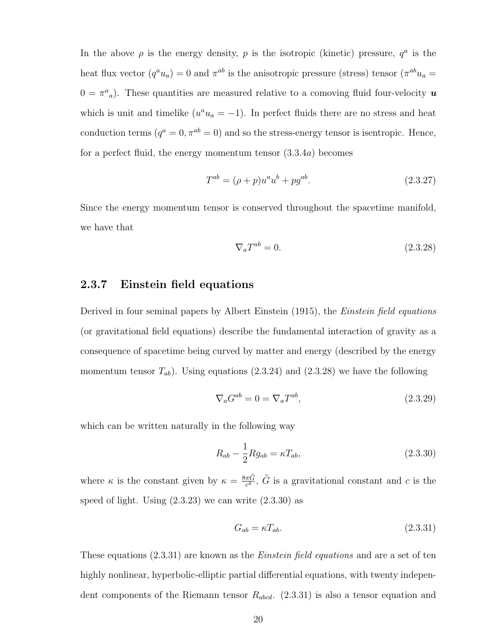In the above  $\rho$  is the energy density, p is the isotropic (kinetic) pressure,  $q^a$  is the heat flux vector  $(q^a u_a) = 0$  and  $\pi^{ab}$  is the anisotropic pressure (stress) tensor  $(\pi^{ab} u_a =$  $0 = \pi^a{}_a$ ). These quantities are measured relative to a comoving fluid four-velocity  $\boldsymbol{u}$ which is unit and timelike  $(u^a u_a = -1)$ . In perfect fluids there are no stress and heat conduction terms  $(q^a = 0, \pi^{ab} = 0)$  and so the stress-energy tensor is isentropic. Hence, for a perfect fluid, the energy momentum tensor (3.3.4a) becomes

$$
T^{ab} = (\rho + p)u^a u^b + pg^{ab}.
$$
\n(2.3.27)

Since the energy momentum tensor is conserved throughout the spacetime manifold, we have that

$$
\nabla_a T^{ab} = 0. \tag{2.3.28}
$$

### 2.3.7 Einstein field equations

Derived in four seminal papers by Albert Einstein (1915), the Einstein field equations (or gravitational field equations) describe the fundamental interaction of gravity as a consequence of spacetime being curved by matter and energy (described by the energy momentum tensor  $T_{ab}$ ). Using equations (2.3.24) and (2.3.28) we have the following

$$
\nabla_a G^{ab} = 0 = \nabla_a T^{ab},\tag{2.3.29}
$$

which can be written naturally in the following way

$$
R_{ab} - \frac{1}{2} R g_{ab} = \kappa T_{ab},\qquad(2.3.30)
$$

where  $\kappa$  is the constant given by  $\kappa = \frac{8\pi \tilde{G}}{c^4}$  $\frac{\pi \tilde{G}}{c^4}$ ,  $\tilde{G}$  is a gravitational constant and c is the speed of light. Using  $(2.3.23)$  we can write  $(2.3.30)$  as

$$
G_{ab} = \kappa T_{ab}.\tag{2.3.31}
$$

These equations  $(2.3.31)$  are known as the *Einstein field equations* and are a set of ten highly nonlinear, hyperbolic-elliptic partial differential equations, with twenty independent components of the Riemann tensor  $R_{abcd}$ .  $(2.3.31)$  is also a tensor equation and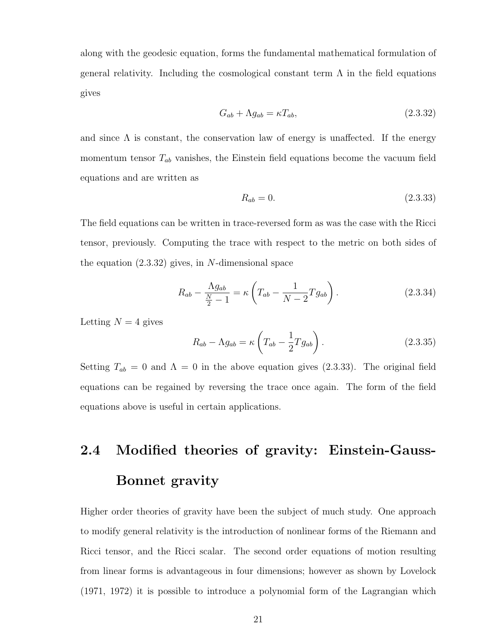along with the geodesic equation, forms the fundamental mathematical formulation of general relativity. Including the cosmological constant term  $\Lambda$  in the field equations gives

$$
G_{ab} + \Lambda g_{ab} = \kappa T_{ab},\tag{2.3.32}
$$

and since  $\Lambda$  is constant, the conservation law of energy is unaffected. If the energy momentum tensor  $T_{ab}$  vanishes, the Einstein field equations become the vacuum field equations and are written as

$$
R_{ab} = 0.\t\t(2.3.33)
$$

The field equations can be written in trace-reversed form as was the case with the Ricci tensor, previously. Computing the trace with respect to the metric on both sides of the equation  $(2.3.32)$  gives, in N-dimensional space

$$
R_{ab} - \frac{\Lambda g_{ab}}{\frac{N}{2} - 1} = \kappa \left( T_{ab} - \frac{1}{N - 2} T g_{ab} \right). \tag{2.3.34}
$$

Letting  $N = 4$  gives

$$
R_{ab} - \Lambda g_{ab} = \kappa \left( T_{ab} - \frac{1}{2} T g_{ab} \right). \tag{2.3.35}
$$

Setting  $T_{ab} = 0$  and  $\Lambda = 0$  in the above equation gives (2.3.33). The original field equations can be regained by reversing the trace once again. The form of the field equations above is useful in certain applications.

# 2.4 Modified theories of gravity: Einstein-Gauss-Bonnet gravity

Higher order theories of gravity have been the subject of much study. One approach to modify general relativity is the introduction of nonlinear forms of the Riemann and Ricci tensor, and the Ricci scalar. The second order equations of motion resulting from linear forms is advantageous in four dimensions; however as shown by Lovelock (1971, 1972) it is possible to introduce a polynomial form of the Lagrangian which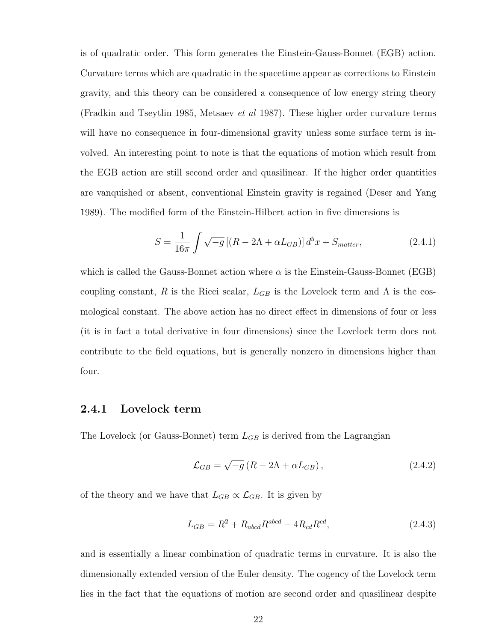is of quadratic order. This form generates the Einstein-Gauss-Bonnet (EGB) action. Curvature terms which are quadratic in the spacetime appear as corrections to Einstein gravity, and this theory can be considered a consequence of low energy string theory (Fradkin and Tseytlin 1985, Metsaev et al 1987). These higher order curvature terms will have no consequence in four-dimensional gravity unless some surface term is involved. An interesting point to note is that the equations of motion which result from the EGB action are still second order and quasilinear. If the higher order quantities are vanquished or absent, conventional Einstein gravity is regained (Deser and Yang 1989). The modified form of the Einstein-Hilbert action in five dimensions is

$$
S = \frac{1}{16\pi} \int \sqrt{-g} \left[ (R - 2\Lambda + \alpha L_{GB}) \right] d^5 x + S_{matter}, \qquad (2.4.1)
$$

which is called the Gauss-Bonnet action where  $\alpha$  is the Einstein-Gauss-Bonnet (EGB) coupling constant, R is the Ricci scalar,  $L_{GB}$  is the Lovelock term and  $\Lambda$  is the cosmological constant. The above action has no direct effect in dimensions of four or less (it is in fact a total derivative in four dimensions) since the Lovelock term does not contribute to the field equations, but is generally nonzero in dimensions higher than four.

#### 2.4.1 Lovelock term

The Lovelock (or Gauss-Bonnet) term  $L_{GB}$  is derived from the Lagrangian

$$
\mathcal{L}_{GB} = \sqrt{-g} \left( R - 2\Lambda + \alpha L_{GB} \right), \tag{2.4.2}
$$

of the theory and we have that  $L_{GB} \propto \mathcal{L}_{GB}$ . It is given by

$$
L_{GB} = R^2 + R_{abcd}R^{abcd} - 4R_{cd}R^{cd},
$$
\n(2.4.3)

and is essentially a linear combination of quadratic terms in curvature. It is also the dimensionally extended version of the Euler density. The cogency of the Lovelock term lies in the fact that the equations of motion are second order and quasilinear despite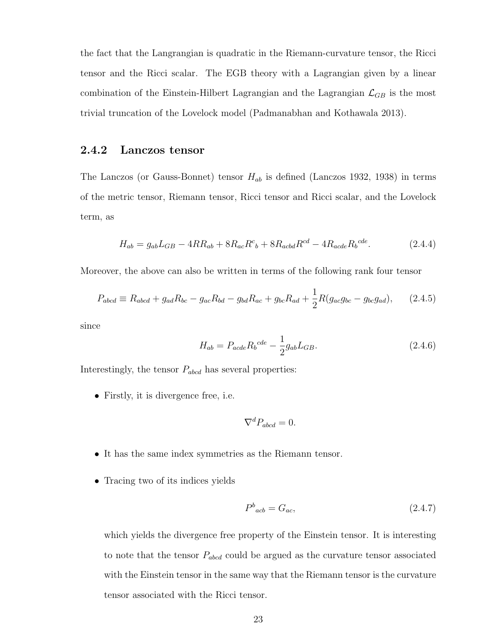the fact that the Langrangian is quadratic in the Riemann-curvature tensor, the Ricci tensor and the Ricci scalar. The EGB theory with a Lagrangian given by a linear combination of the Einstein-Hilbert Lagrangian and the Lagrangian  $\mathcal{L}_{GB}$  is the most trivial truncation of the Lovelock model (Padmanabhan and Kothawala 2013).

#### 2.4.2 Lanczos tensor

The Lanczos (or Gauss-Bonnet) tensor  $H_{ab}$  is defined (Lanczos 1932, 1938) in terms of the metric tensor, Riemann tensor, Ricci tensor and Ricci scalar, and the Lovelock term, as

$$
H_{ab} = g_{ab}L_{GB} - 4RR_{ab} + 8R_{ac}R^{c}{}_{b} + 8R_{acbd}R^{cd} - 4R_{acde}R_{b}^{cde}.
$$
 (2.4.4)

Moreover, the above can also be written in terms of the following rank four tensor

$$
P_{abcd} \equiv R_{abcd} + g_{ad}R_{bc} - g_{ac}R_{bd} - g_{bd}R_{ac} + g_{bc}R_{ad} + \frac{1}{2}R(g_{ac}g_{bc} - g_{bc}g_{ad}), \qquad (2.4.5)
$$

since

$$
H_{ab} = P_{acde} R_b^{cde} - \frac{1}{2} g_{ab} L_{GB}.
$$
 (2.4.6)

Interestingly, the tensor  $P_{abcd}$  has several properties:

• Firstly, it is divergence free, i.e.

$$
\nabla^d P_{abcd} = 0.
$$

- It has the same index symmetries as the Riemann tensor.
- Tracing two of its indices yields

$$
P^b{}_{acb} = G_{ac},\tag{2.4.7}
$$

which yields the divergence free property of the Einstein tensor. It is interesting to note that the tensor  $P_{abcd}$  could be argued as the curvature tensor associated with the Einstein tensor in the same way that the Riemann tensor is the curvature tensor associated with the Ricci tensor.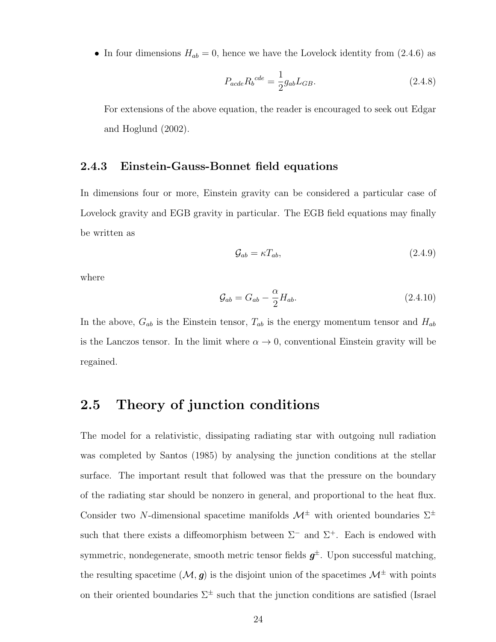• In four dimensions  $H_{ab} = 0$ , hence we have the Lovelock identity from (2.4.6) as

$$
P_{acde} R_b^{cde} = \frac{1}{2} g_{ab} L_{GB}.
$$
\n(2.4.8)

For extensions of the above equation, the reader is encouraged to seek out Edgar and Hoglund (2002).

#### 2.4.3 Einstein-Gauss-Bonnet field equations

In dimensions four or more, Einstein gravity can be considered a particular case of Lovelock gravity and EGB gravity in particular. The EGB field equations may finally be written as

$$
\mathcal{G}_{ab} = \kappa T_{ab},\tag{2.4.9}
$$

where

$$
\mathcal{G}_{ab} = G_{ab} - \frac{\alpha}{2} H_{ab}.\tag{2.4.10}
$$

In the above,  $G_{ab}$  is the Einstein tensor,  $T_{ab}$  is the energy momentum tensor and  $H_{ab}$ is the Lanczos tensor. In the limit where  $\alpha \to 0$ , conventional Einstein gravity will be regained.

#### 2.5 Theory of junction conditions

The model for a relativistic, dissipating radiating star with outgoing null radiation was completed by Santos (1985) by analysing the junction conditions at the stellar surface. The important result that followed was that the pressure on the boundary of the radiating star should be nonzero in general, and proportional to the heat flux. Consider two N-dimensional spacetime manifolds  $\mathcal{M}^{\pm}$  with oriented boundaries  $\Sigma^{\pm}$ such that there exists a diffeomorphism between  $\Sigma^-$  and  $\Sigma^+$ . Each is endowed with symmetric, nondegenerate, smooth metric tensor fields  $g^{\pm}$ . Upon successful matching, the resulting spacetime  $(M, g)$  is the disjoint union of the spacetimes  $\mathcal{M}^{\pm}$  with points on their oriented boundaries  $\Sigma^{\pm}$  such that the junction conditions are satisfied (Israel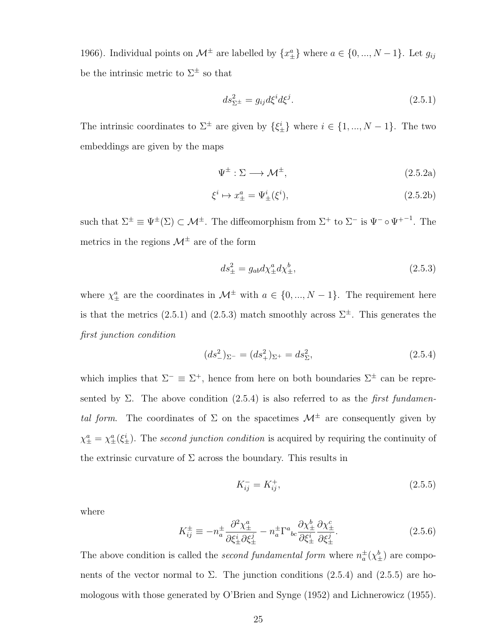1966). Individual points on  $\mathcal{M}^{\pm}$  are labelled by  $\{x_{\pm}^{a}\}\$  where  $a \in \{0, ..., N-1\}$ . Let  $g_{ij}$ be the intrinsic metric to  $\Sigma^{\pm}$  so that

$$
ds_{\Sigma^{\pm}}^2 = g_{ij}d\xi^i d\xi^j. \tag{2.5.1}
$$

The intrinsic coordinates to  $\Sigma^{\pm}$  are given by  $\{\xi_{\pm}^{i}\}\$  where  $i \in \{1, ..., N-1\}$ . The two embeddings are given by the maps

$$
\Psi^{\pm} : \Sigma \longrightarrow \mathcal{M}^{\pm}, \tag{2.5.2a}
$$

$$
\xi^i \mapsto x^a_{\pm} = \Psi^i_{\pm}(\xi^i),\tag{2.5.2b}
$$

such that  $\Sigma^{\pm} \equiv \Psi^{\pm}(\Sigma) \subset \mathcal{M}^{\pm}$ . The diffeomorphism from  $\Sigma^{+}$  to  $\Sigma^{-}$  is  $\Psi^{-} \circ \Psi^{+-1}$ . The metrics in the regions  $\mathcal{M}^\pm$  are of the form

$$
ds_{\pm}^2 = g_{ab}d\chi_{\pm}^a d\chi_{\pm}^b,\tag{2.5.3}
$$

where  $\chi^a_{\pm}$  are the coordinates in  $\mathcal{M}^{\pm}$  with  $a \in \{0, ..., N-1\}$ . The requirement here is that the metrics (2.5.1) and (2.5.3) match smoothly across  $\Sigma^{\pm}$ . This generates the first junction condition

$$
(ds_{-}^{2})_{\Sigma^{-}} = (ds_{+}^{2})_{\Sigma^{+}} = ds_{\Sigma}^{2},
$$
\n(2.5.4)

which implies that  $\Sigma^{-} \equiv \Sigma^{+}$ , hence from here on both boundaries  $\Sigma^{\pm}$  can be represented by Σ. The above condition  $(2.5.4)$  is also referred to as the *first fundamen*tal form. The coordinates of  $\Sigma$  on the spacetimes  $\mathcal{M}^{\pm}$  are consequently given by  $\chi_{\pm}^a = \chi_{\pm}^a(\xi_{\pm}^i)$ . The second junction condition is acquired by requiring the continuity of the extrinsic curvature of  $\Sigma$  across the boundary. This results in

$$
K_{ij}^- = K_{ij}^+, \tag{2.5.5}
$$

where

$$
K_{ij}^{\pm} \equiv -n_a^{\pm} \frac{\partial^2 \chi_{\pm}^a}{\partial \xi_{\pm}^i \partial \xi_{\pm}^j} - n_a^{\pm} \Gamma^a{}_{bc} \frac{\partial \chi_{\pm}^b}{\partial \xi_{\pm}^i} \frac{\partial \chi_{\pm}^c}{\partial \xi_{\pm}^j}.
$$
 (2.5.6)

The above condition is called the *second fundamental form* where  $n_a^{\pm}(\chi_{\pm}^b)$  are components of the vector normal to  $\Sigma$ . The junction conditions (2.5.4) and (2.5.5) are homologous with those generated by O'Brien and Synge (1952) and Lichnerowicz (1955).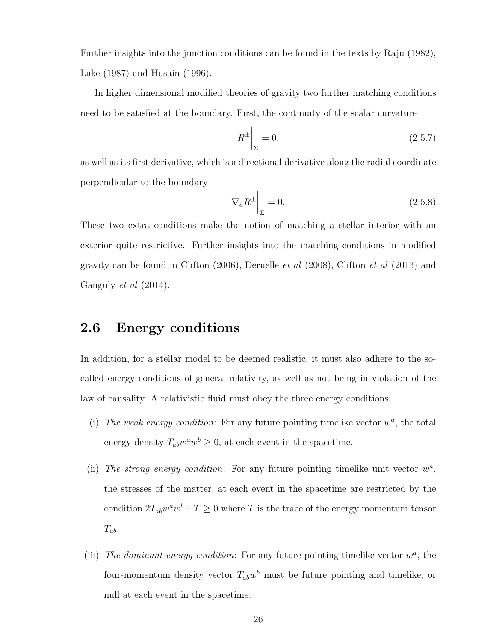Further insights into the junction conditions can be found in the texts by Raju (1982), Lake (1987) and Husain (1996).

In higher dimensional modified theories of gravity two further matching conditions need to be satisfied at the boundary. First, the continuity of the scalar curvature

$$
R^{\pm} \bigg|_{\Sigma} = 0,\tag{2.5.7}
$$

as well as its first derivative, which is a directional derivative along the radial coordinate perpendicular to the boundary

$$
\nabla_a R^{\pm} \bigg|_{\Sigma} = 0. \tag{2.5.8}
$$

These two extra conditions make the notion of matching a stellar interior with an exterior quite restrictive. Further insights into the matching conditions in modified gravity can be found in Clifton  $(2006)$ , Deruelle *et al*  $(2008)$ , Clifton *et al*  $(2013)$  and Ganguly et al (2014).

#### 2.6 Energy conditions

In addition, for a stellar model to be deemed realistic, it must also adhere to the socalled energy conditions of general relativity, as well as not being in violation of the law of causality. A relativistic fluid must obey the three energy conditions:

- (i) The weak energy condition: For any future pointing timelike vector  $w^a$ , the total energy density  $T_{ab}w^aw^b \geq 0$ , at each event in the spacetime.
- (ii) The strong energy condition: For any future pointing timelike unit vector  $w^a$ , the stresses of the matter, at each event in the spacetime are restricted by the condition  $2T_{ab}w^a w^b + T \ge 0$  where T is the trace of the energy momentum tensor  $T_{ab}$ .
- (iii) The dominant energy condition: For any future pointing timelike vector  $w^a$ , the four-momentum density vector  $T_{ab}w^b$  must be future pointing and timelike, or null at each event in the spacetime.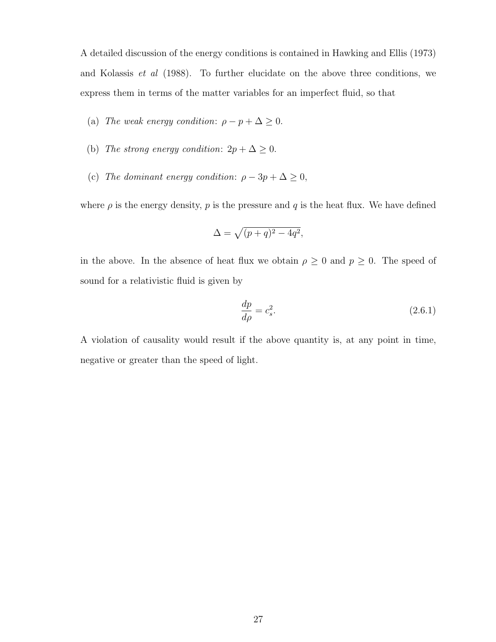A detailed discussion of the energy conditions is contained in Hawking and Ellis (1973) and Kolassis et al (1988). To further elucidate on the above three conditions, we express them in terms of the matter variables for an imperfect fluid, so that

- (a) The weak energy condition:  $\rho p + \Delta \geq 0$ .
- (b) The strong energy condition:  $2p + \Delta \geq 0$ .
- (c) The dominant energy condition:  $\rho 3p + \Delta \ge 0$ ,

where  $\rho$  is the energy density,  $p$  is the pressure and  $q$  is the heat flux. We have defined

$$
\Delta = \sqrt{(p+q)^2 - 4q^2},
$$

in the above. In the absence of heat flux we obtain  $\rho \geq 0$  and  $p \geq 0$ . The speed of sound for a relativistic fluid is given by

$$
\frac{dp}{d\rho} = c_s^2. \tag{2.6.1}
$$

A violation of causality would result if the above quantity is, at any point in time, negative or greater than the speed of light.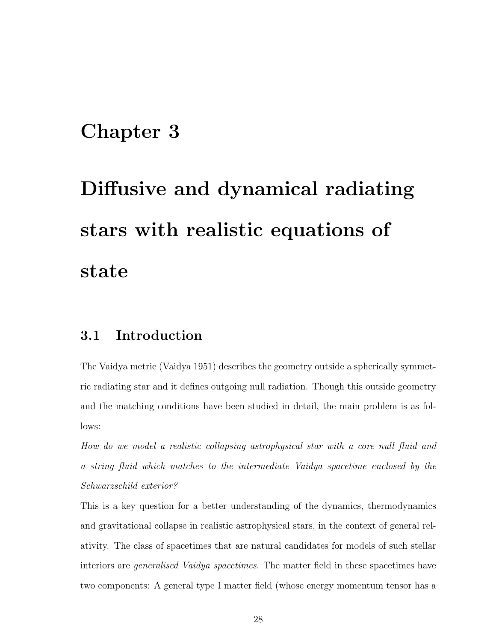## Chapter 3

# Diffusive and dynamical radiating stars with realistic equations of state

#### 3.1 Introduction

The Vaidya metric (Vaidya 1951) describes the geometry outside a spherically symmetric radiating star and it defines outgoing null radiation. Though this outside geometry and the matching conditions have been studied in detail, the main problem is as follows:

How do we model a realistic collapsing astrophysical star with a core null fluid and a string fluid which matches to the intermediate Vaidya spacetime enclosed by the Schwarzschild exterior?

This is a key question for a better understanding of the dynamics, thermodynamics and gravitational collapse in realistic astrophysical stars, in the context of general relativity. The class of spacetimes that are natural candidates for models of such stellar interiors are generalised Vaidya spacetimes. The matter field in these spacetimes have two components: A general type I matter field (whose energy momentum tensor has a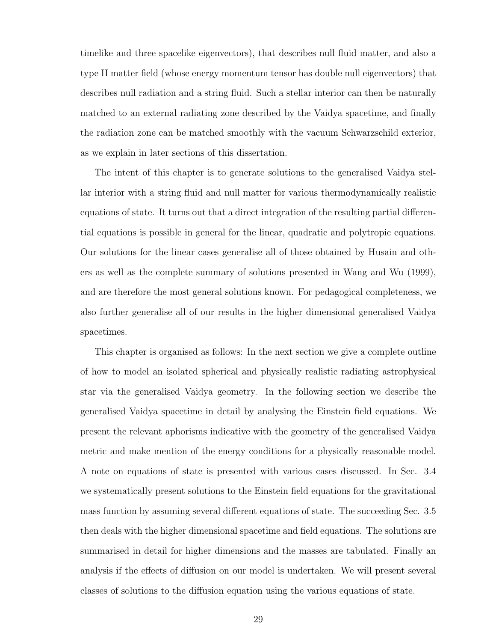timelike and three spacelike eigenvectors), that describes null fluid matter, and also a type II matter field (whose energy momentum tensor has double null eigenvectors) that describes null radiation and a string fluid. Such a stellar interior can then be naturally matched to an external radiating zone described by the Vaidya spacetime, and finally the radiation zone can be matched smoothly with the vacuum Schwarzschild exterior, as we explain in later sections of this dissertation.

The intent of this chapter is to generate solutions to the generalised Vaidya stellar interior with a string fluid and null matter for various thermodynamically realistic equations of state. It turns out that a direct integration of the resulting partial differential equations is possible in general for the linear, quadratic and polytropic equations. Our solutions for the linear cases generalise all of those obtained by Husain and others as well as the complete summary of solutions presented in Wang and Wu (1999), and are therefore the most general solutions known. For pedagogical completeness, we also further generalise all of our results in the higher dimensional generalised Vaidya spacetimes.

This chapter is organised as follows: In the next section we give a complete outline of how to model an isolated spherical and physically realistic radiating astrophysical star via the generalised Vaidya geometry. In the following section we describe the generalised Vaidya spacetime in detail by analysing the Einstein field equations. We present the relevant aphorisms indicative with the geometry of the generalised Vaidya metric and make mention of the energy conditions for a physically reasonable model. A note on equations of state is presented with various cases discussed. In Sec. 3.4 we systematically present solutions to the Einstein field equations for the gravitational mass function by assuming several different equations of state. The succeeding Sec. 3.5 then deals with the higher dimensional spacetime and field equations. The solutions are summarised in detail for higher dimensions and the masses are tabulated. Finally an analysis if the effects of diffusion on our model is undertaken. We will present several classes of solutions to the diffusion equation using the various equations of state.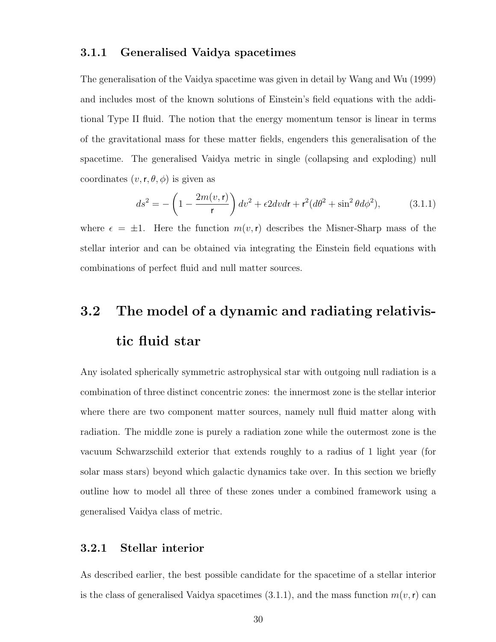#### 3.1.1 Generalised Vaidya spacetimes

The generalisation of the Vaidya spacetime was given in detail by Wang and Wu (1999) and includes most of the known solutions of Einstein's field equations with the additional Type II fluid. The notion that the energy momentum tensor is linear in terms of the gravitational mass for these matter fields, engenders this generalisation of the spacetime. The generalised Vaidya metric in single (collapsing and exploding) null coordinates  $(v, r, \theta, \phi)$  is given as

$$
ds^2 = -\left(1 - \frac{2m(v,\mathbf{r})}{\mathbf{r}}\right)dv^2 + \epsilon 2dv\,\mathbf{r} + \mathbf{r}^2(d\theta^2 + \sin^2\theta d\phi^2),\tag{3.1.1}
$$

where  $\epsilon = \pm 1$ . Here the function  $m(v, r)$  describes the Misner-Sharp mass of the stellar interior and can be obtained via integrating the Einstein field equations with combinations of perfect fluid and null matter sources.

## 3.2 The model of a dynamic and radiating relativistic fluid star

Any isolated spherically symmetric astrophysical star with outgoing null radiation is a combination of three distinct concentric zones: the innermost zone is the stellar interior where there are two component matter sources, namely null fluid matter along with radiation. The middle zone is purely a radiation zone while the outermost zone is the vacuum Schwarzschild exterior that extends roughly to a radius of 1 light year (for solar mass stars) beyond which galactic dynamics take over. In this section we briefly outline how to model all three of these zones under a combined framework using a generalised Vaidya class of metric.

#### 3.2.1 Stellar interior

As described earlier, the best possible candidate for the spacetime of a stellar interior is the class of generalised Vaidya spacetimes (3.1.1), and the mass function  $m(v, r)$  can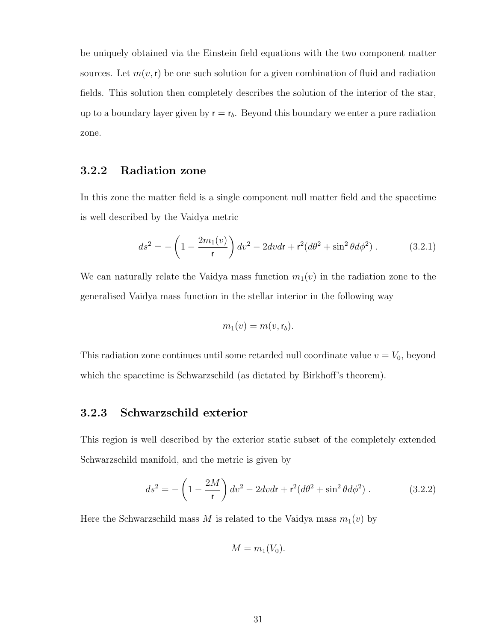be uniquely obtained via the Einstein field equations with the two component matter sources. Let  $m(v, r)$  be one such solution for a given combination of fluid and radiation fields. This solution then completely describes the solution of the interior of the star, up to a boundary layer given by  $r = r_b$ . Beyond this boundary we enter a pure radiation zone.

#### 3.2.2 Radiation zone

In this zone the matter field is a single component null matter field and the spacetime is well described by the Vaidya metric

$$
ds^{2} = -\left(1 - \frac{2m_{1}(v)}{r}\right)dv^{2} - 2dvdr + r^{2}(d\theta^{2} + \sin^{2}\theta d\phi^{2}).
$$
 (3.2.1)

We can naturally relate the Vaidya mass function  $m_1(v)$  in the radiation zone to the generalised Vaidya mass function in the stellar interior in the following way

$$
m_1(v) = m(v, \mathsf{r}_b).
$$

This radiation zone continues until some retarded null coordinate value  $v = V_0$ , beyond which the spacetime is Schwarzschild (as dictated by Birkhoff's theorem).

#### 3.2.3 Schwarzschild exterior

This region is well described by the exterior static subset of the completely extended Schwarzschild manifold, and the metric is given by

$$
ds^{2} = -\left(1 - \frac{2M}{r}\right)dv^{2} - 2dvdr + r^{2}(d\theta^{2} + \sin^{2}\theta d\phi^{2}).
$$
 (3.2.2)

Here the Schwarzschild mass M is related to the Vaidya mass  $m_1(v)$  by

$$
M = m_1(V_0).
$$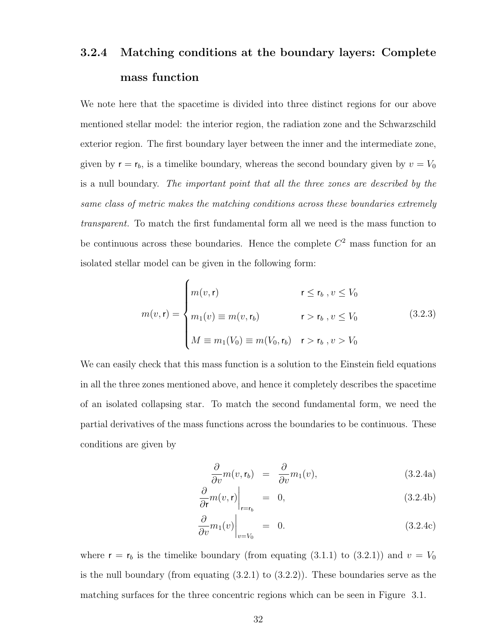### 3.2.4 Matching conditions at the boundary layers: Complete mass function

We note here that the spacetime is divided into three distinct regions for our above mentioned stellar model: the interior region, the radiation zone and the Schwarzschild exterior region. The first boundary layer between the inner and the intermediate zone, given by  $r = r_b$ , is a timelike boundary, whereas the second boundary given by  $v = V_0$ is a null boundary. The important point that all the three zones are described by the same class of metric makes the matching conditions across these boundaries extremely transparent. To match the first fundamental form all we need is the mass function to be continuous across these boundaries. Hence the complete  $C<sup>2</sup>$  mass function for an isolated stellar model can be given in the following form:

$$
m(v, \mathbf{r}) = \begin{cases} m(v, \mathbf{r}) & \mathbf{r} \le \mathbf{r}_b, v \le V_0 \\ m_1(v) \equiv m(v, \mathbf{r}_b) & \mathbf{r} > \mathbf{r}_b, v \le V_0 \\ M \equiv m_1(V_0) \equiv m(V_0, \mathbf{r}_b) & \mathbf{r} > \mathbf{r}_b, v > V_0 \end{cases}
$$
(3.2.3)

We can easily check that this mass function is a solution to the Einstein field equations in all the three zones mentioned above, and hence it completely describes the spacetime of an isolated collapsing star. To match the second fundamental form, we need the partial derivatives of the mass functions across the boundaries to be continuous. These conditions are given by

$$
\frac{\partial}{\partial v}m(v, \mathbf{r}_b) = \frac{\partial}{\partial v}m_1(v), \qquad (3.2.4a)
$$

$$
\left. \frac{\partial}{\partial r} m(v, \mathbf{r}) \right|_{\mathbf{r} = \mathbf{r}_b} = 0, \tag{3.2.4b}
$$

$$
\left. \frac{\partial}{\partial v} m_1(v) \right|_{v = V_0} = 0. \tag{3.2.4c}
$$

where  $r = r_b$  is the timelike boundary (from equating (3.1.1) to (3.2.1)) and  $v = V_0$ is the null boundary (from equating (3.2.1) to (3.2.2)). These boundaries serve as the matching surfaces for the three concentric regions which can be seen in Figure 3.1.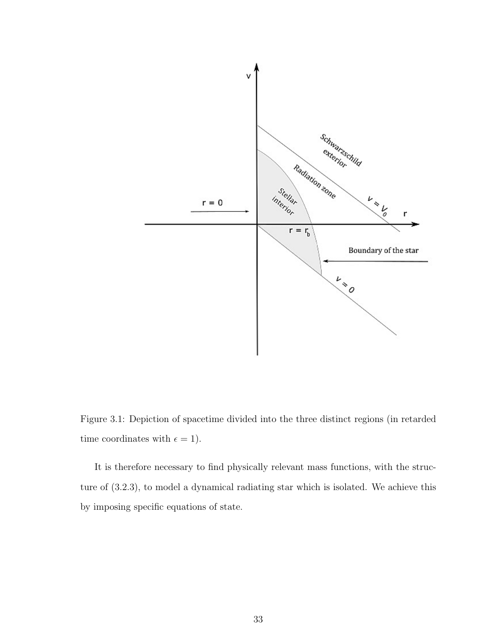

Figure 3.1: Depiction of spacetime divided into the three distinct regions (in retarded time coordinates with  $\epsilon = 1$ ).

It is therefore necessary to find physically relevant mass functions, with the structure of (3.2.3), to model a dynamical radiating star which is isolated. We achieve this by imposing specific equations of state.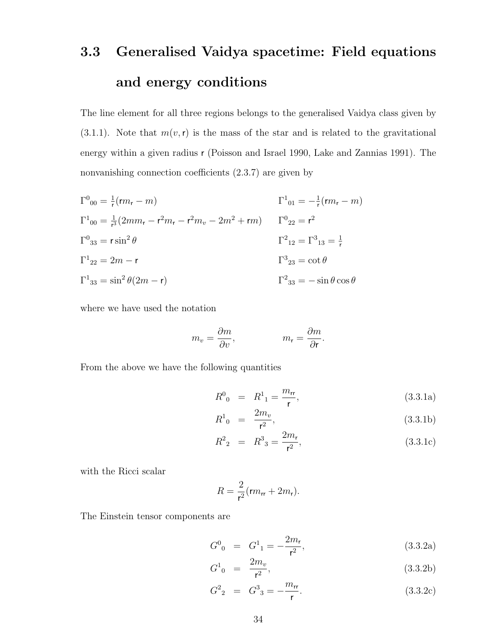# 3.3 Generalised Vaidya spacetime: Field equations and energy conditions

The line element for all three regions belongs to the generalised Vaidya class given by  $(3.1.1)$ . Note that  $m(v, r)$  is the mass of the star and is related to the gravitational energy within a given radius r (Poisson and Israel 1990, Lake and Zannias 1991). The nonvanishing connection coefficients (2.3.7) are given by

 $\Gamma^{0}{}_{00} = \frac{1}{r}$  $\frac{1}{r}(rm_r - m)$  Γ<sup>1</sup>  $_{01} = -\frac{1}{r}$  $\frac{1}{r}(rm_r-m)$  $\Gamma^1{}_{00} = \frac{1}{r^3}$  $\frac{1}{r^3}(2mm_r - r^2m_r - r^2m_v - 2m^2 + rm)$   $\Gamma^0_{22} = r^2$  $\Gamma^0{}_{33} = r \sin^2$  $\theta$  $2^2_{12} = \Gamma^3_{13} = \frac{1}{5}$ r  $\Gamma^{1}_{22} = 2m - r$  Γ  $3_{23} = \cot \theta$  $\Gamma^1{}_{33} = \sin^2 \theta (2m - r)$   $\Gamma^2$  $\Gamma^2{}_{33} = -\sin\theta\cos\theta$ 

where we have used the notation

$$
m_v = \frac{\partial m}{\partial v}, \qquad m_r = \frac{\partial m}{\partial r}.
$$

From the above we have the following quantities

$$
R^0_{\ \,0} \ = \ R^1_{\ \,1} = \frac{m_{\rm rr}}{\rm r},\tag{3.3.1a}
$$

$$
R^1_{\ 0} \ = \ \frac{2m_v}{\mathsf{r}^2},\tag{3.3.1b}
$$

$$
R^2{}_2 = R^3{}_3 = \frac{2m_r}{r^2},\tag{3.3.1c}
$$

with the Ricci scalar

$$
R=\frac{2}{r^2}(rm_{rr}+2m_r).
$$

The Einstein tensor components are

$$
G^{0}_{0} = G^{1}_{1} = -\frac{2m_{r}}{r^{2}}, \qquad (3.3.2a)
$$

$$
G^{1}_{0} = \frac{2m_{v}}{\mathsf{r}^{2}}, \tag{3.3.2b}
$$

$$
G_{2}^{2} = G_{3}^{3} = -\frac{m_{rr}}{r}.
$$
 (3.3.2c)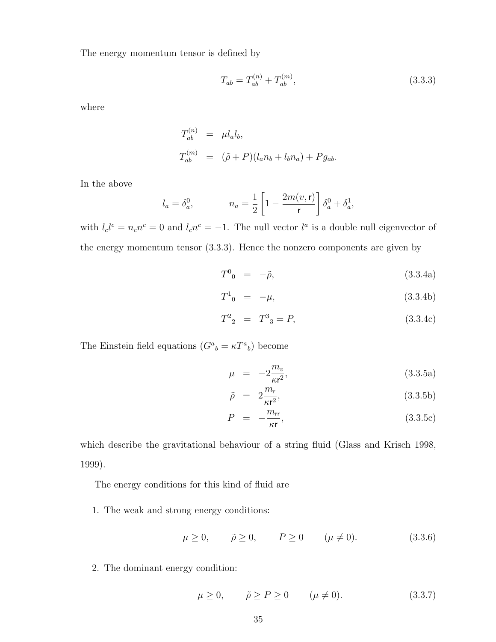The energy momentum tensor is defined by

$$
T_{ab} = T_{ab}^{(n)} + T_{ab}^{(m)},\tag{3.3.3}
$$

where

$$
T_{ab}^{(n)} = \mu l_a l_b,
$$
  
\n
$$
T_{ab}^{(m)} = (\tilde{\rho} + P)(l_a n_b + l_b n_a) + P g_{ab}.
$$

In the above

$$
l_a = \delta_a^0
$$
,  $n_a = \frac{1}{2} \left[ 1 - \frac{2m(v, r)}{r} \right] \delta_a^0 + \delta_a^1$ ,

with  $l_c l^c = n_c n^c = 0$  and  $l_c n^c = -1$ . The null vector  $l^a$  is a double null eigenvector of the energy momentum tensor (3.3.3). Hence the nonzero components are given by

$$
T^0{}_{0} = -\tilde{\rho}, \qquad (3.3.4a)
$$

$$
T^{1}_{0} = -\mu, \qquad (3.3.4b)
$$

$$
T^2{}_2 = T^3{}_3 = P,\t\t(3.3.4c)
$$

The Einstein field equations  $(G^a{}_b = \kappa T^a{}_b)$  become

$$
\mu = -2\frac{m_v}{\kappa r^2},\tag{3.3.5a}
$$

$$
\tilde{\rho} = 2 \frac{m_{\rm r}}{\kappa \rm r^2},\tag{3.3.5b}
$$

$$
P = -\frac{m_{\rm rr}}{\kappa r},\tag{3.3.5c}
$$

which describe the gravitational behaviour of a string fluid (Glass and Krisch 1998, 1999).

The energy conditions for this kind of fluid are

1. The weak and strong energy conditions:

$$
\mu \ge 0, \qquad \tilde{\rho} \ge 0, \qquad P \ge 0 \qquad (\mu \ne 0). \tag{3.3.6}
$$

2. The dominant energy condition:

$$
\mu \ge 0, \qquad \tilde{\rho} \ge P \ge 0 \qquad (\mu \ne 0). \tag{3.3.7}
$$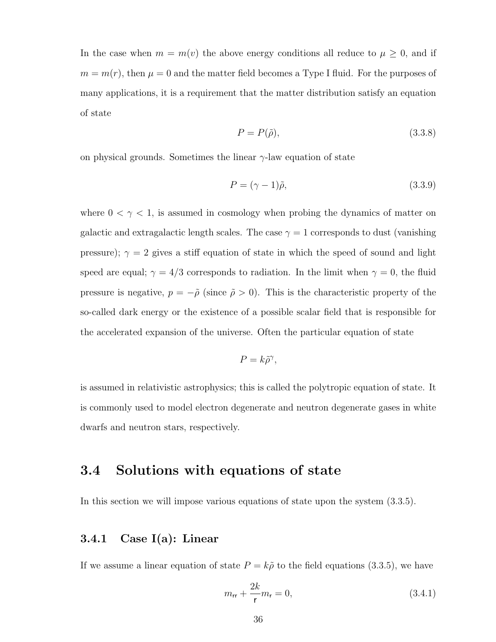In the case when  $m = m(v)$  the above energy conditions all reduce to  $\mu \geq 0$ , and if  $m = m(r)$ , then  $\mu = 0$  and the matter field becomes a Type I fluid. For the purposes of many applications, it is a requirement that the matter distribution satisfy an equation of state

$$
P = P(\tilde{\rho}),\tag{3.3.8}
$$

on physical grounds. Sometimes the linear  $\gamma$ -law equation of state

$$
P = (\gamma - 1)\tilde{\rho},\tag{3.3.9}
$$

where  $0<\gamma<1,$  is assumed in cosmology when probing the dynamics of matter on galactic and extragalactic length scales. The case  $\gamma = 1$  corresponds to dust (vanishing pressure);  $\gamma = 2$  gives a stiff equation of state in which the speed of sound and light speed are equal;  $\gamma = 4/3$  corresponds to radiation. In the limit when  $\gamma = 0$ , the fluid pressure is negative,  $p = -\tilde{\rho}$  (since  $\tilde{\rho} > 0$ ). This is the characteristic property of the so-called dark energy or the existence of a possible scalar field that is responsible for the accelerated expansion of the universe. Often the particular equation of state

$$
P = k\tilde{\rho}^{\gamma},
$$

is assumed in relativistic astrophysics; this is called the polytropic equation of state. It is commonly used to model electron degenerate and neutron degenerate gases in white dwarfs and neutron stars, respectively.

#### 3.4 Solutions with equations of state

In this section we will impose various equations of state upon the system (3.3.5).

#### 3.4.1 Case I(a): Linear

If we assume a linear equation of state  $P = k\tilde{\rho}$  to the field equations (3.3.5), we have

$$
m_{rr} + \frac{2k}{r}m_r = 0,
$$
\n(3.4.1)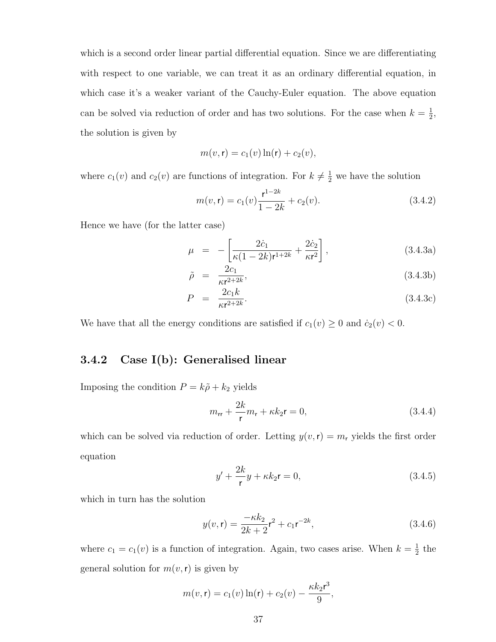which is a second order linear partial differential equation. Since we are differentiating with respect to one variable, we can treat it as an ordinary differential equation, in which case it's a weaker variant of the Cauchy-Euler equation. The above equation can be solved via reduction of order and has two solutions. For the case when  $k=\frac{1}{2}$  $\frac{1}{2}$ , the solution is given by

$$
m(v, \mathbf{r}) = c_1(v) \ln(\mathbf{r}) + c_2(v),
$$

where  $c_1(v)$  and  $c_2(v)$  are functions of integration. For  $k \neq \frac{1}{2}$  we have the solution

$$
m(v, \mathbf{r}) = c_1(v)\frac{\mathbf{r}^{1-2k}}{1-2k} + c_2(v). \tag{3.4.2}
$$

Hence we have (for the latter case)

$$
\mu = -\left[\frac{2\dot{c}_1}{\kappa(1-2k)r^{1+2k}} + \frac{2\dot{c}_2}{\kappa r^2}\right],
$$
\n(3.4.3a)

$$
\tilde{\rho} = \frac{2c_1}{\kappa r^{2+2k}},\tag{3.4.3b}
$$

$$
P = \frac{2c_1k}{\kappa r^{2+2k}}.\tag{3.4.3c}
$$

We have that all the energy conditions are satisfied if  $c_1(v) \geq 0$  and  $\dot{c}_2(v) < 0$ .

#### 3.4.2 Case I(b): Generalised linear

Imposing the condition  $P = k\tilde{\rho} + k_2$  yields

$$
m_{rr} + \frac{2k}{r}m_r + \kappa k_2 \mathbf{r} = 0, \qquad (3.4.4)
$$

which can be solved via reduction of order. Letting  $y(v, r) = m_r$  yields the first order equation

$$
y' + \frac{2k}{r}y + \kappa k_2 r = 0,\tag{3.4.5}
$$

which in turn has the solution

$$
y(v, \mathbf{r}) = \frac{-\kappa k_2}{2k + 2} \mathbf{r}^2 + c_1 \mathbf{r}^{-2k},\tag{3.4.6}
$$

where  $c_1 = c_1(v)$  is a function of integration. Again, two cases arise. When  $k = \frac{1}{2}$  $rac{1}{2}$  the general solution for  $m(v, r)$  is given by

$$
m(v, \mathbf{r}) = c_1(v) \ln(\mathbf{r}) + c_2(v) - \frac{\kappa k_2 \mathbf{r}^3}{9},
$$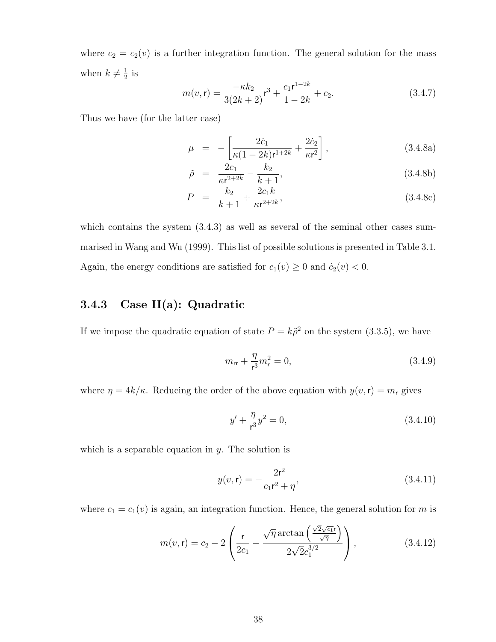where  $c_2 = c_2(v)$  is a further integration function. The general solution for the mass when  $k \neq \frac{1}{2}$  $rac{1}{2}$  is

$$
m(v, \mathbf{r}) = \frac{-\kappa k_2}{3(2k+2)} \mathbf{r}^3 + \frac{c_1 \mathbf{r}^{1-2k}}{1-2k} + c_2.
$$
 (3.4.7)

Thus we have (for the latter case)

$$
\mu = -\left[\frac{2\dot{c}_1}{\kappa(1-2k)r^{1+2k}} + \frac{2\dot{c}_2}{\kappa r^2}\right],
$$
\n(3.4.8a)

$$
\tilde{\rho} = \frac{2c_1}{\kappa r^{2+2k}} - \frac{k_2}{k+1},
$$
\n(3.4.8b)

$$
P = \frac{k_2}{k+1} + \frac{2c_1k}{\kappa r^{2+2k}},
$$
\n(3.4.8c)

which contains the system  $(3.4.3)$  as well as several of the seminal other cases summarised in Wang and Wu (1999). This list of possible solutions is presented in Table 3.1. Again, the energy conditions are satisfied for  $c_1(v) \geq 0$  and  $\dot{c}_2(v) < 0$ .

#### 3.4.3 Case II(a): Quadratic

If we impose the quadratic equation of state  $P = k\tilde{\rho}^2$  on the system (3.3.5), we have

$$
m_{\rm rr} + \frac{\eta}{r^3} m_{\rm r}^2 = 0, \tag{3.4.9}
$$

where  $\eta = 4k/\kappa$ . Reducing the order of the above equation with  $y(v, r) = m_r$  gives

$$
y' + \frac{\eta}{r^3}y^2 = 0,\tag{3.4.10}
$$

which is a separable equation in  $y$ . The solution is

$$
y(v, \mathbf{r}) = -\frac{2\mathbf{r}^2}{c_1\mathbf{r}^2 + \eta},\tag{3.4.11}
$$

where  $c_1 = c_1(v)$  is again, an integration function. Hence, the general solution for m is

$$
m(v,\mathbf{r}) = c_2 - 2\left(\frac{\mathbf{r}}{2c_1} - \frac{\sqrt{\eta}\arctan\left(\frac{\sqrt{2}\sqrt{c_1}\mathbf{r}}{\sqrt{\eta}}\right)}{2\sqrt{2}c_1^{3/2}}\right),\tag{3.4.12}
$$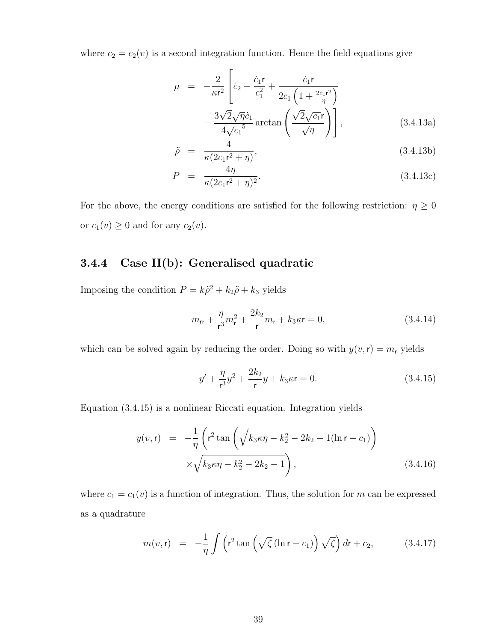where  $c_2 = c_2(v)$  is a second integration function. Hence the field equations give

$$
\mu = -\frac{2}{\kappa r^2} \left[ \dot{c}_2 + \frac{\dot{c}_1 \mathbf{r}}{c_1^2} + \frac{\dot{c}_1 \mathbf{r}}{2c_1 \left(1 + \frac{2c_1 r^2}{\eta}\right)} - \frac{3\sqrt{2}\sqrt{\eta} \dot{c}_1}{4\sqrt{c_1}^5} \arctan\left(\frac{\sqrt{2}\sqrt{c_1} \mathbf{r}}{\sqrt{\eta}}\right) \right],
$$
\n(3.4.13a)

$$
\tilde{\rho} = \frac{4}{\kappa (2c_1 r^2 + \eta)},\tag{3.4.13b}
$$

$$
P = \frac{4\eta}{\kappa(2c_1r^2 + \eta)^2}.
$$
\n(3.4.13c)

For the above, the energy conditions are satisfied for the following restriction:  $\eta \geq 0$ or  $c_1(v) \geq 0$  and for any  $c_2(v)$ .

#### 3.4.4 Case II(b): Generalised quadratic

Imposing the condition  $P = k\tilde{\rho}^2 + k_2\tilde{\rho} + k_3$  yields

$$
m_{rr} + \frac{\eta}{r^3}m_r^2 + \frac{2k_2}{r}m_r + k_3\kappa r = 0,
$$
\n(3.4.14)

which can be solved again by reducing the order. Doing so with  $y(v, r) = m_r$  yields

$$
y' + \frac{\eta}{r^3}y^2 + \frac{2k_2}{r}y + k_3\kappa r = 0.
$$
 (3.4.15)

Equation (3.4.15) is a nonlinear Riccati equation. Integration yields

$$
y(v, \mathbf{r}) = -\frac{1}{\eta} \left( \mathbf{r}^2 \tan \left( \sqrt{k_3 \kappa \eta - k_2^2 - 2k_2 - 1} (\ln \mathbf{r} - c_1) \right) \times \sqrt{k_3 \kappa \eta - k_2^2 - 2k_2 - 1} \right),
$$
\n(3.4.16)

where  $c_1 = c_1(v)$  is a function of integration. Thus, the solution for m can be expressed as a quadrature

$$
m(v,\mathbf{r}) = -\frac{1}{\eta} \int \left( r^2 \tan\left(\sqrt{\zeta} \left(\ln \mathbf{r} - c_1\right)\right) \sqrt{\zeta} \right) d\mathbf{r} + c_2, \tag{3.4.17}
$$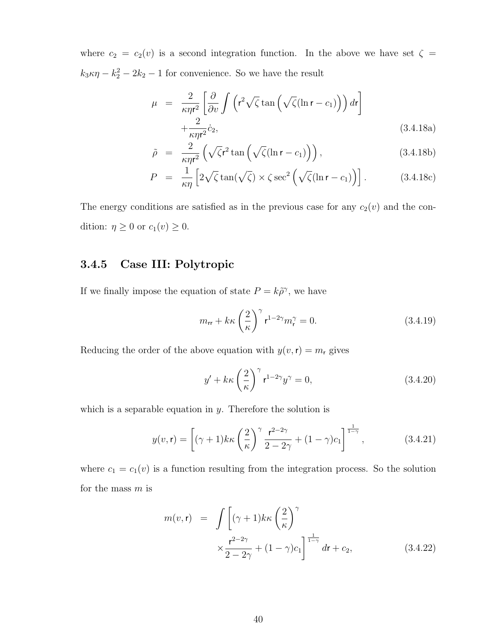where  $c_2 = c_2(v)$  is a second integration function. In the above we have set  $\zeta =$  $k_3 \kappa \eta - k_2^2 - 2k_2 - 1$  for convenience. So we have the result

$$
\mu = \frac{2}{\kappa \eta r^2} \left[ \frac{\partial}{\partial v} \int \left( r^2 \sqrt{\zeta} \tan \left( \sqrt{\zeta} (\ln r - c_1) \right) \right) dr \right] + \frac{2}{\kappa \eta r^2} \dot{c}_2,
$$
\n(3.4.18a)

$$
\tilde{\rho} = \frac{2}{\kappa \eta r^2} \left( \sqrt{\zeta} r^2 \tan \left( \sqrt{\zeta} (\ln r - c_1) \right) \right), \tag{3.4.18b}
$$

$$
P = \frac{1}{\kappa \eta} \left[ 2\sqrt{\zeta} \tan(\sqrt{\zeta}) \times \zeta \sec^2\left(\sqrt{\zeta}(\ln r - c_1)\right) \right]. \tag{3.4.18c}
$$

The energy conditions are satisfied as in the previous case for any  $c_2(v)$  and the condition:  $\eta \geq 0$  or  $c_1(v) \geq 0$ .

#### 3.4.5 Case III: Polytropic

If we finally impose the equation of state  $P = k\tilde{\rho}^{\gamma}$ , we have

$$
m_{rr} + k\kappa \left(\frac{2}{\kappa}\right)^{\gamma} \mathbf{r}^{1-2\gamma} m_{\mathbf{r}}^{\gamma} = 0. \tag{3.4.19}
$$

Reducing the order of the above equation with  $y(v, r) = m_r$  gives

$$
y' + k\kappa \left(\frac{2}{\kappa}\right)^{\gamma} \mathbf{r}^{1-2\gamma} y^{\gamma} = 0, \qquad (3.4.20)
$$

which is a separable equation in  $y$ . Therefore the solution is

$$
y(v,\mathbf{r}) = \left[ (\gamma + 1)k\kappa \left( \frac{2}{\kappa} \right)^{\gamma} \frac{\mathbf{r}^{2-2\gamma}}{2-2\gamma} + (1 - \gamma)c_1 \right]^{\frac{1}{1-\gamma}}, \tag{3.4.21}
$$

where  $c_1 = c_1(v)$  is a function resulting from the integration process. So the solution for the mass  $m$  is

$$
m(v, \mathbf{r}) = \int \left[ (\gamma + 1) k \kappa \left( \frac{2}{\kappa} \right)^{\gamma} \times \frac{\mathbf{r}^{2-2\gamma}}{2 - 2\gamma} + (1 - \gamma) c_1 \right]^{\frac{1}{1 - \gamma}} dr + c_2,
$$
 (3.4.22)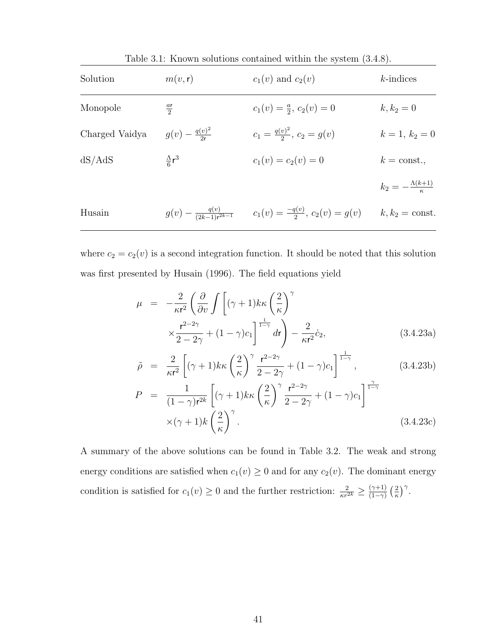| Solution       | m(v, r)                       | $c_1(v)$ and $c_2(v)$                                                          | $k$ -indices                  |
|----------------|-------------------------------|--------------------------------------------------------------------------------|-------------------------------|
| Monopole       | $\frac{ar}{2}$                | $c_1(v) = \frac{a}{2}, c_2(v) = 0$                                             | $k, k_2 = 0$                  |
| Charged Vaidya | $g(v) - \frac{q(v)^2}{2r}$    | $c_1 = \frac{q(v)^2}{2}, c_2 = q(v)$                                           | $k = 1, k_2 = 0$              |
| dS/AdS         | $\frac{\Lambda}{\epsilon}r^3$ | $c_1(v) = c_2(v) = 0$                                                          | $k = \text{const.},$          |
|                |                               |                                                                                | $k_2=-\frac{\Lambda(k+1)}{r}$ |
| Husain         |                               | $g(v) - \frac{q(v)}{(2k-1)r^{2k-1}}$ $c_1(v) = \frac{-q(v)}{2}, c_2(v) = g(v)$ | $k, k_2 = \text{const.}$      |

Table 3.1: Known solutions contained within the system (3.4.8).

where  $c_2 = c_2(v)$  is a second integration function. It should be noted that this solution was first presented by Husain (1996). The field equations yield

$$
\mu = -\frac{2}{\kappa r^2} \left( \frac{\partial}{\partial v} \int \left[ (\gamma + 1) k \kappa \left( \frac{2}{\kappa} \right)^{\gamma} \times \frac{\mathbf{r}^{2-2\gamma}}{2 - 2\gamma} + (1 - \gamma) c_1 \right]^{1-\gamma} dr \right) - \frac{2}{\kappa r^2} \dot{c}_2,
$$
\n(3.4.23a)

$$
\tilde{\rho} = \frac{2}{\kappa r^2} \left[ (\gamma + 1) k \kappa \left( \frac{2}{\kappa} \right)^{\gamma} \frac{r^{2-2\gamma}}{2 - 2\gamma} + (1 - \gamma) c_1 \right]^{\frac{1}{1 - \gamma}}, \qquad (3.4.23b)
$$

$$
P = \frac{1}{(1-\gamma)r^{2k}} \left[ (\gamma+1)k\kappa \left(\frac{2}{\kappa}\right)^{\gamma} \frac{r^{2-2\gamma}}{2-2\gamma} + (1-\gamma)c_1 \right]^{\frac{\gamma}{1-\gamma}}
$$
  
 
$$
\times (\gamma+1)k \left(\frac{2}{\kappa}\right)^{\gamma}.
$$
 (3.4.23c)

A summary of the above solutions can be found in Table 3.2. The weak and strong energy conditions are satisfied when  $c_1(v) \geq 0$  and for any  $c_2(v)$ . The dominant energy condition is satisfied for  $c_1(v) \geq 0$  and the further restriction:  $\frac{2}{\kappa r^{2k}} \geq \frac{(\gamma+1)}{(1-\gamma)^k}$  $\frac{(\gamma+1)}{(1-\gamma)}\left(\frac{2}{\kappa}\right)$  $\frac{2}{\kappa}\Big)^{\gamma}$ .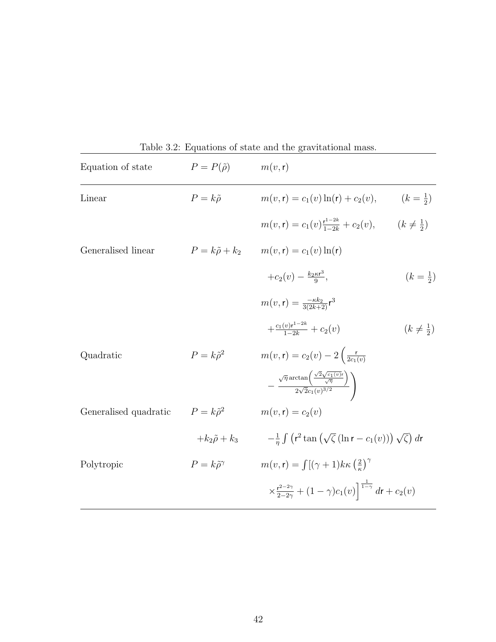| Equation of state     | $P = P(\tilde{\rho})$        | rable 5.2. Equations of state and the gravitational mass.<br>m(v, r)                                             |                        |
|-----------------------|------------------------------|------------------------------------------------------------------------------------------------------------------|------------------------|
| Linear                | $P = k\tilde{\rho}$          | $m(v, r) = c_1(v) \ln(r) + c_2(v),$                                                                              | $(k=\frac{1}{2})$      |
|                       |                              | $m(v, r) = c_1(v) \frac{r^{1-2k}}{1-2k} + c_2(v), \qquad (k \neq \frac{1}{2})$                                   |                        |
| Generalised linear    |                              | $P = k\tilde{\rho} + k_2 \qquad m(v, r) = c_1(v) \ln(r)$                                                         |                        |
|                       |                              | $+c_2(v)-\frac{k_2\kappa r^3}{9},$                                                                               | $(k=\frac{1}{2})$      |
|                       |                              | $m(v, r) = \frac{-\kappa k_2}{3(2k+2)} r^3$                                                                      |                        |
|                       |                              | $+\frac{c_1(v){\bf r}^{1-2k}}{1-2k}+c_2(v)$                                                                      | $(k \neq \frac{1}{2})$ |
| Quadratic             | $P = k\tilde{\rho}^2$        | $m(v, r) = c_2(v) - 2\left(\frac{r}{2c_1(v)}\right)$                                                             |                        |
|                       |                              | $-\frac{\sqrt{\eta}\arctan\left(\frac{\sqrt{2}\sqrt{c_1(v)r}}{\sqrt{\eta}}\right)}{2\sqrt{2}c_1(v)^{3/2}}\Bigg)$ |                        |
| Generalised quadratic | $P = k\tilde{\rho}^2$        | $m(v, r) = c_2(v)$                                                                                               |                        |
|                       | $+k_2\tilde{\rho}+k_3$       | $-\frac{1}{n}\int (r^2\tan(\sqrt{\zeta}(\ln r-c_1(v)))\sqrt{\zeta}) dr$                                          |                        |
| Polytropic            | $P = k\tilde{\rho}^{\gamma}$ | $m(v, r) = \int [(\gamma + 1)k\kappa (\frac{2}{r})^{\gamma}]$                                                    |                        |
|                       |                              | $\times \frac{r^{2-2\gamma}}{2-2\gamma}+(1-\gamma)c_1(v)\Big]^{\frac{1}{1-\gamma}}$ dr + $c_2(v)$                |                        |

Table 3.2: Equations of state and the gravitational mass.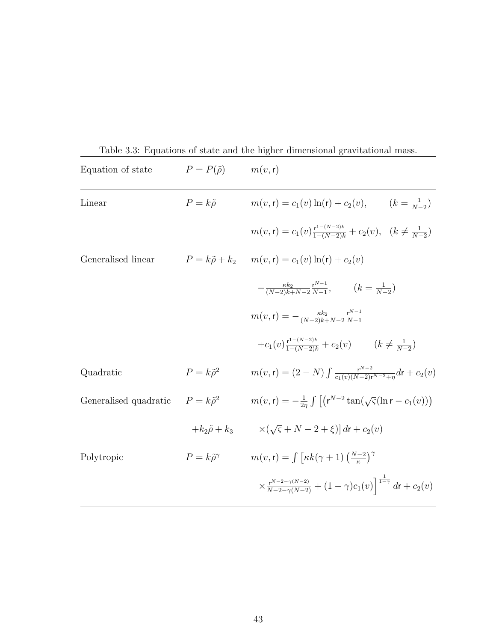| Equation of state                           | $P = P(\tilde{\rho})$        | m(v, r)                                                                                                    |
|---------------------------------------------|------------------------------|------------------------------------------------------------------------------------------------------------|
| Linear                                      | $P = k\tilde{\rho}$          | $m(v, r) = c_1(v) \ln(r) + c_2(v), \qquad (k = \frac{1}{N-2})$                                             |
|                                             |                              | $m(v, r) = c_1(v) \frac{r^{1-(N-2)k}}{1-(N-2)k} + c_2(v), \quad (k \neq \frac{1}{N-2})$                    |
| Generalised linear                          |                              | $P = k\tilde{\rho} + k_2$ $m(v, r) = c_1(v) \ln(r) + c_2(v)$                                               |
|                                             |                              | $-\frac{\kappa k_2}{(N-2)k+N-2}\frac{r^{N-1}}{N-1}, \qquad (k=\frac{1}{N-2})$                              |
|                                             |                              | $m(v, r) = -\frac{\kappa k_2}{(N-2)k + N-2} \frac{r^{N-1}}{N-1}$                                           |
|                                             |                              | $+c_1(v) \frac{r^{1-(N-2)k}}{1-(N-2)k} + c_2(v)$ $(k \neq \frac{1}{N-2})$                                  |
| Quadratic                                   | $P = k\tilde{\rho}^2$        | $m(v, r) = (2 - N) \int \frac{r^{N-2}}{c_1(v)(N-2)r^{N-2}+n} dr + c_2(v)$                                  |
| Generalised quadratic $P = k\tilde{\rho}^2$ |                              | $m(v, r) = -\frac{1}{2n} \int \left[ \left( r^{N-2} \tan(\sqrt{\varsigma}(\ln r - c_1(v)) \right) \right]$ |
|                                             | $+k_2\tilde{\rho}+k_3$       | $\times(\sqrt{5}+N-2+\xi)$ dr + $c_2(v)$                                                                   |
| Polytropic                                  | $P = k\tilde{\rho}^{\gamma}$ | $m(v, r) = \int \left[ \kappa k(\gamma + 1) \left( \frac{N-2}{r} \right)^{\gamma} \right]$                 |
|                                             |                              | $\times \frac{r^{N-2-\gamma(N-2)}}{N-2-\gamma(N-2)} + (1-\gamma)c_1(v)\Big ^{1-\gamma} dr + c_2(v)$        |

Table 3.3: Equations of state and the higher dimensional gravitational mass.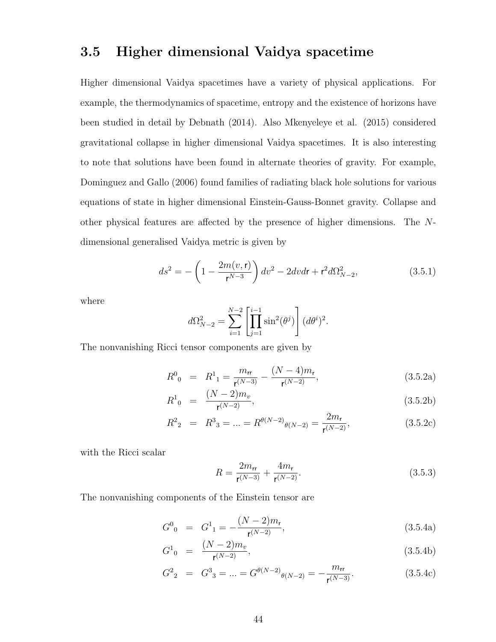#### 3.5 Higher dimensional Vaidya spacetime

Higher dimensional Vaidya spacetimes have a variety of physical applications. For example, the thermodynamics of spacetime, entropy and the existence of horizons have been studied in detail by Debnath (2014). Also Mkenyeleye et al. (2015) considered gravitational collapse in higher dimensional Vaidya spacetimes. It is also interesting to note that solutions have been found in alternate theories of gravity. For example, Dominguez and Gallo (2006) found families of radiating black hole solutions for various equations of state in higher dimensional Einstein-Gauss-Bonnet gravity. Collapse and other physical features are affected by the presence of higher dimensions. The Ndimensional generalised Vaidya metric is given by

$$
ds^{2} = -\left(1 - \frac{2m(v, \mathbf{r})}{\mathbf{r}^{N-3}}\right)dv^{2} - 2dvdr + \mathbf{r}^{2}d\Omega_{N-2}^{2},
$$
\n(3.5.1)

where

$$
d\Omega_{N-2}^2 = \sum_{i=1}^{N-2} \left[ \prod_{j=1}^{i-1} \sin^2(\theta^j) \right] (d\theta^i)^2.
$$

The nonvanishing Ricci tensor components are given by

$$
R^{0}_{0} = R^{1}_{1} = \frac{m_{rr}}{r^{(N-3)}} - \frac{(N-4)m_{r}}{r^{(N-2)}},
$$
\n(3.5.2a)

$$
R^1_{\ 0} \ = \ \frac{(N-2)m_v}{\mathsf{r}^{(N-2)}},\tag{3.5.2b}
$$

$$
R^2{}_2 = R^3{}_3 = \dots = R^{\theta(N-2)}{}_{\theta(N-2)} = \frac{2m_r}{r^{(N-2)}},\tag{3.5.2c}
$$

with the Ricci scalar

$$
R = \frac{2m_{\rm rr}}{\mathsf{r}^{(N-3)}} + \frac{4m_{\rm r}}{\mathsf{r}^{(N-2)}}.
$$
\n(3.5.3)

The nonvanishing components of the Einstein tensor are

$$
G^{0}_{0} = G^{1}_{1} = -\frac{(N-2)m_{r}}{r^{(N-2)}},
$$
\n(3.5.4a)

$$
G_{0}^{1} = \frac{(N-2)m_{v}}{r^{(N-2)}}, \qquad (3.5.4b)
$$

$$
G22 = G33 = ... = G\theta(N-2)\theta(N-2) = -\frac{mrr}{r(N-3)}.
$$
 (3.5.4c)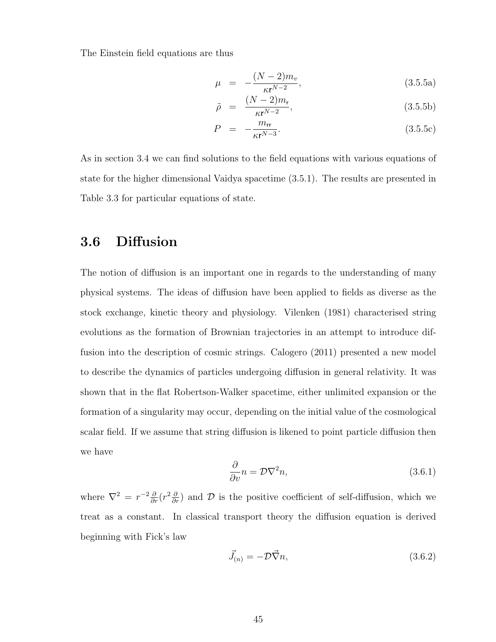The Einstein field equations are thus

$$
\mu = -\frac{(N-2)m_v}{\kappa r^{N-2}},\tag{3.5.5a}
$$

$$
\tilde{\rho} = \frac{(N-2)m_{\rm r}}{\kappa r^{N-2}},\tag{3.5.5b}
$$

$$
P = -\frac{m_{rr}}{\kappa r^{N-3}}.\tag{3.5.5c}
$$

As in section 3.4 we can find solutions to the field equations with various equations of state for the higher dimensional Vaidya spacetime (3.5.1). The results are presented in Table 3.3 for particular equations of state.

#### 3.6 Diffusion

The notion of diffusion is an important one in regards to the understanding of many physical systems. The ideas of diffusion have been applied to fields as diverse as the stock exchange, kinetic theory and physiology. Vilenken (1981) characterised string evolutions as the formation of Brownian trajectories in an attempt to introduce diffusion into the description of cosmic strings. Calogero (2011) presented a new model to describe the dynamics of particles undergoing diffusion in general relativity. It was shown that in the flat Robertson-Walker spacetime, either unlimited expansion or the formation of a singularity may occur, depending on the initial value of the cosmological scalar field. If we assume that string diffusion is likened to point particle diffusion then we have

$$
\frac{\partial}{\partial v}n = \mathcal{D}\nabla^2 n,\tag{3.6.1}
$$

where  $\nabla^2 = r^{-2} \frac{\partial}{\partial r} (r^2 \frac{\partial}{\partial r})$  and  $\mathcal D$  is the positive coefficient of self-diffusion, which we treat as a constant. In classical transport theory the diffusion equation is derived beginning with Fick's law

$$
\vec{J}_{(n)} = -\mathcal{D}\vec{\nabla}n,\tag{3.6.2}
$$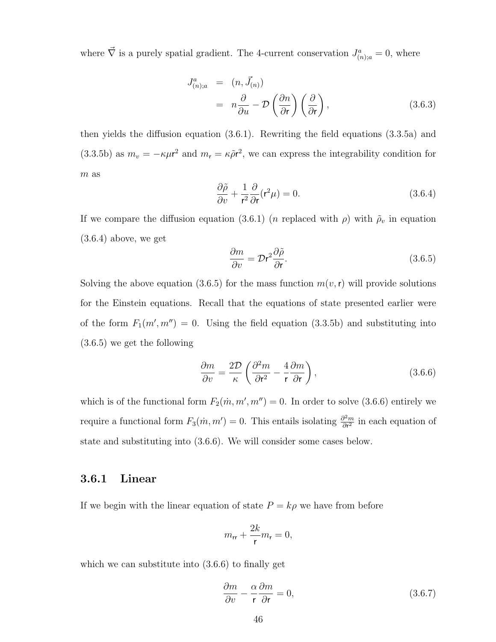where  $\vec{\nabla}$  is a purely spatial gradient. The 4-current conservation  $J^a_{(n);a} = 0$ , where

$$
J_{(n);a}^{a} = (n, \vec{J}_{(n)})
$$
  
=  $n \frac{\partial}{\partial u} - \mathcal{D} \left( \frac{\partial n}{\partial r} \right) \left( \frac{\partial}{\partial r} \right),$  (3.6.3)

then yields the diffusion equation (3.6.1). Rewriting the field equations (3.3.5a) and (3.3.5b) as  $m_v = -\kappa \mu r^2$  and  $m_r = \kappa \tilde{\rho} r^2$ , we can express the integrability condition for  $m$  as

$$
\frac{\partial \tilde{\rho}}{\partial v} + \frac{1}{r^2} \frac{\partial}{\partial r} (r^2 \mu) = 0.
$$
 (3.6.4)

If we compare the diffusion equation (3.6.1) (*n* replaced with  $\rho$ ) with  $\tilde{\rho}_v$  in equation (3.6.4) above, we get

$$
\frac{\partial m}{\partial v} = \mathcal{D}r^2 \frac{\partial \tilde{\rho}}{\partial r}.
$$
\n(3.6.5)

Solving the above equation (3.6.5) for the mass function  $m(v, r)$  will provide solutions for the Einstein equations. Recall that the equations of state presented earlier were of the form  $F_1(m', m'') = 0$ . Using the field equation (3.3.5b) and substituting into (3.6.5) we get the following

$$
\frac{\partial m}{\partial v} = \frac{2\mathcal{D}}{\kappa} \left( \frac{\partial^2 m}{\partial \mathbf{r}^2} - \frac{4}{\mathbf{r}} \frac{\partial m}{\partial \mathbf{r}} \right),\tag{3.6.6}
$$

which is of the functional form  $F_2(m, m', m'') = 0$ . In order to solve (3.6.6) entirely we require a functional form  $F_3(m, m') = 0$ . This entails isolating  $\frac{\partial^2 m}{\partial r^2}$  $\frac{\partial^2 m}{\partial r^2}$  in each equation of state and substituting into (3.6.6). We will consider some cases below.

#### 3.6.1 Linear

If we begin with the linear equation of state  $P = k\rho$  we have from before

$$
m_{\rm rr} + \frac{2k}{\mathsf{r}} m_{\mathsf{r}} = 0,
$$

which we can substitute into (3.6.6) to finally get

$$
\frac{\partial m}{\partial v} - \frac{\alpha}{\mathsf{r}} \frac{\partial m}{\partial \mathsf{r}} = 0,\tag{3.6.7}
$$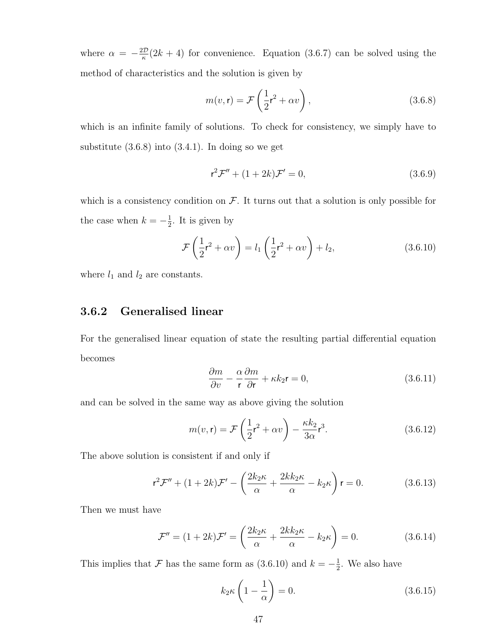where  $\alpha = -\frac{2\mathcal{D}}{\kappa}$  $\frac{dD}{dx}(2k+4)$  for convenience. Equation (3.6.7) can be solved using the method of characteristics and the solution is given by

$$
m(v, \mathbf{r}) = \mathcal{F}\left(\frac{1}{2}\mathbf{r}^2 + \alpha v\right),\tag{3.6.8}
$$

which is an infinite family of solutions. To check for consistency, we simply have to substitute  $(3.6.8)$  into  $(3.4.1)$ . In doing so we get

$$
r^2 \mathcal{F}'' + (1+2k)\mathcal{F}' = 0,
$$
\n(3.6.9)

which is a consistency condition on  $\mathcal F$ . It turns out that a solution is only possible for the case when  $k = -\frac{1}{2}$  $\frac{1}{2}$ . It is given by

$$
\mathcal{F}\left(\frac{1}{2}r^2 + \alpha v\right) = l_1\left(\frac{1}{2}r^2 + \alpha v\right) + l_2,\tag{3.6.10}
$$

where  $l_1$  and  $l_2$  are constants.

#### 3.6.2 Generalised linear

For the generalised linear equation of state the resulting partial differential equation becomes

$$
\frac{\partial m}{\partial v} - \frac{\alpha}{\mathbf{r}} \frac{\partial m}{\partial \mathbf{r}} + \kappa k_2 \mathbf{r} = 0, \qquad (3.6.11)
$$

and can be solved in the same way as above giving the solution

$$
m(v, \mathbf{r}) = \mathcal{F}\left(\frac{1}{2}\mathbf{r}^2 + \alpha v\right) - \frac{\kappa k_2}{3\alpha} \mathbf{r}^3. \tag{3.6.12}
$$

The above solution is consistent if and only if

$$
\mathbf{r}^2 \mathcal{F}'' + (1+2k)\mathcal{F}' - \left(\frac{2k_2\kappa}{\alpha} + \frac{2kk_2\kappa}{\alpha} - k_2\kappa\right)\mathbf{r} = 0.
$$
 (3.6.13)

Then we must have

$$
\mathcal{F}'' = (1+2k)\mathcal{F}' = \left(\frac{2k_2\kappa}{\alpha} + \frac{2kk_2\kappa}{\alpha} - k_2\kappa\right) = 0.
$$
 (3.6.14)

This implies that F has the same form as  $(3.6.10)$  and  $k = -\frac{1}{2}$  $\frac{1}{2}$ . We also have

$$
k_2 \kappa \left(1 - \frac{1}{\alpha}\right) = 0. \tag{3.6.15}
$$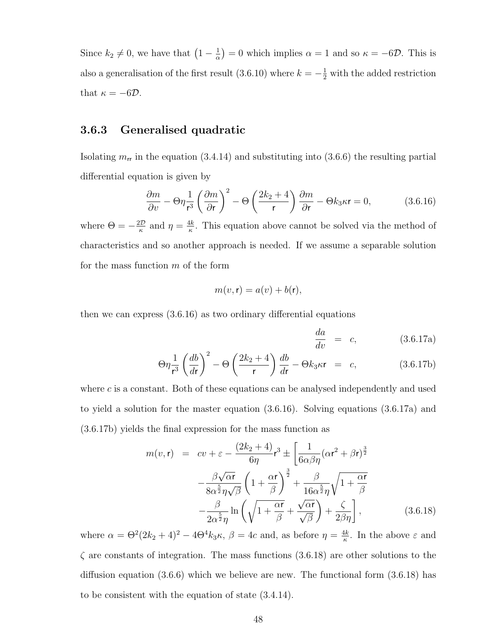Since  $k_2 \neq 0$ , we have that  $\left(1 - \frac{1}{\alpha}\right)$  $(\frac{1}{\alpha}) = 0$  which implies  $\alpha = 1$  and so  $\kappa = -6D$ . This is also a generalisation of the first result (3.6.10) where  $k = -\frac{1}{2}$  with the added restriction that  $\kappa = -6D$ .

#### 3.6.3 Generalised quadratic

Isolating  $m_{rr}$  in the equation (3.4.14) and substituting into (3.6.6) the resulting partial differential equation is given by

$$
\frac{\partial m}{\partial v} - \Theta \eta \frac{1}{r^3} \left( \frac{\partial m}{\partial r} \right)^2 - \Theta \left( \frac{2k_2 + 4}{r} \right) \frac{\partial m}{\partial r} - \Theta k_3 \kappa r = 0, \tag{3.6.16}
$$

where  $\Theta = -\frac{2\mathcal{D}}{\kappa}$  $\frac{d\mathcal{D}}{\kappa}$  and  $\eta = \frac{4k}{\kappa}$  $\frac{dk}{\kappa}$ . This equation above cannot be solved via the method of characteristics and so another approach is needed. If we assume a separable solution for the mass function  $m$  of the form

$$
m(v, \mathbf{r}) = a(v) + b(\mathbf{r}),
$$

then we can express (3.6.16) as two ordinary differential equations

$$
\frac{da}{dv} = c, \qquad (3.6.17a)
$$

$$
\Theta \eta \frac{1}{r^3} \left(\frac{db}{dr}\right)^2 - \Theta \left(\frac{2k_2 + 4}{r}\right) \frac{db}{dr} - \Theta k_3 \kappa r = c,
$$
 (3.6.17b)

where  $c$  is a constant. Both of these equations can be analysed independently and used to yield a solution for the master equation (3.6.16). Solving equations (3.6.17a) and (3.6.17b) yields the final expression for the mass function as

$$
m(v, \mathbf{r}) = cv + \varepsilon - \frac{(2k_2 + 4)}{6\eta} \mathbf{r}^3 \pm \left[ \frac{1}{6\alpha\beta\eta} (\alpha \mathbf{r}^2 + \beta \mathbf{r})^{\frac{3}{2}} - \frac{\beta\sqrt{\alpha r}}{8\alpha^{\frac{5}{2}}\eta\sqrt{\beta}} \left( 1 + \frac{\alpha \mathbf{r}}{\beta} \right)^{\frac{3}{2}} + \frac{\beta}{16\alpha^{\frac{5}{2}}\eta} \sqrt{1 + \frac{\alpha \mathbf{r}}{\beta}} - \frac{\beta}{2\alpha^{\frac{5}{2}}\eta} \ln \left( \sqrt{1 + \frac{\alpha \mathbf{r}}{\beta}} + \frac{\sqrt{\alpha \mathbf{r}}}{\sqrt{\beta}} \right) + \frac{\zeta}{2\beta\eta} \right],
$$
(3.6.18)

where  $\alpha = \Theta^2(2k_2 + 4)^2 - 4\Theta^4 k_3 \kappa$ ,  $\beta = 4c$  and, as before  $\eta = \frac{4k}{\kappa}$  $\frac{4k}{\kappa}$ . In the above  $\varepsilon$  and  $\zeta$  are constants of integration. The mass functions  $(3.6.18)$  are other solutions to the diffusion equation (3.6.6) which we believe are new. The functional form (3.6.18) has to be consistent with the equation of state (3.4.14).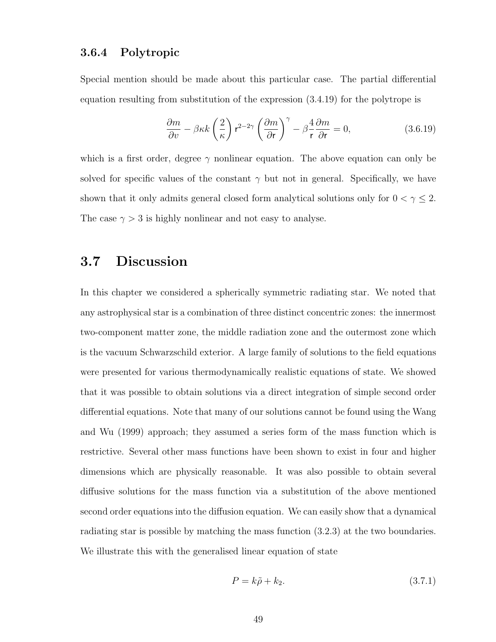#### 3.6.4 Polytropic

Special mention should be made about this particular case. The partial differential equation resulting from substitution of the expression (3.4.19) for the polytrope is

$$
\frac{\partial m}{\partial v} - \beta \kappa k \left(\frac{2}{\kappa}\right) \mathbf{r}^{2-2\gamma} \left(\frac{\partial m}{\partial \mathbf{r}}\right)^{\gamma} - \beta \frac{4}{\mathbf{r}} \frac{\partial m}{\partial \mathbf{r}} = 0, \tag{3.6.19}
$$

which is a first order, degree  $\gamma$  nonlinear equation. The above equation can only be solved for specific values of the constant  $\gamma$  but not in general. Specifically, we have shown that it only admits general closed form analytical solutions only for  $0 < \gamma \leq 2$ . The case  $\gamma > 3$  is highly nonlinear and not easy to analyse.

#### 3.7 Discussion

In this chapter we considered a spherically symmetric radiating star. We noted that any astrophysical star is a combination of three distinct concentric zones: the innermost two-component matter zone, the middle radiation zone and the outermost zone which is the vacuum Schwarzschild exterior. A large family of solutions to the field equations were presented for various thermodynamically realistic equations of state. We showed that it was possible to obtain solutions via a direct integration of simple second order differential equations. Note that many of our solutions cannot be found using the Wang and Wu (1999) approach; they assumed a series form of the mass function which is restrictive. Several other mass functions have been shown to exist in four and higher dimensions which are physically reasonable. It was also possible to obtain several diffusive solutions for the mass function via a substitution of the above mentioned second order equations into the diffusion equation. We can easily show that a dynamical radiating star is possible by matching the mass function (3.2.3) at the two boundaries. We illustrate this with the generalised linear equation of state

$$
P = k\tilde{\rho} + k_2. \tag{3.7.1}
$$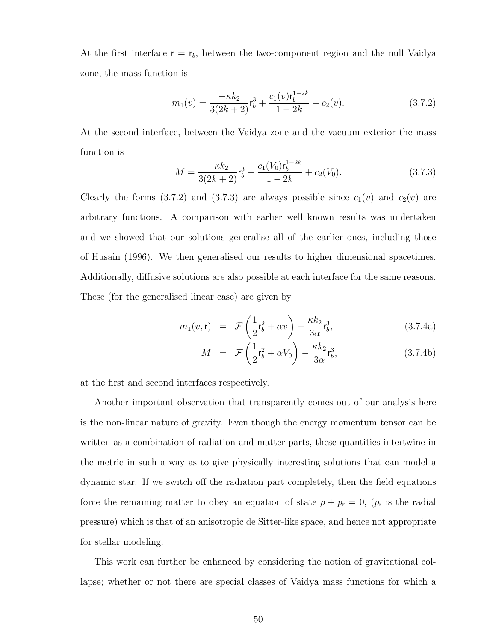At the first interface  $r = r_b$ , between the two-component region and the null Vaidya zone, the mass function is

$$
m_1(v) = \frac{-\kappa k_2}{3(2k+2)} \mathbf{r}_b^3 + \frac{c_1(v)\mathbf{r}_b^{1-2k}}{1-2k} + c_2(v). \tag{3.7.2}
$$

At the second interface, between the Vaidya zone and the vacuum exterior the mass function is

$$
M = \frac{-\kappa k_2}{3(2k+2)} \mathfrak{r}_b^3 + \frac{c_1(V_0)\mathfrak{r}_b^{1-2k}}{1-2k} + c_2(V_0). \tag{3.7.3}
$$

Clearly the forms (3.7.2) and (3.7.3) are always possible since  $c_1(v)$  and  $c_2(v)$  are arbitrary functions. A comparison with earlier well known results was undertaken and we showed that our solutions generalise all of the earlier ones, including those of Husain (1996). We then generalised our results to higher dimensional spacetimes. Additionally, diffusive solutions are also possible at each interface for the same reasons. These (for the generalised linear case) are given by

$$
m_1(v,\mathbf{r}) = \mathcal{F}\left(\frac{1}{2}\mathbf{r}_b^2 + \alpha v\right) - \frac{\kappa k_2}{3\alpha}\mathbf{r}_b^3,\tag{3.7.4a}
$$

$$
M = \mathcal{F}\left(\frac{1}{2}\mathbf{r}_b^2 + \alpha V_0\right) - \frac{\kappa k_2}{3\alpha}\mathbf{r}_b^3, \tag{3.7.4b}
$$

at the first and second interfaces respectively.

Another important observation that transparently comes out of our analysis here is the non-linear nature of gravity. Even though the energy momentum tensor can be written as a combination of radiation and matter parts, these quantities intertwine in the metric in such a way as to give physically interesting solutions that can model a dynamic star. If we switch off the radiation part completely, then the field equations force the remaining matter to obey an equation of state  $\rho + p_{r} = 0$ ,  $(p_{r}$  is the radial pressure) which is that of an anisotropic de Sitter-like space, and hence not appropriate for stellar modeling.

This work can further be enhanced by considering the notion of gravitational collapse; whether or not there are special classes of Vaidya mass functions for which a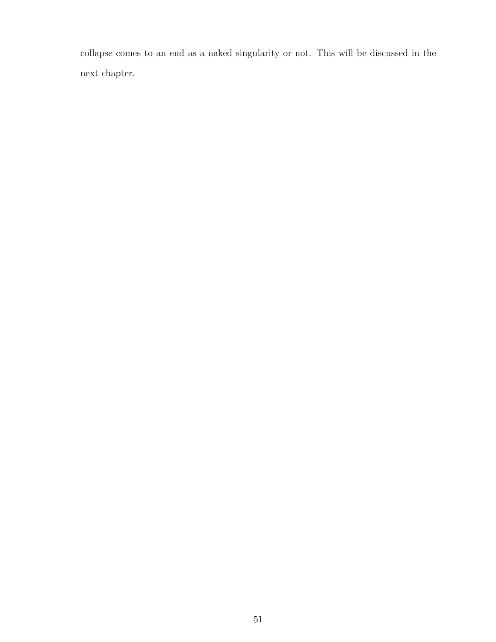collapse comes to an end as a naked singularity or not. This will be discussed in the next chapter.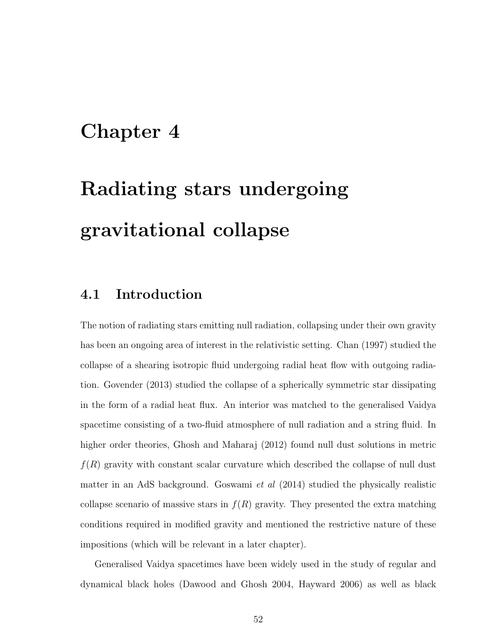## Chapter 4

# Radiating stars undergoing gravitational collapse

#### 4.1 Introduction

The notion of radiating stars emitting null radiation, collapsing under their own gravity has been an ongoing area of interest in the relativistic setting. Chan (1997) studied the collapse of a shearing isotropic fluid undergoing radial heat flow with outgoing radiation. Govender (2013) studied the collapse of a spherically symmetric star dissipating in the form of a radial heat flux. An interior was matched to the generalised Vaidya spacetime consisting of a two-fluid atmosphere of null radiation and a string fluid. In higher order theories, Ghosh and Maharaj (2012) found null dust solutions in metric  $f(R)$  gravity with constant scalar curvature which described the collapse of null dust matter in an AdS background. Goswami et al (2014) studied the physically realistic collapse scenario of massive stars in  $f(R)$  gravity. They presented the extra matching conditions required in modified gravity and mentioned the restrictive nature of these impositions (which will be relevant in a later chapter).

Generalised Vaidya spacetimes have been widely used in the study of regular and dynamical black holes (Dawood and Ghosh 2004, Hayward 2006) as well as black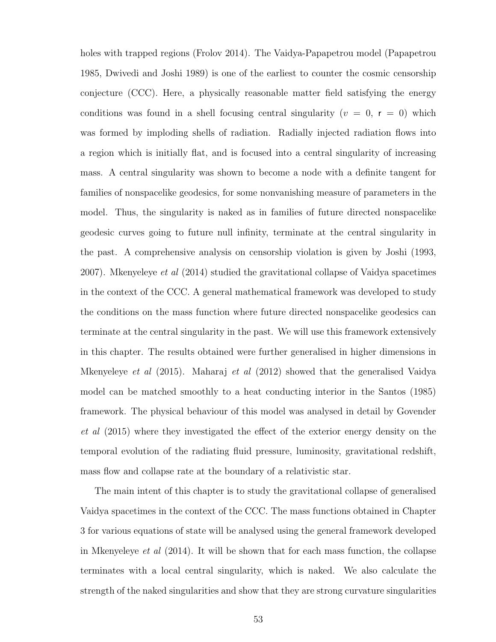holes with trapped regions (Frolov 2014). The Vaidya-Papapetrou model (Papapetrou 1985, Dwivedi and Joshi 1989) is one of the earliest to counter the cosmic censorship conjecture (CCC). Here, a physically reasonable matter field satisfying the energy conditions was found in a shell focusing central singularity ( $v = 0$ ,  $r = 0$ ) which was formed by imploding shells of radiation. Radially injected radiation flows into a region which is initially flat, and is focused into a central singularity of increasing mass. A central singularity was shown to become a node with a definite tangent for families of nonspacelike geodesics, for some nonvanishing measure of parameters in the model. Thus, the singularity is naked as in families of future directed nonspacelike geodesic curves going to future null infinity, terminate at the central singularity in the past. A comprehensive analysis on censorship violation is given by Joshi (1993, 2007). Mkenyeleye et al (2014) studied the gravitational collapse of Vaidya spacetimes in the context of the CCC. A general mathematical framework was developed to study the conditions on the mass function where future directed nonspacelike geodesics can terminate at the central singularity in the past. We will use this framework extensively in this chapter. The results obtained were further generalised in higher dimensions in Mkenyeleye et al (2015). Maharaj et al (2012) showed that the generalised Vaidya model can be matched smoothly to a heat conducting interior in the Santos (1985) framework. The physical behaviour of this model was analysed in detail by Govender et al (2015) where they investigated the effect of the exterior energy density on the temporal evolution of the radiating fluid pressure, luminosity, gravitational redshift, mass flow and collapse rate at the boundary of a relativistic star.

The main intent of this chapter is to study the gravitational collapse of generalised Vaidya spacetimes in the context of the CCC. The mass functions obtained in Chapter 3 for various equations of state will be analysed using the general framework developed in Mkenyeleye *et al*  $(2014)$ . It will be shown that for each mass function, the collapse terminates with a local central singularity, which is naked. We also calculate the strength of the naked singularities and show that they are strong curvature singularities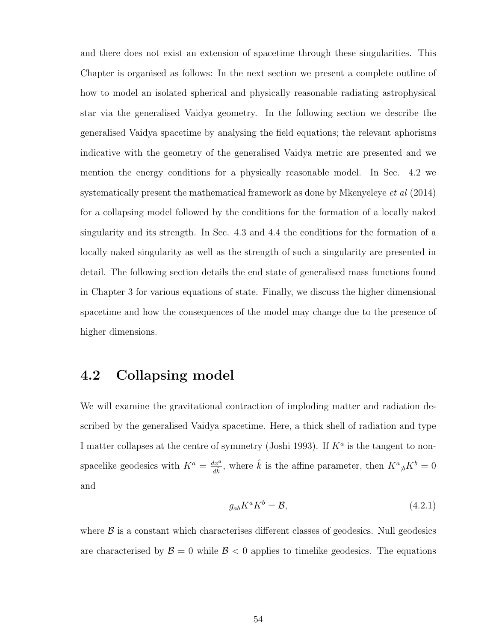and there does not exist an extension of spacetime through these singularities. This Chapter is organised as follows: In the next section we present a complete outline of how to model an isolated spherical and physically reasonable radiating astrophysical star via the generalised Vaidya geometry. In the following section we describe the generalised Vaidya spacetime by analysing the field equations; the relevant aphorisms indicative with the geometry of the generalised Vaidya metric are presented and we mention the energy conditions for a physically reasonable model. In Sec. 4.2 we systematically present the mathematical framework as done by Mkenyeleye et al (2014) for a collapsing model followed by the conditions for the formation of a locally naked singularity and its strength. In Sec. 4.3 and 4.4 the conditions for the formation of a locally naked singularity as well as the strength of such a singularity are presented in detail. The following section details the end state of generalised mass functions found in Chapter 3 for various equations of state. Finally, we discuss the higher dimensional spacetime and how the consequences of the model may change due to the presence of higher dimensions.

#### 4.2 Collapsing model

We will examine the gravitational contraction of imploding matter and radiation described by the generalised Vaidya spacetime. Here, a thick shell of radiation and type I matter collapses at the centre of symmetry (Joshi 1993). If  $K^a$  is the tangent to nonspacelike geodesics with  $K^a = \frac{dx^a}{dt^a}$  $\frac{dx^a}{d\hat{k}}$ , where  $\hat{k}$  is the affine parameter, then  $K^a_{\;\;ib}K^b=0$ and

$$
g_{ab}K^aK^b = \mathcal{B},\tag{4.2.1}
$$

where  $\beta$  is a constant which characterises different classes of geodesics. Null geodesics are characterised by  $\mathcal{B} = 0$  while  $\mathcal{B} < 0$  applies to timelike geodesics. The equations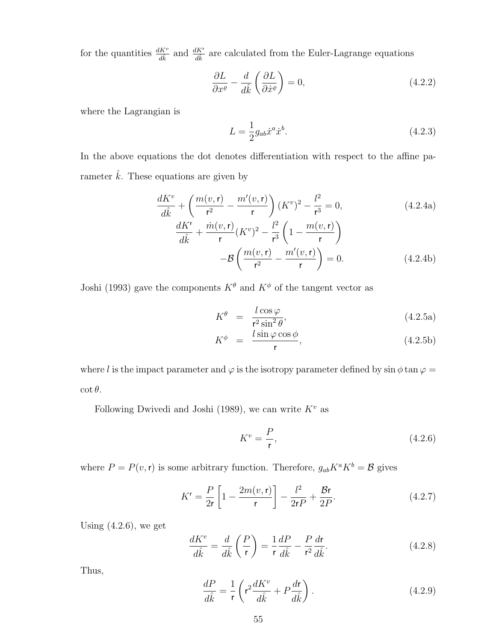for the quantities  $\frac{dK^v}{d\hat{k}}$  and  $\frac{dK^r}{d\hat{k}}$  are calculated from the Euler-Lagrange equations

$$
\frac{\partial L}{\partial x^{\varrho}} - \frac{d}{d\hat{k}} \left( \frac{\partial L}{\partial \dot{x}^{\varrho}} \right) = 0, \tag{4.2.2}
$$

where the Lagrangian is

$$
L = \frac{1}{2} g_{ab} \dot{x}^a \dot{x}^b.
$$
 (4.2.3)

In the above equations the dot denotes differentiation with respect to the affine parameter  $\hat{k}$ . These equations are given by

$$
\frac{dK^{v}}{d\hat{k}} + \left(\frac{m(v,\mathbf{r})}{\mathbf{r}^{2}} - \frac{m'(v,\mathbf{r})}{\mathbf{r}}\right)(K^{v})^{2} - \frac{l^{2}}{\mathbf{r}^{3}} = 0,
$$
\n(4.2.4a)\n
$$
\frac{dK^{r}}{d\hat{k}} + \frac{\dot{m}(v,\mathbf{r})}{\mathbf{r}}(K^{v})^{2} - \frac{l^{2}}{\mathbf{r}^{3}}\left(1 - \frac{m(v,\mathbf{r})}{\mathbf{r}}\right)
$$

$$
-\mathcal{B}\left(\frac{m(v,\mathbf{r})}{\mathbf{r}^2} - \frac{m'(v,\mathbf{r})}{\mathbf{r}}\right) = 0.
$$
 (4.2.4b)

Joshi (1993) gave the components  $K^{\theta}$  and  $K^{\phi}$  of the tangent vector as

$$
K^{\theta} = \frac{l \cos \varphi}{r^2 \sin^2 \theta}, \tag{4.2.5a}
$$

$$
K^{\phi} = \frac{l \sin \varphi \cos \phi}{r}, \qquad (4.2.5b)
$$

where l is the impact parameter and  $\varphi$  is the isotropy parameter defined by sin  $\phi$  tan  $\varphi$  =  $\cot \theta$ .

Following Dwivedi and Joshi (1989), we can write  $K^v$  as

$$
K^v = \frac{P}{r},\tag{4.2.6}
$$

where  $P = P(v, r)$  is some arbitrary function. Therefore,  $g_{ab}K^aK^b = \mathcal{B}$  gives

$$
K^{r} = \frac{P}{2r} \left[ 1 - \frac{2m(v, r)}{r} \right] - \frac{l^{2}}{2rP} + \frac{Br}{2P}.
$$
 (4.2.7)

Using  $(4.2.6)$ , we get

$$
\frac{dK^v}{d\hat{k}} = \frac{d}{d\hat{k}} \left(\frac{P}{r}\right) = \frac{1}{r} \frac{dP}{d\hat{k}} - \frac{P}{r^2} \frac{dr}{d\hat{k}}.
$$
\n(4.2.8)

Thus,

$$
\frac{dP}{d\hat{k}} = \frac{1}{r} \left( r^2 \frac{dK^v}{d\hat{k}} + P \frac{d\mathbf{r}}{d\hat{k}} \right). \tag{4.2.9}
$$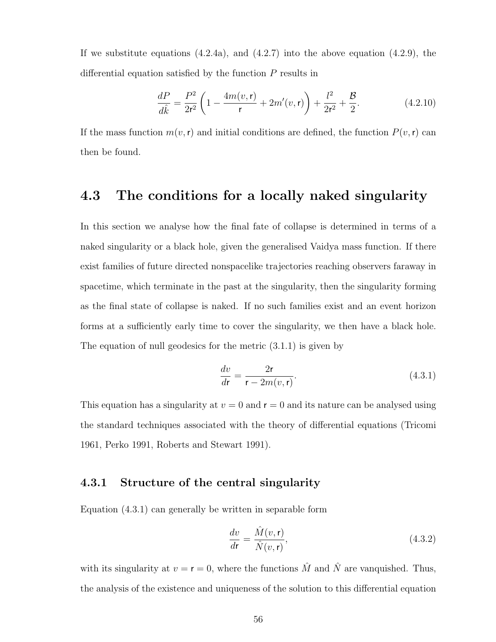If we substitute equations  $(4.2.4a)$ , and  $(4.2.7)$  into the above equation  $(4.2.9)$ , the differential equation satisfied by the function P results in

$$
\frac{dP}{d\hat{k}} = \frac{P^2}{2r^2} \left( 1 - \frac{4m(v, \mathbf{r})}{\mathbf{r}} + 2m'(v, \mathbf{r}) \right) + \frac{l^2}{2r^2} + \frac{\mathcal{B}}{2}.
$$
 (4.2.10)

If the mass function  $m(v, r)$  and initial conditions are defined, the function  $P(v, r)$  can then be found.

#### 4.3 The conditions for a locally naked singularity

In this section we analyse how the final fate of collapse is determined in terms of a naked singularity or a black hole, given the generalised Vaidya mass function. If there exist families of future directed nonspacelike trajectories reaching observers faraway in spacetime, which terminate in the past at the singularity, then the singularity forming as the final state of collapse is naked. If no such families exist and an event horizon forms at a sufficiently early time to cover the singularity, we then have a black hole. The equation of null geodesics for the metric (3.1.1) is given by

$$
\frac{dv}{dr} = \frac{2r}{r - 2m(v, r)}.\tag{4.3.1}
$$

This equation has a singularity at  $v = 0$  and  $r = 0$  and its nature can be analysed using the standard techniques associated with the theory of differential equations (Tricomi 1961, Perko 1991, Roberts and Stewart 1991).

#### 4.3.1 Structure of the central singularity

Equation (4.3.1) can generally be written in separable form

$$
\frac{dv}{d\mathbf{r}} = \frac{\hat{M}(v, \mathbf{r})}{\hat{N}(v, \mathbf{r})},\tag{4.3.2}
$$

with its singularity at  $v = r = 0$ , where the functions  $\hat{M}$  and  $\hat{N}$  are vanguished. Thus, the analysis of the existence and uniqueness of the solution to this differential equation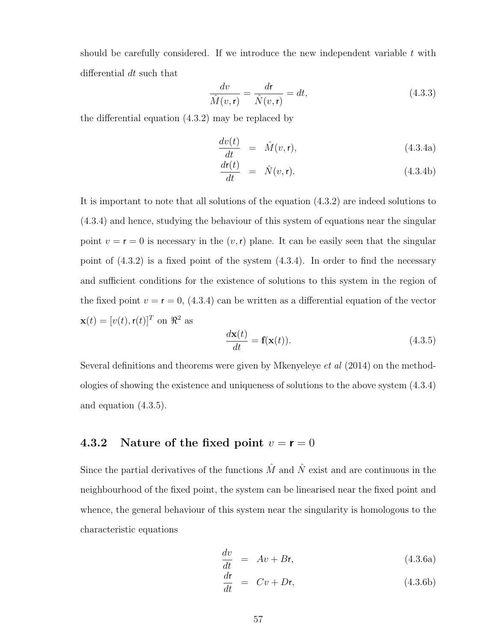should be carefully considered. If we introduce the new independent variable  $t$  with differential dt such that

$$
\frac{dv}{\hat{M}(v,\mathbf{r})} = \frac{d\mathbf{r}}{\hat{N}(v,\mathbf{r})} = dt,\tag{4.3.3}
$$

the differential equation (4.3.2) may be replaced by

$$
\frac{dv(t)}{dt} = \hat{M}(v, \mathbf{r}), \qquad (4.3.4a)
$$

$$
\frac{d\mathbf{r}(t)}{dt} = \hat{N}(v, \mathbf{r}). \tag{4.3.4b}
$$

It is important to note that all solutions of the equation (4.3.2) are indeed solutions to (4.3.4) and hence, studying the behaviour of this system of equations near the singular point  $v = r = 0$  is necessary in the  $(v, r)$  plane. It can be easily seen that the singular point of  $(4.3.2)$  is a fixed point of the system  $(4.3.4)$ . In order to find the necessary and sufficient conditions for the existence of solutions to this system in the region of the fixed point  $v = r = 0$ , (4.3.4) can be written as a differential equation of the vector  $\mathbf{x}(t) = [v(t), \mathbf{r}(t)]^T$  on  $\Re^2$  as

$$
\frac{d\mathbf{x}(t)}{dt} = \mathbf{f}(\mathbf{x}(t)).
$$
\n(4.3.5)

Several definitions and theorems were given by Mkenyeleye et al (2014) on the methodologies of showing the existence and uniqueness of solutions to the above system (4.3.4) and equation (4.3.5).

#### 4.3.2 Nature of the fixed point  $v = r = 0$

Since the partial derivatives of the functions  $\hat{M}$  and  $\hat{N}$  exist and are continuous in the neighbourhood of the fixed point, the system can be linearised near the fixed point and whence, the general behaviour of this system near the singularity is homologous to the characteristic equations

$$
\frac{dv}{dt} = Av + Br,
$$
\n(4.3.6a)

$$
\frac{d\mathbf{r}}{dt} = Cv + D\mathbf{r},\tag{4.3.6b}
$$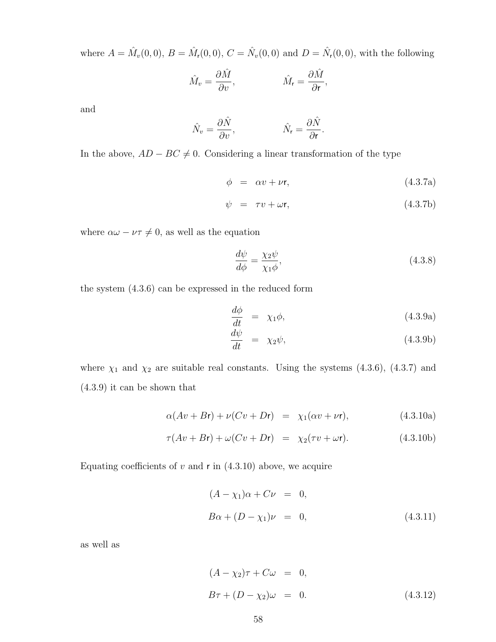where  $A = \hat{M}_{v}(0,0), B = \hat{M}_{r}(0,0), C = \hat{N}_{v}(0,0)$  and  $D = \hat{N}_{r}(0,0),$  with the following

$$
\hat{M}_v = \frac{\partial \hat{M}}{\partial v}, \qquad \hat{M}_r = \frac{\partial \hat{M}}{\partial r},
$$

and

$$
\hat{N}_v = \frac{\partial \hat{N}}{\partial v}, \qquad \qquad \hat{N}_r = \frac{\partial \hat{N}}{\partial r}
$$

In the above,  $AD - BC \neq 0$ . Considering a linear transformation of the type

$$
\phi = \alpha v + \nu \mathsf{r},\tag{4.3.7a}
$$

.

$$
\psi = \tau v + \omega \mathsf{r},\tag{4.3.7b}
$$

where  $\alpha\omega - \nu\tau \neq 0$ , as well as the equation

$$
\frac{d\psi}{d\phi} = \frac{\chi_2 \psi}{\chi_1 \phi},\tag{4.3.8}
$$

the system (4.3.6) can be expressed in the reduced form

$$
\frac{d\phi}{dt} = \chi_1 \phi, \tag{4.3.9a}
$$

$$
\frac{d\psi}{dt} = \chi_2 \psi, \tag{4.3.9b}
$$

where  $\chi_1$  and  $\chi_2$  are suitable real constants. Using the systems (4.3.6), (4.3.7) and (4.3.9) it can be shown that

$$
\alpha(Av + Br) + \nu(Cv + Dr) = \chi_1(\alpha v + \nu r), \qquad (4.3.10a)
$$

$$
\tau(Av + Br) + \omega(Cv + Dr) = \chi_2(\tau v + \omega r). \tag{4.3.10b}
$$

Equating coefficients of  $v$  and  $r$  in  $(4.3.10)$  above, we acquire

$$
(A - \chi_1)\alpha + C\nu = 0,
$$
  
\n
$$
B\alpha + (D - \chi_1)\nu = 0,
$$
\n(4.3.11)

as well as

$$
(A - \chi_2)\tau + C\omega = 0,
$$
  
\n
$$
B\tau + (D - \chi_2)\omega = 0.
$$
\n(4.3.12)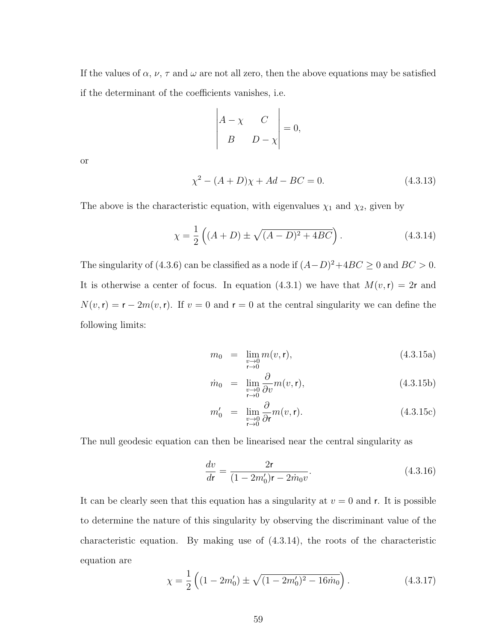If the values of  $\alpha$ ,  $\nu$ ,  $\tau$  and  $\omega$  are not all zero, then the above equations may be satisfied if the determinant of the coefficients vanishes, i.e.

$$
\begin{vmatrix} A - \chi & C \\ B & D - \chi \end{vmatrix} = 0,
$$

or

$$
\chi^2 - (A+D)\chi + Ad - BC = 0.
$$
 (4.3.13)

The above is the characteristic equation, with eigenvalues  $\chi_1$  and  $\chi_2$ , given by

$$
\chi = \frac{1}{2} \left( (A+D) \pm \sqrt{(A-D)^2 + 4BC} \right). \tag{4.3.14}
$$

The singularity of (4.3.6) can be classified as a node if  $(A-D)^2+4BC \ge 0$  and  $BC > 0$ . It is otherwise a center of focus. In equation (4.3.1) we have that  $M(v, r) = 2r$  and  $N(v, r) = r - 2m(v, r)$ . If  $v = 0$  and  $r = 0$  at the central singularity we can define the following limits:

$$
m_0 = \lim_{\substack{v \to 0 \\ r \to 0}} m(v, r), \tag{4.3.15a}
$$

$$
\dot{m}_0 = \lim_{\substack{v \to 0 \\ r \to 0}} \frac{\partial}{\partial v} m(v, \mathbf{r}), \tag{4.3.15b}
$$

$$
m'_0 = \lim_{\substack{v \to 0 \\ r \to 0}} \frac{\partial}{\partial r} m(v, r). \tag{4.3.15c}
$$

The null geodesic equation can then be linearised near the central singularity as

$$
\frac{dv}{dt} = \frac{2\mathbf{r}}{(1 - 2m_0')\mathbf{r} - 2m_0 v}.\tag{4.3.16}
$$

It can be clearly seen that this equation has a singularity at  $v = 0$  and r. It is possible to determine the nature of this singularity by observing the discriminant value of the characteristic equation. By making use of (4.3.14), the roots of the characteristic equation are

$$
\chi = \frac{1}{2} \left( (1 - 2m'_0) \pm \sqrt{(1 - 2m'_0)^2 - 16m_0} \right). \tag{4.3.17}
$$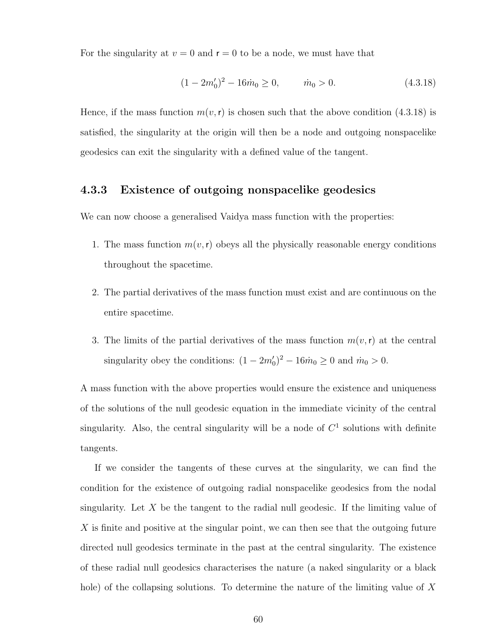For the singularity at  $v = 0$  and  $r = 0$  to be a node, we must have that

$$
(1 - 2m'_0)^2 - 16\dot{m}_0 \ge 0, \qquad \dot{m}_0 > 0.
$$
 (4.3.18)

Hence, if the mass function  $m(v, r)$  is chosen such that the above condition (4.3.18) is satisfied, the singularity at the origin will then be a node and outgoing nonspacelike geodesics can exit the singularity with a defined value of the tangent.

#### 4.3.3 Existence of outgoing nonspacelike geodesics

We can now choose a generalised Vaidya mass function with the properties:

- 1. The mass function  $m(v, r)$  obeys all the physically reasonable energy conditions throughout the spacetime.
- 2. The partial derivatives of the mass function must exist and are continuous on the entire spacetime.
- 3. The limits of the partial derivatives of the mass function  $m(v, r)$  at the central singularity obey the conditions:  $(1 - 2m'_0)^2 - 16\dot{m}_0 \ge 0$  and  $\dot{m}_0 > 0$ .

A mass function with the above properties would ensure the existence and uniqueness of the solutions of the null geodesic equation in the immediate vicinity of the central singularity. Also, the central singularity will be a node of  $C<sup>1</sup>$  solutions with definite tangents.

If we consider the tangents of these curves at the singularity, we can find the condition for the existence of outgoing radial nonspacelike geodesics from the nodal singularity. Let  $X$  be the tangent to the radial null geodesic. If the limiting value of X is finite and positive at the singular point, we can then see that the outgoing future directed null geodesics terminate in the past at the central singularity. The existence of these radial null geodesics characterises the nature (a naked singularity or a black hole) of the collapsing solutions. To determine the nature of the limiting value of X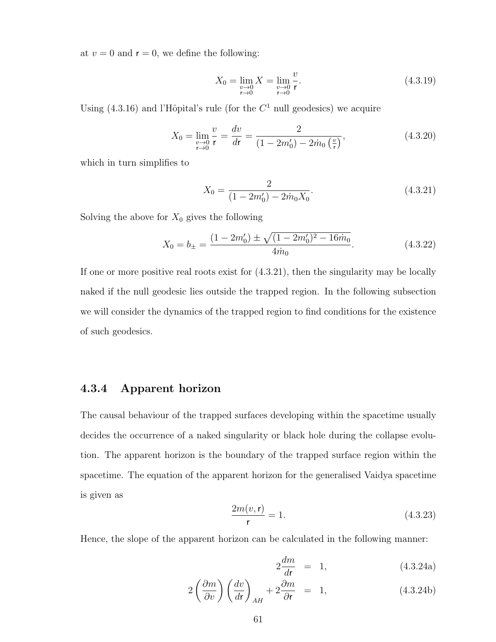at  $v = 0$  and  $r = 0$ , we define the following:

$$
X_0 = \lim_{\substack{v \to 0 \\ r \to 0}} X = \lim_{\substack{v \to 0 \\ r \to 0}} \frac{v}{r}.
$$
\n(4.3.19)

Using  $(4.3.16)$  and l'Hôpital's rule (for the  $C<sup>1</sup>$  null geodesics) we acquire

$$
X_0 = \lim_{\substack{v \to 0 \\ r \to 0}} \frac{v}{r} = \frac{dv}{dr} = \frac{2}{(1 - 2m'_0) - 2\dot{m}_0 \left(\frac{v}{r}\right)},\tag{4.3.20}
$$

which in turn simplifies to

$$
X_0 = \frac{2}{(1 - 2m'_0) - 2m_0 X_0}.\tag{4.3.21}
$$

Solving the above for  $X_0$  gives the following

$$
X_0 = b_{\pm} = \frac{(1 - 2m_0') \pm \sqrt{(1 - 2m_0')^2 - 16\dot{m}_0}}{4\dot{m}_0}.
$$
 (4.3.22)

If one or more positive real roots exist for (4.3.21), then the singularity may be locally naked if the null geodesic lies outside the trapped region. In the following subsection we will consider the dynamics of the trapped region to find conditions for the existence of such geodesics.

#### 4.3.4 Apparent horizon

The causal behaviour of the trapped surfaces developing within the spacetime usually decides the occurrence of a naked singularity or black hole during the collapse evolution. The apparent horizon is the boundary of the trapped surface region within the spacetime. The equation of the apparent horizon for the generalised Vaidya spacetime is given as

$$
\frac{2m(v, r)}{r} = 1.
$$
 (4.3.23)

Hence, the slope of the apparent horizon can be calculated in the following manner:

$$
2\frac{dm}{dr} = 1, \qquad (4.3.24a)
$$

$$
2\left(\frac{\partial m}{\partial v}\right)\left(\frac{dv}{dr}\right)_{AH} + 2\frac{\partial m}{\partial r} = 1, \qquad (4.3.24b)
$$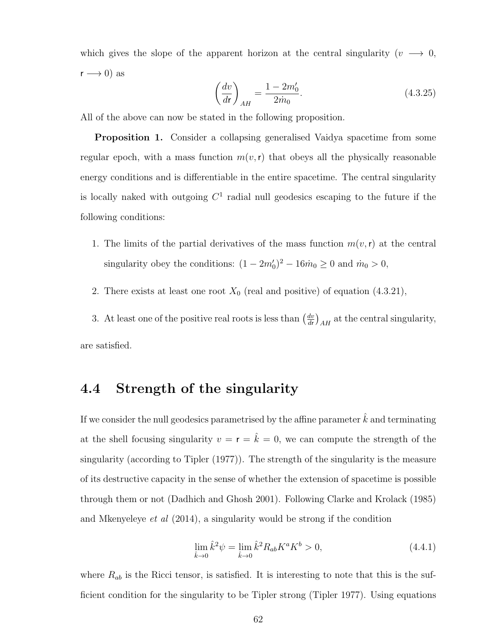which gives the slope of the apparent horizon at the central singularity ( $v \rightarrow 0$ ,  $r \rightarrow 0$ ) as

$$
\left(\frac{dv}{dr}\right)_{AH} = \frac{1 - 2m'_0}{2m_0}.
$$
\n(4.3.25)

All of the above can now be stated in the following proposition.

Proposition 1. Consider a collapsing generalised Vaidya spacetime from some regular epoch, with a mass function  $m(v, r)$  that obeys all the physically reasonable energy conditions and is differentiable in the entire spacetime. The central singularity is locally naked with outgoing  $C<sup>1</sup>$  radial null geodesics escaping to the future if the following conditions:

- 1. The limits of the partial derivatives of the mass function  $m(v, r)$  at the central singularity obey the conditions:  $(1 - 2m'_0)^2 - 16\dot{m}_0 \ge 0$  and  $\dot{m}_0 > 0$ ,
- 2. There exists at least one root  $X_0$  (real and positive) of equation (4.3.21),

3. At least one of the positive real roots is less than  $\left(\frac{dv}{dt}\right)$  $\frac{dv}{dr}\big)_{AH}$  at the central singularity, are satisfied.

# 4.4 Strength of the singularity

If we consider the null geodesics parametrised by the affine parameter  $\hat{k}$  and terminating at the shell focusing singularity  $v = \mathbf{r} = \hat{k} = 0$ , we can compute the strength of the singularity (according to Tipler (1977)). The strength of the singularity is the measure of its destructive capacity in the sense of whether the extension of spacetime is possible through them or not (Dadhich and Ghosh 2001). Following Clarke and Krolack (1985) and Mkenyeleye *et al*  $(2014)$ , a singularity would be strong if the condition

$$
\lim_{\hat{k}\to 0} \hat{k}^2 \psi = \lim_{\hat{k}\to 0} \hat{k}^2 R_{ab} K^a K^b > 0,
$$
\n(4.4.1)

where  $R_{ab}$  is the Ricci tensor, is satisfied. It is interesting to note that this is the sufficient condition for the singularity to be Tipler strong (Tipler 1977). Using equations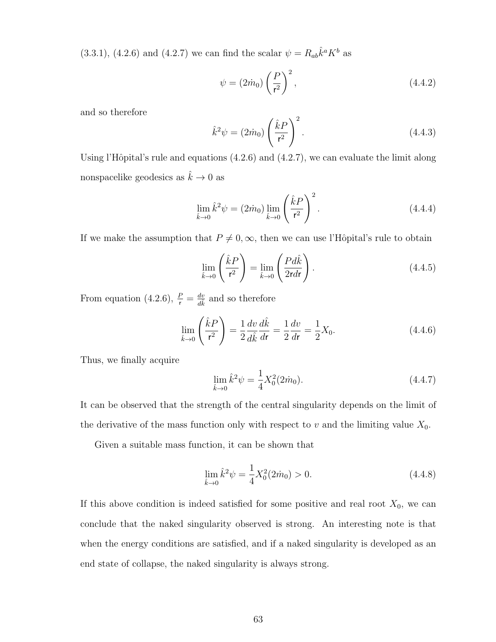$(3.3.1), (4.2.6)$  and  $(4.2.7)$  we can find the scalar  $\psi = R_{ab}\hat{k}^a K^b$  as

$$
\psi = (2\dot{m}_0) \left(\frac{P}{r^2}\right)^2,\tag{4.4.2}
$$

and so therefore

$$
\hat{k}^2 \psi = (2\dot{m}_0) \left(\frac{\hat{k}P}{\mathsf{r}^2}\right)^2.
$$
\n(4.4.3)

Using l'Hôpital's rule and equations  $(4.2.6)$  and  $(4.2.7)$ , we can evaluate the limit along nonspacelike geodesics as  $\hat{k} \to 0$  as

$$
\lim_{\hat{k}\to 0} \hat{k}^2 \psi = (2\dot{m}_0) \lim_{\hat{k}\to 0} \left(\frac{\hat{k}P}{r^2}\right)^2.
$$
\n(4.4.4)

If we make the assumption that  $P \neq 0, \infty$ , then we can use l'Hôpital's rule to obtain

$$
\lim_{\hat{k}\to 0} \left(\frac{\hat{k}P}{r^2}\right) = \lim_{\hat{k}\to 0} \left(\frac{Pd\hat{k}}{2rdr}\right). \tag{4.4.5}
$$

From equation (4.2.6),  $\frac{P}{r} = \frac{dv}{d\hat{k}}$  and so therefore

$$
\lim_{\hat{k}\to 0} \left(\frac{\hat{k}P}{r^2}\right) = \frac{1}{2} \frac{dv}{d\hat{k}} \frac{d\hat{k}}{dr} = \frac{1}{2} \frac{dv}{dr} = \frac{1}{2} X_0.
$$
\n(4.4.6)

Thus, we finally acquire

$$
\lim_{\hat{k}\to 0} \hat{k}^2 \psi = \frac{1}{4} X_0^2 (2\dot{m}_0). \tag{4.4.7}
$$

It can be observed that the strength of the central singularity depends on the limit of the derivative of the mass function only with respect to  $v$  and the limiting value  $X_0$ .

Given a suitable mass function, it can be shown that

$$
\lim_{\hat{k}\to 0} \hat{k}^2 \psi = \frac{1}{4} X_0^2 (2\dot{m}_0) > 0.
$$
\n(4.4.8)

If this above condition is indeed satisfied for some positive and real root  $X_0$ , we can conclude that the naked singularity observed is strong. An interesting note is that when the energy conditions are satisfied, and if a naked singularity is developed as an end state of collapse, the naked singularity is always strong.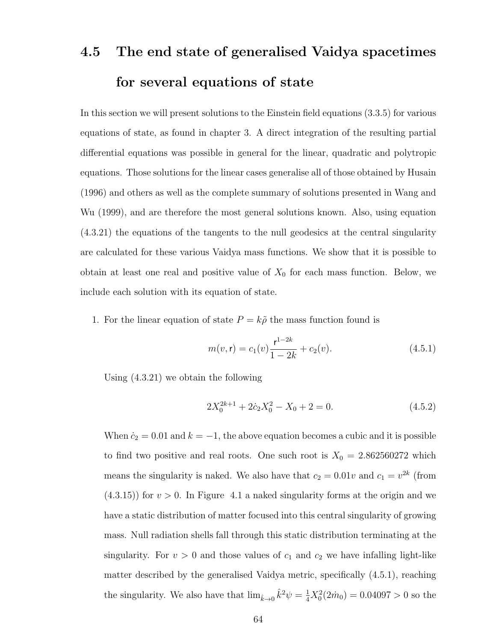# 4.5 The end state of generalised Vaidya spacetimes for several equations of state

In this section we will present solutions to the Einstein field equations (3.3.5) for various equations of state, as found in chapter 3. A direct integration of the resulting partial differential equations was possible in general for the linear, quadratic and polytropic equations. Those solutions for the linear cases generalise all of those obtained by Husain (1996) and others as well as the complete summary of solutions presented in Wang and Wu (1999), and are therefore the most general solutions known. Also, using equation (4.3.21) the equations of the tangents to the null geodesics at the central singularity are calculated for these various Vaidya mass functions. We show that it is possible to obtain at least one real and positive value of  $X_0$  for each mass function. Below, we include each solution with its equation of state.

1. For the linear equation of state  $P = k\tilde{\rho}$  the mass function found is

$$
m(v, \mathbf{r}) = c_1(v) \frac{\mathbf{r}^{1-2k}}{1-2k} + c_2(v). \tag{4.5.1}
$$

Using (4.3.21) we obtain the following

$$
2X_0^{2k+1} + 2c_2X_0^2 - X_0 + 2 = 0.
$$
\n(4.5.2)

When  $\dot{c}_2 = 0.01$  and  $k = -1$ , the above equation becomes a cubic and it is possible to find two positive and real roots. One such root is  $X_0 = 2.862560272$  which means the singularity is naked. We also have that  $c_2 = 0.01v$  and  $c_1 = v^{2k}$  (from  $(4.3.15)$  for  $v > 0$ . In Figure 4.1 a naked singularity forms at the origin and we have a static distribution of matter focused into this central singularity of growing mass. Null radiation shells fall through this static distribution terminating at the singularity. For  $v > 0$  and those values of  $c_1$  and  $c_2$  we have infalling light-like matter described by the generalised Vaidya metric, specifically (4.5.1), reaching the singularity. We also have that  $\lim_{\hat{k}\to 0} \hat{k}^2 \psi = \frac{1}{4} X_0^2 (2\dot{m}_0) = 0.04097 > 0$  so the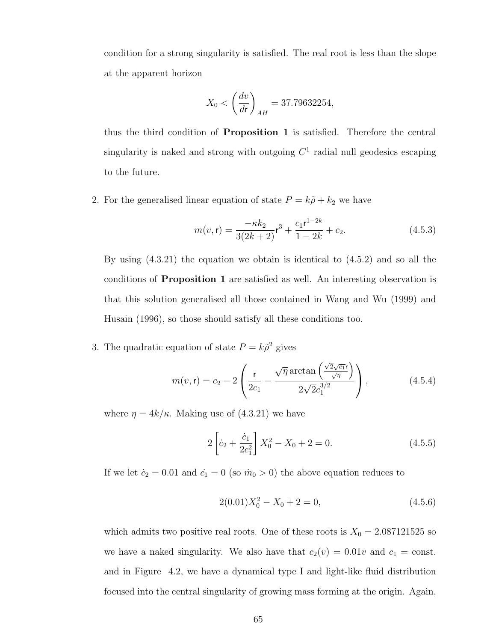condition for a strong singularity is satisfied. The real root is less than the slope at the apparent horizon

$$
X_0 < \left(\frac{dv}{dr}\right)_{AH} = 37.79632254,
$$

thus the third condition of Proposition 1 is satisfied. Therefore the central singularity is naked and strong with outgoing  $C<sup>1</sup>$  radial null geodesics escaping to the future.

2. For the generalised linear equation of state  $P = k\tilde{\rho} + k_2$  we have

$$
m(v, \mathbf{r}) = \frac{-\kappa k_2}{3(2k+2)} \mathbf{r}^3 + \frac{c_1 \mathbf{r}^{1-2k}}{1-2k} + c_2.
$$
 (4.5.3)

By using (4.3.21) the equation we obtain is identical to (4.5.2) and so all the conditions of Proposition 1 are satisfied as well. An interesting observation is that this solution generalised all those contained in Wang and Wu (1999) and Husain (1996), so those should satisfy all these conditions too.

3. The quadratic equation of state  $P = k\tilde{\rho}^2$  gives

$$
m(v, \mathbf{r}) = c_2 - 2 \left( \frac{\mathbf{r}}{2c_1} - \frac{\sqrt{\eta} \arctan\left(\frac{\sqrt{2}\sqrt{c_1}\mathbf{r}}{\sqrt{\eta}}\right)}{2\sqrt{2}c_1^{3/2}} \right),
$$
 (4.5.4)

where  $\eta = 4k/\kappa$ . Making use of  $(4.3.21)$  we have

$$
2\left[\dot{c}_2 + \frac{\dot{c}_1}{2c_1^2}\right]X_0^2 - X_0 + 2 = 0.
$$
 (4.5.5)

If we let  $\dot{c}_2 = 0.01$  and  $\dot{c}_1 = 0$  (so  $\dot{m}_0 > 0$ ) the above equation reduces to

$$
2(0.01)X_0^2 - X_0 + 2 = 0,
$$
\n(4.5.6)

which admits two positive real roots. One of these roots is  $X_0 = 2.087121525$  so we have a naked singularity. We also have that  $c_2(v) = 0.01v$  and  $c_1 = \text{const.}$ and in Figure 4.2, we have a dynamical type I and light-like fluid distribution focused into the central singularity of growing mass forming at the origin. Again,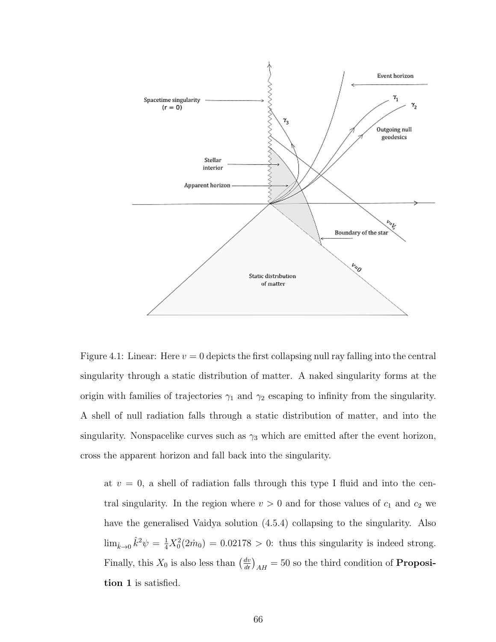

Figure 4.1: Linear: Here  $v = 0$  depicts the first collapsing null ray falling into the central singularity through a static distribution of matter. A naked singularity forms at the origin with families of trajectories  $\gamma_1$  and  $\gamma_2$  escaping to infinity from the singularity. A shell of null radiation falls through a static distribution of matter, and into the singularity. Nonspacelike curves such as  $\gamma_3$  which are emitted after the event horizon, cross the apparent horizon and fall back into the singularity.

at  $v = 0$ , a shell of radiation falls through this type I fluid and into the central singularity. In the region where  $v > 0$  and for those values of  $c_1$  and  $c_2$  we have the generalised Vaidya solution (4.5.4) collapsing to the singularity. Also  $\lim_{\hat{k}\to 0} \hat{k}^2 \psi = \frac{1}{4}X_0^2(2\hat{m}_0) = 0.02178 > 0$ : thus this singularity is indeed strong. Finally, this  $X_0$  is also less than  $\left(\frac{dv}{dx}\right)$  $\left(\frac{dv}{dr}\right)_{AH} = 50$  so the third condition of **Proposi**tion 1 is satisfied.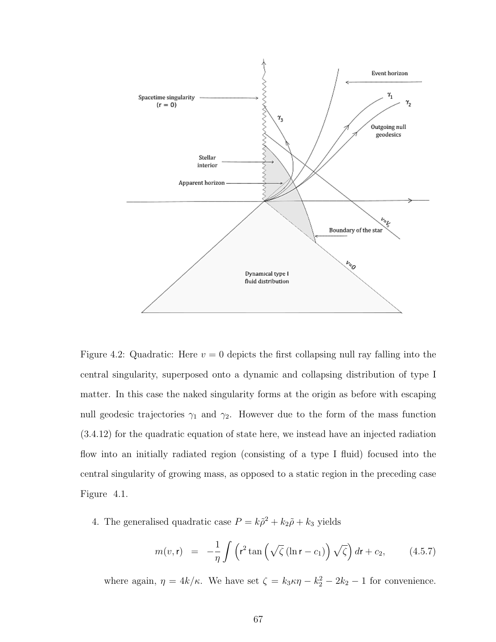

Figure 4.2: Quadratic: Here  $v = 0$  depicts the first collapsing null ray falling into the central singularity, superposed onto a dynamic and collapsing distribution of type I matter. In this case the naked singularity forms at the origin as before with escaping null geodesic trajectories  $\gamma_1$  and  $\gamma_2$ . However due to the form of the mass function (3.4.12) for the quadratic equation of state here, we instead have an injected radiation flow into an initially radiated region (consisting of a type I fluid) focused into the central singularity of growing mass, as opposed to a static region in the preceding case Figure 4.1.

4. The generalised quadratic case  $P = k\tilde{\rho}^2 + k_2\tilde{\rho} + k_3$  yields

$$
m(v,\mathbf{r}) = -\frac{1}{\eta} \int \left( \mathbf{r}^2 \tan \left( \sqrt{\zeta} \left( \ln \mathbf{r} - c_1 \right) \right) \sqrt{\zeta} \right) d\mathbf{r} + c_2, \quad (4.5.7)
$$

where again,  $\eta = 4k/\kappa$ . We have set  $\zeta = k_3 \kappa \eta - k_2^2 - 2k_2 - 1$  for convenience.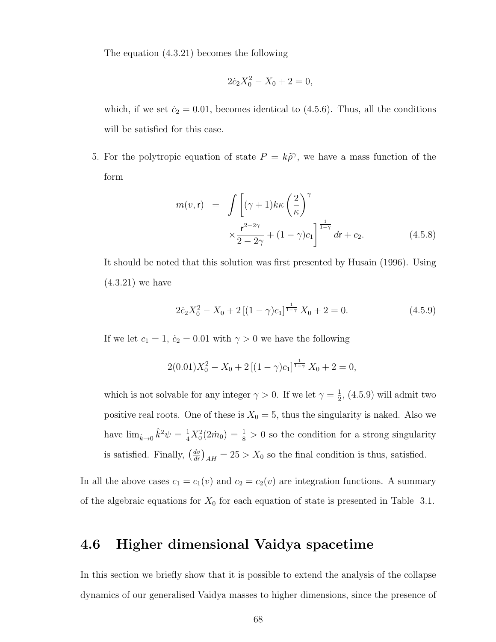The equation (4.3.21) becomes the following

$$
2\dot{c}_2X_0^2 - X_0 + 2 = 0,
$$

which, if we set  $\dot{c}_2 = 0.01$ , becomes identical to (4.5.6). Thus, all the conditions will be satisfied for this case.

5. For the polytropic equation of state  $P = k\tilde{\rho}^{\gamma}$ , we have a mass function of the form

$$
m(v, \mathbf{r}) = \int \left[ (\gamma + 1) k \kappa \left( \frac{2}{\kappa} \right)^{\gamma} \times \frac{\mathbf{r}^{2-2\gamma}}{2 - 2\gamma} + (1 - \gamma) c_1 \right]^{\frac{1}{1 - \gamma}} dr + c_2.
$$
 (4.5.8)

It should be noted that this solution was first presented by Husain (1996). Using (4.3.21) we have

$$
2\dot{c}_2 X_0^2 - X_0 + 2\left[ (1 - \gamma)c_1 \right]^{1 \over 1 - \gamma} X_0 + 2 = 0. \tag{4.5.9}
$$

If we let  $c_1 = 1$ ,  $\dot{c}_2 = 0.01$  with  $\gamma > 0$  we have the following

$$
2(0.01)X_0^2 - X_0 + 2[(1 - \gamma)c_1]^{\frac{1}{1 - \gamma}} X_0 + 2 = 0,
$$

which is not solvable for any integer  $\gamma > 0$ . If we let  $\gamma = \frac{1}{2}$  $\frac{1}{2}$ , (4.5.9) will admit two positive real roots. One of these is  $X_0 = 5$ , thus the singularity is naked. Also we have  $\lim_{\hat{k}\to 0} \hat{k}^2 \psi = \frac{1}{4}X_0^2(2\hat{m}_0) = \frac{1}{8} > 0$  so the condition for a strong singularity is satisfied. Finally,  $\left(\frac{dv}{dr}\right)$  $\left(\frac{dv}{dr}\right)_{AH} = 25 > X_0$  so the final condition is thus, satisfied.

In all the above cases  $c_1 = c_1(v)$  and  $c_2 = c_2(v)$  are integration functions. A summary of the algebraic equations for  $X_0$  for each equation of state is presented in Table 3.1.

# 4.6 Higher dimensional Vaidya spacetime

In this section we briefly show that it is possible to extend the analysis of the collapse dynamics of our generalised Vaidya masses to higher dimensions, since the presence of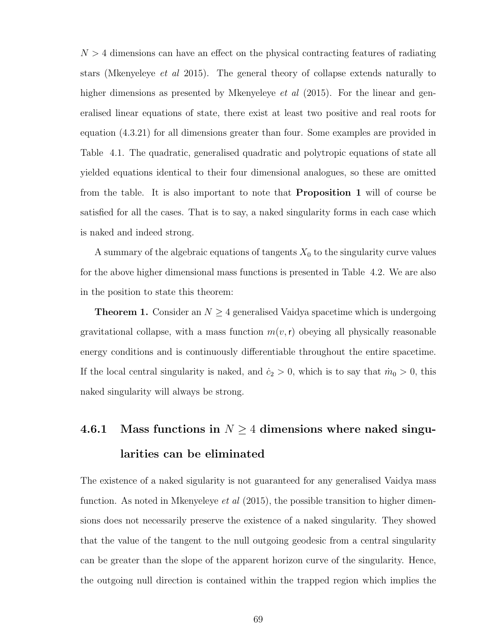$N > 4$  dimensions can have an effect on the physical contracting features of radiating stars (Mkenyeleye et al 2015). The general theory of collapse extends naturally to higher dimensions as presented by Mkenyeleye *et al* (2015). For the linear and generalised linear equations of state, there exist at least two positive and real roots for equation (4.3.21) for all dimensions greater than four. Some examples are provided in Table 4.1. The quadratic, generalised quadratic and polytropic equations of state all yielded equations identical to their four dimensional analogues, so these are omitted from the table. It is also important to note that Proposition 1 will of course be satisfied for all the cases. That is to say, a naked singularity forms in each case which is naked and indeed strong.

A summary of the algebraic equations of tangents  $X_0$  to the singularity curve values for the above higher dimensional mass functions is presented in Table 4.2. We are also in the position to state this theorem:

**Theorem 1.** Consider an  $N \geq 4$  generalised Vaidya spacetime which is undergoing gravitational collapse, with a mass function  $m(v, r)$  obeying all physically reasonable energy conditions and is continuously differentiable throughout the entire spacetime. If the local central singularity is naked, and  $\dot{c}_2 > 0$ , which is to say that  $\dot{m}_0 > 0$ , this naked singularity will always be strong.

# 4.6.1 Mass functions in  $N \geq 4$  dimensions where naked singularities can be eliminated

The existence of a naked sigularity is not guaranteed for any generalised Vaidya mass function. As noted in Mkenyeleye *et al*  $(2015)$ , the possible transition to higher dimensions does not necessarily preserve the existence of a naked singularity. They showed that the value of the tangent to the null outgoing geodesic from a central singularity can be greater than the slope of the apparent horizon curve of the singularity. Hence, the outgoing null direction is contained within the trapped region which implies the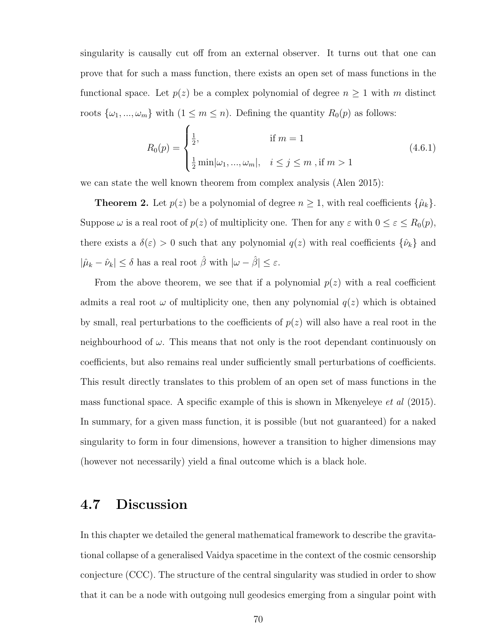singularity is causally cut off from an external observer. It turns out that one can prove that for such a mass function, there exists an open set of mass functions in the functional space. Let  $p(z)$  be a complex polynomial of degree  $n \geq 1$  with m distinct roots  $\{\omega_1, ..., \omega_m\}$  with  $(1 \leq m \leq n)$ . Defining the quantity  $R_0(p)$  as follows:

$$
R_0(p) = \begin{cases} \frac{1}{2}, & \text{if } m = 1\\ \frac{1}{2} \min |\omega_1, \dots, \omega_m|, & i \le j \le m \text{, if } m > 1 \end{cases}
$$
(4.6.1)

we can state the well known theorem from complex analysis (Alen 2015):

**Theorem 2.** Let  $p(z)$  be a polynomial of degree  $n \geq 1$ , with real coefficients  $\{\hat{\mu}_k\}$ . Suppose  $\omega$  is a real root of  $p(z)$  of multiplicity one. Then for any  $\varepsilon$  with  $0 \le \varepsilon \le R_0(p)$ , there exists a  $\delta(\varepsilon) > 0$  such that any polynomial  $q(z)$  with real coefficients  $\{\hat{\nu}_k\}$  and  $|\hat{\mu}_k - \hat{\nu}_k| \le \delta$  has a real root  $\hat{\beta}$  with  $|\omega - \hat{\beta}| \le \varepsilon$ .

From the above theorem, we see that if a polynomial  $p(z)$  with a real coefficient admits a real root  $\omega$  of multiplicity one, then any polynomial  $q(z)$  which is obtained by small, real perturbations to the coefficients of  $p(z)$  will also have a real root in the neighbourhood of  $\omega$ . This means that not only is the root dependant continuously on coefficients, but also remains real under sufficiently small perturbations of coefficients. This result directly translates to this problem of an open set of mass functions in the mass functional space. A specific example of this is shown in Mkenyeleye et al (2015). In summary, for a given mass function, it is possible (but not guaranteed) for a naked singularity to form in four dimensions, however a transition to higher dimensions may (however not necessarily) yield a final outcome which is a black hole.

# 4.7 Discussion

In this chapter we detailed the general mathematical framework to describe the gravitational collapse of a generalised Vaidya spacetime in the context of the cosmic censorship conjecture (CCC). The structure of the central singularity was studied in order to show that it can be a node with outgoing null geodesics emerging from a singular point with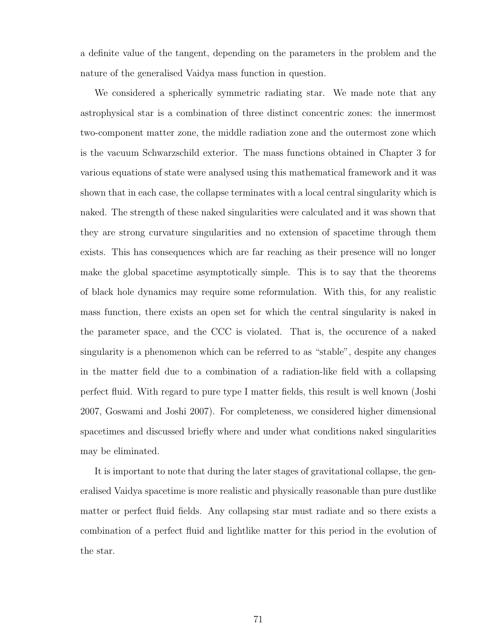a definite value of the tangent, depending on the parameters in the problem and the nature of the generalised Vaidya mass function in question.

We considered a spherically symmetric radiating star. We made note that any astrophysical star is a combination of three distinct concentric zones: the innermost two-component matter zone, the middle radiation zone and the outermost zone which is the vacuum Schwarzschild exterior. The mass functions obtained in Chapter 3 for various equations of state were analysed using this mathematical framework and it was shown that in each case, the collapse terminates with a local central singularity which is naked. The strength of these naked singularities were calculated and it was shown that they are strong curvature singularities and no extension of spacetime through them exists. This has consequences which are far reaching as their presence will no longer make the global spacetime asymptotically simple. This is to say that the theorems of black hole dynamics may require some reformulation. With this, for any realistic mass function, there exists an open set for which the central singularity is naked in the parameter space, and the CCC is violated. That is, the occurence of a naked singularity is a phenomenon which can be referred to as "stable", despite any changes in the matter field due to a combination of a radiation-like field with a collapsing perfect fluid. With regard to pure type I matter fields, this result is well known (Joshi 2007, Goswami and Joshi 2007). For completeness, we considered higher dimensional spacetimes and discussed briefly where and under what conditions naked singularities may be eliminated.

It is important to note that during the later stages of gravitational collapse, the generalised Vaidya spacetime is more realistic and physically reasonable than pure dustlike matter or perfect fluid fields. Any collapsing star must radiate and so there exists a combination of a perfect fluid and lightlike matter for this period in the evolution of the star.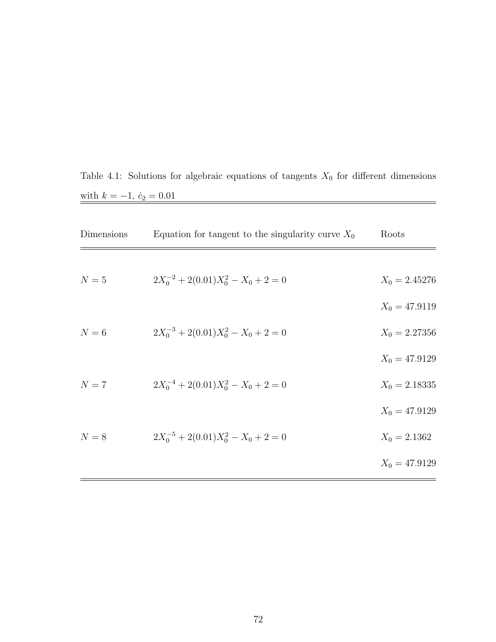Table 4.1: Solutions for algebraic equations of tangents  $X_0$  for different dimensions with  $k = -1$ ,  $\dot{c}_2 = 0.01$ 

| Dimensions | Equation for tangent to the singularity curve $X_0$ | Roots           |
|------------|-----------------------------------------------------|-----------------|
|            |                                                     |                 |
| $N=5$      | $2X_0^{-2} + 2(0.01)X_0^2 - X_0 + 2 = 0$            | $X_0 = 2.45276$ |
|            |                                                     | $X_0 = 47.9119$ |
| $N=6$      | $2X_0^{-3} + 2(0.01)X_0^2 - X_0 + 2 = 0$            | $X_0 = 2.27356$ |
|            |                                                     | $X_0 = 47.9129$ |
| $N=7$      | $2X_0^{-4} + 2(0.01)X_0^2 - X_0 + 2 = 0$            | $X_0 = 2.18335$ |
|            |                                                     | $X_0 = 47.9129$ |
| $N=8$      | $2X_0^{-5} + 2(0.01)X_0^2 - X_0 + 2 = 0$            | $X_0 = 2.1362$  |
|            |                                                     | $X_0 = 47.9129$ |
|            |                                                     |                 |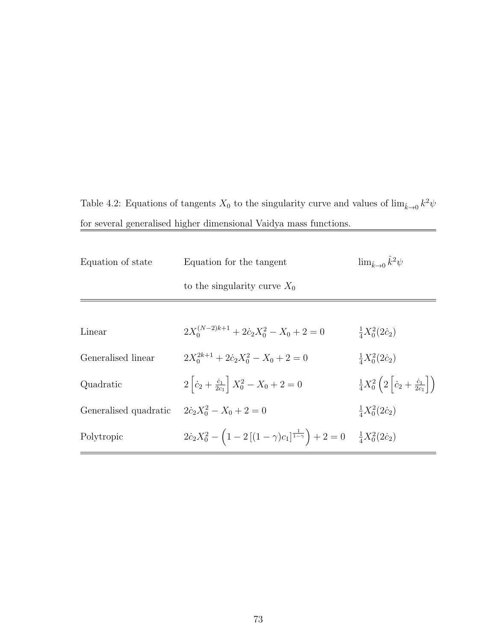Table 4.2: Equations of tangents  $X_0$  to the singularity curve and values of  $\lim_{\hat{k}\to 0} k^2\psi$ for several generalised higher dimensional Vaidya mass functions. L,

| Equation of state     | Equation for the tangent                                                                                                     | $\lim_{\hat{k}\to 0} \hat{k}^2 \psi$                                          |  |
|-----------------------|------------------------------------------------------------------------------------------------------------------------------|-------------------------------------------------------------------------------|--|
|                       | to the singularity curve $X_0$                                                                                               |                                                                               |  |
|                       |                                                                                                                              |                                                                               |  |
| Linear                | $2X_0^{(N-2)k+1} + 2\dot{c}_2X_0^2 - X_0 + 2 = 0$                                                                            | $\frac{1}{4}X_0^2(2c_2)$                                                      |  |
| Generalised linear    | $2X_0^{2k+1} + 2c_2X_0^2 - X_0 + 2 = 0$                                                                                      | $\frac{1}{4}X_0^2(2\dot{c}_2)$                                                |  |
| Quadratic             | $2\left[\dot{c}_2 + \frac{\dot{c}_1}{2c_1}\right]X_0^2 - X_0 + 2 = 0$                                                        | $\frac{1}{4}X_0^2\left(2\left \dot{c}_2+\frac{\dot{c}_1}{2c_1}\right \right)$ |  |
| Generalised quadratic | $2\dot{c}_2X_0^2 - X_0 + 2 = 0$                                                                                              | $\frac{1}{4}X_0^2(2c_2)$                                                      |  |
| Polytropic            | $2\dot{c}_2X_0^2 - \left(1 - 2\left[(1-\gamma)c_1\right]^{\frac{1}{1-\gamma}}\right) + 2 = 0$ $\frac{1}{4}X_0^2(2\dot{c}_2)$ |                                                                               |  |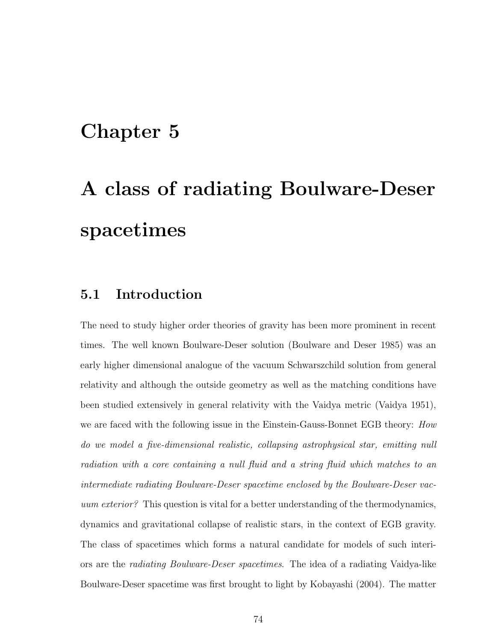# Chapter 5

# A class of radiating Boulware-Deser spacetimes

# 5.1 Introduction

The need to study higher order theories of gravity has been more prominent in recent times. The well known Boulware-Deser solution (Boulware and Deser 1985) was an early higher dimensional analogue of the vacuum Schwarszchild solution from general relativity and although the outside geometry as well as the matching conditions have been studied extensively in general relativity with the Vaidya metric (Vaidya 1951), we are faced with the following issue in the Einstein-Gauss-Bonnet EGB theory: How do we model a five-dimensional realistic, collapsing astrophysical star, emitting null radiation with a core containing a null fluid and a string fluid which matches to an intermediate radiating Boulware-Deser spacetime enclosed by the Boulware-Deser vacuum exterior? This question is vital for a better understanding of the thermodynamics, dynamics and gravitational collapse of realistic stars, in the context of EGB gravity. The class of spacetimes which forms a natural candidate for models of such interiors are the radiating Boulware-Deser spacetimes. The idea of a radiating Vaidya-like Boulware-Deser spacetime was first brought to light by Kobayashi (2004). The matter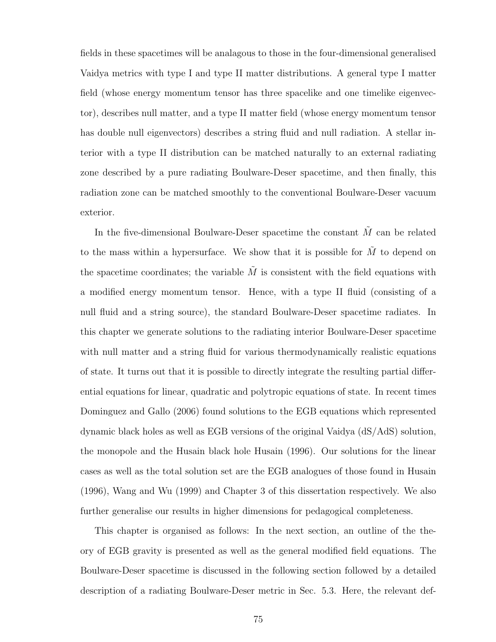fields in these spacetimes will be analagous to those in the four-dimensional generalised Vaidya metrics with type I and type II matter distributions. A general type I matter field (whose energy momentum tensor has three spacelike and one timelike eigenvector), describes null matter, and a type II matter field (whose energy momentum tensor has double null eigenvectors) describes a string fluid and null radiation. A stellar interior with a type II distribution can be matched naturally to an external radiating zone described by a pure radiating Boulware-Deser spacetime, and then finally, this radiation zone can be matched smoothly to the conventional Boulware-Deser vacuum exterior.

In the five-dimensional Boulware-Deser spacetime the constant  $\tilde{M}$  can be related to the mass within a hypersurface. We show that it is possible for  $\tilde{M}$  to depend on the spacetime coordinates; the variable  $\tilde{M}$  is consistent with the field equations with a modified energy momentum tensor. Hence, with a type II fluid (consisting of a null fluid and a string source), the standard Boulware-Deser spacetime radiates. In this chapter we generate solutions to the radiating interior Boulware-Deser spacetime with null matter and a string fluid for various thermodynamically realistic equations of state. It turns out that it is possible to directly integrate the resulting partial differential equations for linear, quadratic and polytropic equations of state. In recent times Dominguez and Gallo (2006) found solutions to the EGB equations which represented dynamic black holes as well as EGB versions of the original Vaidya (dS/AdS) solution, the monopole and the Husain black hole Husain (1996). Our solutions for the linear cases as well as the total solution set are the EGB analogues of those found in Husain (1996), Wang and Wu (1999) and Chapter 3 of this dissertation respectively. We also further generalise our results in higher dimensions for pedagogical completeness.

This chapter is organised as follows: In the next section, an outline of the theory of EGB gravity is presented as well as the general modified field equations. The Boulware-Deser spacetime is discussed in the following section followed by a detailed description of a radiating Boulware-Deser metric in Sec. 5.3. Here, the relevant def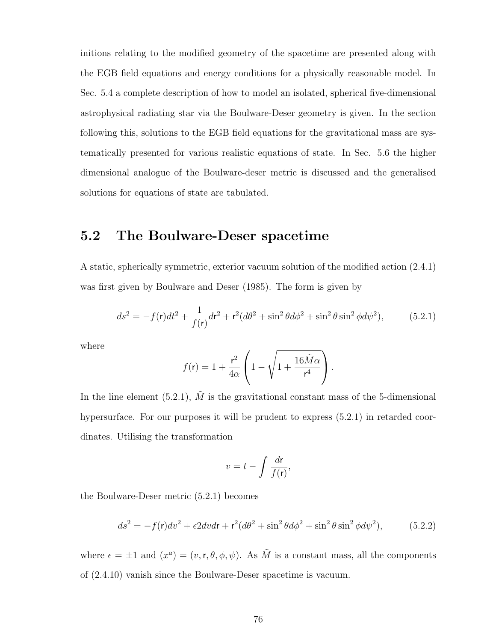initions relating to the modified geometry of the spacetime are presented along with the EGB field equations and energy conditions for a physically reasonable model. In Sec. 5.4 a complete description of how to model an isolated, spherical five-dimensional astrophysical radiating star via the Boulware-Deser geometry is given. In the section following this, solutions to the EGB field equations for the gravitational mass are systematically presented for various realistic equations of state. In Sec. 5.6 the higher dimensional analogue of the Boulware-deser metric is discussed and the generalised solutions for equations of state are tabulated.

# 5.2 The Boulware-Deser spacetime

A static, spherically symmetric, exterior vacuum solution of the modified action (2.4.1) was first given by Boulware and Deser (1985). The form is given by

$$
ds^{2} = -f(\mathbf{r})dt^{2} + \frac{1}{f(\mathbf{r})}d\mathbf{r}^{2} + \mathbf{r}^{2}(d\theta^{2} + \sin^{2}\theta d\phi^{2} + \sin^{2}\theta \sin^{2}\phi d\psi^{2}), \qquad (5.2.1)
$$

where

$$
f(\mathsf{r}) = 1 + \frac{\mathsf{r}^2}{4\alpha} \left( 1 - \sqrt{1 + \frac{16\tilde{M}\alpha}{\mathsf{r}^4}} \right).
$$

In the line element (5.2.1),  $\tilde{M}$  is the gravitational constant mass of the 5-dimensional hypersurface. For our purposes it will be prudent to express  $(5.2.1)$  in retarded coordinates. Utilising the transformation

$$
v = t - \int \frac{d\mathbf{r}}{f(\mathbf{r})},
$$

the Boulware-Deser metric (5.2.1) becomes

$$
ds^2 = -f(\mathbf{r})dv^2 + \epsilon 2dv dr + \mathbf{r}^2(d\theta^2 + \sin^2\theta d\phi^2 + \sin^2\theta \sin^2\phi d\psi^2),
$$
 (5.2.2)

where  $\epsilon = \pm 1$  and  $(x^a) = (v, r, \theta, \phi, \psi)$ . As  $\tilde{M}$  is a constant mass, all the components of (2.4.10) vanish since the Boulware-Deser spacetime is vacuum.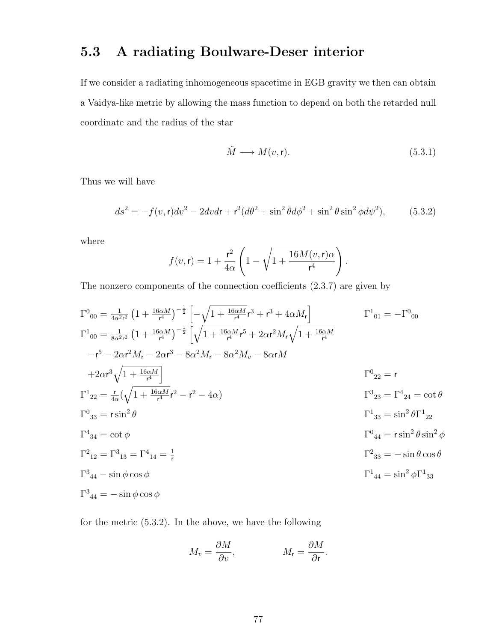# 5.3 A radiating Boulware-Deser interior

If we consider a radiating inhomogeneous spacetime in EGB gravity we then can obtain a Vaidya-like metric by allowing the mass function to depend on both the retarded null coordinate and the radius of the star

$$
\tilde{M} \longrightarrow M(v, \mathbf{r}).\tag{5.3.1}
$$

Thus we will have

$$
ds^{2} = -f(v, \mathbf{r})dv^{2} - 2dv dr + \mathbf{r}^{2}(d\theta^{2} + \sin^{2}\theta d\phi^{2} + \sin^{2}\theta \sin^{2}\phi d\psi^{2}),
$$
 (5.3.2)

where

$$
f(v,r) = 1 + \frac{r^2}{4\alpha} \left( 1 - \sqrt{1 + \frac{16M(v,r)\alpha}{r^4}} \right).
$$

The nonzero components of the connection coefficients (2.3.7) are given by

$$
\Gamma^{0}_{00} = \frac{1}{4\alpha^{2}r^{2}} \left(1 + \frac{16\alpha M}{r^{4}}\right)^{-\frac{1}{2}} \left[\sqrt{1 + \frac{16\alpha M}{r^{4}}}r^{3} + r^{3} + 4\alpha M_{r}\right]
$$
\n
$$
\Gamma^{1}_{00} = \frac{1}{8\alpha^{2}r^{2}} \left(1 + \frac{16\alpha M}{r^{4}}\right)^{-\frac{1}{2}} \left[\sqrt{1 + \frac{16\alpha M}{r^{4}}}r^{5} + 2\alpha r^{2}M_{r}\sqrt{1 + \frac{16\alpha M}{r^{4}}}}
$$
\n
$$
-r^{5} - 2\alpha r^{2}M_{r} - 2\alpha r^{3} - 8\alpha^{2}M_{r} - 8\alpha^{2}M_{v} - 8\alpha rM
$$
\n
$$
+2\alpha r^{3}\sqrt{1 + \frac{16\alpha M}{r^{4}}}\right]
$$
\n
$$
\Gamma^{0}_{22} = r
$$
\n
$$
\Gamma^{1}_{22} = \frac{r}{4\alpha}(\sqrt{1 + \frac{16\alpha M}{r^{4}}}r^{2} - r^{2} - 4\alpha)
$$
\n
$$
\Gamma^{0}_{33} = r\sin^{2}\theta
$$
\n
$$
\Gamma^{1}_{33} = \sin^{2}\theta\Gamma^{1}_{22}
$$
\n
$$
\Gamma^{4}_{34} = \cot\phi
$$
\n
$$
\Gamma^{2}_{12} = \Gamma^{3}_{13} = \Gamma^{4}_{14} = \frac{1}{r}
$$
\n
$$
\Gamma^{2}_{12} = \Gamma^{3}_{13} = \Gamma^{4}_{14} = \frac{1}{r}
$$
\n
$$
\Gamma^{2}_{33} = -\sin\theta\cos\theta
$$
\n
$$
\Gamma^{1}_{44} = \sin^{2}\phi\Gamma^{1}_{33}
$$
\n
$$
\Gamma^{3}_{44} = -\sin\phi\cos\phi
$$
\n
$$
\Gamma^{1}_{44} = \sin^{2}\phi\Gamma^{1}_{33}
$$

for the metric (5.3.2). In the above, we have the following

$$
M_v = \frac{\partial M}{\partial v}, \qquad M_r = \frac{\partial M}{\partial r}.
$$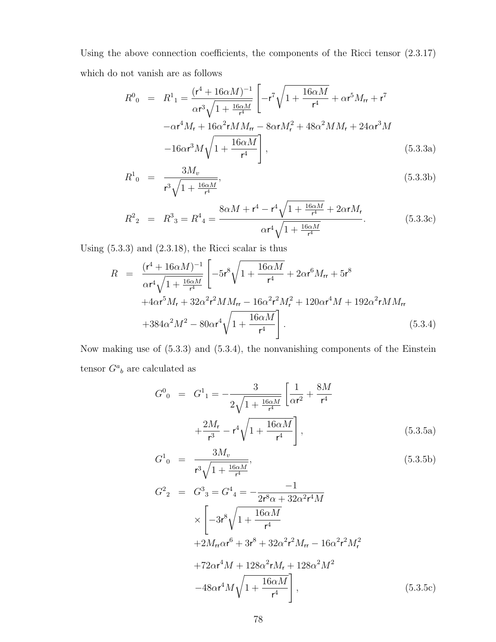Using the above connection coefficients, the components of the Ricci tensor (2.3.17) which do not vanish are as follows

$$
R^{0}_{0} = R^{1}_{1} = \frac{(r^{4} + 16\alpha M)^{-1}}{\alpha r^{3} \sqrt{1 + \frac{16\alpha M}{r^{4}}}} \left[ -r^{7} \sqrt{1 + \frac{16\alpha M}{r^{4}}} + \alpha r^{5} M_{rr} + r^{7} -\alpha r^{4} M_{r} + 16\alpha^{2} r M M_{rr} - 8\alpha r M_{r}^{2} + 48\alpha^{2} M M_{r} + 24\alpha r^{3} M -16\alpha r^{3} M \sqrt{1 + \frac{16\alpha M}{r^{4}}} \right],
$$
\n(5.3.3a)

$$
R^{1}_{0} = \frac{3M_{v}}{r^{3}\sqrt{1 + \frac{16\alpha M}{r^{4}}}},
$$
\n(5.3.3b)

$$
R^{2}_{2} = R^{3}_{3} = R^{4}_{4} = \frac{8\alpha M + r^{4} - r^{4}\sqrt{1 + \frac{16\alpha M}{r^{4}}} + 2\alpha r M_{r}}{\alpha r^{4}\sqrt{1 + \frac{16\alpha M}{r^{4}}}}.
$$
(5.3.3c)

Using (5.3.3) and (2.3.18), the Ricci scalar is thus

$$
R = \frac{(r^4 + 16\alpha M)^{-1}}{\alpha r^4 \sqrt{1 + \frac{16\alpha M}{r^4}}} \left[ -5r^8 \sqrt{1 + \frac{16\alpha M}{r^4}} + 2\alpha r^6 M_{rr} + 5r^8 + 4\alpha r^5 M_r + 32\alpha^2 r^2 M M_{rr} - 16\alpha^2 r^2 M_r^2 + 120\alpha r^4 M + 192\alpha^2 r M M_{rr} + 384\alpha^2 M^2 - 80\alpha r^4 \sqrt{1 + \frac{16\alpha M}{r^4}} \right].
$$
\n(5.3.4)

Now making use of (5.3.3) and (5.3.4), the nonvanishing components of the Einstein tensor  $G^a{}_b$  are calculated as

$$
G^{0}_{0} = G^{1}_{1} = -\frac{3}{2\sqrt{1 + \frac{16\alpha M}{r^{4}}}} \left[ \frac{1}{\alpha r^{2}} + \frac{8M}{r^{4}} + \frac{2M_{r}}{r^{3}} - r^{4}\sqrt{1 + \frac{16\alpha M}{r^{4}}} \right],
$$
\n(5.3.5a)

$$
G^{1}_{0} = \frac{3M_{v}}{r^{3}\sqrt{1 + \frac{16\alpha M}{r^{4}}}},
$$
\n(5.3.5b)

$$
G^{2}_{2} = G^{3}_{3} = G^{4}_{4} = -\frac{-1}{2r^{8}\alpha + 32\alpha^{2}r^{4}M}
$$
  
\n
$$
\times \left[ -3r^{8}\sqrt{1 + \frac{16\alpha M}{r^{4}}} +2M_{rr}\alpha r^{6} + 3r^{8} + 32\alpha^{2}r^{2}M_{rr} - 16\alpha^{2}r^{2}M_{r}^{2} + 72\alpha r^{4}M + 128\alpha^{2}rM_{r} + 128\alpha^{2}M^{2} - 48\alpha r^{4}M\sqrt{1 + \frac{16\alpha M}{r^{4}}} \right],
$$
\n(5.3.5c)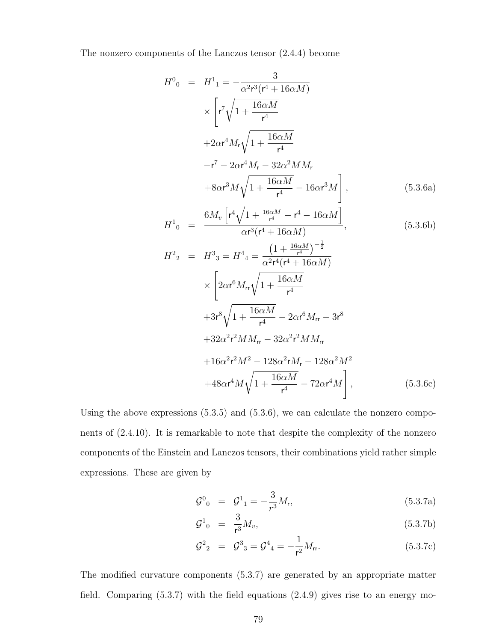The nonzero components of the Lanczos tensor (2.4.4) become

$$
H^{0}_{0} = H^{1}_{1} = -\frac{3}{\alpha^{2}r^{3}(r^{4} + 16\alpha M)} \times \left[ r^{7} \sqrt{1 + \frac{16\alpha M}{r^{4}}} + 2\alpha r^{4} M_{r} \sqrt{1 + \frac{16\alpha M}{r^{4}}} - r^{7} - 2\alpha r^{4} M_{r} - 32\alpha^{2} M M_{r} + 8\alpha r^{3} M \sqrt{1 + \frac{16\alpha M}{r^{4}}} - 16\alpha r^{3} M \right], \qquad (5.3.6a)
$$
\n
$$
H^{1}_{0} = \frac{6M_{v} \left[ r^{4} \sqrt{1 + \frac{16\alpha M}{r^{4}}} - r^{4} - 16\alpha M \right]}{\alpha r^{3}(r^{4} + 16\alpha M)}, \qquad (5.3.6b)
$$
\n
$$
H^{2}_{2} = H^{3}_{3} = H^{4}_{4} = \frac{\left(1 + \frac{16\alpha M}{r^{4}}\right)^{-\frac{1}{2}}}{\alpha^{2}r^{4}(r^{4} + 16\alpha M)}
$$
\n
$$
\times \left[ 2\alpha r^{6} M_{r} \sqrt{1 + \frac{16\alpha M}{r^{4}}} - 2\alpha r^{6} M_{r} - 3r^{8} + 32\alpha^{2}r^{2} M M_{r} - 32\alpha^{2}r^{2} M M_{r} - 128\alpha^{2} M^{2} + 48\alpha r^{4} M \sqrt{1 + \frac{16\alpha M}{r^{4}}} - 72\alpha r^{4} M \right], \qquad (5.3.6c)
$$

Using the above expressions  $(5.3.5)$  and  $(5.3.6)$ , we can calculate the nonzero components of (2.4.10). It is remarkable to note that despite the complexity of the nonzero components of the Einstein and Lanczos tensors, their combinations yield rather simple expressions. These are given by

$$
\mathcal{G}^0{}_0 = \mathcal{G}^1{}_1 = -\frac{3}{r^3} M_r,\tag{5.3.7a}
$$

$$
\mathcal{G}^1_{0} = \frac{3}{r^3} M_v, \tag{5.3.7b}
$$

$$
\mathcal{G}^2{}_2 = \mathcal{G}^3{}_3 = \mathcal{G}^4{}_4 = -\frac{1}{r^2} M_{rr}.\tag{5.3.7c}
$$

The modified curvature components (5.3.7) are generated by an appropriate matter field. Comparing (5.3.7) with the field equations (2.4.9) gives rise to an energy mo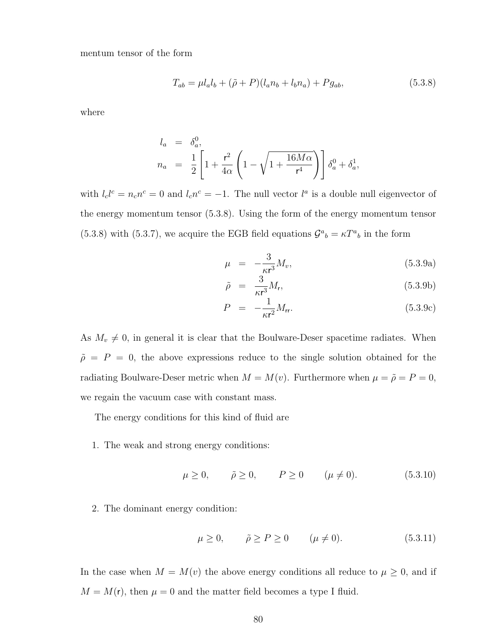mentum tensor of the form

$$
T_{ab} = \mu l_a l_b + (\tilde{\rho} + P)(l_a n_b + l_b n_a) + P g_{ab},
$$
\n(5.3.8)

where

$$
l_a = \delta_a^0,
$$
  
\n
$$
n_a = \frac{1}{2} \left[ 1 + \frac{r^2}{4\alpha} \left( 1 - \sqrt{1 + \frac{16M\alpha}{r^4}} \right) \right] \delta_a^0 + \delta_a^1,
$$

with  $l_c l^c = n_c n^c = 0$  and  $l_c n^c = -1$ . The null vector  $l^a$  is a double null eigenvector of the energy momentum tensor (5.3.8). Using the form of the energy momentum tensor (5.3.8) with (5.3.7), we acquire the EGB field equations  $\mathcal{G}^a{}_b = \kappa T^a{}_b$  in the form

$$
\mu = -\frac{3}{\kappa r^3} M_v,\tag{5.3.9a}
$$

$$
\tilde{\rho} = \frac{3}{\kappa r^3} M_r, \tag{5.3.9b}
$$

$$
P = -\frac{1}{\kappa r^2} M_{rr}.
$$
 (5.3.9c)

As  $M_v \neq 0$ , in general it is clear that the Boulware-Deser spacetime radiates. When  $\tilde{\rho}$  = P = 0, the above expressions reduce to the single solution obtained for the radiating Boulware-Deser metric when  $M = M(v)$ . Furthermore when  $\mu = \tilde{\rho} = P = 0$ , we regain the vacuum case with constant mass.

The energy conditions for this kind of fluid are

1. The weak and strong energy conditions:

$$
\mu \ge 0, \quad \tilde{\rho} \ge 0, \quad P \ge 0 \quad (\mu \ne 0).
$$
\n(5.3.10)

2. The dominant energy condition:

$$
\mu \ge 0, \qquad \tilde{\rho} \ge P \ge 0 \qquad (\mu \ne 0). \tag{5.3.11}
$$

In the case when  $M = M(v)$  the above energy conditions all reduce to  $\mu \geq 0$ , and if  $M = M(r)$ , then  $\mu = 0$  and the matter field becomes a type I fluid.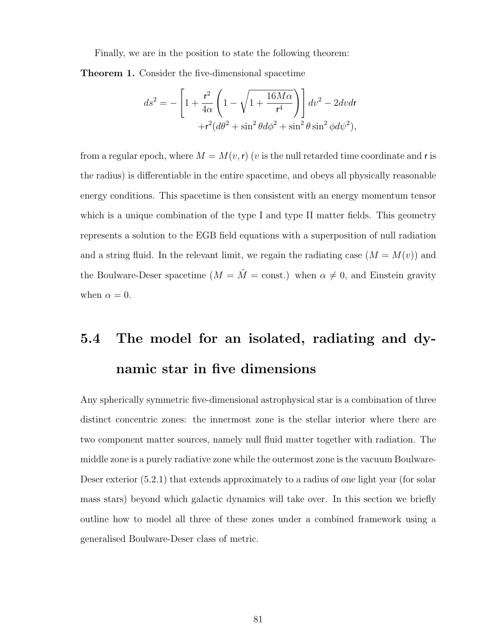Finally, we are in the position to state the following theorem:

Theorem 1. Consider the five-dimensional spacetime

$$
ds^{2} = -\left[1 + \frac{r^{2}}{4\alpha} \left(1 - \sqrt{1 + \frac{16M\alpha}{r^{4}}}\right)\right] dv^{2} - 2dvdr + r^{2}(d\theta^{2} + \sin^{2}\theta d\phi^{2} + \sin^{2}\theta \sin^{2}\phi d\psi^{2}),
$$

from a regular epoch, where  $M = M(v, r)$  (v is the null retarded time coordinate and r is the radius) is differentiable in the entire spacetime, and obeys all physically reasonable energy conditions. This spacetime is then consistent with an energy momentum tensor which is a unique combination of the type I and type II matter fields. This geometry represents a solution to the EGB field equations with a superposition of null radiation and a string fluid. In the relevant limit, we regain the radiating case  $(M = M(v))$  and the Boulware-Deser spacetime  $(M = \tilde{M} = \text{const.})$  when  $\alpha \neq 0$ , and Einstein gravity when  $\alpha = 0$ .

# 5.4 The model for an isolated, radiating and dynamic star in five dimensions

Any spherically symmetric five-dimensional astrophysical star is a combination of three distinct concentric zones: the innermost zone is the stellar interior where there are two component matter sources, namely null fluid matter together with radiation. The middle zone is a purely radiative zone while the outermost zone is the vacuum Boulware-Deser exterior (5.2.1) that extends approximately to a radius of one light year (for solar mass stars) beyond which galactic dynamics will take over. In this section we briefly outline how to model all three of these zones under a combined framework using a generalised Boulware-Deser class of metric.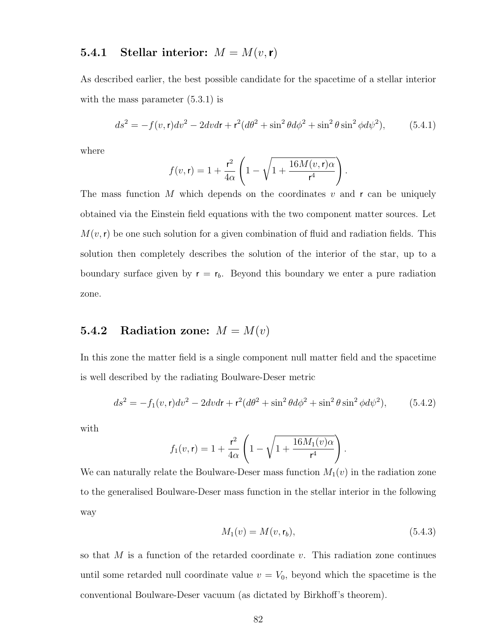#### **5.4.1** Stellar interior:  $M = M(v, r)$

As described earlier, the best possible candidate for the spacetime of a stellar interior with the mass parameter  $(5.3.1)$  is

$$
ds^{2} = -f(v, \mathbf{r})dv^{2} - 2dvdr + \mathbf{r}^{2}(d\theta^{2} + \sin^{2}\theta d\phi^{2} + \sin^{2}\theta \sin^{2}\phi d\psi^{2}),
$$
 (5.4.1)

.

where

$$
f(v, \mathbf{r}) = 1 + \frac{\mathbf{r}^2}{4\alpha} \left( 1 - \sqrt{1 + \frac{16M(v, \mathbf{r})\alpha}{\mathbf{r}^4}} \right)
$$

The mass function M which depends on the coordinates  $v$  and  $r$  can be uniquely obtained via the Einstein field equations with the two component matter sources. Let  $M(v, r)$  be one such solution for a given combination of fluid and radiation fields. This solution then completely describes the solution of the interior of the star, up to a boundary surface given by  $r = r_b$ . Beyond this boundary we enter a pure radiation zone.

#### 5.4.2 Radiation zone:  $M = M(v)$

In this zone the matter field is a single component null matter field and the spacetime is well described by the radiating Boulware-Deser metric

$$
ds^{2} = -f_{1}(v, \mathbf{r})dv^{2} - 2dv dr + \mathbf{r}^{2}(d\theta^{2} + \sin^{2}\theta d\phi^{2} + \sin^{2}\theta \sin^{2}\phi d\psi^{2}), \qquad (5.4.2)
$$

with

$$
f_1(v,r) = 1 + \frac{r^2}{4\alpha} \left( 1 - \sqrt{1 + \frac{16M_1(v)\alpha}{r^4}} \right).
$$

We can naturally relate the Boulware-Deser mass function  $M_1(v)$  in the radiation zone to the generalised Boulware-Deser mass function in the stellar interior in the following way

$$
M_1(v) = M(v, \mathsf{r}_b),\tag{5.4.3}
$$

so that  $M$  is a function of the retarded coordinate  $v$ . This radiation zone continues until some retarded null coordinate value  $v = V_0$ , beyond which the spacetime is the conventional Boulware-Deser vacuum (as dictated by Birkhoff's theorem).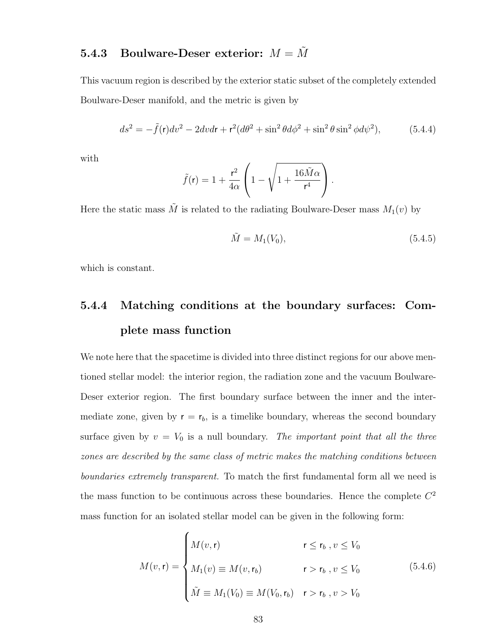# 5.4.3 Boulware-Deser exterior:  $M = \tilde{M}$

This vacuum region is described by the exterior static subset of the completely extended Boulware-Deser manifold, and the metric is given by

$$
ds^{2} = -\tilde{f}(\mathbf{r})dv^{2} - 2dvdr + \mathbf{r}^{2}(d\theta^{2} + \sin^{2}\theta d\phi^{2} + \sin^{2}\theta \sin^{2}\phi d\psi^{2}),
$$
 (5.4.4)

with

$$
\tilde{f}(\mathsf{r}) = 1 + \frac{\mathsf{r}^2}{4\alpha} \left( 1 - \sqrt{1 + \frac{16\tilde{M}\alpha}{\mathsf{r}^4}} \right).
$$

Here the static mass  $\tilde{M}$  is related to the radiating Boulware-Deser mass  $M_1(v)$  by

$$
\tilde{M} = M_1(V_0),\tag{5.4.5}
$$

which is constant.

# 5.4.4 Matching conditions at the boundary surfaces: Complete mass function

We note here that the spacetime is divided into three distinct regions for our above mentioned stellar model: the interior region, the radiation zone and the vacuum Boulware-Deser exterior region. The first boundary surface between the inner and the intermediate zone, given by  $r = r_b$ , is a timelike boundary, whereas the second boundary surface given by  $v = V_0$  is a null boundary. The important point that all the three zones are described by the same class of metric makes the matching conditions between boundaries extremely transparent. To match the first fundamental form all we need is the mass function to be continuous across these boundaries. Hence the complete  $C<sup>2</sup>$ mass function for an isolated stellar model can be given in the following form:

$$
M(v, \mathbf{r}) = \begin{cases} M(v, \mathbf{r}) & \mathbf{r} \le \mathbf{r}_b, v \le V_0 \\ M_1(v) \equiv M(v, \mathbf{r}_b) & \mathbf{r} > \mathbf{r}_b, v \le V_0 \\ \tilde{M} \equiv M_1(V_0) \equiv M(V_0, \mathbf{r}_b) & \mathbf{r} > \mathbf{r}_b, v > V_0 \end{cases}
$$
 (5.4.6)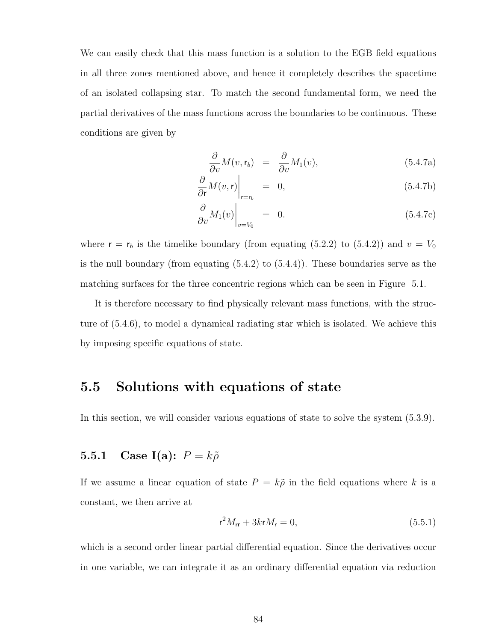We can easily check that this mass function is a solution to the EGB field equations in all three zones mentioned above, and hence it completely describes the spacetime of an isolated collapsing star. To match the second fundamental form, we need the partial derivatives of the mass functions across the boundaries to be continuous. These conditions are given by

$$
\frac{\partial}{\partial v}M(v,\mathbf{r}_b) = \frac{\partial}{\partial v}M_1(v),\tag{5.4.7a}
$$

$$
\left. \frac{\partial}{\partial r} M(v, r) \right|_{r=r_b} = 0, \tag{5.4.7b}
$$

$$
\left. \frac{\partial}{\partial v} M_1(v) \right|_{v=V_0} = 0. \tag{5.4.7c}
$$

where  $r = r_b$  is the timelike boundary (from equating (5.2.2) to (5.4.2)) and  $v = V_0$ is the null boundary (from equating (5.4.2) to (5.4.4)). These boundaries serve as the matching surfaces for the three concentric regions which can be seen in Figure 5.1.

It is therefore necessary to find physically relevant mass functions, with the structure of (5.4.6), to model a dynamical radiating star which is isolated. We achieve this by imposing specific equations of state.

### 5.5 Solutions with equations of state

In this section, we will consider various equations of state to solve the system (5.3.9).

#### 5.5.1 Case I(a):  $P = k\tilde{\rho}$

If we assume a linear equation of state  $P = k\tilde{\rho}$  in the field equations where k is a constant, we then arrive at

$$
r^2 M_{rr} + 3kr M_r = 0,\t\t(5.5.1)
$$

which is a second order linear partial differential equation. Since the derivatives occur in one variable, we can integrate it as an ordinary differential equation via reduction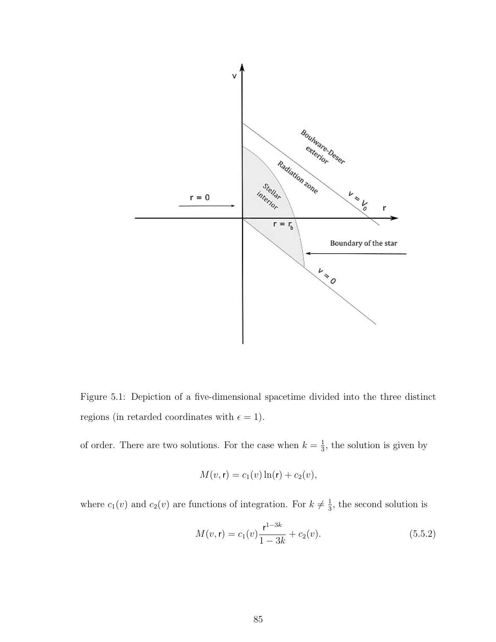

Figure 5.1: Depiction of a five-dimensional spacetime divided into the three distinct regions (in retarded coordinates with  $\epsilon = 1$ ).

of order. There are two solutions. For the case when  $k=\frac{1}{3}$  $\frac{1}{3}$ , the solution is given by

$$
M(v, \mathbf{r}) = c_1(v) \ln(\mathbf{r}) + c_2(v),
$$

where  $c_1(v)$  and  $c_2(v)$  are functions of integration. For  $k \neq \frac{1}{3}$  $\frac{1}{3}$ , the second solution is

$$
M(v, \mathbf{r}) = c_1(v)\frac{\mathbf{r}^{1-3k}}{1-3k} + c_2(v). \tag{5.5.2}
$$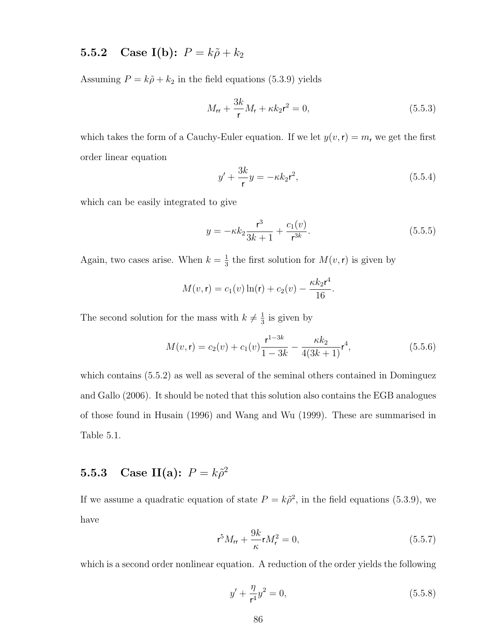# **5.5.2** Case I(b):  $P = k\tilde{\rho} + k_2$

Assuming  $P = k\tilde{\rho} + k_2$  in the field equations (5.3.9) yields

$$
M_{rr} + \frac{3k}{r}M_r + \kappa k_2 r^2 = 0,
$$
\n(5.5.3)

which takes the form of a Cauchy-Euler equation. If we let  $y(v, r) = m_r$  we get the first order linear equation

$$
y' + \frac{3k}{r}y = -\kappa k_2 r^2,
$$
\n
$$
(5.5.4)
$$

which can be easily integrated to give

$$
y = -\kappa k_2 \frac{\mathbf{r}^3}{3k+1} + \frac{c_1(v)}{\mathbf{r}^{3k}}.
$$
 (5.5.5)

Again, two cases arise. When  $k=\frac{1}{3}$  $\frac{1}{3}$  the first solution for  $M(v, r)$  is given by

$$
M(v, r) = c_1(v) \ln(r) + c_2(v) - \frac{\kappa k_2 r^4}{16}.
$$

The second solution for the mass with  $k \neq \frac{1}{3}$  $\frac{1}{3}$  is given by

$$
M(v, \mathbf{r}) = c_2(v) + c_1(v)\frac{\mathbf{r}^{1-3k}}{1-3k} - \frac{\kappa k_2}{4(3k+1)}\mathbf{r}^4,\tag{5.5.6}
$$

which contains (5.5.2) as well as several of the seminal others contained in Dominguez and Gallo (2006). It should be noted that this solution also contains the EGB analogues of those found in Husain (1996) and Wang and Wu (1999). These are summarised in Table 5.1.

# **5.5.3** Case II(a):  $P = k\tilde{\rho}^2$

If we assume a quadratic equation of state  $P = k\tilde{\rho}^2$ , in the field equations (5.3.9), we have

$$
r^{5}M_{rr} + \frac{9k}{\kappa}rM_{r}^{2} = 0,
$$
\n(5.5.7)

which is a second order nonlinear equation. A reduction of the order yields the following

$$
y' + \frac{\eta}{r^4}y^2 = 0,\t\t(5.5.8)
$$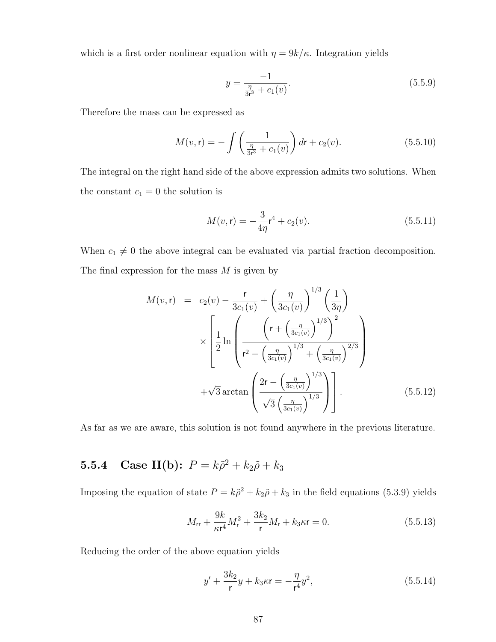which is a first order nonlinear equation with  $\eta = 9k/\kappa$ . Integration yields

$$
y = \frac{-1}{\frac{\eta}{3r^3} + c_1(v)}.\tag{5.5.9}
$$

Therefore the mass can be expressed as

$$
M(v, \mathbf{r}) = -\int \left(\frac{1}{\frac{\eta}{3r^3} + c_1(v)}\right) dr + c_2(v).
$$
 (5.5.10)

The integral on the right hand side of the above expression admits two solutions. When the constant  $c_1 = 0$  the solution is

$$
M(v, \mathbf{r}) = -\frac{3}{4\eta} \mathbf{r}^4 + c_2(v). \tag{5.5.11}
$$

When  $c_1 \neq 0$  the above integral can be evaluated via partial fraction decomposition. The final expression for the mass  $M$  is given by

$$
M(v, \mathbf{r}) = c_2(v) - \frac{\mathbf{r}}{3c_1(v)} + \left(\frac{\eta}{3c_1(v)}\right)^{1/3} \left(\frac{1}{3\eta}\right)
$$
  

$$
\times \left[\frac{1}{2} \ln \left( \frac{\left(\mathbf{r} + \left(\frac{\eta}{3c_1(v)}\right)^{1/3}\right)^2}{\mathbf{r}^2 - \left(\frac{\eta}{3c_1(v)}\right)^{1/3} + \left(\frac{\eta}{3c_1(v)}\right)^{2/3}} \right) + \sqrt{3} \arctan \left( \frac{2\mathbf{r} - \left(\frac{\eta}{3c_1(v)}\right)^{1/3}}{\sqrt{3} \left(\frac{\eta}{3c_1(v)}\right)^{1/3}} \right)\right].
$$
 (5.5.12)

As far as we are aware, this solution is not found anywhere in the previous literature.

# **5.5.4** Case II(b):  $P = k\tilde{\rho}^2 + k_2\tilde{\rho} + k_3$

Imposing the equation of state  $P = k\tilde{\rho}^2 + k_2\tilde{\rho} + k_3$  in the field equations (5.3.9) yields

$$
M_{\rm rr} + \frac{9k}{\kappa r^4} M_{\rm r}^2 + \frac{3k_2}{\mathsf{r}} M_{\rm r} + k_3 \kappa \mathsf{r} = 0. \tag{5.5.13}
$$

Reducing the order of the above equation yields

$$
y' + \frac{3k_2}{r}y + k_3\kappa r = -\frac{\eta}{r^4}y^2,
$$
\n(5.5.14)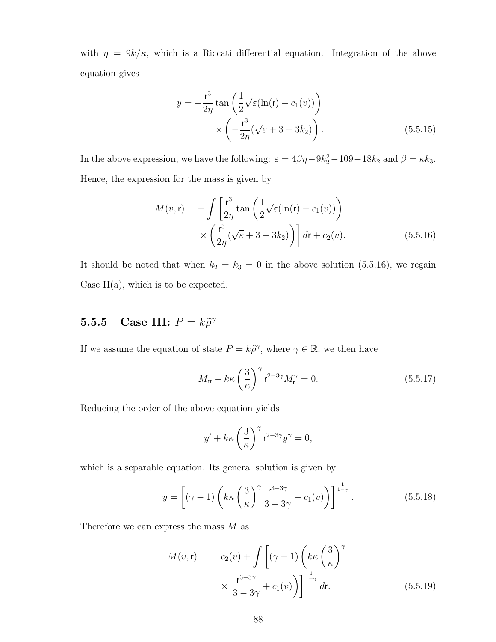with  $\eta = 9k/\kappa$ , which is a Riccati differential equation. Integration of the above equation gives

$$
y = -\frac{r^3}{2\eta} \tan\left(\frac{1}{2}\sqrt{\varepsilon}(\ln(r) - c_1(v))\right)
$$

$$
\times \left(-\frac{r^3}{2\eta}(\sqrt{\varepsilon} + 3 + 3k_2)\right).
$$
(5.5.15)

In the above expression, we have the following:  $\varepsilon = 4\beta\eta - 9k_2^2 - 109 - 18k_2$  and  $\beta = \kappa k_3$ . Hence, the expression for the mass is given by

$$
M(v,\mathbf{r}) = -\int \left[\frac{\mathbf{r}^3}{2\eta} \tan\left(\frac{1}{2}\sqrt{\varepsilon}(\ln(\mathbf{r}) - c_1(v))\right)\right] \times \left(\frac{\mathbf{r}^3}{2\eta}(\sqrt{\varepsilon} + 3 + 3k_2)\right) \, d\mathbf{r} + c_2(v). \tag{5.5.16}
$$

It should be noted that when  $k_2 = k_3 = 0$  in the above solution (5.5.16), we regain Case  $II(a)$ , which is to be expected.

# **5.5.5** Case III:  $P = k\tilde{\rho}^{\gamma}$

If we assume the equation of state  $P = k\tilde{\rho}^{\gamma}$ , where  $\gamma \in \mathbb{R}$ , we then have

$$
M_{\rm rr} + k\kappa \left(\frac{3}{\kappa}\right)^{\gamma} \mathbf{r}^{2-3\gamma} M_{\mathbf{r}}^{\gamma} = 0. \tag{5.5.17}
$$

Reducing the order of the above equation yields

$$
y' + k\kappa \left(\frac{3}{\kappa}\right)^{\gamma} \mathbf{r}^{2-3\gamma} y^{\gamma} = 0,
$$

which is a separable equation. Its general solution is given by

$$
y = \left[ (\gamma - 1) \left( k \kappa \left( \frac{3}{\kappa} \right)^{\gamma} \frac{\mathbf{r}^{3-3\gamma}}{3-3\gamma} + c_1(v) \right) \right]^{\frac{1}{1-\gamma}}.
$$
 (5.5.18)

Therefore we can express the mass  $M$  as

$$
M(v,r) = c_2(v) + \int \left[ (\gamma - 1) \left( k \kappa \left( \frac{3}{\kappa} \right)^{\gamma} \right) \times \frac{r^{3-3\gamma}}{3-3\gamma} + c_1(v) \right] \Big]^{\frac{1}{1-\gamma}} dr.
$$
 (5.5.19)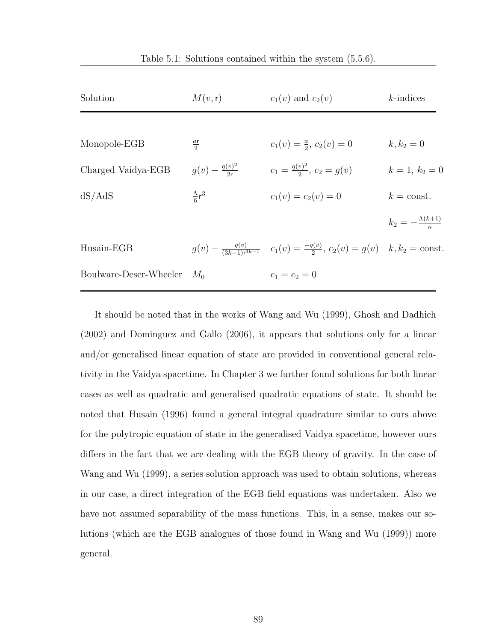| Solution                     | M(v, r)                    | $c_1(v)$ and $c_2(v)$                                                                                   | $k$ -indices                  |
|------------------------------|----------------------------|---------------------------------------------------------------------------------------------------------|-------------------------------|
|                              |                            |                                                                                                         |                               |
| Monopole-EGB                 | $rac{ar}{2}$               | $c_1(v) = \frac{a}{2}, c_2(v) = 0$                                                                      | $k, k_2 = 0$                  |
| Charged Vaidya-EGB           | $q(v) - \frac{q(v)^2}{2r}$ | $c_1 = \frac{q(v)^2}{2}, c_2 = g(v)$                                                                    | $k=1, k_2=0$                  |
| dS/AdS                       | $\frac{\Lambda}{6}r^3$     | $c_1(v) = c_2(v) = 0$                                                                                   | $k = \text{const.}$           |
|                              |                            |                                                                                                         | $k_2=-\frac{\Lambda(k+1)}{r}$ |
| Husain-EGB                   |                            | $g(v) - \frac{q(v)}{(3k-1)r^{3k-1}}$ $c_1(v) = \frac{-q(v)}{2}, c_2(v) = g(v)$ $k, k_2 = \text{const.}$ |                               |
| Boulware-Deser-Wheeler $M_0$ |                            | $c_1 = c_2 = 0$                                                                                         |                               |
|                              |                            |                                                                                                         |                               |

It should be noted that in the works of Wang and Wu (1999), Ghosh and Dadhich (2002) and Dominguez and Gallo (2006), it appears that solutions only for a linear and/or generalised linear equation of state are provided in conventional general relativity in the Vaidya spacetime. In Chapter 3 we further found solutions for both linear cases as well as quadratic and generalised quadratic equations of state. It should be noted that Husain (1996) found a general integral quadrature similar to ours above for the polytropic equation of state in the generalised Vaidya spacetime, however ours differs in the fact that we are dealing with the EGB theory of gravity. In the case of Wang and Wu (1999), a series solution approach was used to obtain solutions, whereas in our case, a direct integration of the EGB field equations was undertaken. Also we have not assumed separability of the mass functions. This, in a sense, makes our solutions (which are the EGB analogues of those found in Wang and Wu (1999)) more general.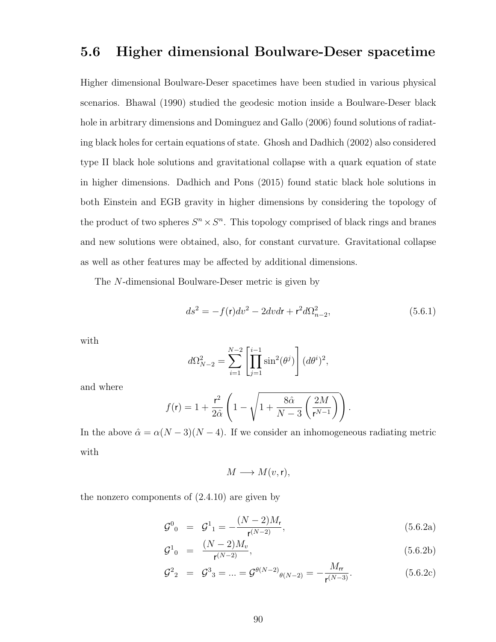# 5.6 Higher dimensional Boulware-Deser spacetime

Higher dimensional Boulware-Deser spacetimes have been studied in various physical scenarios. Bhawal (1990) studied the geodesic motion inside a Boulware-Deser black hole in arbitrary dimensions and Dominguez and Gallo (2006) found solutions of radiating black holes for certain equations of state. Ghosh and Dadhich (2002) also considered type II black hole solutions and gravitational collapse with a quark equation of state in higher dimensions. Dadhich and Pons (2015) found static black hole solutions in both Einstein and EGB gravity in higher dimensions by considering the topology of the product of two spheres  $S^n \times S^n$ . This topology comprised of black rings and branes and new solutions were obtained, also, for constant curvature. Gravitational collapse as well as other features may be affected by additional dimensions.

The N-dimensional Boulware-Deser metric is given by

$$
ds^{2} = -f(r)dv^{2} - 2dvdr + r^{2}d\Omega_{n-2}^{2},
$$
\n(5.6.1)

with

$$
d\Omega_{N-2}^2 = \sum_{i=1}^{N-2} \left[ \prod_{j=1}^{i-1} \sin^2(\theta^j) \right] (d\theta^i)^2,
$$

and where

$$
f(\mathbf{r}) = 1 + \frac{\mathbf{r}^2}{2\hat{\alpha}} \left( 1 - \sqrt{1 + \frac{8\hat{\alpha}}{N - 3} \left( \frac{2M}{\mathbf{r}^{N-1}} \right)} \right).
$$

In the above  $\hat{\alpha} = \alpha(N-3)(N-4)$ . If we consider an inhomogeneous radiating metric with

$$
M \longrightarrow M(v,r),
$$

the nonzero components of (2.4.10) are given by

$$
\mathcal{G}^0{}_0 = \mathcal{G}^1{}_1 = -\frac{(N-2)M_r}{\mathsf{r}^{(N-2)}},\tag{5.6.2a}
$$

$$
\mathcal{G}^1_{0} = \frac{(N-2)M_v}{\mathsf{r}^{(N-2)}},\tag{5.6.2b}
$$

$$
\mathcal{G}^2{}_2 = \mathcal{G}^3{}_3 = \dots = \mathcal{G}^{\theta(N-2)}{}_{\theta(N-2)} = -\frac{M_{\text{rr}}}{\mathsf{r}^{(N-3)}}.
$$
(5.6.2c)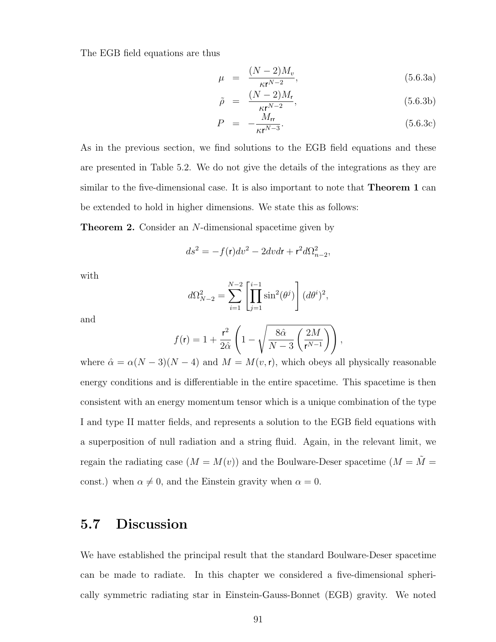The EGB field equations are thus

$$
\mu = \frac{(N-2)M_v}{\kappa r^{N-2}},\tag{5.6.3a}
$$

$$
\tilde{\rho} = \frac{(N-2)M_{\mathsf{r}}}{\kappa \mathsf{r}^{N-2}},\tag{5.6.3b}
$$

$$
P = -\frac{M_{\rm rr}}{\kappa r^{N-3}}.\tag{5.6.3c}
$$

As in the previous section, we find solutions to the EGB field equations and these are presented in Table 5.2. We do not give the details of the integrations as they are similar to the five-dimensional case. It is also important to note that Theorem 1 can be extended to hold in higher dimensions. We state this as follows:

Theorem 2. Consider an N-dimensional spacetime given by

$$
ds^2 = -f(\mathbf{r})dv^2 - 2dvdr + \mathbf{r}^2d\Omega_{n-2}^2,
$$

with

$$
d\Omega_{N-2}^2 = \sum_{i=1}^{N-2} \left[ \prod_{j=1}^{i-1} \sin^2(\theta^j) \right] (d\theta^i)^2,
$$

and

$$
f(\mathbf{r}) = 1 + \frac{\mathbf{r}^2}{2\hat{\alpha}} \left( 1 - \sqrt{\frac{8\hat{\alpha}}{N-3} \left( \frac{2M}{\mathbf{r}^{N-1}} \right)} \right),
$$

where  $\hat{\alpha} = \alpha(N-3)(N-4)$  and  $M = M(v, r)$ , which obeys all physically reasonable energy conditions and is differentiable in the entire spacetime. This spacetime is then consistent with an energy momentum tensor which is a unique combination of the type I and type II matter fields, and represents a solution to the EGB field equations with a superposition of null radiation and a string fluid. Again, in the relevant limit, we regain the radiating case  $(M = M(v))$  and the Boulware-Deser spacetime  $(M = \tilde{M} =$ const.) when  $\alpha \neq 0$ , and the Einstein gravity when  $\alpha = 0$ .

# 5.7 Discussion

We have established the principal result that the standard Boulware-Deser spacetime can be made to radiate. In this chapter we considered a five-dimensional spherically symmetric radiating star in Einstein-Gauss-Bonnet (EGB) gravity. We noted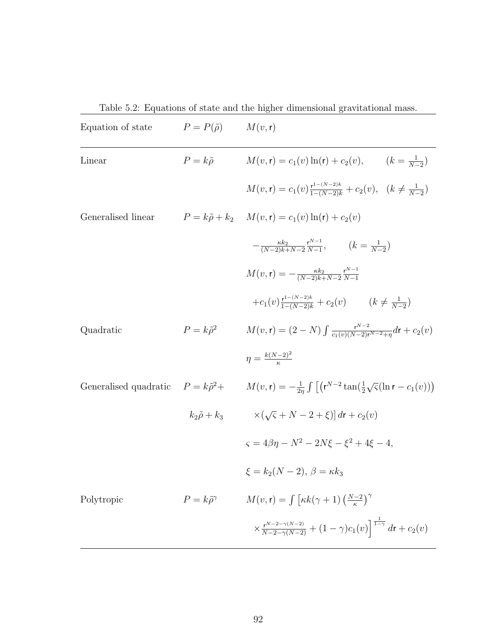Table 5.2: Equations of state and the higher dimensional gravitational mass.

| Equation of state  | $P = P(\tilde{\rho})$        | M(v, r)                                                                                                                                                          |
|--------------------|------------------------------|------------------------------------------------------------------------------------------------------------------------------------------------------------------|
| Linear             | $P = k\tilde{\rho}$          | $M(v, r) = c_1(v) \ln(r) + c_2(v), \qquad (k = \frac{1}{N-2})$                                                                                                   |
|                    |                              | $M(v, \mathbf{r}) = c_1(v) \frac{\mathbf{r}^{1-(N-2)k}}{1-(N-2)k} + c_2(v), \quad (k \neq \frac{1}{N-2})$                                                        |
| Generalised linear |                              | $P = k\tilde{\rho} + k_2$ $M(v, r) = c_1(v) \ln(r) + c_2(v)$                                                                                                     |
|                    |                              | $-\frac{\kappa k_2}{(N-2)k+N-2}\frac{r^{N-1}}{N-1},$ $(k=\frac{1}{N-2})$                                                                                         |
|                    |                              | $M(v, r) = -\frac{\kappa k_2}{(N-2)k + N-2} \frac{r^{N-1}}{N-1}$                                                                                                 |
|                    |                              | $+c_1(v) \frac{r^{1-(N-2)k}}{1-(N-2)k} + c_2(v)$ $(k \neq \frac{1}{N-2})$                                                                                        |
| Quadratic          | $P = k\tilde{\rho}^2$        | $M(v, r) = (2 - N) \int \frac{r^{N-2}}{c_1(v)(N-2)r^{N-2}+n} dr + c_2(v)$                                                                                        |
|                    |                              | $\eta = \frac{k(N-2)^2}{r}$                                                                                                                                      |
|                    |                              | Generalised quadratic $P = k\tilde{\rho}^2 + M(v,r) = -\frac{1}{2n} \int \left[ \left( r^{N-2} \tan(\frac{1}{2}\sqrt{\varsigma}(\ln r - c_1(v)) \right) \right]$ |
|                    | $k_2\tilde{\rho}+k_3$        | $\times(\sqrt{5}+N-2+\xi)$ dr + $c_2(v)$                                                                                                                         |
|                    |                              | $\zeta = 4\beta\eta - N^2 - 2N\xi - \xi^2 + 4\xi - 4,$                                                                                                           |
|                    |                              | $\xi = k_2(N-2), \ \beta = \kappa k_3$                                                                                                                           |
| Polytropic         | $P = k\tilde{\rho}^{\gamma}$ | $M(v, r) = \int \left[ \kappa k(\gamma + 1) \left( \frac{N-2}{\kappa} \right)^{\gamma} \right]$                                                                  |
|                    |                              | $\times \frac{r^{N-2-\gamma(N-2)}}{N-2-\gamma(N-2)} + (1-\gamma)c_1(v)\Big]^{\frac{1}{1-\gamma}} dr + c_2(v)$                                                    |
|                    |                              |                                                                                                                                                                  |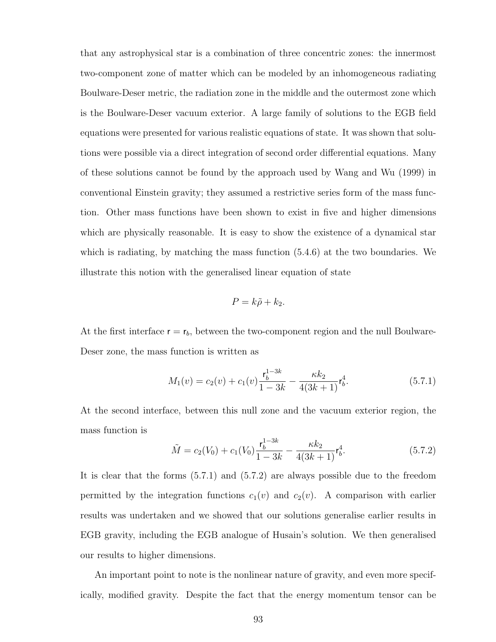that any astrophysical star is a combination of three concentric zones: the innermost two-component zone of matter which can be modeled by an inhomogeneous radiating Boulware-Deser metric, the radiation zone in the middle and the outermost zone which is the Boulware-Deser vacuum exterior. A large family of solutions to the EGB field equations were presented for various realistic equations of state. It was shown that solutions were possible via a direct integration of second order differential equations. Many of these solutions cannot be found by the approach used by Wang and Wu (1999) in conventional Einstein gravity; they assumed a restrictive series form of the mass function. Other mass functions have been shown to exist in five and higher dimensions which are physically reasonable. It is easy to show the existence of a dynamical star which is radiating, by matching the mass function (5.4.6) at the two boundaries. We illustrate this notion with the generalised linear equation of state

$$
P = k\tilde{\rho} + k_2.
$$

At the first interface  $r = r_b$ , between the two-component region and the null Boulware-Deser zone, the mass function is written as

$$
M_1(v) = c_2(v) + c_1(v)\frac{\mathsf{r}_b^{1-3k}}{1-3k} - \frac{\kappa k_2}{4(3k+1)}\mathsf{r}_b^4.
$$
 (5.7.1)

At the second interface, between this null zone and the vacuum exterior region, the mass function is

$$
\tilde{M} = c_2(V_0) + c_1(V_0) \frac{\mathbf{r}_b^{1-3k}}{1-3k} - \frac{\kappa k_2}{4(3k+1)} \mathbf{r}_b^4.
$$
\n(5.7.2)

It is clear that the forms (5.7.1) and (5.7.2) are always possible due to the freedom permitted by the integration functions  $c_1(v)$  and  $c_2(v)$ . A comparison with earlier results was undertaken and we showed that our solutions generalise earlier results in EGB gravity, including the EGB analogue of Husain's solution. We then generalised our results to higher dimensions.

An important point to note is the nonlinear nature of gravity, and even more specifically, modified gravity. Despite the fact that the energy momentum tensor can be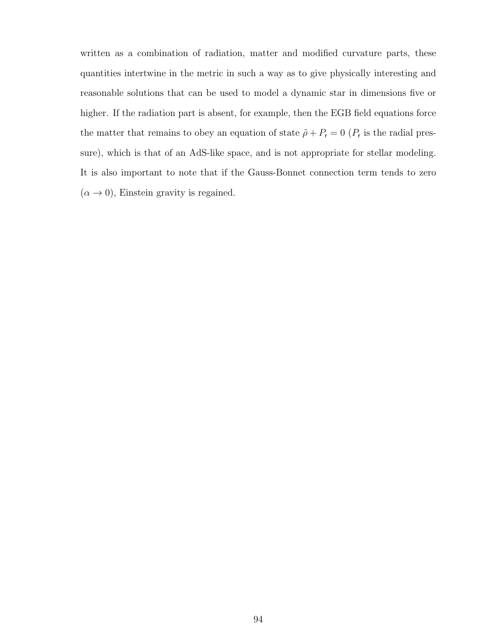written as a combination of radiation, matter and modified curvature parts, these quantities intertwine in the metric in such a way as to give physically interesting and reasonable solutions that can be used to model a dynamic star in dimensions five or higher. If the radiation part is absent, for example, then the EGB field equations force the matter that remains to obey an equation of state  $\tilde{\rho} + P_r = 0$  ( $P_r$  is the radial pressure), which is that of an AdS-like space, and is not appropriate for stellar modeling. It is also important to note that if the Gauss-Bonnet connection term tends to zero  $(\alpha \to 0)$ , Einstein gravity is regained.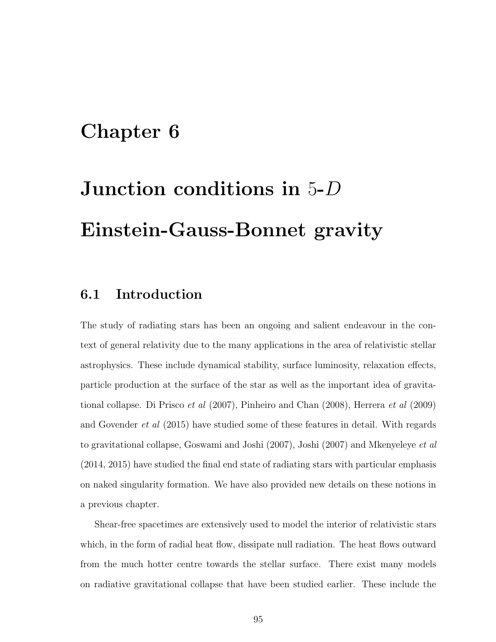## Chapter 6

# Junction conditions in 5-D Einstein-Gauss-Bonnet gravity

#### 6.1 Introduction

The study of radiating stars has been an ongoing and salient endeavour in the context of general relativity due to the many applications in the area of relativistic stellar astrophysics. These include dynamical stability, surface luminosity, relaxation effects, particle production at the surface of the star as well as the important idea of gravitational collapse. Di Prisco et al (2007), Pinheiro and Chan (2008), Herrera et al (2009) and Govender et al (2015) have studied some of these features in detail. With regards to gravitational collapse, Goswami and Joshi (2007), Joshi (2007) and Mkenyeleye et al (2014, 2015) have studied the final end state of radiating stars with particular emphasis on naked singularity formation. We have also provided new details on these notions in a previous chapter.

Shear-free spacetimes are extensively used to model the interior of relativistic stars which, in the form of radial heat flow, dissipate null radiation. The heat flows outward from the much hotter centre towards the stellar surface. There exist many models on radiative gravitational collapse that have been studied earlier. These include the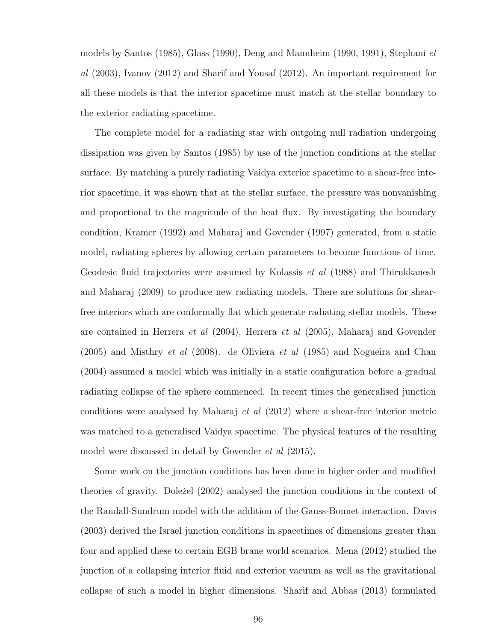models by Santos (1985), Glass (1990), Deng and Mannheim (1990, 1991), Stephani et al (2003), Ivanov (2012) and Sharif and Yousaf (2012). An important requirement for all these models is that the interior spacetime must match at the stellar boundary to the exterior radiating spacetime.

The complete model for a radiating star with outgoing null radiation undergoing dissipation was given by Santos (1985) by use of the junction conditions at the stellar surface. By matching a purely radiating Vaidya exterior spacetime to a shear-free interior spacetime, it was shown that at the stellar surface, the pressure was nonvanishing and proportional to the magnitude of the heat flux. By investigating the boundary condition, Kramer (1992) and Maharaj and Govender (1997) generated, from a static model, radiating spheres by allowing certain parameters to become functions of time. Geodesic fluid trajectories were assumed by Kolassis *et al* (1988) and Thirukkanesh and Maharaj (2009) to produce new radiating models. There are solutions for shearfree interiors which are conformally flat which generate radiating stellar models. These are contained in Herrera et al (2004), Herrera et al (2005), Maharaj and Govender  $(2005)$  and Misthry *et al*  $(2008)$ . de Oliviera *et al*  $(1985)$  and Nogueira and Chan (2004) assumed a model which was initially in a static configuration before a gradual radiating collapse of the sphere commenced. In recent times the generalised junction conditions were analysed by Maharaj et al (2012) where a shear-free interior metric was matched to a generalised Vaidya spacetime. The physical features of the resulting model were discussed in detail by Govender et al (2015).

Some work on the junction conditions has been done in higher order and modified theories of gravity. Doležel (2002) analysed the junction conditions in the context of the Randall-Sundrum model with the addition of the Gauss-Bonnet interaction. Davis (2003) derived the Israel junction conditions in spacetimes of dimensions greater than four and applied these to certain EGB brane world scenarios. Mena (2012) studied the junction of a collapsing interior fluid and exterior vacuum as well as the gravitational collapse of such a model in higher dimensions. Sharif and Abbas (2013) formulated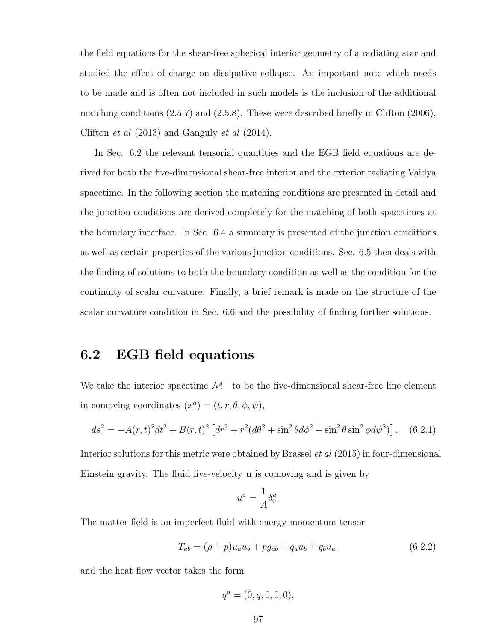the field equations for the shear-free spherical interior geometry of a radiating star and studied the effect of charge on dissipative collapse. An important note which needs to be made and is often not included in such models is the inclusion of the additional matching conditions (2.5.7) and (2.5.8). These were described briefly in Clifton (2006), Clifton et al (2013) and Ganguly et al (2014).

In Sec. 6.2 the relevant tensorial quantities and the EGB field equations are derived for both the five-dimensional shear-free interior and the exterior radiating Vaidya spacetime. In the following section the matching conditions are presented in detail and the junction conditions are derived completely for the matching of both spacetimes at the boundary interface. In Sec. 6.4 a summary is presented of the junction conditions as well as certain properties of the various junction conditions. Sec. 6.5 then deals with the finding of solutions to both the boundary condition as well as the condition for the continuity of scalar curvature. Finally, a brief remark is made on the structure of the scalar curvature condition in Sec. 6.6 and the possibility of finding further solutions.

#### 6.2 EGB field equations

We take the interior spacetime  $\mathcal{M}^-$  to be the five-dimensional shear-free line element in comoving coordinates  $(x^a) = (t, r, \theta, \phi, \psi),$ 

$$
ds^{2} = -A(r,t)^{2}dt^{2} + B(r,t)^{2} \left[ dr^{2} + r^{2} (d\theta^{2} + \sin^{2} \theta d\phi^{2} + \sin^{2} \theta \sin^{2} \phi d\psi^{2} ) \right].
$$
 (6.2.1)

Interior solutions for this metric were obtained by Brassel et al (2015) in four-dimensional Einstein gravity. The fluid five-velocity u is comoving and is given by

$$
u^a = \frac{1}{A} \delta^a_0
$$

.

The matter field is an imperfect fluid with energy-momentum tensor

$$
T_{ab} = (\rho + p)u_a u_b + pg_{ab} + q_a u_b + q_b u_a, \qquad (6.2.2)
$$

and the heat flow vector takes the form

$$
q^a = (0, q, 0, 0, 0),
$$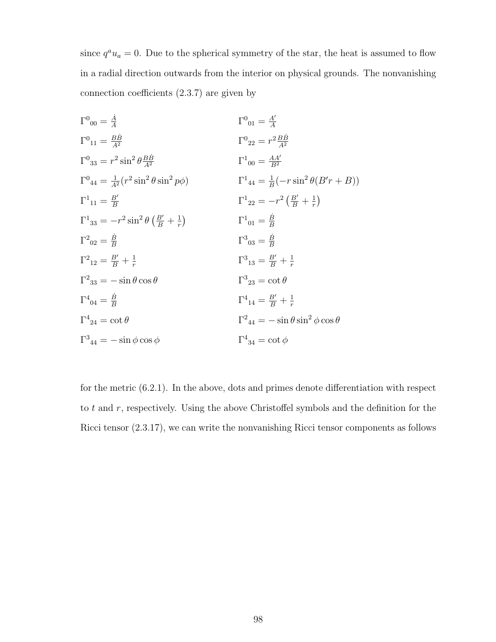since  $q^a u_a = 0$ . Due to the spherical symmetry of the star, the heat is assumed to flow in a radial direction outwards from the interior on physical grounds. The nonvanishing connection coefficients (2.3.7) are given by

$$
\Gamma^{0}_{00} = \frac{\dot{A}}{A} \qquad \qquad \Gamma^{0}_{01} = \frac{A'}{A}
$$
\n
$$
\Gamma^{0}_{11} = \frac{B\dot{B}}{A^{2}} \qquad \qquad \Gamma^{0}_{22} = r^{2} \frac{B\dot{B}}{A^{2}}
$$
\n
$$
\Gamma^{0}_{33} = r^{2} \sin^{2} \theta \frac{B\dot{B}}{A^{2}} \qquad \qquad \Gamma^{1}_{00} = \frac{AA'}{B^{2}}
$$
\n
$$
\Gamma^{0}_{44} = \frac{1}{A^{2}} (r^{2} \sin^{2} \theta \sin^{2} p\phi) \qquad \qquad \Gamma^{1}_{44} = \frac{1}{B} (-r \sin^{2} \theta (B'r + B))
$$
\n
$$
\Gamma^{1}_{11} = \frac{B'}{B} \qquad \qquad \Gamma^{1}_{22} = -r^{2} \left(\frac{B'}{B} + \frac{1}{r}\right)
$$
\n
$$
\Gamma^{1}_{22} = -r^{2} \left(\frac{B'}{B} + \frac{1}{r}\right)
$$
\n
$$
\Gamma^{1}_{01} = \frac{\dot{B}}{B}
$$
\n
$$
\Gamma^{2}_{02} = \frac{\dot{B}}{B}
$$
\n
$$
\Gamma^{2}_{12} = \frac{B'}{B} + \frac{1}{r}
$$
\n
$$
\Gamma^{3}_{13} = \frac{B'}{B} + \frac{1}{r}
$$
\n
$$
\Gamma^{2}_{23} = -\sin \theta \cos \theta \qquad \qquad \Gamma^{3}_{23} = \cot \theta
$$
\n
$$
\Gamma^{4}_{14} = \frac{B'}{B} + \frac{1}{r}
$$
\n
$$
\Gamma^{4}_{24} = \cot \theta \qquad \qquad \Gamma^{4}_{34} = -\sin \phi \cos \phi
$$
\n
$$
\Gamma^{3}_{34} = -\sin \phi \cos \phi \qquad \qquad \Gamma^{4}_{34} = \cot \phi
$$

for the metric (6.2.1). In the above, dots and primes denote differentiation with respect to t and r, respectively. Using the above Christoffel symbols and the definition for the Ricci tensor (2.3.17), we can write the nonvanishing Ricci tensor components as follows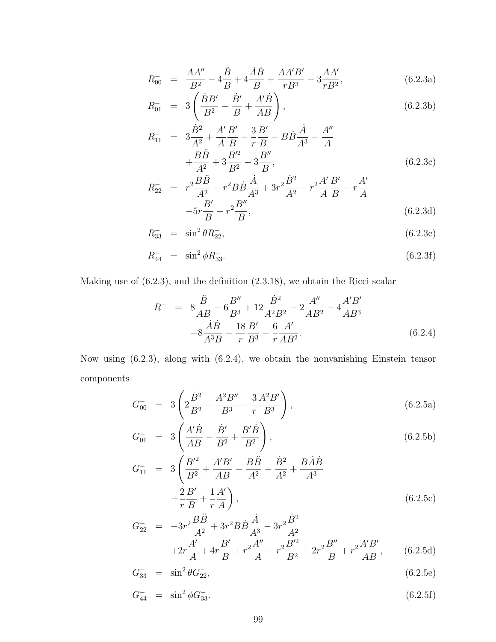$$
R_{00}^{-} = \frac{AA''}{B^2} - 4\frac{\ddot{B}}{B} + 4\frac{\dot{A}\dot{B}}{B} + \frac{AA'B'}{rB^3} + 3\frac{AA'}{rB^2},
$$
(6.2.3a)

$$
R_{01}^{-} = 3\left(\frac{\dot{B}B'}{B^{2}} - \frac{\dot{B}'}{B} + \frac{A'\dot{B}}{AB}\right),
$$
\n(6.2.3b)

$$
R_{11}^{-} = 3\frac{\dot{B}^{2}}{A^{2}} + \frac{A'B'}{A}\frac{B'}{B} - \frac{3}{r}\frac{B'}{B} - B\dot{B}\frac{\dot{A}}{A^{3}} - \frac{A''}{A} + \frac{B\ddot{B}}{A^{2}} + 3\frac{B'^{2}}{B^{2}} - 3\frac{B''}{B},
$$
\n(6.2.3c)

$$
R_{22}^{-} = r^{2} \frac{B \ddot{B}}{A^{2}} - r^{2} B \dot{B} \frac{\dot{A}}{A^{3}} + 3r^{2} \frac{\dot{B}^{2}}{A^{2}} - r^{2} \frac{A^{\prime}}{A} \frac{B^{\prime}}{B} - r \frac{A^{\prime}}{A} - 5r \frac{B^{\prime}}{B} - r^{2} \frac{B^{\prime \prime}}{B},
$$
\n(6.2.3d)

$$
R_{33}^- = \sin^2 \theta R_{22}^-,\tag{6.2.3e}
$$

$$
R_{44}^- = \sin^2 \phi R_{33}^-.
$$
\n(6.2.3f)

Making use of (6.2.3), and the definition (2.3.18), we obtain the Ricci scalar

$$
R^{-} = 8\frac{\ddot{B}}{AB} - 6\frac{B''}{B^3} + 12\frac{\dot{B}^2}{A^2B^2} - 2\frac{A''}{AB^2} - 4\frac{A'B'}{AB^3} - 8\frac{\dot{A}\dot{B}}{A^3B} - \frac{18}{r}\frac{B'}{B^3} - \frac{6}{r}\frac{A'}{AB^2}.
$$
 (6.2.4)

Now using (6.2.3), along with (6.2.4), we obtain the nonvanishing Einstein tensor components

$$
G_{00}^{-} = 3\left(2\frac{\dot{B}^{2}}{B^{2}} - \frac{A^{2}B''}{B^{3}} - \frac{3}{r}\frac{A^{2}B'}{B^{3}}\right),
$$
\n(6.2.5a)

$$
G_{01}^{-} = 3\left(\frac{A'\dot{B}}{AB} - \frac{\dot{B}'}{B^2} + \frac{B'\dot{B}}{B^2}\right),
$$
\n(6.2.5b)

$$
G_{11}^{-} = 3\left(\frac{B'^{2}}{B^{2}} + \frac{A'B'}{AB} - \frac{B\ddot{B}}{A^{2}} - \frac{\dot{B}^{2}}{A^{2}} + \frac{B\dot{A}\dot{B}}{A^{3}} + \frac{2}{r}\frac{B'}{B} + \frac{1}{r}\frac{A'}{A}\right),
$$
\n(6.2.5c)

$$
G_{22}^{-} = -3r^{2}\frac{B\ddot{B}}{A^{2}} + 3r^{2}B\dot{B}\frac{\dot{A}}{A^{3}} - 3r^{2}\frac{\dot{B}^{2}}{A^{2}}
$$
  
+2r $\frac{A'}{A} + 4r\frac{B'}{B} + r^{2}\frac{A''}{A} - r^{2}\frac{B'^{2}}{B^{2}} + 2r^{2}\frac{B''}{B} + r^{2}\frac{A'B'}{AB},$  (6.2.5d)

$$
G_{33}^- = \sin^2 \theta G_{22}^-,\tag{6.2.5e}
$$

$$
G_{44}^- = \sin^2 \phi G_{33}^-.
$$
\n(6.2.5f)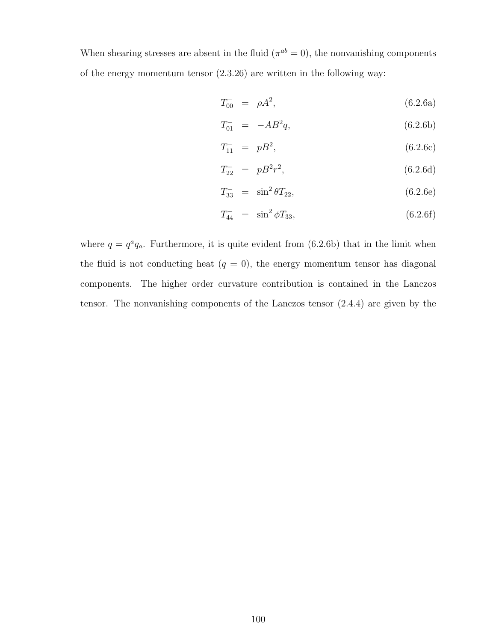When shearing stresses are absent in the fluid  $(\pi^{ab} = 0)$ , the nonvanishing components of the energy momentum tensor (2.3.26) are written in the following way:

$$
T_{00}^- = \rho A^2, \tag{6.2.6a}
$$

$$
T_{01}^- = -AB^2q, \t\t(6.2.6b)
$$

$$
T_{11}^- = pB^2, \t\t(6.2.6c)
$$

$$
T_{22}^- = pB^2r^2, \t\t(6.2.6d)
$$

$$
T_{33}^- = \sin^2 \theta T_{22}, \tag{6.2.6e}
$$

$$
T_{44}^- = \sin^2 \phi T_{33}, \tag{6.2.6f}
$$

where  $q = q^a q_a$ . Furthermore, it is quite evident from (6.2.6b) that in the limit when the fluid is not conducting heat  $(q = 0)$ , the energy momentum tensor has diagonal components. The higher order curvature contribution is contained in the Lanczos tensor. The nonvanishing components of the Lanczos tensor (2.4.4) are given by the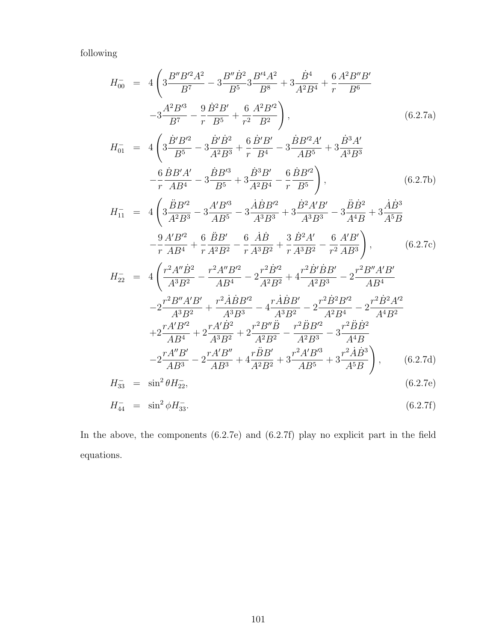following

$$
H_{00} = 4\left(3\frac{B''B'^{2}A^{2}}{B^{7}} - 3\frac{B''B^{2}}{B^{5}}3\frac{B'^{4}A^{2}}{B^{8}} + 3\frac{\dot{B}^{4}}{A^{2}B^{4}} + \frac{6}{r}\frac{A^{2}B''B'}{B^{6}}
$$
  
\n
$$
-3\frac{A^{2}B'^{3}}{B^{7}} - \frac{9}{r}\frac{\dot{B}^{2}B'}{B^{5}} + \frac{6}{r^{2}}\frac{A^{2}B'^{2}}{B^{2}}\right),
$$
\n
$$
H_{01} = 4\left(3\frac{\dot{B}'B'^{2}}{B^{5}} - 3\frac{\dot{B}'\dot{B}^{2}}{A^{2}B^{3}} + \frac{6}{r}\frac{\dot{B}'B'}{B^{4}} - 3\frac{\dot{B}B'^{2}A'}{A B^{5}} + 3\frac{\dot{B}^{3}A'}{A^{3}B^{3}} - \frac{6}{r}\frac{\dot{B}B'A'}{A^{3}} - 3\frac{\dot{B}B'^{3}}{B^{5}} + 3\frac{\dot{B}^{3}B'}{A^{2}B^{4}} - \frac{6}{r}\frac{\dot{B}B'^{2}}{B^{5}}\right),
$$
\n
$$
H_{11} = 4\left(3\frac{\ddot{B}B'^{2}}{A^{2}B^{3}} - 3\frac{A'B'^{3}}{A^{3}B^{5}} - 3\frac{\dot{A}\dot{B}B'^{2}}{A^{3}B^{3}} + 3\frac{\dot{B}^{2}A'B'}{A^{3}B^{3}} - 3\frac{\ddot{B}\dot{B}^{2}}{A^{4}B} + 3\frac{\dot{A}\dot{B}^{3}}{A^{5}B}
$$
\n
$$
-\frac{9}{r}\frac{A'B'^{2}}{A B^{4}} + \frac{6}{r}\frac{\ddot{B}B'}{A^{2}B^{2}} - \frac{6}{r}\frac{\dot{A}\dot{B}}{A^{3}B^{2}} + \frac{3}{r}\frac{\dot{B}^{2}A'}{A^{3}B^{3}} - \frac{6}{r^{2}}\frac{A'B'}{A B^{3}}\right),
$$
\n
$$
H_{22} = 4\left(\frac{r^{2}A''\dot{B}
$$

$$
H_{33}^- = \sin^2 \theta H_{22}^-, \tag{6.2.7e}
$$

$$
H_{44}^- = \sin^2 \phi H_{33}^-.
$$
\n(6.2.7f)

In the above, the components (6.2.7e) and (6.2.7f) play no explicit part in the field equations.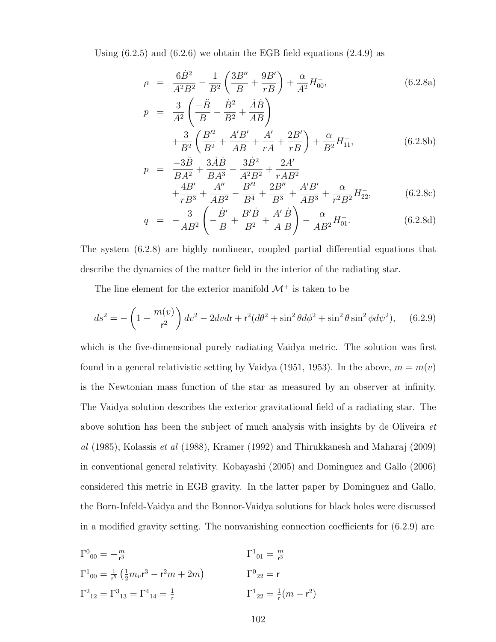Using  $(6.2.5)$  and  $(6.2.6)$  we obtain the EGB field equations  $(2.4.9)$  as

$$
\rho = \frac{6\dot{B}^2}{A^2B^2} - \frac{1}{B^2} \left( \frac{3B''}{B} + \frac{9B'}{rB} \right) + \frac{\alpha}{A^2} H_{00}^-, \tag{6.2.8a}
$$
\n
$$
p = \frac{3}{A^2} \left( \frac{-\ddot{B}}{B} - \frac{\dot{B}^2}{B^2} + \frac{\dot{A}\dot{B}}{AB} \right)
$$
\n
$$
+ \frac{3}{B^2} \left( \frac{B'^2}{B^2} + \frac{A'B'}{AB} + \frac{A'}{rA} + \frac{2B'}{rB} \right) + \frac{\alpha}{B^2} H_{11}^-, \tag{6.2.8b}
$$

$$
p = \frac{-3\ddot{B}}{BA^2} + \frac{3\dot{A}\dot{B}}{BA^3} - \frac{3\dot{B}^2}{A^2B^2} + \frac{2A'}{rAB^2} + \frac{4B'}{rB^3} + \frac{A''}{AB^2} - \frac{B'^2}{B^4} + \frac{2B''}{B^3} + \frac{A'B'}{AB^3} + \frac{\alpha}{r^2B^2}H_{22}^-,\tag{6.2.8c}
$$

$$
q = -\frac{3}{AB^2} \left( -\frac{\dot{B}'}{B} + \frac{B'\dot{B}}{B^2} + \frac{A'}{A}\frac{\dot{B}}{B} \right) - \frac{\alpha}{AB^2} H_{01}^{-}.
$$
 (6.2.8d)

The system (6.2.8) are highly nonlinear, coupled partial differential equations that describe the dynamics of the matter field in the interior of the radiating star.

The line element for the exterior manifold  $\mathcal{M}^+$  is taken to be

$$
ds^{2} = -\left(1 - \frac{m(v)}{r^{2}}\right)dv^{2} - 2dvdr + r^{2}(d\theta^{2} + \sin^{2}\theta d\phi^{2} + \sin^{2}\theta \sin^{2}\phi d\psi^{2}), \quad (6.2.9)
$$

which is the five-dimensional purely radiating Vaidya metric. The solution was first found in a general relativistic setting by Vaidya (1951, 1953). In the above,  $m = m(v)$ is the Newtonian mass function of the star as measured by an observer at infinity. The Vaidya solution describes the exterior gravitational field of a radiating star. The above solution has been the subject of much analysis with insights by de Oliveira et al (1985), Kolassis et al (1988), Kramer (1992) and Thirukkanesh and Maharaj (2009) in conventional general relativity. Kobayashi (2005) and Dominguez and Gallo (2006) considered this metric in EGB gravity. In the latter paper by Dominguez and Gallo, the Born-Infeld-Vaidya and the Bonnor-Vaidya solutions for black holes were discussed in a modified gravity setting. The nonvanishing connection coefficients for (6.2.9) are

$$
\Gamma^{0}_{00} = -\frac{m}{r^{3}}
$$
\n
$$
\Gamma^{1}_{00} = \frac{1}{r^{5}} \left( \frac{1}{2} m_{v} r^{3} - r^{2} m + 2m \right)
$$
\n
$$
\Gamma^{1}_{01} = \frac{m}{r^{3}}
$$
\n
$$
\Gamma^{1}_{01} = \frac{m}{r^{3}}
$$
\n
$$
\Gamma^{1}_{01} = \frac{m}{r^{3}}
$$
\n
$$
\Gamma^{1}_{02} = r
$$
\n
$$
\Gamma^{2}_{12} = \Gamma^{3}_{13} = \Gamma^{4}_{14} = \frac{1}{r}
$$
\n
$$
\Gamma^{1}_{22} = \frac{1}{r} (m - r^{2})
$$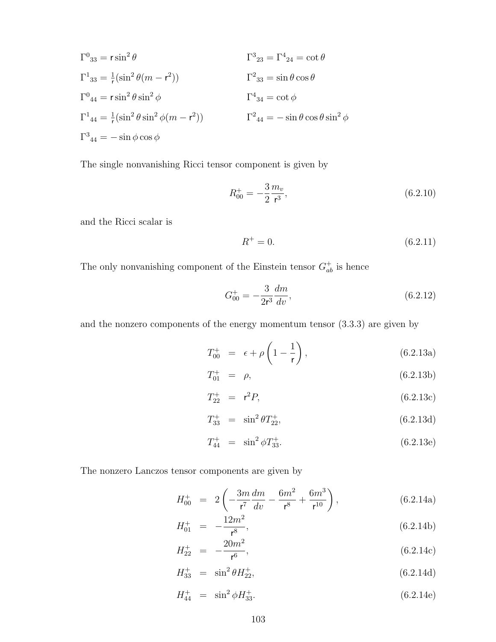$$
\Gamma^{0}_{33} = r \sin^{2} \theta
$$
  
\n
$$
\Gamma^{1}_{33} = \frac{1}{r} (\sin^{2} \theta (m - r^{2}))
$$
  
\n
$$
\Gamma^{0}_{44} = r \sin^{2} \theta \sin^{2} \phi
$$
  
\n
$$
\Gamma^{1}_{44} = \frac{1}{r} (\sin^{2} \theta \sin^{2} \phi (m - r^{2}))
$$
  
\n
$$
\Gamma^{2}_{34} = \cot \phi
$$
  
\n
$$
\Gamma^{1}_{44} = \frac{1}{r} (\sin^{2} \theta \sin^{2} \phi (m - r^{2}))
$$
  
\n
$$
\Gamma^{2}_{44} = -\sin \theta \cos \theta \sin^{2} \phi
$$
  
\n
$$
\Gamma^{3}_{44} = -\sin \phi \cos \phi
$$

The single nonvanishing Ricci tensor component is given by

$$
R_{00}^{+} = -\frac{3}{2} \frac{m_v}{r^3},\tag{6.2.10}
$$

and the Ricci scalar is

$$
R^{+} = 0.\t\t(6.2.11)
$$

The only nonvanishing component of the Einstein tensor  $G_{ab}^+$  is hence

$$
G_{00}^{+} = -\frac{3}{2r^3} \frac{dm}{dv},\tag{6.2.12}
$$

and the nonzero components of the energy momentum tensor (3.3.3) are given by

$$
T_{00}^{+} = \epsilon + \rho \left( 1 - \frac{1}{r} \right), \qquad (6.2.13a)
$$

$$
T_{01}^{+} = \rho, \tag{6.2.13b}
$$

$$
T_{22}^{+} = r^2 P, \t\t(6.2.13c)
$$

$$
T_{33}^+ = \sin^2 \theta T_{22}^+, \tag{6.2.13d}
$$

$$
T_{44}^{+} = \sin^{2} \phi T_{33}^{+}.
$$
\n(6.2.13e)

The nonzero Lanczos tensor components are given by

$$
H_{00}^{+} = 2\left(-\frac{3m}{r^{7}}\frac{dm}{dv} - \frac{6m^{2}}{r^{8}} + \frac{6m^{3}}{r^{10}}\right),
$$
 (6.2.14a)

$$
H_{01}^{+} = -\frac{12m^2}{\mathsf{r}^8},\tag{6.2.14b}
$$

$$
H_{22}^{+} = -\frac{20m^2}{\mathsf{r}^6},\tag{6.2.14c}
$$

$$
H_{33}^+ = \sin^2 \theta H_{22}^+, \tag{6.2.14d}
$$

$$
H_{44}^{+} = \sin^{2} \phi H_{33}^{+}.
$$
 (6.2.14e)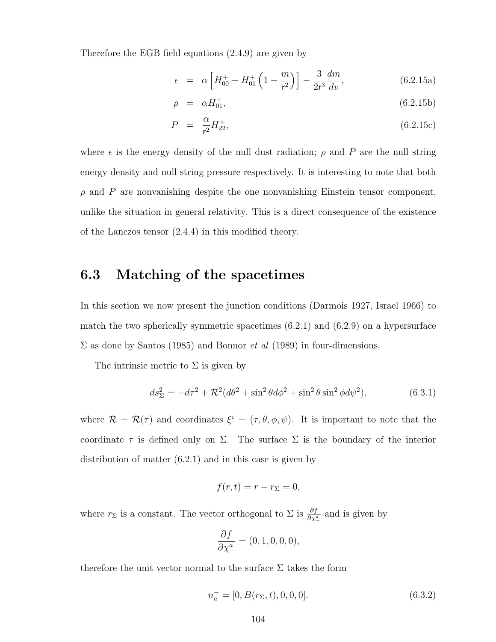Therefore the EGB field equations (2.4.9) are given by

$$
\epsilon = \alpha \left[ H_{00}^+ - H_{01}^+ \left( 1 - \frac{m}{r^2} \right) \right] - \frac{3}{2r^3} \frac{dm}{dv}, \tag{6.2.15a}
$$

$$
\rho = \alpha H_{01}^{+}, \tag{6.2.15b}
$$

$$
P = \frac{\alpha}{r^2} H_{22}^+, \tag{6.2.15c}
$$

where  $\epsilon$  is the energy density of the null dust radiation;  $\rho$  and P are the null string energy density and null string pressure respectively. It is interesting to note that both  $\rho$  and  $P$  are nonvanishing despite the one nonvanishing Einstein tensor component, unlike the situation in general relativity. This is a direct consequence of the existence of the Lanczos tensor (2.4.4) in this modified theory.

#### 6.3 Matching of the spacetimes

In this section we now present the junction conditions (Darmois 1927, Israel 1966) to match the two spherically symmetric spacetimes  $(6.2.1)$  and  $(6.2.9)$  on a hypersurface  $\Sigma$  as done by Santos (1985) and Bonnor *et al* (1989) in four-dimensions.

The intrinsic metric to  $\Sigma$  is given by

$$
ds_{\Sigma}^{2} = -d\tau^{2} + \mathcal{R}^{2}(d\theta^{2} + \sin^{2}\theta d\phi^{2} + \sin^{2}\theta \sin^{2}\phi d\psi^{2}),
$$
 (6.3.1)

where  $\mathcal{R} = \mathcal{R}(\tau)$  and coordinates  $\xi^i = (\tau, \theta, \phi, \psi)$ . It is important to note that the coordinate  $\tau$  is defined only on  $\Sigma$ . The surface  $\Sigma$  is the boundary of the interior distribution of matter (6.2.1) and in this case is given by

$$
f(r,t) = r - r_{\Sigma} = 0,
$$

where  $r_{\Sigma}$  is a constant. The vector orthogonal to  $\Sigma$  is  $\frac{\partial f}{\partial \chi^a_-}$  and is given by

$$
\frac{\partial f}{\partial \chi_{-}^{a}} = (0, 1, 0, 0, 0),
$$

therefore the unit vector normal to the surface  $\Sigma$  takes the form

$$
n_a^- = [0, B(r_{\Sigma}, t), 0, 0, 0]. \tag{6.3.2}
$$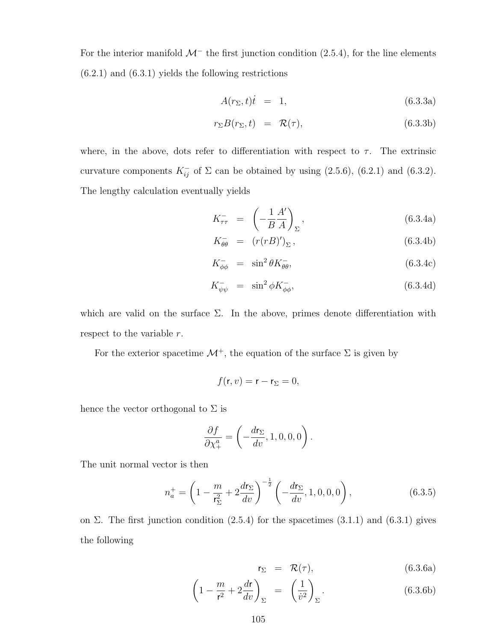For the interior manifold  $\mathcal{M}^-$  the first junction condition (2.5.4), for the line elements  $(6.2.1)$  and  $(6.3.1)$  yields the following restrictions

$$
A(r_{\Sigma},t)\dot{t} = 1, \qquad (6.3.3a)
$$

$$
r_{\Sigma}B(r_{\Sigma},t) = \mathcal{R}(\tau), \qquad (6.3.3b)
$$

where, in the above, dots refer to differentiation with respect to  $\tau$ . The extrinsic curvature components  $K_{ij}^-$  of  $\Sigma$  can be obtained by using (2.5.6), (6.2.1) and (6.3.2). The lengthy calculation eventually yields

$$
K_{\tau\tau}^{-} = \left(-\frac{1}{B}\frac{A'}{A}\right)_{\Sigma}, \qquad (6.3.4a)
$$

$$
K_{\theta\theta}^- = (r(rB)')_{\Sigma}, \qquad (6.3.4b)
$$

$$
K_{\phi\phi}^{-} = \sin^{2}\theta K_{\theta\theta}^{-}, \qquad (6.3.4c)
$$

$$
K_{\psi\psi}^{-} = \sin^{2}\phi K_{\phi\phi}^{-}, \qquad (6.3.4d)
$$

which are valid on the surface  $\Sigma$ . In the above, primes denote differentiation with respect to the variable  $r$ .

For the exterior spacetime  $\mathcal{M}^+$ , the equation of the surface  $\Sigma$  is given by

$$
f(\mathbf{r},v)=\mathbf{r}-\mathbf{r}_{\Sigma}=0,
$$

hence the vector orthogonal to  $\Sigma$  is

$$
\frac{\partial f}{\partial \chi_{+}^{a}} = \left(-\frac{d\mathsf{r}_{\Sigma}}{dv}, 1, 0, 0, 0\right).
$$

The unit normal vector is then

$$
n_a^+ = \left(1 - \frac{m}{r_{\Sigma}^2} + 2\frac{dr_{\Sigma}}{dv}\right)^{-\frac{1}{2}} \left(-\frac{dr_{\Sigma}}{dv}, 1, 0, 0, 0\right),\tag{6.3.5}
$$

on Σ. The first junction condition  $(2.5.4)$  for the spacetimes  $(3.1.1)$  and  $(6.3.1)$  gives the following

$$
\mathsf{r}_\Sigma = \mathcal{R}(\tau), \tag{6.3.6a}
$$

$$
\left(1 - \frac{m}{r^2} + 2\frac{dr}{dv}\right)_{\Sigma} = \left(\frac{1}{v^2}\right)_{\Sigma}.
$$
\n(6.3.6b)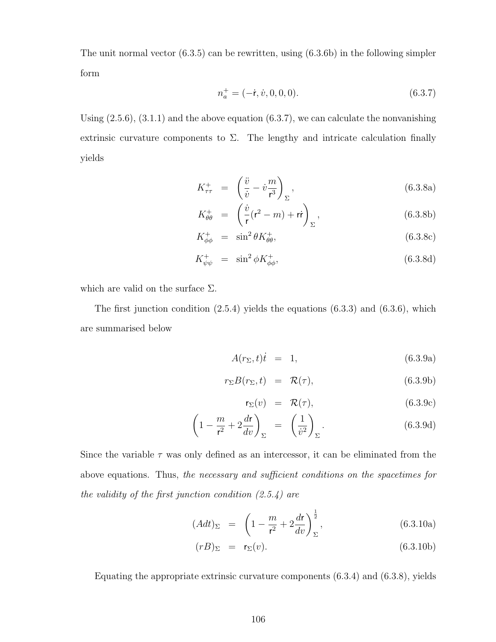The unit normal vector (6.3.5) can be rewritten, using (6.3.6b) in the following simpler form

$$
n_a^+ = (-\dot{\mathbf{r}}, \dot{v}, 0, 0, 0). \tag{6.3.7}
$$

Using  $(2.5.6)$ ,  $(3.1.1)$  and the above equation  $(6.3.7)$ , we can calculate the nonvanishing extrinsic curvature components to  $\Sigma$ . The lengthy and intricate calculation finally yields

$$
K_{\tau\tau}^{+} = \left(\frac{\ddot{v}}{\dot{v}} - \dot{v}\frac{m}{r^3}\right)_{\Sigma},\tag{6.3.8a}
$$

$$
K_{\theta\theta}^{+} = \left(\frac{\dot{v}}{\mathsf{r}}(\mathsf{r}^2 - m) + \mathsf{r}\mathsf{r}\right)_{\Sigma},\tag{6.3.8b}
$$

$$
K_{\phi\phi}^+ = \sin^2\theta K_{\theta\theta}^+, \tag{6.3.8c}
$$

$$
K_{\psi\psi}^+ = \sin^2\phi K_{\phi\phi}^+, \tag{6.3.8d}
$$

which are valid on the surface  $\Sigma$ .

The first junction condition  $(2.5.4)$  yields the equations  $(6.3.3)$  and  $(6.3.6)$ , which are summarised below

$$
A(r_{\Sigma},t)\dot{t} = 1, \qquad (6.3.9a)
$$

$$
r_{\Sigma}B(r_{\Sigma},t) = \mathcal{R}(\tau), \qquad (6.3.9b)
$$

$$
\mathsf{r}_\Sigma(v) = \mathcal{R}(\tau), \tag{6.3.9c}
$$

$$
\left(1 - \frac{m}{r^2} + 2\frac{dr}{dv}\right)_{\Sigma} = \left(\frac{1}{\dot{v}^2}\right)_{\Sigma}.
$$
\n(6.3.9d)

Since the variable  $\tau$  was only defined as an intercessor, it can be eliminated from the above equations. Thus, the necessary and sufficient conditions on the spacetimes for the validity of the first junction condition  $(2.5.4)$  are

$$
(Adt)_{\Sigma} = \left(1 - \frac{m}{r^2} + 2\frac{dr}{dv}\right)^{\frac{1}{2}}_{\Sigma},
$$
\n(6.3.10a)

$$
(rB)_{\Sigma} = r_{\Sigma}(v). \tag{6.3.10b}
$$

Equating the appropriate extrinsic curvature components (6.3.4) and (6.3.8), yields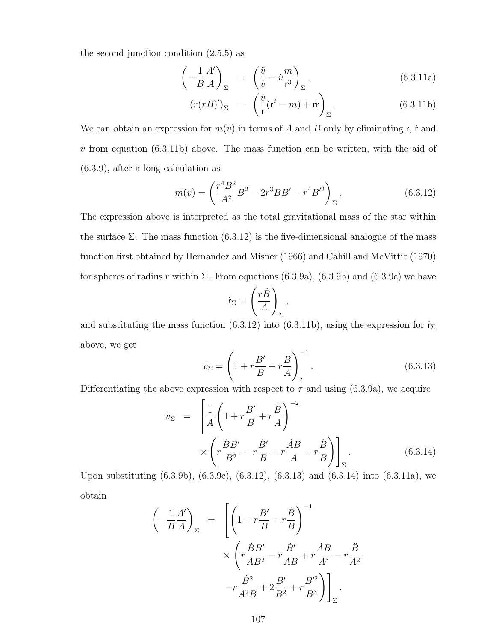the second junction condition (2.5.5) as

$$
\left(-\frac{1}{B}\frac{A'}{A}\right)_{\Sigma} = \left(\frac{\ddot{v}}{\dot{v}} - \dot{v}\frac{m}{r^3}\right)_{\Sigma},
$$
\n(6.3.11a)

$$
(r(rB)')_{\Sigma} = \left(\frac{\dot{v}}{\mathsf{r}}(\mathsf{r}^2 - m) + \mathsf{r}\mathsf{r}\right)_{\Sigma}.
$$
 (6.3.11b)

We can obtain an expression for  $m(v)$  in terms of A and B only by eliminating r, i and  $\dot{v}$  from equation (6.3.11b) above. The mass function can be written, with the aid of (6.3.9), after a long calculation as

$$
m(v) = \left(\frac{r^4 B^2}{A^2} \dot{B}^2 - 2r^3 BB' - r^4 B'^2\right)_{\Sigma}.
$$
 (6.3.12)

The expression above is interpreted as the total gravitational mass of the star within the surface  $\Sigma$ . The mass function (6.3.12) is the five-dimensional analogue of the mass function first obtained by Hernandez and Misner (1966) and Cahill and McVittie (1970) for spheres of radius r within  $\Sigma$ . From equations (6.3.9a), (6.3.9b) and (6.3.9c) we have

$$
\dot{\mathsf{r}}_{\Sigma} = \left(\frac{r\dot{B}}{A}\right)_{\Sigma},
$$

and substituting the mass function (6.3.12) into (6.3.11b), using the expression for  $\dot{\mathsf{r}}_{\Sigma}$ above, we get

$$
\dot{v}_{\Sigma} = \left(1 + r\frac{B'}{B} + r\frac{\dot{B}}{A}\right)_{\Sigma}^{-1}.
$$
\n(6.3.13)

Differentiating the above expression with respect to  $\tau$  and using (6.3.9a), we acquire

$$
\ddot{v}_{\Sigma} = \left[ \frac{1}{A} \left( 1 + r \frac{B'}{B} + r \frac{\dot{B}}{A} \right)^{-2} \times \left( r \frac{\dot{B}B'}{B^2} - r \frac{\dot{B}'}{B} + r \frac{\dot{A}\dot{B}}{A} - r \frac{\ddot{B}}{B} \right) \right]_{\Sigma}.
$$
\n(6.3.14)

Upon substituting (6.3.9b), (6.3.9c), (6.3.12), (6.3.13) and (6.3.14) into (6.3.11a), we obtain

$$
\left(-\frac{1}{B}\frac{A'}{A}\right)_{\Sigma} = \left[\left(1 + r\frac{B'}{B} + r\frac{\dot{B}}{B}\right)^{-1}\n\times \left(r\frac{\dot{B}B'}{AB^2} - r\frac{\dot{B}'}{AB} + r\frac{\dot{A}\dot{B}}{A^3} - r\frac{\ddot{B}}{A^2}\n- r\frac{\dot{B}^2}{A^2B} + 2\frac{B'}{B^2} + r\frac{B'^2}{B^3}\right)\right]_{\Sigma}.
$$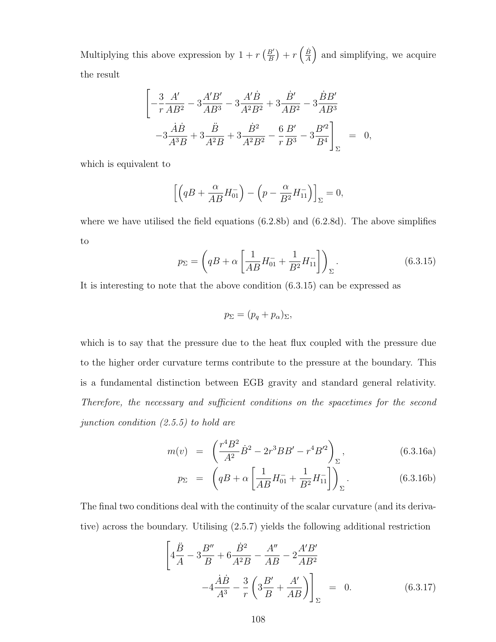Multiplying this above expression by  $1 + r \left(\frac{B'}{B}\right)$  $\left(\frac{\dot{B}'}{B}\right) + r\left(\frac{\dot{B}}{A}\right)$  $\frac{\dot{B}}{A}$  and simplifying, we acquire the result

$$
\left[ -\frac{3}{r} \frac{A'}{AB^2} - 3 \frac{A'B'}{AB^3} - 3 \frac{A'\dot{B}}{A^2B^2} + 3 \frac{\dot{B}'}{AB^2} - 3 \frac{\dot{B}B'}{AB^3} \right] - 3 \frac{\dot{A}\dot{B}}{A^3B} + 3 \frac{\ddot{B}}{A^2B} + 3 \frac{\dot{B}^2}{A^2B^2} - \frac{6}{r} \frac{B'}{B^3} - 3 \frac{B'^2}{B^4} \right]_{\Sigma} = 0,
$$

which is equivalent to

$$
\[ \left( qB + \frac{\alpha}{AB} H_{01}^- \right) - \left( p - \frac{\alpha}{B^2} H_{11}^- \right) \]_\Sigma = 0,
$$

where we have utilised the field equations (6.2.8b) and (6.2.8d). The above simplifies to

$$
p_{\Sigma} = \left( qB + \alpha \left[ \frac{1}{AB} H_{01}^{-} + \frac{1}{B^2} H_{11}^{-} \right] \right)_{\Sigma}.
$$
 (6.3.15)

It is interesting to note that the above condition (6.3.15) can be expressed as

$$
p_{\Sigma} = (p_q + p_{\alpha})_{\Sigma},
$$

which is to say that the pressure due to the heat flux coupled with the pressure due to the higher order curvature terms contribute to the pressure at the boundary. This is a fundamental distinction between EGB gravity and standard general relativity. Therefore, the necessary and sufficient conditions on the spacetimes for the second junction condition (2.5.5) to hold are

$$
m(v) = \left(\frac{r^4 B^2}{A^2} \dot{B}^2 - 2r^3 B B' - r^4 B'^2\right)_{\Sigma},
$$
\n(6.3.16a)

$$
p_{\Sigma} = \left( qB + \alpha \left[ \frac{1}{AB} H_{01}^{-} + \frac{1}{B^2} H_{11}^{-} \right] \right)_{\Sigma}.
$$
 (6.3.16b)

The final two conditions deal with the continuity of the scalar curvature (and its derivative) across the boundary. Utilising (2.5.7) yields the following additional restriction

$$
\left[4\frac{\ddot{B}}{A} - 3\frac{B''}{B} + 6\frac{\dot{B}^2}{A^2B} - \frac{A''}{AB} - 2\frac{A'B'}{AB^2} -4\frac{\dot{A}\dot{B}}{A^3} - \frac{3}{r}\left(3\frac{B'}{B} + \frac{A'}{AB}\right)\right]_{\Sigma} = 0.
$$
 (6.3.17)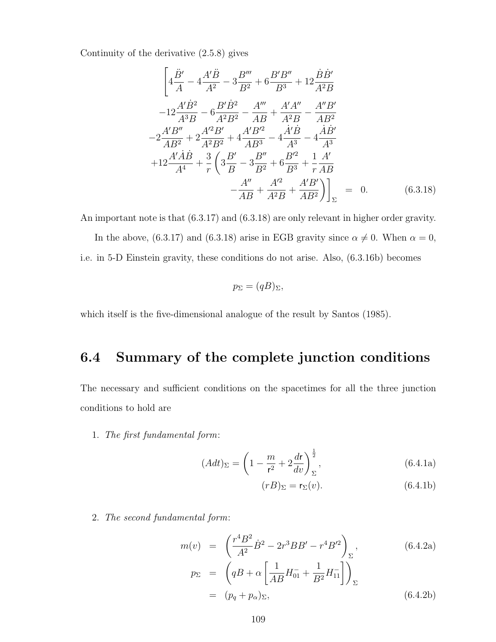Continuity of the derivative (2.5.8) gives

$$
\left[4\frac{\ddot{B}'}{A} - 4\frac{A'\ddot{B}}{A^2} - 3\frac{B'''}{B^2} + 6\frac{B'B''}{B^3} + 12\frac{\dot{B}\dot{B}'}{A^2B}\right]
$$

$$
-12\frac{A'\dot{B}^2}{A^3B} - 6\frac{B'\dot{B}^2}{A^2B^2} - \frac{A'''}{AB} + \frac{A'A''}{A^2B} - \frac{A''B'}{AB^2}
$$

$$
-2\frac{A'B''}{AB^2} + 2\frac{A'^2B'}{A^2B^2} + 4\frac{A'B'^2}{AB^3} - 4\frac{\dot{A'}\dot{B}}{A^3} - 4\frac{\dot{A}\dot{B}'}{A^3}
$$

$$
+12\frac{A'\dot{A}\dot{B}}{A^4} + \frac{3}{r}\left(3\frac{B'}{B} - 3\frac{B''}{B^2} + 6\frac{B'^2}{B^3} + \frac{1}{r}\frac{A'}{AB}\right)
$$

$$
-\frac{A''}{AB} + \frac{A'^2}{A^2B} + \frac{A'B'}{AB^2}\right)\Big]_{\Sigma} = 0. \tag{6.3.18}
$$

An important note is that (6.3.17) and (6.3.18) are only relevant in higher order gravity.

In the above, (6.3.17) and (6.3.18) arise in EGB gravity since  $\alpha \neq 0$ . When  $\alpha = 0$ , i.e. in 5-D Einstein gravity, these conditions do not arise. Also, (6.3.16b) becomes

$$
p_{\Sigma} = (qB)_{\Sigma},
$$

which itself is the five-dimensional analogue of the result by Santos (1985).

## 6.4 Summary of the complete junction conditions

The necessary and sufficient conditions on the spacetimes for all the three junction conditions to hold are

1. The first fundamental form:

$$
(A dt)_{\Sigma} = \left(1 - \frac{m}{r^2} + 2\frac{dr}{dv}\right)^{\frac{1}{2}}_{\Sigma},\tag{6.4.1a}
$$

$$
(rB)_{\Sigma} = \mathbf{r}_{\Sigma}(v). \tag{6.4.1b}
$$

2. The second fundamental form:

$$
m(v) = \left(\frac{r^4 B^2}{A^2} \dot{B}^2 - 2r^3 B B' - r^4 B'^2\right)_{\Sigma},
$$
\n
$$
p_{\Sigma} = \left(qB + \alpha \left[\frac{1}{AB} H_{01}^{-} + \frac{1}{B^2} H_{11}^{-}\right]\right)_{\Sigma}
$$
\n
$$
= (p_q + p_{\alpha})_{\Sigma},
$$
\n(6.4.2b)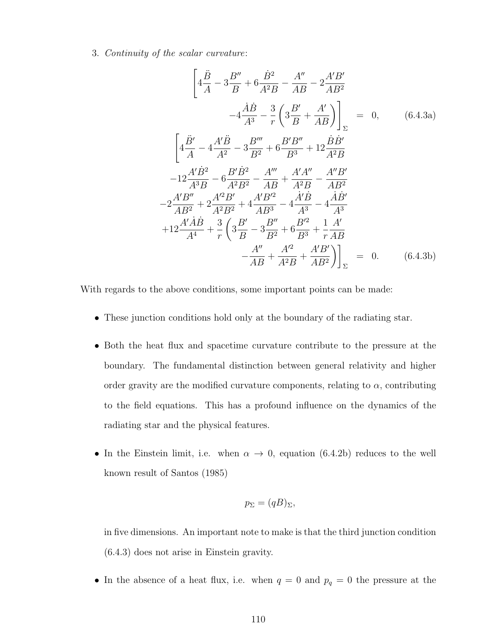3. Continuity of the scalar curvature:

$$
\left[4\frac{\ddot{B}}{A} - 3\frac{B''}{B} + 6\frac{\dot{B}^2}{A^2B} - \frac{A''}{AB} - 2\frac{A'B'}{AB^2}\right]_{\Sigma} = 0, \qquad (6.4.3a)
$$

$$
\left[4\frac{\ddot{B}'}{A} - 4\frac{A'B}{A^2} - 3\frac{B'''}{B^2} + 6\frac{B'B''}{B^3} + 12\frac{\dot{B}\dot{B}'}{A^2B}\right]_{\Sigma} = 0, \qquad (6.4.3a)
$$

$$
\left[4\frac{\ddot{B}'}{A} - 4\frac{A'B}{A^2} - 3\frac{B'''}{B^2} + 6\frac{B'B''}{B^3} + 12\frac{\dot{B}\dot{B}'}{A^2B}
$$

$$
-12\frac{A'B'}{A^3B} - 6\frac{B'B^2}{A^2B^2} - \frac{A'''}{AB} + \frac{A'A''}{A^2B} - \frac{A''B'}{AB^2}
$$

$$
-2\frac{A'B''}{AB^2} + 2\frac{A'^2B'}{A^2B^2} + 4\frac{A'B'^2}{AB^3} - 4\frac{\dot{A'}\dot{B}}{A^3} - 4\frac{\dot{A}\dot{B}'}{A^3}
$$

$$
+12\frac{A'\dot{A}\dot{B}}{A^4} + \frac{3}{r}\left(3\frac{B'}{B} - 3\frac{B''}{B^2} + 6\frac{B'^2}{B^3} + \frac{1}{r}\frac{A'}{AB}\right)_{\Sigma} = 0. \qquad (6.4.3b)
$$

With regards to the above conditions, some important points can be made:

- These junction conditions hold only at the boundary of the radiating star.
- Both the heat flux and spacetime curvature contribute to the pressure at the boundary. The fundamental distinction between general relativity and higher order gravity are the modified curvature components, relating to  $\alpha$ , contributing to the field equations. This has a profound influence on the dynamics of the radiating star and the physical features.
- In the Einstein limit, i.e. when  $\alpha \to 0$ , equation (6.4.2b) reduces to the well known result of Santos (1985)

$$
p_{\Sigma} = (qB)_{\Sigma},
$$

in five dimensions. An important note to make is that the third junction condition (6.4.3) does not arise in Einstein gravity.

• In the absence of a heat flux, i.e. when  $q = 0$  and  $p_q = 0$  the pressure at the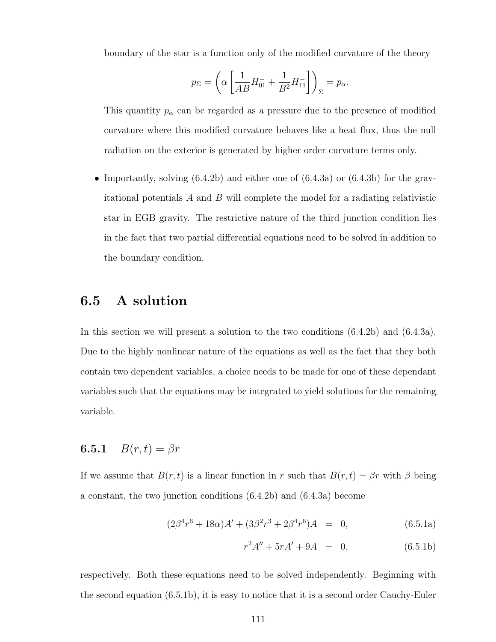boundary of the star is a function only of the modified curvature of the theory

$$
p_{\Sigma} = \left(\alpha \left[\frac{1}{AB}H_{01}^- + \frac{1}{B^2}H_{11}^-\right]\right)_{\Sigma} = p_{\alpha}.
$$

This quantity  $p_{\alpha}$  can be regarded as a pressure due to the presence of modified curvature where this modified curvature behaves like a heat flux, thus the null radiation on the exterior is generated by higher order curvature terms only.

• Importantly, solving  $(6.4.2b)$  and either one of  $(6.4.3a)$  or  $(6.4.3b)$  for the gravitational potentials  $A$  and  $B$  will complete the model for a radiating relativistic star in EGB gravity. The restrictive nature of the third junction condition lies in the fact that two partial differential equations need to be solved in addition to the boundary condition.

#### 6.5 A solution

In this section we will present a solution to the two conditions (6.4.2b) and (6.4.3a). Due to the highly nonlinear nature of the equations as well as the fact that they both contain two dependent variables, a choice needs to be made for one of these dependant variables such that the equations may be integrated to yield solutions for the remaining variable.

#### **6.5.1**  $B(r, t) = \beta r$

If we assume that  $B(r, t)$  is a linear function in r such that  $B(r, t) = \beta r$  with  $\beta$  being a constant, the two junction conditions (6.4.2b) and (6.4.3a) become

$$
(2\beta^4 r^6 + 18\alpha)A' + (3\beta^2 r^3 + 2\beta^4 r^6)A = 0, \qquad (6.5.1a)
$$

$$
r^2A'' + 5rA' + 9A = 0, \t(6.5.1b)
$$

respectively. Both these equations need to be solved independently. Beginning with the second equation (6.5.1b), it is easy to notice that it is a second order Cauchy-Euler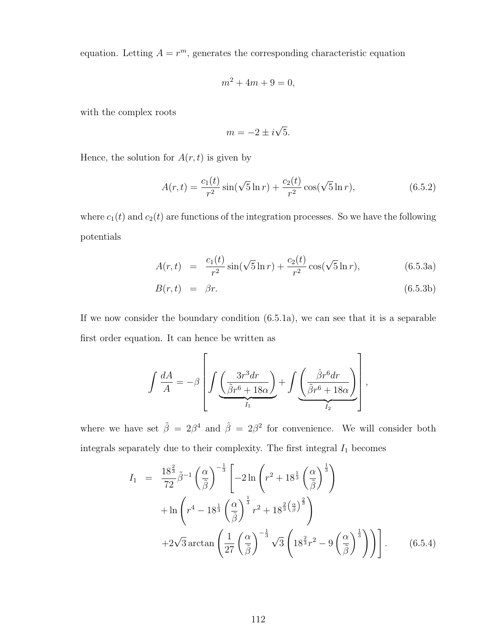equation. Letting  $A = r^m$ , generates the corresponding characteristic equation

$$
m^2 + 4m + 9 = 0,
$$

with the complex roots

$$
m = -2 \pm i\sqrt{5}.
$$

Hence, the solution for  $A(r, t)$  is given by

$$
A(r,t) = \frac{c_1(t)}{r^2} \sin(\sqrt{5}\ln r) + \frac{c_2(t)}{r^2} \cos(\sqrt{5}\ln r), \tag{6.5.2}
$$

where  $c_1(t)$  and  $c_2(t)$  are functions of the integration processes. So we have the following potentials

$$
A(r,t) = \frac{c_1(t)}{r^2} \sin(\sqrt{5} \ln r) + \frac{c_2(t)}{r^2} \cos(\sqrt{5} \ln r), \tag{6.5.3a}
$$

$$
B(r,t) = \beta r. \tag{6.5.3b}
$$

If we now consider the boundary condition (6.5.1a), we can see that it is a separable first order equation. It can hence be written as

$$
\int \frac{dA}{A} = -\beta \left[ \int \underbrace{\left( \frac{3r^3dr}{\tilde{\beta}r^6 + 18\alpha} \right)}_{I_1} + \int \underbrace{\left( \frac{\hat{\beta}r^6dr}{\tilde{\beta}r^6 + 18\alpha} \right)}_{I_2} \right],
$$

where we have set  $\tilde{\beta} = 2\beta^4$  and  $\hat{\beta} = 2\beta^2$  for convenience. We will consider both integrals separately due to their complexity. The first integral  ${\cal I}_1$  becomes

$$
I_1 = \frac{18^{\frac{2}{3}}}{72} \tilde{\beta}^{-1} \left(\frac{\alpha}{\tilde{\beta}}\right)^{-\frac{1}{3}} \left[-2\ln\left(r^2 + 18^{\frac{1}{3}}\left(\frac{\alpha}{\tilde{\beta}}\right)^{\frac{1}{3}}\right) \right] + \ln\left(r^4 - 18^{\frac{1}{3}}\left(\frac{\alpha}{\tilde{\beta}}\right)^{\frac{1}{3}} r^2 + 18^{\frac{2}{3}\left(\frac{\alpha}{\tilde{\beta}}\right)^{\frac{2}{3}}}\right) + 2\sqrt{3} \arctan\left(\frac{1}{27}\left(\frac{\alpha}{\tilde{\beta}}\right)^{-\frac{1}{3}} \sqrt{3}\left(18^{\frac{2}{3}}r^2 - 9\left(\frac{\alpha}{\tilde{\beta}}\right)^{\frac{1}{3}}\right)\right)\right].
$$
 (6.5.4)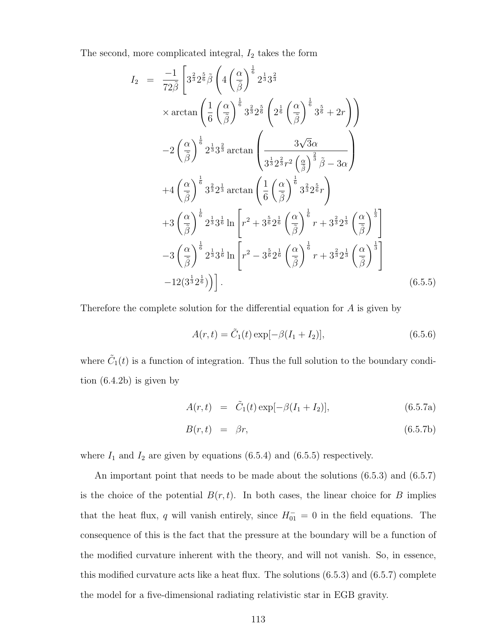The second, more complicated integral,  $I_2$  takes the form

$$
I_2 = \frac{-1}{72\tilde{\beta}} \left[ 3^{\frac{2}{3}} 2^{\frac{5}{6}} \tilde{\beta} \left( 4 \left( \frac{\alpha}{\tilde{\beta}} \right)^{\frac{1}{6}} 2^{\frac{1}{3}} 3^{\frac{2}{3}} \right. \right.\times \arctan \left( \frac{1}{6} \left( \frac{\alpha}{\tilde{\beta}} \right)^{\frac{1}{6}} 3^{\frac{2}{3}} 2^{\frac{5}{6}} \left( 2^{\frac{1}{6}} \left( \frac{\alpha}{\tilde{\beta}} \right)^{\frac{1}{6}} 3^{\frac{5}{6}} + 2r \right) \right)-2 \left( \frac{\alpha}{\tilde{\beta}} \right)^{\frac{1}{6}} 2^{\frac{1}{3}} 3^{\frac{2}{3}} \arctan \left( \frac{3\sqrt{3}\alpha}{3^{\frac{1}{3}} 2^{\frac{2}{3}} r^2 \left( \frac{\alpha}{\tilde{\beta}} \right)^{\frac{2}{3}} \tilde{\beta} - 3\alpha} \right)+4 \left( \frac{\alpha}{\tilde{\beta}} \right)^{\frac{1}{6}} 3^{\frac{2}{3}} 2^{\frac{1}{3}} \arctan \left( \frac{1}{6} \left( \frac{\alpha}{\tilde{\beta}} \right)^{\frac{1}{6}} 3^{\frac{2}{3}} 2^{\frac{5}{6}} r \right)+3 \left( \frac{\alpha}{\tilde{\beta}} \right)^{\frac{1}{6}} 2^{\frac{1}{3}} 3^{\frac{1}{6}} \ln \left[ r^2 + 3^{\frac{5}{6}} 2^{\frac{1}{6}} \left( \frac{\alpha}{\tilde{\beta}} \right)^{\frac{1}{6}} r + 3^{\frac{2}{3}} 2^{\frac{1}{3}} \left( \frac{\alpha}{\tilde{\beta}} \right)^{\frac{1}{3}} \right]-3 \left( \frac{\alpha}{\tilde{\beta}} \right)^{\frac{1}{6}} 2^{\frac{1}{3}} 3^{\frac{1}{6}} \ln \left[ r^2 - 3^{\frac{5}{6}} 2^{\frac{1}{6}} \left( \frac{\alpha}{\tilde{\beta}} \right)^{\frac{1}{6}} r + 3^{\frac{2}{3}} 2^{\frac{1}{3}} \left( \frac{\alpha}{\tilde{\beta}} \right)^{\frac{1}{3}} \right]-12(3^
$$

Therefore the complete solution for the differential equation for A is given by

$$
A(r,t) = \tilde{C}_1(t) \exp[-\beta(I_1 + I_2)], \qquad (6.5.6)
$$

where  $\tilde{C}_1(t)$  is a function of integration. Thus the full solution to the boundary condition (6.4.2b) is given by

$$
A(r,t) = \tilde{C}_1(t) \exp[-\beta(I_1 + I_2)], \qquad (6.5.7a)
$$

$$
B(r,t) = \beta r, \tag{6.5.7b}
$$

where  $I_1$  and  $I_2$  are given by equations (6.5.4) and (6.5.5) respectively.

An important point that needs to be made about the solutions (6.5.3) and (6.5.7) is the choice of the potential  $B(r, t)$ . In both cases, the linear choice for B implies that the heat flux, q will vanish entirely, since  $H_{01}^- = 0$  in the field equations. The consequence of this is the fact that the pressure at the boundary will be a function of the modified curvature inherent with the theory, and will not vanish. So, in essence, this modified curvature acts like a heat flux. The solutions  $(6.5.3)$  and  $(6.5.7)$  complete the model for a five-dimensional radiating relativistic star in EGB gravity.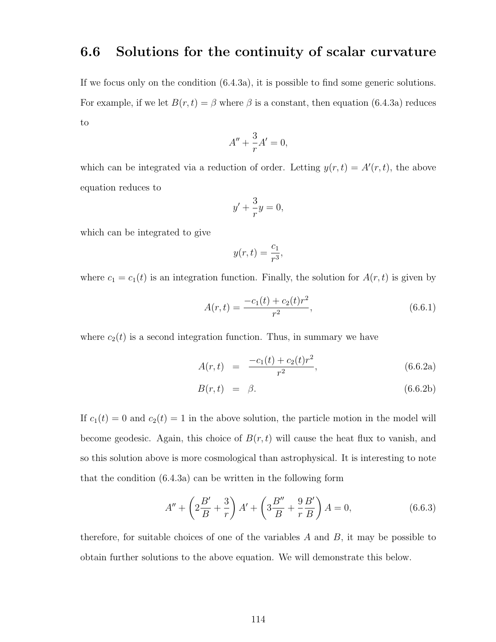#### 6.6 Solutions for the continuity of scalar curvature

If we focus only on the condition (6.4.3a), it is possible to find some generic solutions. For example, if we let  $B(r, t) = \beta$  where  $\beta$  is a constant, then equation (6.4.3a) reduces to

$$
A'' + \frac{3}{r}A' = 0,
$$

which can be integrated via a reduction of order. Letting  $y(r, t) = A'(r, t)$ , the above equation reduces to

$$
y' + \frac{3}{r}y = 0,
$$

which can be integrated to give

$$
y(r,t) = \frac{c_1}{r^3},
$$

where  $c_1 = c_1(t)$  is an integration function. Finally, the solution for  $A(r, t)$  is given by

$$
A(r,t) = \frac{-c_1(t) + c_2(t)r^2}{r^2},
$$
\n(6.6.1)

where  $c_2(t)$  is a second integration function. Thus, in summary we have

$$
A(r,t) = \frac{-c_1(t) + c_2(t)r^2}{r^2}, \qquad (6.6.2a)
$$

$$
B(r,t) = \beta. \tag{6.6.2b}
$$

If  $c_1(t) = 0$  and  $c_2(t) = 1$  in the above solution, the particle motion in the model will become geodesic. Again, this choice of  $B(r, t)$  will cause the heat flux to vanish, and so this solution above is more cosmological than astrophysical. It is interesting to note that the condition (6.4.3a) can be written in the following form

$$
A'' + \left(2\frac{B'}{B} + \frac{3}{r}\right)A' + \left(3\frac{B''}{B} + \frac{9}{r}\frac{B'}{B}\right)A = 0,\tag{6.6.3}
$$

therefore, for suitable choices of one of the variables  $A$  and  $B$ , it may be possible to obtain further solutions to the above equation. We will demonstrate this below.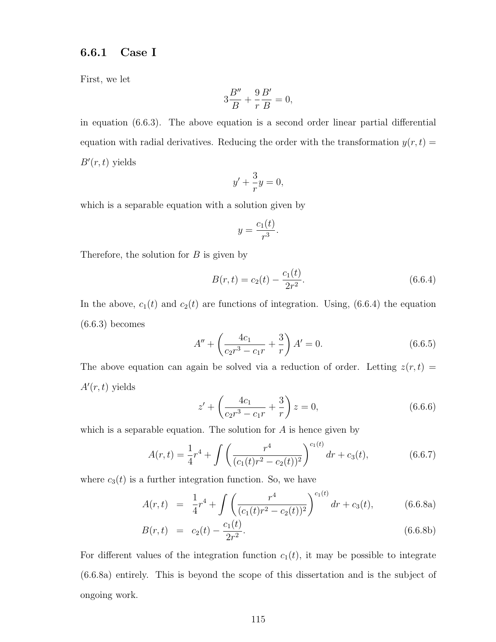#### 6.6.1 Case I

First, we let

$$
3\frac{B''}{B} + \frac{9}{r}\frac{B'}{B} = 0,
$$

in equation (6.6.3). The above equation is a second order linear partial differential equation with radial derivatives. Reducing the order with the transformation  $y(r, t) =$  $B'(r,t)$  yields

$$
y' + \frac{3}{r}y = 0,
$$

which is a separable equation with a solution given by

$$
y = \frac{c_1(t)}{r^3}.
$$

Therefore, the solution for  $B$  is given by

$$
B(r,t) = c_2(t) - \frac{c_1(t)}{2r^2}.
$$
\n(6.6.4)

In the above,  $c_1(t)$  and  $c_2(t)$  are functions of integration. Using, (6.6.4) the equation  $(6.6.3)$  becomes

$$
A'' + \left(\frac{4c_1}{c_2r^3 - c_1r} + \frac{3}{r}\right)A' = 0.
$$
 (6.6.5)

The above equation can again be solved via a reduction of order. Letting  $z(r, t) =$  $A'(r, t)$  yields

$$
z' + \left(\frac{4c_1}{c_2r^3 - c_1r} + \frac{3}{r}\right)z = 0,
$$
\n(6.6.6)

which is a separable equation. The solution for  $A$  is hence given by

$$
A(r,t) = \frac{1}{4}r^4 + \int \left(\frac{r^4}{(c_1(t)r^2 - c_2(t))^2}\right)^{c_1(t)} dr + c_3(t), \tag{6.6.7}
$$

where  $c_3(t)$  is a further integration function. So, we have

$$
A(r,t) = \frac{1}{4}r^4 + \int \left(\frac{r^4}{(c_1(t)r^2 - c_2(t))^2}\right)^{c_1(t)} dr + c_3(t), \tag{6.6.8a}
$$

$$
B(r,t) = c_2(t) - \frac{c_1(t)}{2r^2}.
$$
\n(6.6.8b)

For different values of the integration function  $c_1(t)$ , it may be possible to integrate (6.6.8a) entirely. This is beyond the scope of this dissertation and is the subject of ongoing work.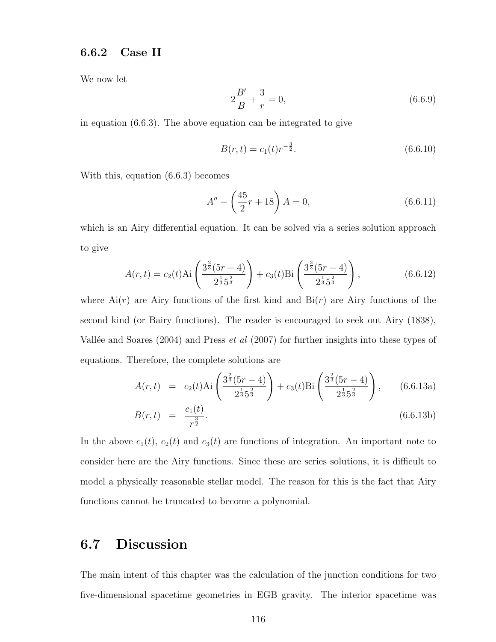#### 6.6.2 Case II

We now let

$$
2\frac{B'}{B} + \frac{3}{r} = 0,\t(6.6.9)
$$

in equation (6.6.3). The above equation can be integrated to give

$$
B(r,t) = c_1(t)r^{-\frac{3}{2}}.\t\t(6.6.10)
$$

With this, equation (6.6.3) becomes

$$
A'' - \left(\frac{45}{2}r + 18\right)A = 0,\t(6.6.11)
$$

which is an Airy differential equation. It can be solved via a series solution approach to give

$$
A(r,t) = c_2(t) \text{Ai}\left(\frac{3^{\frac{2}{3}}(5r-4)}{2^{\frac{1}{3}}5^{\frac{2}{3}}}\right) + c_3(t) \text{Bi}\left(\frac{3^{\frac{2}{3}}(5r-4)}{2^{\frac{1}{3}}5^{\frac{2}{3}}}\right),\tag{6.6.12}
$$

where  $Ai(r)$  are Airy functions of the first kind and  $Bi(r)$  are Airy functions of the second kind (or Bairy functions). The reader is encouraged to seek out Airy (1838), Vallée and Soares (2004) and Press  $et \ al \ (2007)$  for further insights into these types of equations. Therefore, the complete solutions are

$$
A(r,t) = c_2(t) \text{Ai}\left(\frac{3^{\frac{2}{3}}(5r-4)}{2^{\frac{1}{3}}5^{\frac{2}{3}}}\right) + c_3(t) \text{Bi}\left(\frac{3^{\frac{2}{3}}(5r-4)}{2^{\frac{1}{3}}5^{\frac{2}{3}}}\right), \quad (6.6.13a)
$$

$$
B(r,t) = \frac{c_1(t)}{r^{\frac{3}{2}}}.
$$
\n(6.6.13b)

In the above  $c_1(t)$ ,  $c_2(t)$  and  $c_3(t)$  are functions of integration. An important note to consider here are the Airy functions. Since these are series solutions, it is difficult to model a physically reasonable stellar model. The reason for this is the fact that Airy functions cannot be truncated to become a polynomial.

### 6.7 Discussion

The main intent of this chapter was the calculation of the junction conditions for two five-dimensional spacetime geometries in EGB gravity. The interior spacetime was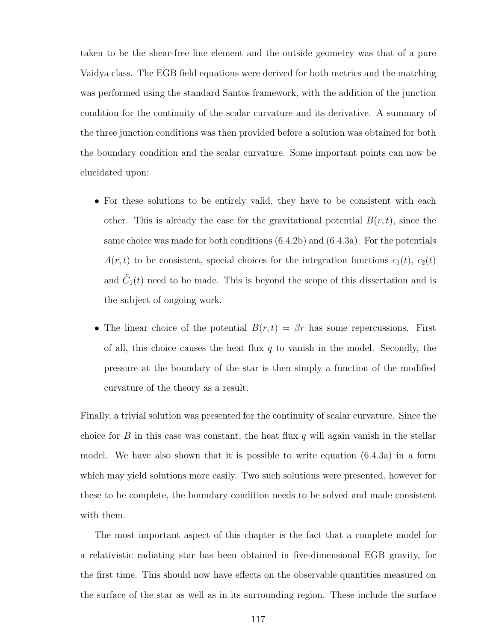taken to be the shear-free line element and the outside geometry was that of a pure Vaidya class. The EGB field equations were derived for both metrics and the matching was performed using the standard Santos framework, with the addition of the junction condition for the continuity of the scalar curvature and its derivative. A summary of the three junction conditions was then provided before a solution was obtained for both the boundary condition and the scalar curvature. Some important points can now be elucidated upon:

- For these solutions to be entirely valid, they have to be consistent with each other. This is already the case for the gravitational potential  $B(r, t)$ , since the same choice was made for both conditions (6.4.2b) and (6.4.3a). For the potentials  $A(r, t)$  to be consistent, special choices for the integration functions  $c_1(t)$ ,  $c_2(t)$ and  $\tilde{C}_1(t)$  need to be made. This is beyond the scope of this dissertation and is the subject of ongoing work.
- The linear choice of the potential  $B(r, t) = \beta r$  has some repercussions. First of all, this choice causes the heat flux  $q$  to vanish in the model. Secondly, the pressure at the boundary of the star is then simply a function of the modified curvature of the theory as a result.

Finally, a trivial solution was presented for the continuity of scalar curvature. Since the choice for B in this case was constant, the heat flux  $q$  will again vanish in the stellar model. We have also shown that it is possible to write equation (6.4.3a) in a form which may yield solutions more easily. Two such solutions were presented, however for these to be complete, the boundary condition needs to be solved and made consistent with them.

The most important aspect of this chapter is the fact that a complete model for a relativistic radiating star has been obtained in five-dimensional EGB gravity, for the first time. This should now have effects on the observable quantities measured on the surface of the star as well as in its surrounding region. These include the surface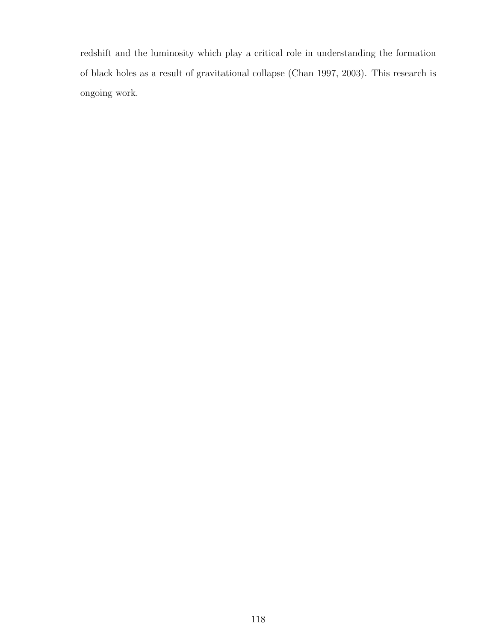redshift and the luminosity which play a critical role in understanding the formation of black holes as a result of gravitational collapse (Chan 1997, 2003). This research is ongoing work.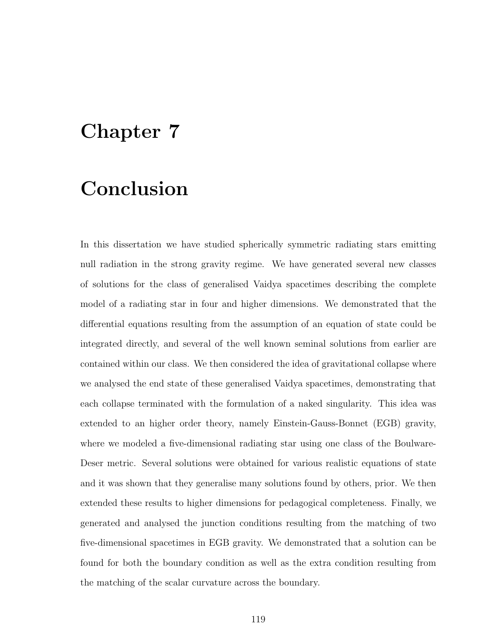## Chapter 7

## Conclusion

In this dissertation we have studied spherically symmetric radiating stars emitting null radiation in the strong gravity regime. We have generated several new classes of solutions for the class of generalised Vaidya spacetimes describing the complete model of a radiating star in four and higher dimensions. We demonstrated that the differential equations resulting from the assumption of an equation of state could be integrated directly, and several of the well known seminal solutions from earlier are contained within our class. We then considered the idea of gravitational collapse where we analysed the end state of these generalised Vaidya spacetimes, demonstrating that each collapse terminated with the formulation of a naked singularity. This idea was extended to an higher order theory, namely Einstein-Gauss-Bonnet (EGB) gravity, where we modeled a five-dimensional radiating star using one class of the Boulware-Deser metric. Several solutions were obtained for various realistic equations of state and it was shown that they generalise many solutions found by others, prior. We then extended these results to higher dimensions for pedagogical completeness. Finally, we generated and analysed the junction conditions resulting from the matching of two five-dimensional spacetimes in EGB gravity. We demonstrated that a solution can be found for both the boundary condition as well as the extra condition resulting from the matching of the scalar curvature across the boundary.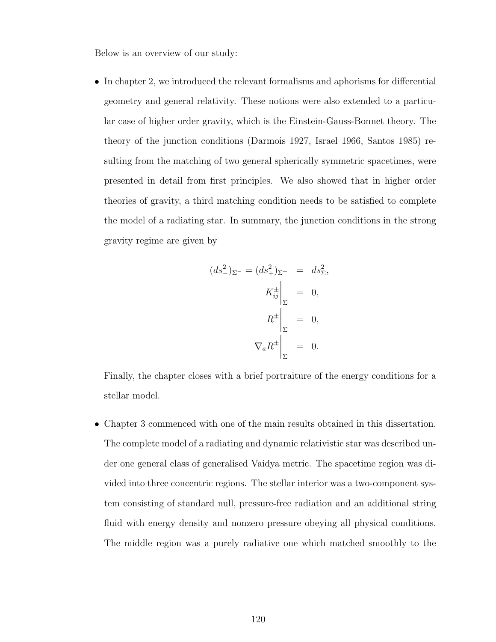Below is an overview of our study:

• In chapter 2, we introduced the relevant formalisms and aphorisms for differential geometry and general relativity. These notions were also extended to a particular case of higher order gravity, which is the Einstein-Gauss-Bonnet theory. The theory of the junction conditions (Darmois 1927, Israel 1966, Santos 1985) resulting from the matching of two general spherically symmetric spacetimes, were presented in detail from first principles. We also showed that in higher order theories of gravity, a third matching condition needs to be satisfied to complete the model of a radiating star. In summary, the junction conditions in the strong gravity regime are given by

$$
(ds_{-}^{2})_{\Sigma^{-}} = (ds_{+}^{2})_{\Sigma^{+}} = ds_{\Sigma}^{2},
$$

$$
K_{ij}^{\pm} \Big|_{\Sigma} = 0,
$$

$$
R^{\pm} \Big|_{\Sigma} = 0,
$$

$$
\nabla_{a}R^{\pm} \Big|_{\Sigma} = 0.
$$

Finally, the chapter closes with a brief portraiture of the energy conditions for a stellar model.

• Chapter 3 commenced with one of the main results obtained in this dissertation. The complete model of a radiating and dynamic relativistic star was described under one general class of generalised Vaidya metric. The spacetime region was divided into three concentric regions. The stellar interior was a two-component system consisting of standard null, pressure-free radiation and an additional string fluid with energy density and nonzero pressure obeying all physical conditions. The middle region was a purely radiative one which matched smoothly to the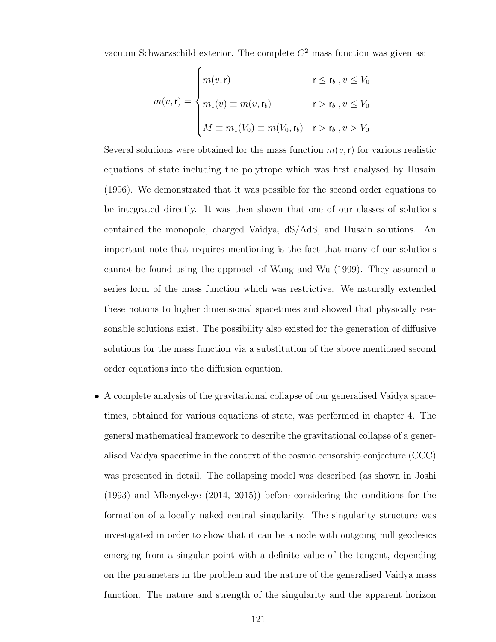vacuum Schwarzschild exterior. The complete  $C<sup>2</sup>$  mass function was given as:

$$
m(v, \mathbf{r}) = \begin{cases} m(v, \mathbf{r}) & \mathbf{r} \le \mathbf{r}_b, v \le V_0 \\ m_1(v) \equiv m(v, \mathbf{r}_b) & \mathbf{r} > \mathbf{r}_b, v \le V_0 \\ M \equiv m_1(V_0) \equiv m(V_0, \mathbf{r}_b) & \mathbf{r} > \mathbf{r}_b, v > V_0 \end{cases}
$$

Several solutions were obtained for the mass function  $m(v, r)$  for various realistic equations of state including the polytrope which was first analysed by Husain (1996). We demonstrated that it was possible for the second order equations to be integrated directly. It was then shown that one of our classes of solutions contained the monopole, charged Vaidya, dS/AdS, and Husain solutions. An important note that requires mentioning is the fact that many of our solutions cannot be found using the approach of Wang and Wu (1999). They assumed a series form of the mass function which was restrictive. We naturally extended these notions to higher dimensional spacetimes and showed that physically reasonable solutions exist. The possibility also existed for the generation of diffusive solutions for the mass function via a substitution of the above mentioned second order equations into the diffusion equation.

• A complete analysis of the gravitational collapse of our generalised Vaidya spacetimes, obtained for various equations of state, was performed in chapter 4. The general mathematical framework to describe the gravitational collapse of a generalised Vaidya spacetime in the context of the cosmic censorship conjecture (CCC) was presented in detail. The collapsing model was described (as shown in Joshi (1993) and Mkenyeleye (2014, 2015)) before considering the conditions for the formation of a locally naked central singularity. The singularity structure was investigated in order to show that it can be a node with outgoing null geodesics emerging from a singular point with a definite value of the tangent, depending on the parameters in the problem and the nature of the generalised Vaidya mass function. The nature and strength of the singularity and the apparent horizon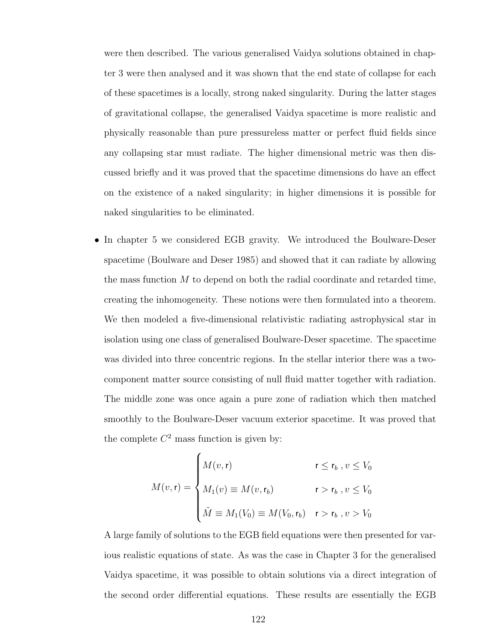were then described. The various generalised Vaidya solutions obtained in chapter 3 were then analysed and it was shown that the end state of collapse for each of these spacetimes is a locally, strong naked singularity. During the latter stages of gravitational collapse, the generalised Vaidya spacetime is more realistic and physically reasonable than pure pressureless matter or perfect fluid fields since any collapsing star must radiate. The higher dimensional metric was then discussed briefly and it was proved that the spacetime dimensions do have an effect on the existence of a naked singularity; in higher dimensions it is possible for naked singularities to be eliminated.

• In chapter 5 we considered EGB gravity. We introduced the Boulware-Deser spacetime (Boulware and Deser 1985) and showed that it can radiate by allowing the mass function  $M$  to depend on both the radial coordinate and retarded time, creating the inhomogeneity. These notions were then formulated into a theorem. We then modeled a five-dimensional relativistic radiating astrophysical star in isolation using one class of generalised Boulware-Deser spacetime. The spacetime was divided into three concentric regions. In the stellar interior there was a twocomponent matter source consisting of null fluid matter together with radiation. The middle zone was once again a pure zone of radiation which then matched smoothly to the Boulware-Deser vacuum exterior spacetime. It was proved that the complete  $C^2$  mass function is given by:

$$
M(v, \mathbf{r}) = \begin{cases} M(v, \mathbf{r}) & \mathbf{r} \le \mathbf{r}_b, v \le V_0 \\ M_1(v) \equiv M(v, \mathbf{r}_b) & \mathbf{r} > \mathbf{r}_b, v \le V_0 \\ \tilde{M} \equiv M_1(V_0) \equiv M(V_0, \mathbf{r}_b) & \mathbf{r} > \mathbf{r}_b, v > V_0 \end{cases}
$$

A large family of solutions to the EGB field equations were then presented for various realistic equations of state. As was the case in Chapter 3 for the generalised Vaidya spacetime, it was possible to obtain solutions via a direct integration of the second order differential equations. These results are essentially the EGB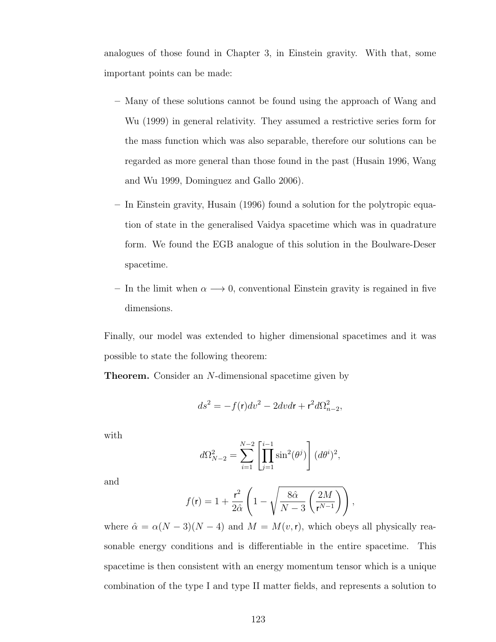analogues of those found in Chapter 3, in Einstein gravity. With that, some important points can be made:

- Many of these solutions cannot be found using the approach of Wang and Wu (1999) in general relativity. They assumed a restrictive series form for the mass function which was also separable, therefore our solutions can be regarded as more general than those found in the past (Husain 1996, Wang and Wu 1999, Dominguez and Gallo 2006).
- In Einstein gravity, Husain (1996) found a solution for the polytropic equation of state in the generalised Vaidya spacetime which was in quadrature form. We found the EGB analogue of this solution in the Boulware-Deser spacetime.
- In the limit when  $\alpha \longrightarrow 0$ , conventional Einstein gravity is regained in five dimensions.

Finally, our model was extended to higher dimensional spacetimes and it was possible to state the following theorem:

**Theorem.** Consider an N-dimensional spacetime given by

$$
ds^2 = -f(\mathbf{r})dv^2 - 2dvdr + \mathbf{r}^2d\Omega_{n-2}^2,
$$

with

$$
d\Omega_{N-2}^2 = \sum_{i=1}^{N-2} \left[ \prod_{j=1}^{i-1} \sin^2(\theta^j) \right] (d\theta^i)^2,
$$

and

$$
f(\mathbf{r}) = 1 + \frac{\mathbf{r}^2}{2\hat{\alpha}} \left( 1 - \sqrt{\frac{8\hat{\alpha}}{N-3} \left( \frac{2M}{\mathbf{r}^{N-1}} \right)} \right),
$$

where  $\hat{\alpha} = \alpha(N-3)(N-4)$  and  $M = M(v, r)$ , which obeys all physically reasonable energy conditions and is differentiable in the entire spacetime. This spacetime is then consistent with an energy momentum tensor which is a unique combination of the type I and type II matter fields, and represents a solution to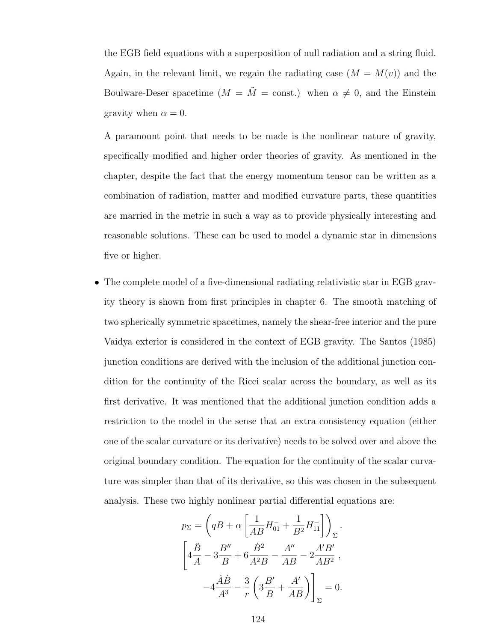the EGB field equations with a superposition of null radiation and a string fluid. Again, in the relevant limit, we regain the radiating case  $(M = M(v))$  and the Boulware-Deser spacetime  $(M = \tilde{M} = \text{const.})$  when  $\alpha \neq 0$ , and the Einstein gravity when  $\alpha = 0$ .

A paramount point that needs to be made is the nonlinear nature of gravity, specifically modified and higher order theories of gravity. As mentioned in the chapter, despite the fact that the energy momentum tensor can be written as a combination of radiation, matter and modified curvature parts, these quantities are married in the metric in such a way as to provide physically interesting and reasonable solutions. These can be used to model a dynamic star in dimensions five or higher.

• The complete model of a five-dimensional radiating relativistic star in EGB gravity theory is shown from first principles in chapter 6. The smooth matching of two spherically symmetric spacetimes, namely the shear-free interior and the pure Vaidya exterior is considered in the context of EGB gravity. The Santos (1985) junction conditions are derived with the inclusion of the additional junction condition for the continuity of the Ricci scalar across the boundary, as well as its first derivative. It was mentioned that the additional junction condition adds a restriction to the model in the sense that an extra consistency equation (either one of the scalar curvature or its derivative) needs to be solved over and above the original boundary condition. The equation for the continuity of the scalar curvature was simpler than that of its derivative, so this was chosen in the subsequent analysis. These two highly nonlinear partial differential equations are:

$$
p_{\Sigma} = \left( qB + \alpha \left[ \frac{1}{AB} H_{01}^{-} + \frac{1}{B^2} H_{11}^{-} \right] \right)_{\Sigma}.
$$
  

$$
\left[ 4\frac{\ddot{B}}{A} - 3\frac{B''}{B} + 6\frac{\dot{B}^2}{A^2B} - \frac{A''}{AB} - 2\frac{A'B'}{AB^2}, -4\frac{\dot{A}\dot{B}}{A^3} - \frac{3}{r} \left( 3\frac{B'}{B} + \frac{A'}{AB} \right) \right]_{\Sigma} = 0.
$$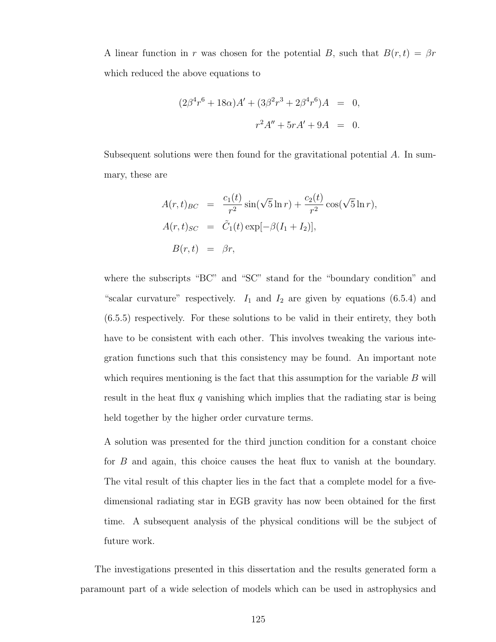A linear function in r was chosen for the potential B, such that  $B(r, t) = \beta r$ which reduced the above equations to

$$
(2\beta^4 r^6 + 18\alpha)A' + (3\beta^2 r^3 + 2\beta^4 r^6)A = 0,
$$
  

$$
r^2 A'' + 5rA' + 9A = 0.
$$

Subsequent solutions were then found for the gravitational potential A. In summary, these are

$$
A(r,t)_{BC} = \frac{c_1(t)}{r^2} \sin(\sqrt{5} \ln r) + \frac{c_2(t)}{r^2} \cos(\sqrt{5} \ln r),
$$
  
\n
$$
A(r,t)_{SC} = \tilde{C}_1(t) \exp[-\beta(I_1 + I_2)],
$$
  
\n
$$
B(r,t) = \beta r,
$$

where the subscripts "BC" and "SC" stand for the "boundary condition" and "scalar curvature" respectively.  $I_1$  and  $I_2$  are given by equations (6.5.4) and (6.5.5) respectively. For these solutions to be valid in their entirety, they both have to be consistent with each other. This involves tweaking the various integration functions such that this consistency may be found. An important note which requires mentioning is the fact that this assumption for the variable  $B$  will result in the heat flux q vanishing which implies that the radiating star is being held together by the higher order curvature terms.

A solution was presented for the third junction condition for a constant choice for B and again, this choice causes the heat flux to vanish at the boundary. The vital result of this chapter lies in the fact that a complete model for a fivedimensional radiating star in EGB gravity has now been obtained for the first time. A subsequent analysis of the physical conditions will be the subject of future work.

The investigations presented in this dissertation and the results generated form a paramount part of a wide selection of models which can be used in astrophysics and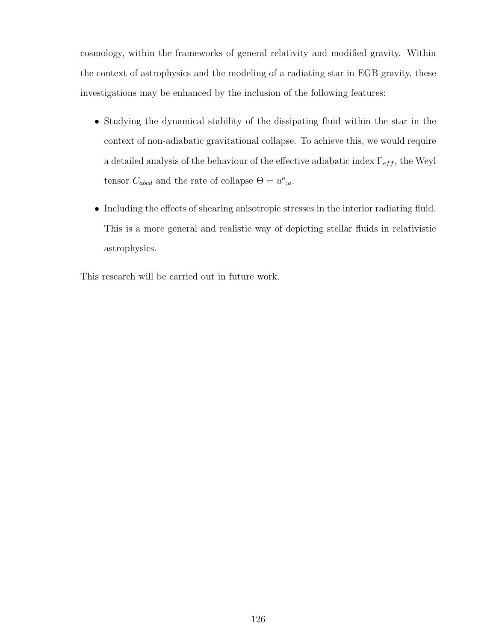cosmology, within the frameworks of general relativity and modified gravity. Within the context of astrophysics and the modeling of a radiating star in EGB gravity, these investigations may be enhanced by the inclusion of the following features:

- Studying the dynamical stability of the dissipating fluid within the star in the context of non-adiabatic gravitational collapse. To achieve this, we would require a detailed analysis of the behaviour of the effective adiabatic index  $\Gamma_{eff}$ , the Weyl tensor  $C_{abcd}$  and the rate of collapse  $\Theta = u^a{}_{;a}$ .
- Including the effects of shearing anisotropic stresses in the interior radiating fluid. This is a more general and realistic way of depicting stellar fluids in relativistic astrophysics.

This research will be carried out in future work.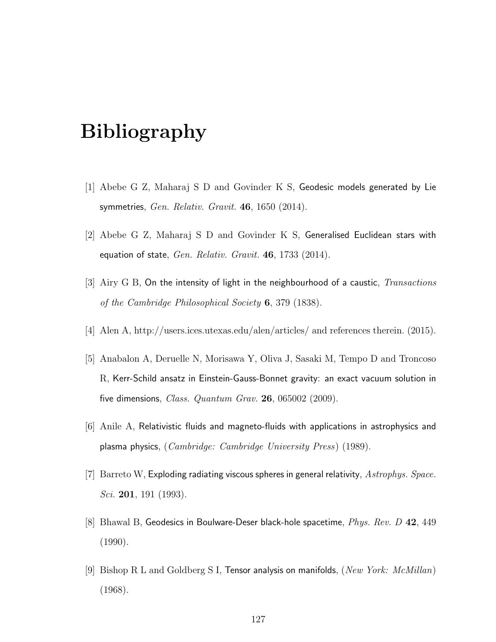# Bibliography

- [1] Abebe G Z, Maharaj S D and Govinder K S, Geodesic models generated by Lie symmetries, Gen. Relativ. Gravit. 46, 1650 (2014).
- [2] Abebe G Z, Maharaj S D and Govinder K S, Generalised Euclidean stars with equation of state,  $Gen.$   $Relativ.$   $Gravit.$  46, 1733 (2014).
- $[3]$  Airy G B, On the intensity of light in the neighbourhood of a caustic, *Transactions* of the Cambridge Philosophical Society 6, 379 (1838).
- [4] Alen A, http://users.ices.utexas.edu/alen/articles/ and references therein. (2015).
- [5] Anabalon A, Deruelle N, Morisawa Y, Oliva J, Sasaki M, Tempo D and Troncoso R, Kerr-Schild ansatz in Einstein-Gauss-Bonnet gravity: an exact vacuum solution in five dimensions, *Class. Quantum Grav.* **26**, 065002 (2009).
- [6] Anile A, Relativistic fluids and magneto-fluids with applications in astrophysics and plasma physics, (Cambridge: Cambridge University Press) (1989).
- $[7]$  Barreto W, Exploding radiating viscous spheres in general relativity,  $Astrophys. Space.$ Sci. **201**, 191 (1993).
- [8] Bhawal B, Geodesics in Boulware-Deser black-hole spacetime, Phys. Rev. D 42, 449 (1990).
- [9] Bishop R L and Goldberg S I, Tensor analysis on manifolds, (New York: McMillan) (1968).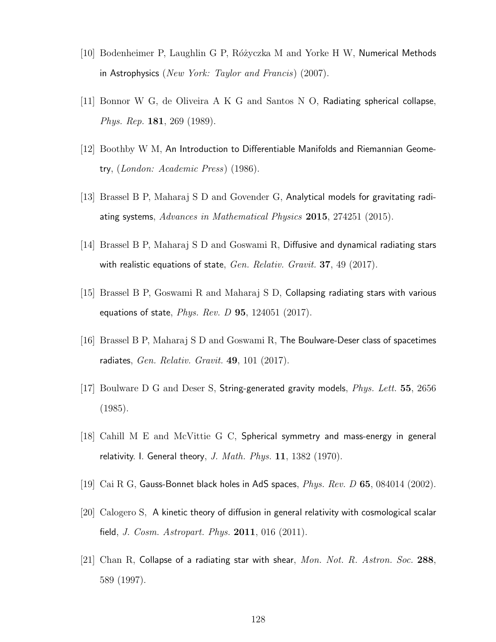- [10] Bodenheimer P, Laughlin G P, Różyczka M and Yorke H W, Numerical Methods in Astrophysics (New York: Taylor and Francis) (2007).
- [11] Bonnor W G, de Oliveira A K G and Santos N O, Radiating spherical collapse, Phys. Rep. 181, 269 (1989).
- [12] Boothby W M, An Introduction to Differentiable Manifolds and Riemannian Geometry, (London: Academic Press) (1986).
- [13] Brassel B P, Maharaj S D and Govender G, Analytical models for gravitating radiating systems, Advances in Mathematical Physics 2015, 274251 (2015).
- [14] Brassel B P, Maharaj S D and Goswami R, Diffusive and dynamical radiating stars with realistic equations of state,  $Gen.$   $Relativ.$   $Gravit.$  37, 49 (2017).
- [15] Brassel B P, Goswami R and Maharaj S D, Collapsing radiating stars with various equations of state,  $Phys. Rev. D$  95, 124051 (2017).
- [16] Brassel B P, Maharaj S D and Goswami R, The Boulware-Deser class of spacetimes radiates, Gen. Relativ. Gravit. 49, 101 (2017).
- [17] Boulware D G and Deser S, String-generated gravity models, Phys. Lett. 55, 2656 (1985).
- [18] Cahill M E and McVittie G C, Spherical symmetry and mass-energy in general relativity. I. General theory, J. Math. Phys.  $11, 1382$  (1970).
- [19] Cai R G, Gauss-Bonnet black holes in AdS spaces,  $Phys. Rev. D 65, 084014 (2002).$
- [20] Calogero S, A kinetic theory of diffusion in general relativity with cosmological scalar field, *J. Cosm. Astropart. Phys.*  $2011$ ,  $016$   $(2011)$ .
- [21] Chan R, Collapse of a radiating star with shear,  $Mon. Not. R. Astron. Soc. 288$ , 589 (1997).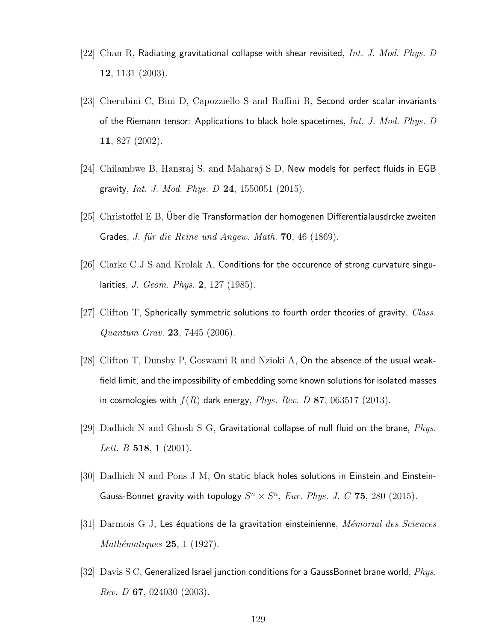- [22] Chan R, Radiating gravitational collapse with shear revisited, Int. J. Mod. Phys. D 12, 1131 (2003).
- [23] Cherubini C, Bini D, Capozziello S and Ruffini R, Second order scalar invariants of the Riemann tensor: Applications to black hole spacetimes,  $Int. J. Mod. Phys. D$ 11, 827 (2002).
- [24] Chilambwe B, Hansraj S, and Maharaj S D, New models for perfect fluids in EGB gravity, *Int. J. Mod. Phys. D* 24, 1550051 (2015).
- [25] Christoffel E B, Uber die Transformation der homogenen Differentialausdrcke zweiten Grades, J. für die Reine und Angew. Math. 70, 46 (1869).
- [26] Clarke C J S and Krolak A, Conditions for the occurence of strong curvature singularities, J. Geom. Phys. 2, 127 (1985).
- [27] Clifton T, Spherically symmetric solutions to fourth order theories of gravity,  $Class.$ Quantum Grav. 23, 7445 (2006).
- [28] Clifton T, Dunsby P, Goswami R and Nzioki A, On the absence of the usual weakfield limit, and the impossibility of embedding some known solutions for isolated masses in cosmologies with  $f(R)$  dark energy, *Phys. Rev. D* 87, 063517 (2013).
- [29] Dadhich N and Ghosh S G, Gravitational collapse of null fluid on the brane,  $Phys.$ Lett. B  $518$ , 1 (2001).
- [30] Dadhich N and Pons J M, On static black holes solutions in Einstein and Einstein-Gauss-Bonnet gravity with topology  $S^n \times S^n$ , Eur. Phys. J. C 75, 280 (2015).
- $[31]$  Darmois G J, Les équations de la gravitation einsteinienne, *Mémorial des Sciences* Mathématiques  $25$ , 1 (1927).
- [32] Davis S C, Generalized Israel junction conditions for a GaussBonnet brane world,  $Phys.$ *Rev. D* 67, 024030 (2003).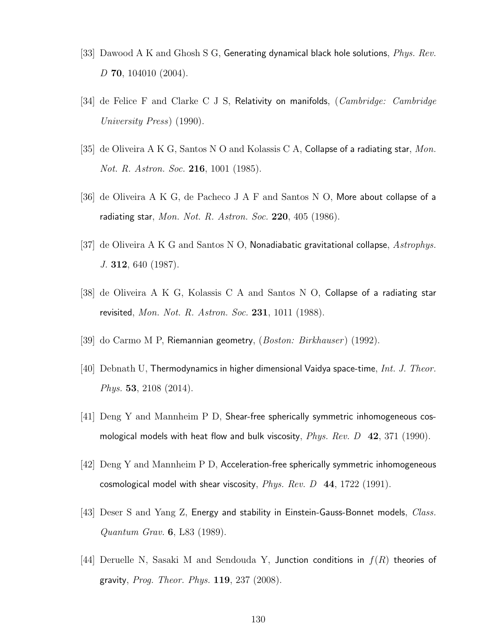- [33] Dawood A K and Ghosh S G, Generating dynamical black hole solutions,  $Phys. Rev.$ D **70**, 104010 (2004).
- [34] de Felice F and Clarke C J S, Relativity on manifolds, (Cambridge: Cambridge University Press) (1990).
- [35] de Oliveira A K G, Santos N O and Kolassis C A, Collapse of a radiating star, Mon. Not. R. Astron. Soc. **216**, 1001 (1985).
- [36] de Oliveira A K G, de Pacheco J A F and Santos N O, More about collapse of a radiating star, Mon. Not. R. Astron. Soc.  $220$ ,  $405$  (1986).
- [37] de Oliveira A K G and Santos N O, Nonadiabatic gravitational collapse,  $Astrophys$ . J. 312, 640 (1987).
- [38] de Oliveira A K G, Kolassis C A and Santos N O, Collapse of a radiating star revisited, Mon. Not. R. Astron. Soc. 231, 1011 (1988).
- [39] do Carmo M P, Riemannian geometry, (Boston: Birkhauser) (1992).
- [40] Debnath U, Thermodynamics in higher dimensional Vaidya space-time, Int. J. Theor. Phys. 53, 2108 (2014).
- [41] Deng Y and Mannheim P D, Shear-free spherically symmetric inhomogeneous cosmological models with heat flow and bulk viscosity,  $Phys. Rev. D \quad 42, 371 (1990).$
- [42] Deng Y and Mannheim P D, Acceleration-free spherically symmetric inhomogeneous cosmological model with shear viscosity,  $Phys. Rev. D 44, 1722 (1991).$
- [43] Deser S and Yang Z, Energy and stability in Einstein-Gauss-Bonnet models, Class. Quantum Grav. 6, L83 (1989).
- [44] Deruelle N, Sasaki M and Sendouda Y, Junction conditions in  $f(R)$  theories of gravity, Prog. Theor. Phys. 119, 237 (2008).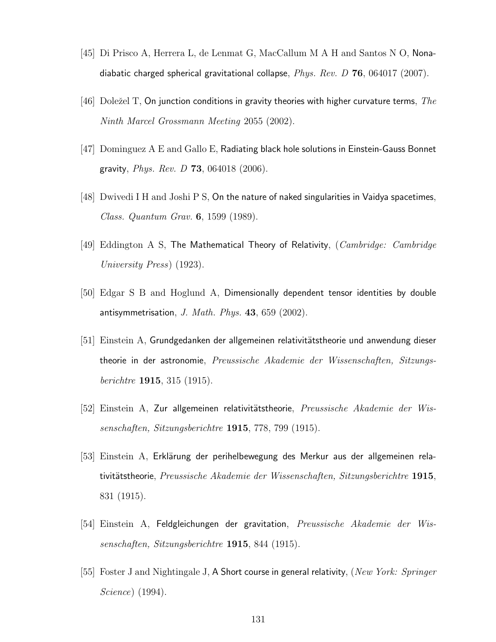- [45] Di Prisco A, Herrera L, de Lenmat G, MacCallum M A H and Santos N O, Nonadiabatic charged spherical gravitational collapse,  $Phys. Rev. D 76, 064017 (2007)$ .
- [46] Doležel T, On junction conditions in gravity theories with higher curvature terms, The Ninth Marcel Grossmann Meeting 2055 (2002).
- [47] Dominguez A E and Gallo E, Radiating black hole solutions in Einstein-Gauss Bonnet gravity, *Phys. Rev. D* **73**, 064018 (2006).
- [48] Dwivedi I H and Joshi P S, On the nature of naked singularities in Vaidya spacetimes, Class. Quantum Grav. 6, 1599 (1989).
- [49] Eddington A S, The Mathematical Theory of Relativity,  $(Cambridge: Cambridge)$ University Press) (1923).
- [50] Edgar S B and Hoglund A, Dimensionally dependent tensor identities by double antisymmetrisation, J. Math. Phys. 43, 659 (2002).
- [51] Einstein A, Grundgedanken der allgemeinen relativitätstheorie und anwendung dieser theorie in der astronomie, Preussische Akademie der Wissenschaften, Sitzungsberichtre 1915, 315 (1915).
- $[52]$  Einstein A, Zur allgemeinen relativitätstheorie, Preussische Akademie der Wissenschaften, Sitzungsberichtre 1915, 778, 799 (1915).
- [53] Einstein A, Erklärung der perihelbewegung des Merkur aus der allgemeinen relativitätstheorie, Preussische Akademie der Wissenschaften, Sitzungsberichtre 1915, 831 (1915).
- [54] Einstein A, Feldgleichungen der gravitation, Preussische Akademie der Wissenschaften, Sitzungsberichtre 1915, 844 (1915).
- [55] Foster J and Nightingale J, A Short course in general relativity, (New York: Springer Science) (1994).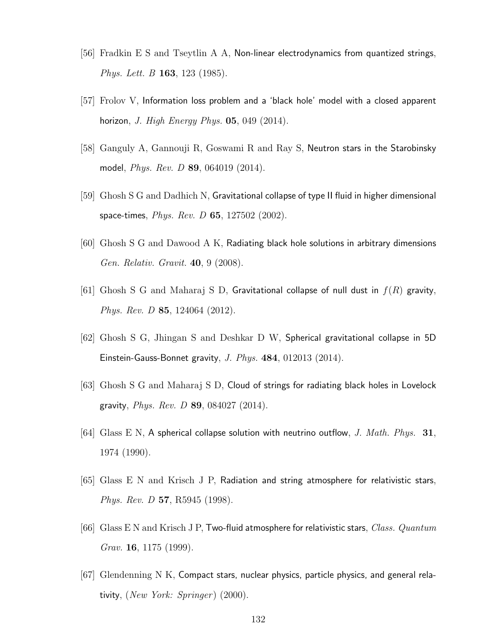- [56] Fradkin E S and Tseytlin A A, Non-linear electrodynamics from quantized strings, Phys. Lett. B 163, 123 (1985).
- [57] Frolov V, Information loss problem and a 'black hole' model with a closed apparent horizon, J. High Energy Phys.  $05, 049$  (2014).
- [58] Ganguly A, Gannouji R, Goswami R and Ray S, Neutron stars in the Starobinsky model, Phys. Rev. D 89, 064019 (2014).
- [59] Ghosh S G and Dadhich N, Gravitational collapse of type II fluid in higher dimensional space-times, *Phys. Rev. D* 65, 127502 (2002).
- [60] Ghosh S G and Dawood A K, Radiating black hole solutions in arbitrary dimensions Gen. Relativ. Gravit. 40, 9 (2008).
- [61] Ghosh S G and Maharaj S D, Gravitational collapse of null dust in  $f(R)$  gravity, Phys. Rev. D 85, 124064 (2012).
- [62] Ghosh S G, Jhingan S and Deshkar D W, Spherical gravitational collapse in 5D Einstein-Gauss-Bonnet gravity, J. Phys. 484, 012013 (2014).
- [63] Ghosh S G and Maharaj S D, Cloud of strings for radiating black holes in Lovelock gravity, *Phys. Rev. D* 89, 084027 (2014).
- [64] Glass E N, A spherical collapse solution with neutrino outflow, J. Math. Phys.  $31$ , 1974 (1990).
- [65] Glass E N and Krisch J P, Radiation and string atmosphere for relativistic stars, Phys. Rev. D 57, R5945 (1998).
- [66] Glass E N and Krisch J P, Two-fluid atmosphere for relativistic stars, *Class. Quantum* Grav. **16**, 1175 (1999).
- [67] Glendenning N K, Compact stars, nuclear physics, particle physics, and general relativity,  $(New York: Springer)$  (2000).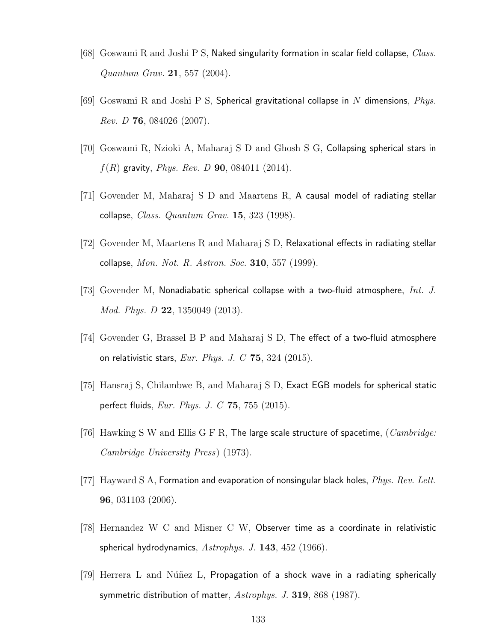- [68] Goswami R and Joshi P S, Naked singularity formation in scalar field collapse, *Class.* Quantum Grav. 21, 557 (2004).
- [69] Goswami R and Joshi P S, Spherical gravitational collapse in N dimensions, *Phys.* Rev. D 76, 084026 (2007).
- [70] Goswami R, Nzioki A, Maharaj S D and Ghosh S G, Collapsing spherical stars in  $f(R)$  gravity, *Phys. Rev. D* 90, 084011 (2014).
- [71] Govender M, Maharaj S D and Maartens R, A causal model of radiating stellar collapse, *Class. Quantum Grav.* **15**, 323 (1998).
- [72] Govender M, Maartens R and Maharaj S D, Relaxational effects in radiating stellar collapse, *Mon. Not. R. Astron. Soc.* 310, 557 (1999).
- [73] Govender M, Nonadiabatic spherical collapse with a two-fluid atmosphere,  $Int. J.$ Mod. Phys. D 22, 1350049 (2013).
- [74] Govender G, Brassel B P and Maharaj S D, The effect of a two-fluid atmosphere on relativistic stars,  $Eur. Phys. J. C$  75, 324 (2015).
- [75] Hansraj S, Chilambwe B, and Maharaj S D, Exact EGB models for spherical static perfect fluids, Eur. Phys. J. C  $75$ ,  $755$   $(2015)$ .
- [76] Hawking S W and Ellis G F R, The large scale structure of spacetime,  $(Cambridge:$ Cambridge University Press) (1973).
- [77] Hayward S A, Formation and evaporation of nonsingular black holes,  $Phys. Rev. Lett.$ 96, 031103 (2006).
- [78] Hernandez W C and Misner C W, Observer time as a coordinate in relativistic spherical hydrodynamics,  $Astrophys.$  J. 143, 452 (1966).
- [79] Herrera L and Núñez L, Propagation of a shock wave in a radiating spherically symmetric distribution of matter, Astrophys. J. 319, 868 (1987).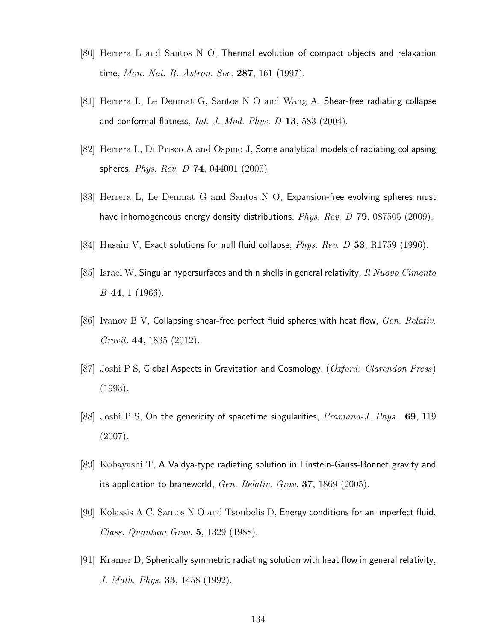- [80] Herrera L and Santos N O, Thermal evolution of compact objects and relaxation time, Mon. Not. R. Astron. Soc. 287, 161 (1997).
- [81] Herrera L, Le Denmat G, Santos N O and Wang A, Shear-free radiating collapse and conformal flatness,  $Int. J. Mod. Phys. D 13, 583 (2004).$
- [82] Herrera L, Di Prisco A and Ospino J, Some analytical models of radiating collapsing spheres, *Phys. Rev. D* **74**, 044001 (2005).
- [83] Herrera L, Le Denmat G and Santos N O, Expansion-free evolving spheres must have inhomogeneous energy density distributions, *Phys. Rev. D* **79**, 087505 (2009).
- [84] Husain V, Exact solutions for null fluid collapse,  $Phys. Rev. D$  53, R1759 (1996).
- [85] Israel W, Singular hypersurfaces and thin shells in general relativity, Il Nuovo Cimento  $B$  44, 1 (1966).
- [86] Ivanov B V, Collapsing shear-free perfect fluid spheres with heat flow, Gen. Relativ. Gravit. 44, 1835 (2012).
- [87] Joshi P S, Global Aspects in Gravitation and Cosmology,  $(Oxford: Clarendon Press)$ (1993).
- [88] Joshi P S, On the genericity of spacetime singularities,  $Pramana-J$ . Phys. 69, 119 (2007).
- [89] Kobayashi T, A Vaidya-type radiating solution in Einstein-Gauss-Bonnet gravity and its application to braneworld, Gen. Relativ. Grav. 37, 1869 (2005).
- [90] Kolassis A C, Santos N O and Tsoubelis D, Energy conditions for an imperfect fluid, Class. Quantum Grav. 5, 1329 (1988).
- [91] Kramer D, Spherically symmetric radiating solution with heat flow in general relativity, J. Math. Phys. 33, 1458 (1992).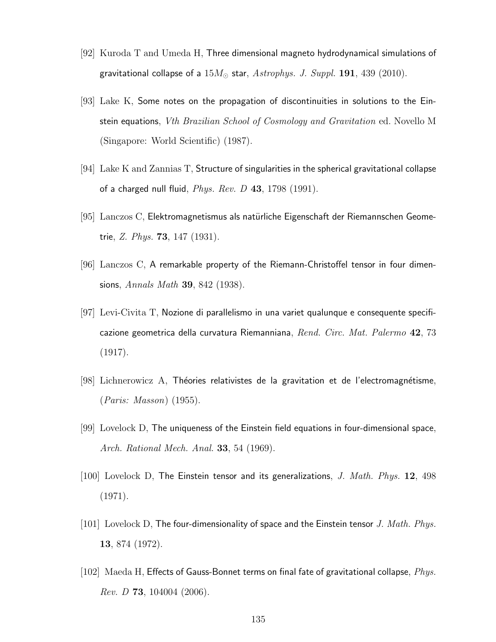- [92] Kuroda T and Umeda H, Three dimensional magneto hydrodynamical simulations of gravitational collapse of a  $15M_{\odot}$  star,  $A \text{strophys. } J.$   $Suppl.$  191, 439 (2010).
- [93] Lake K, Some notes on the propagation of discontinuities in solutions to the Einstein equations, Vth Brazilian School of Cosmology and Gravitation ed. Novello M (Singapore: World Scientific) (1987).
- [94] Lake K and Zannias T, Structure of singularities in the spherical gravitational collapse of a charged null fluid,  $Phys. Rev. D$  43, 1798 (1991).
- [95] Lanczos C, Elektromagnetismus als natürliche Eigenschaft der Riemannschen Geometrie, Z. Phys. 73, 147 (1931).
- [96] Lanczos C, A remarkable property of the Riemann-Christoffel tensor in four dimensions, Annals Math **39**, 842 (1938).
- [97] Levi-Civita T, Nozione di parallelismo in una variet qualunque e consequente specificazione geometrica della curvatura Riemanniana, Rend. Circ. Mat. Palermo 42, 73 (1917).
- $[98]$  Lichnerowicz A, Théories relativistes de la gravitation et de l'electromagnétisme, (Paris: Masson) (1955).
- [99] Lovelock D, The uniqueness of the Einstein field equations in four-dimensional space, Arch. Rational Mech. Anal. 33, 54 (1969).
- [100] Lovelock D, The Einstein tensor and its generalizations, J. Math. Phys. 12, 498 (1971).
- $[101]$  Lovelock D, The four-dimensionality of space and the Einstein tensor J. Math. Phys. 13, 874 (1972).
- [102] Maeda H, Effects of Gauss-Bonnet terms on final fate of gravitational collapse,  $Phys$ . *Rev. D* **73**, 104004 (2006).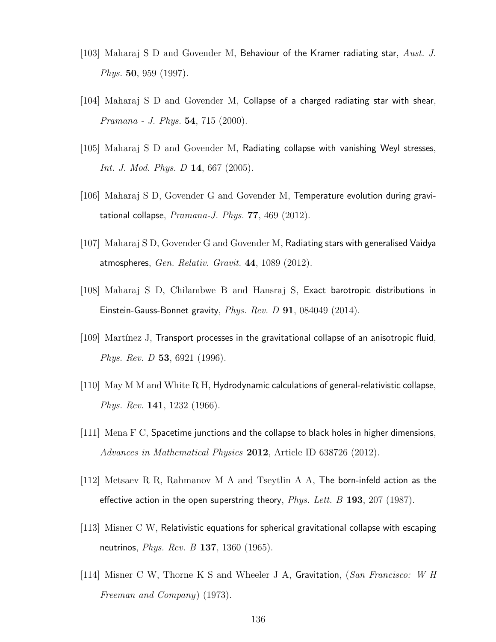- [103] Maharaj S D and Govender M, Behaviour of the Kramer radiating star, Aust. J. Phys. 50, 959 (1997).
- [104] Maharaj S D and Govender M, Collapse of a charged radiating star with shear, Pramana - J. Phys. 54, 715 (2000).
- [105] Maharaj S D and Govender M, Radiating collapse with vanishing Weyl stresses, Int. J. Mod. Phys. D 14, 667 (2005).
- [106] Maharaj S D, Govender G and Govender M, Temperature evolution during gravitational collapse,  $Pramana-J. Phys.$  77, 469 (2012).
- [107] Maharaj S D, Govender G and Govender M, Radiating stars with generalised Vaidya atmospheres, Gen. Relativ. Gravit. 44, 1089 (2012).
- [108] Maharaj S D, Chilambwe B and Hansraj S, Exact barotropic distributions in Einstein-Gauss-Bonnet gravity,  $Phys. Rev. D$  91, 084049 (2014).
- [109] Martínez J, Transport processes in the gravitational collapse of an anisotropic fluid, Phys. Rev. D 53, 6921 (1996).
- [110] May M M and White R H, Hydrodynamic calculations of general-relativistic collapse, Phys. Rev. 141, 1232 (1966).
- [111] Mena F C, Spacetime junctions and the collapse to black holes in higher dimensions, Advances in Mathematical Physics 2012, Article ID 638726 (2012).
- [112] Metsaev R R, Rahmanov M A and Tseytlin A A, The born-infeld action as the effective action in the open superstring theory,  $Phys. Let t. B$  193, 207 (1987).
- $[113]$  Misner C W, Relativistic equations for spherical gravitational collapse with escaping neutrinos, *Phys. Rev. B* 137, 1360 (1965).
- [114] Misner C W, Thorne K S and Wheeler J A, Gravitation, (San Francisco: W H Freeman and Company) (1973).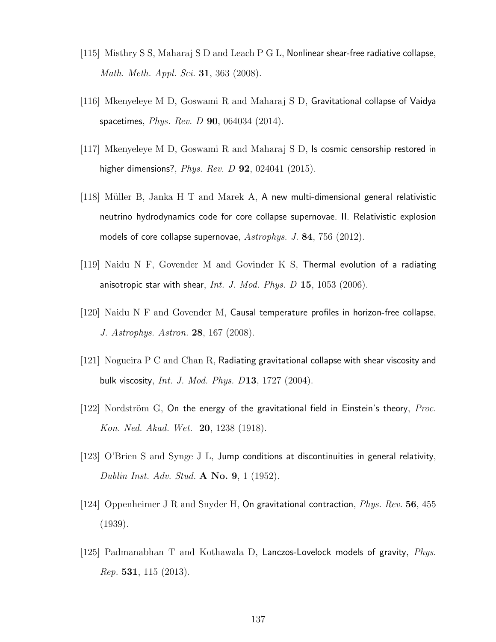- [115] Misthry S S, Maharaj S D and Leach P G L, Nonlinear shear-free radiative collapse, Math. Meth. Appl. Sci. 31, 363 (2008).
- [116] Mkenyeleye M D, Goswami R and Maharaj S D, Gravitational collapse of Vaidya spacetimes, *Phys. Rev. D* **90**, 064034 (2014).
- [117] Mkenyeleye M D, Goswami R and Maharaj S D, Is cosmic censorship restored in higher dimensions?,  $Phys. Rev. D$  92, 024041 (2015).
- [118] Müller B, Janka H T and Marek A,  $\overline{A}$  new multi-dimensional general relativistic neutrino hydrodynamics code for core collapse supernovae. II. Relativistic explosion models of core collapse supernovae,  $Astrophys. J. 84, 756 (2012).$
- [119] Naidu N F, Govender M and Govinder K S, Thermal evolution of a radiating anisotropic star with shear, *Int. J. Mod. Phys. D* 15, 1053 (2006).
- [120] Naidu N F and Govender M, Causal temperature profiles in horizon-free collapse, J. Astrophys. Astron. 28, 167 (2008).
- [121] Nogueira P C and Chan R, Radiating gravitational collapse with shear viscosity and bulk viscosity, Int. J. Mod. Phys. D13, 1727 (2004).
- [122] Nordström G, On the energy of the gravitational field in Einstein's theory, *Proc.* Kon. Ned. Akad. Wet. 20, 1238 (1918).
- [123] O'Brien S and Synge J L, Jump conditions at discontinuities in general relativity, Dublin Inst. Adv. Stud. A No. 9, 1 (1952).
- [124] Oppenheimer J R and Snyder H, On gravitational contraction, Phys. Rev. 56, 455 (1939).
- [125] Padmanabhan T and Kothawala D, Lanczos-Lovelock models of gravity, Phys. Rep. 531, 115 (2013).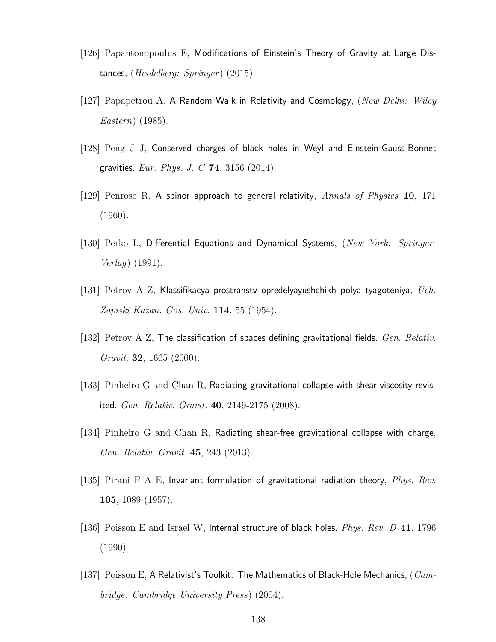- [126] Papantonopoulus E, Modifications of Einstein's Theory of Gravity at Large Distances,  $(Heidelberg: Springer)$  (2015).
- [127] Papapetrou A, A Random Walk in Relativity and Cosmology, (New Delhi: Wiley Eastern) (1985).
- [128] Peng J J, Conserved charges of black holes in Weyl and Einstein-Gauss-Bonnet gravities, *Eur. Phys. J. C* 74, 3156 (2014).
- [129] Penrose R, A spinor approach to general relativity, Annals of Physics 10, 171 (1960).
- [130] Perko L, Differential Equations and Dynamical Systems, (New York: Springer-Verlag) (1991).
- [131] Petrov A Z, Klassifikacya prostranstv opredelyayushchikh polya tyagoteniya,  $Uch$ . Zapiski Kazan. Gos. Univ. 114, 55 (1954).
- [132] Petrov A Z, The classification of spaces defining gravitational fields,  $Gen. Relativ.$ Gravit. 32, 1665 (2000).
- [133] Pinheiro G and Chan R, Radiating gravitational collapse with shear viscosity revisited, Gen. Relativ. Gravit. 40, 2149-2175 (2008).
- [134] Pinheiro G and Chan R, Radiating shear-free gravitational collapse with charge, Gen. Relativ. Gravit. 45, 243 (2013).
- [135] Pirani F A E, Invariant formulation of gravitational radiation theory, *Phys. Rev.* 105, 1089 (1957).
- [136] Poisson E and Israel W, Internal structure of black holes, *Phys. Rev. D* 41, 1796 (1990).
- [137] Poisson E, A Relativist's Toolkit: The Mathematics of Black-Hole Mechanics,  $(Cam$ bridge: Cambridge University Press) (2004).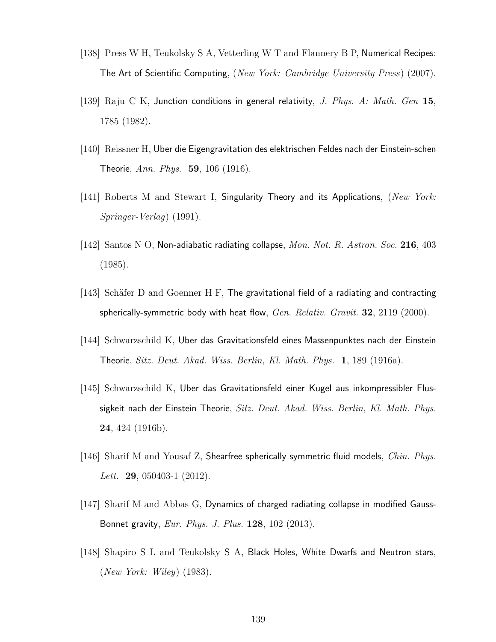- [138] Press W H, Teukolsky S A, Vetterling W T and Flannery B P, Numerical Recipes: The Art of Scientific Computing, (New York: Cambridge University Press) (2007).
- [139] Raju C K, Junction conditions in general relativity, J. Phys. A: Math. Gen 15, 1785 (1982).
- [140] Reissner H, Uber die Eigengravitation des elektrischen Feldes nach der Einstein-schen Theorie, Ann. Phys. 59, 106 (1916).
- [141] Roberts M and Stewart I, Singularity Theory and its Applications, (New York: Springer-Verlag) (1991).
- [142] Santos N O, Non-adiabatic radiating collapse, Mon. Not. R. Astron. Soc. 216, 403 (1985).
- [143] Schäfer D and Goenner H F, The gravitational field of a radiating and contracting spherically-symmetric body with heat flow,  $Gen.$   $Relativ.$   $Gravit.$  32, 2119 (2000).
- [144] Schwarzschild K, Uber das Gravitationsfeld eines Massenpunktes nach der Einstein Theorie, Sitz. Deut. Akad. Wiss. Berlin, Kl. Math. Phys. 1, 189 (1916a).
- [145] Schwarzschild K, Uber das Gravitationsfeld einer Kugel aus inkompressibler Flussigkeit nach der Einstein Theorie, Sitz. Deut. Akad. Wiss. Berlin, Kl. Math. Phys. 24, 424 (1916b).
- [146] Sharif M and Yousaf Z, Shearfree spherically symmetric fluid models, *Chin. Phys. Lett.* **29**, 050403-1  $(2012)$ .
- [147] Sharif M and Abbas G, Dynamics of charged radiating collapse in modified Gauss-Bonnet gravity, Eur. Phys. J. Plus. 128, 102 (2013).
- [148] Shapiro S L and Teukolsky S A, Black Holes, White Dwarfs and Neutron stars, (New York: Wiley) (1983).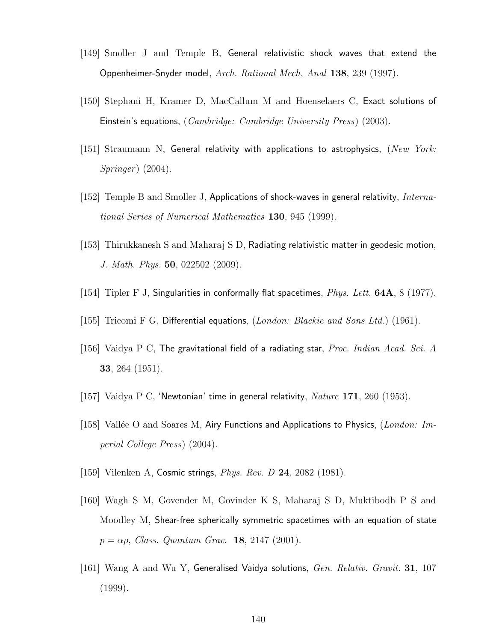- [149] Smoller J and Temple B, General relativistic shock waves that extend the Oppenheimer-Snyder model, Arch. Rational Mech. Anal 138, 239 (1997).
- [150] Stephani H, Kramer D, MacCallum M and Hoenselaers C, Exact solutions of Einstein's equations, (Cambridge: Cambridge University Press) (2003).
- $[151]$  Straumann N, General relativity with applications to astrophysics,  $(New York:$  $Springer (2004).$
- [152] Temple B and Smoller J, Applications of shock-waves in general relativity, *Interna*tional Series of Numerical Mathematics 130, 945 (1999).
- [153] Thirukkanesh S and Maharaj S D, Radiating relativistic matter in geodesic motion, J. Math. Phys. 50, 022502 (2009).
- [154] Tipler F J, Singularities in conformally flat spacetimes, *Phys. Lett.*  $64A$ ,  $8$  (1977).
- [155] Tricomi F G, Differential equations, (London: Blackie and Sons Ltd.) (1961).
- [156] Vaidya P C, The gravitational field of a radiating star, *Proc. Indian Acad. Sci. A* 33, 264 (1951).
- [157] Vaidya P C, 'Newtonian' time in general relativity, Nature 171, 260 (1953).
- [158] Vallée O and Soares M, Airy Functions and Applications to Physics, (London: Imperial College Press) (2004).
- [159] Vilenken A, Cosmic strings, *Phys. Rev. D* 24, 2082 (1981).
- [160] Wagh S M, Govender M, Govinder K S, Maharaj S D, Muktibodh P S and Moodley M, Shear-free spherically symmetric spacetimes with an equation of state  $p = \alpha \rho$ , Class. Quantum Grav. **18**, 2147 (2001).
- [161] Wang A and Wu Y, Generalised Vaidya solutions, Gen. Relativ. Gravit. 31, 107 (1999).